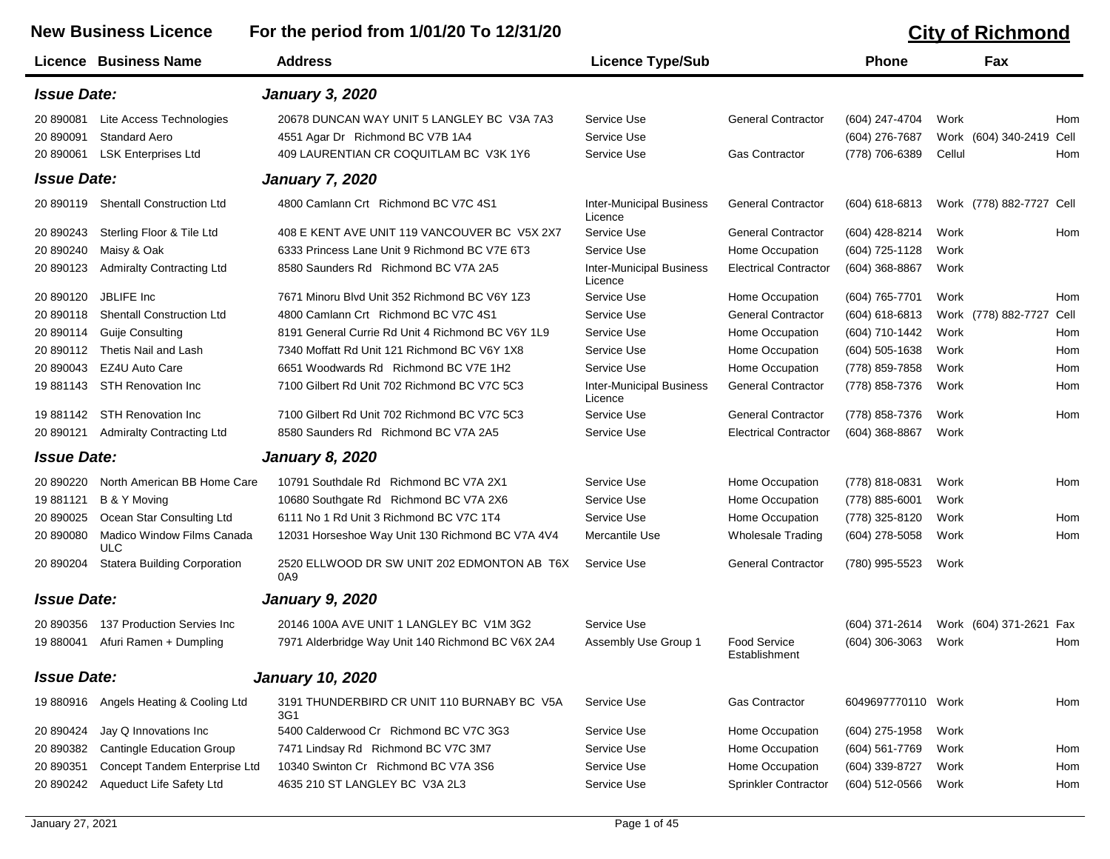## **New Business Licence For the period from 1/01/20 To 12/31/20 CONFERGING TO A CALCE CALCE CONFERGING TO A CALCE CALCE CALCE CALCE CALCE CALCE CALCE CALCE CALCE CALCE CALCE CALCE CALCE CALCE CALCE CALCE CALCE CALCE CALCE**

|                    | Licence Business Name               | <b>Address</b>                                     | <b>Licence Type/Sub</b>                    |                                      | <b>Phone</b>       | Fax                      |     |
|--------------------|-------------------------------------|----------------------------------------------------|--------------------------------------------|--------------------------------------|--------------------|--------------------------|-----|
| <b>Issue Date:</b> |                                     | <b>January 3, 2020</b>                             |                                            |                                      |                    |                          |     |
| 20 890081          | Lite Access Technologies            | 20678 DUNCAN WAY UNIT 5 LANGLEY BC V3A 7A3         | Service Use                                | <b>General Contractor</b>            | (604) 247-4704     | Work                     | Hom |
| 20 890091          | <b>Standard Aero</b>                | 4551 Agar Dr Richmond BC V7B 1A4                   | Service Use                                |                                      | (604) 276-7687     | Work (604) 340-2419 Cell |     |
| 20 890061          | <b>LSK Enterprises Ltd</b>          | 409 LAURENTIAN CR COQUITLAM BC V3K 1Y6             | Service Use                                | <b>Gas Contractor</b>                | (778) 706-6389     | Cellul                   | Hom |
| <b>Issue Date:</b> |                                     | <b>January 7, 2020</b>                             |                                            |                                      |                    |                          |     |
| 20 890119          | <b>Shentall Construction Ltd</b>    | 4800 Camlann Crt Richmond BC V7C 4S1               | <b>Inter-Municipal Business</b><br>Licence | <b>General Contractor</b>            | $(604) 618 - 6813$ | Work (778) 882-7727 Cell |     |
| 20 890243          | Sterling Floor & Tile Ltd           | 408 E KENT AVE UNIT 119 VANCOUVER BC V5X 2X7       | Service Use                                | <b>General Contractor</b>            | (604) 428-8214     | Work                     | Hom |
| 20 890240          | Maisy & Oak                         | 6333 Princess Lane Unit 9 Richmond BC V7E 6T3      | Service Use                                | Home Occupation                      | (604) 725-1128     | Work                     |     |
| 20 890123          | <b>Admiralty Contracting Ltd</b>    | 8580 Saunders Rd Richmond BC V7A 2A5               | <b>Inter-Municipal Business</b><br>Licence | <b>Electrical Contractor</b>         | $(604)$ 368-8867   | Work                     |     |
| 20 890120          | JBLIFE Inc                          | 7671 Minoru Blvd Unit 352 Richmond BC V6Y 1Z3      | Service Use                                | Home Occupation                      | (604) 765-7701     | Work                     | Hom |
| 20 890118          | <b>Shentall Construction Ltd</b>    | 4800 Camlann Crt Richmond BC V7C 4S1               | Service Use                                | <b>General Contractor</b>            | $(604) 618 - 6813$ | Work (778) 882-7727 Cell |     |
| 20 890114          | Guije Consulting                    | 8191 General Currie Rd Unit 4 Richmond BC V6Y 1L9  | Service Use                                | Home Occupation                      | (604) 710-1442     | Work                     | Hom |
| 20 890112          | Thetis Nail and Lash                | 7340 Moffatt Rd Unit 121 Richmond BC V6Y 1X8       | Service Use                                | Home Occupation                      | $(604)$ 505-1638   | Work                     | Hom |
| 20 890043          | EZ4U Auto Care                      | 6651 Woodwards Rd Richmond BC V7E 1H2              | Service Use                                | Home Occupation                      | (778) 859-7858     | Work                     | Hom |
| 19 881143          | <b>STH Renovation Inc</b>           | 7100 Gilbert Rd Unit 702 Richmond BC V7C 5C3       | <b>Inter-Municipal Business</b><br>Licence | <b>General Contractor</b>            | (778) 858-7376     | Work                     | Hom |
| 19 881142          | <b>STH Renovation Inc</b>           | 7100 Gilbert Rd Unit 702 Richmond BC V7C 5C3       | Service Use                                | <b>General Contractor</b>            | (778) 858-7376     | Work                     | Hom |
| 20 890121          | <b>Admiralty Contracting Ltd</b>    | 8580 Saunders Rd Richmond BC V7A 2A5               | Service Use                                | <b>Electrical Contractor</b>         | $(604)$ 368-8867   | Work                     |     |
| <b>Issue Date:</b> |                                     | <b>January 8, 2020</b>                             |                                            |                                      |                    |                          |     |
| 20 890220          | North American BB Home Care         | 10791 Southdale Rd Richmond BC V7A 2X1             | Service Use                                | Home Occupation                      | (778) 818-0831     | Work                     | Hom |
| 19 881121          | B & Y Moving                        | 10680 Southgate Rd Richmond BC V7A 2X6             | Service Use                                | Home Occupation                      | $(778)$ 885-6001   | Work                     |     |
| 20 890025          | Ocean Star Consulting Ltd           | 6111 No 1 Rd Unit 3 Richmond BC V7C 1T4            | Service Use                                | Home Occupation                      | (778) 325-8120     | Work                     | Hom |
| 20 890080          | Madico Window Films Canada<br>ULC   | 12031 Horseshoe Way Unit 130 Richmond BC V7A 4V4   | Mercantile Use                             | <b>Wholesale Trading</b>             | $(604)$ 278-5058   | Work                     | Hom |
| 20 890204          | <b>Statera Building Corporation</b> | 2520 ELLWOOD DR SW UNIT 202 EDMONTON AB T6X<br>0A9 | Service Use                                | <b>General Contractor</b>            | (780) 995-5523     | Work                     |     |
| <b>Issue Date:</b> |                                     | <b>January 9, 2020</b>                             |                                            |                                      |                    |                          |     |
| 20 890356          | 137 Production Servies Inc          | 20146 100A AVE UNIT 1 LANGLEY BC V1M 3G2           | Service Use                                |                                      | (604) 371-2614     | Work (604) 371-2621 Fax  |     |
| 19 880041          | Afuri Ramen + Dumpling              | 7971 Alderbridge Way Unit 140 Richmond BC V6X 2A4  | Assembly Use Group 1                       | <b>Food Service</b><br>Establishment | $(604)$ 306-3063   | Work                     | Hom |
| <b>Issue Date:</b> |                                     | <b>January 10, 2020</b>                            |                                            |                                      |                    |                          |     |
| 19 880916          | Angels Heating & Cooling Ltd        | 3191 THUNDERBIRD CR UNIT 110 BURNABY BC V5A<br>3G1 | Service Use                                | <b>Gas Contractor</b>                | 6049697770110 Work |                          | Hom |
| 20 890424          | Jay Q Innovations Inc               | 5400 Calderwood Cr Richmond BC V7C 3G3             | Service Use                                | Home Occupation                      | (604) 275-1958     | Work                     |     |
| 20 890382          | <b>Cantingle Education Group</b>    | 7471 Lindsay Rd Richmond BC V7C 3M7                | Service Use                                | Home Occupation                      | (604) 561-7769     | Work                     | Hom |
| 20 890351          | Concept Tandem Enterprise Ltd       | 10340 Swinton Cr Richmond BC V7A 3S6               | Service Use                                | Home Occupation                      | (604) 339-8727     | Work                     | Hom |

20 890242 Aqueduct Life Safety Ltd 4635 210 ST LANGLEY BC V3A 2L3 Service Use Sprinkler Contractor (604) 512-0566 Work Hom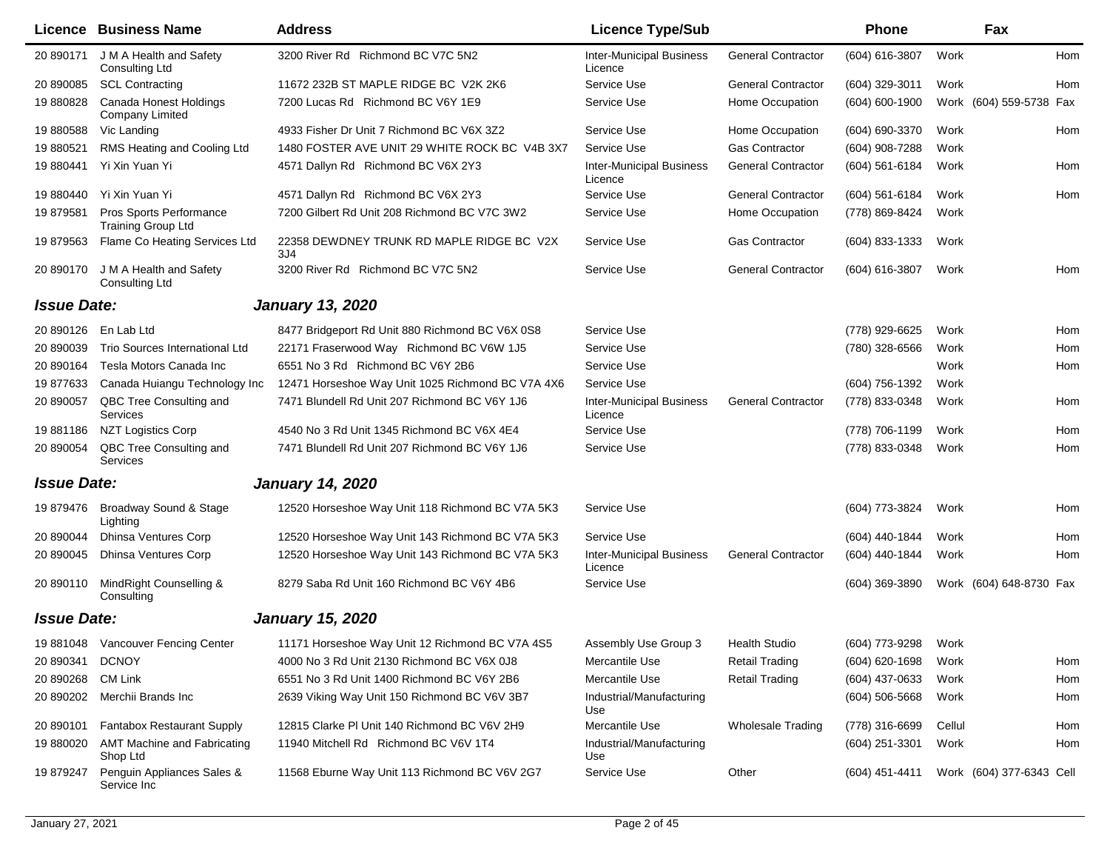|                    | <b>Licence Business Name</b>                         | <b>Address</b>                                    | <b>Licence Type/Sub</b>                    |                           | <b>Phone</b>       |        | Fax                      |     |
|--------------------|------------------------------------------------------|---------------------------------------------------|--------------------------------------------|---------------------------|--------------------|--------|--------------------------|-----|
| 20 890171          | J M A Health and Safety<br>Consulting Ltd            | 3200 River Rd Richmond BC V7C 5N2                 | <b>Inter-Municipal Business</b><br>Licence | <b>General Contractor</b> | (604) 616-3807     | Work   |                          | Hom |
| 20 890085          | <b>SCL Contracting</b>                               | 11672 232B ST MAPLE RIDGE BC V2K 2K6              | Service Use                                | <b>General Contractor</b> | $(604)$ 329-3011   | Work   |                          | Hom |
| 19 880828          | Canada Honest Holdings<br>Company Limited            | 7200 Lucas Rd Richmond BC V6Y 1E9                 | Service Use                                | Home Occupation           | $(604) 600 - 1900$ |        | Work (604) 559-5738 Fax  |     |
| 19 880588          | Vic Landing                                          | 4933 Fisher Dr Unit 7 Richmond BC V6X 3Z2         | Service Use                                | Home Occupation           | (604) 690-3370     | Work   |                          | Hom |
| 19 880521          | RMS Heating and Cooling Ltd                          | 1480 FOSTER AVE UNIT 29 WHITE ROCK BC V4B 3X7     | Service Use                                | <b>Gas Contractor</b>     | (604) 908-7288     | Work   |                          |     |
| 19 880441          | Yi Xin Yuan Yi                                       | 4571 Dallyn Rd Richmond BC V6X 2Y3                | <b>Inter-Municipal Business</b><br>Licence | <b>General Contractor</b> | (604) 561-6184     | Work   |                          | Hom |
| 19 880440          | Yi Xin Yuan Yi                                       | 4571 Dallyn Rd Richmond BC V6X 2Y3                | Service Use                                | <b>General Contractor</b> | $(604)$ 561-6184   | Work   |                          | Hom |
| 19 879581          | Pros Sports Performance<br><b>Training Group Ltd</b> | 7200 Gilbert Rd Unit 208 Richmond BC V7C 3W2      | Service Use                                | Home Occupation           | (778) 869-8424     | Work   |                          |     |
| 19 879563          | Flame Co Heating Services Ltd                        | 22358 DEWDNEY TRUNK RD MAPLE RIDGE BC V2X<br>3J4  | Service Use                                | <b>Gas Contractor</b>     | $(604)$ 833-1333   | Work   |                          |     |
| 20 890170          | J M A Health and Safety<br>Consulting Ltd            | 3200 River Rd Richmond BC V7C 5N2                 | Service Use                                | <b>General Contractor</b> | $(604)$ 616-3807   | Work   |                          | Hom |
| <b>Issue Date:</b> |                                                      | <b>January 13, 2020</b>                           |                                            |                           |                    |        |                          |     |
| 20 890126          | En Lab Ltd                                           | 8477 Bridgeport Rd Unit 880 Richmond BC V6X 0S8   | Service Use                                |                           | (778) 929-6625     | Work   |                          | Hom |
| 20 890039          | Trio Sources International Ltd                       | 22171 Fraserwood Way Richmond BC V6W 1J5          | Service Use                                |                           | (780) 328-6566     | Work   |                          | Hom |
| 20 890164          | Tesla Motors Canada Inc                              | 6551 No 3 Rd Richmond BC V6Y 2B6                  | Service Use                                |                           |                    | Work   |                          | Hom |
| 19877633           | Canada Huiangu Technology Inc                        | 12471 Horseshoe Way Unit 1025 Richmond BC V7A 4X6 | Service Use                                |                           | (604) 756-1392     | Work   |                          |     |
| 20 890057          | QBC Tree Consulting and<br><b>Services</b>           | 7471 Blundell Rd Unit 207 Richmond BC V6Y 1J6     | <b>Inter-Municipal Business</b><br>Licence | <b>General Contractor</b> | (778) 833-0348     | Work   |                          | Hom |
| 19881186           | <b>NZT Logistics Corp</b>                            | 4540 No 3 Rd Unit 1345 Richmond BC V6X 4E4        | Service Use                                |                           | (778) 706-1199     | Work   |                          | Hom |
| 20 890054          | QBC Tree Consulting and<br>Services                  | 7471 Blundell Rd Unit 207 Richmond BC V6Y 1J6     | Service Use                                |                           | (778) 833-0348     | Work   |                          | Hom |
| <b>Issue Date:</b> |                                                      | <b>January 14, 2020</b>                           |                                            |                           |                    |        |                          |     |
| 19 879476          | Broadway Sound & Stage<br>Lighting                   | 12520 Horseshoe Way Unit 118 Richmond BC V7A 5K3  | Service Use                                |                           | (604) 773-3824     | Work   |                          | Hom |
| 20 890044          | <b>Dhinsa Ventures Corp</b>                          | 12520 Horseshoe Way Unit 143 Richmond BC V7A 5K3  | Service Use                                |                           | (604) 440-1844     | Work   |                          | Hom |
| 20 890045          | <b>Dhinsa Ventures Corp</b>                          | 12520 Horseshoe Way Unit 143 Richmond BC V7A 5K3  | <b>Inter-Municipal Business</b><br>Licence | <b>General Contractor</b> | (604) 440-1844     | Work   |                          | Hom |
| 20 890110          | MindRight Counselling &<br>Consulting                | 8279 Saba Rd Unit 160 Richmond BC V6Y 4B6         | Service Use                                |                           | $(604)$ 369-3890   |        | Work (604) 648-8730 Fax  |     |
| <b>Issue Date:</b> |                                                      | <b>January 15, 2020</b>                           |                                            |                           |                    |        |                          |     |
|                    | 19 881048 Vancouver Fencing Center                   | 11171 Horseshoe Way Unit 12 Richmond BC V7A 4S5   | Assembly Use Group 3                       | <b>Health Studio</b>      | (604) 773-9298     | Work   |                          |     |
| 20 890341          | <b>DCNOY</b>                                         | 4000 No 3 Rd Unit 2130 Richmond BC V6X 0J8        | Mercantile Use                             | <b>Retail Trading</b>     | $(604)$ 620-1698   | Work   |                          | Hom |
| 20 890268          | CM Link                                              | 6551 No 3 Rd Unit 1400 Richmond BC V6Y 2B6        | Mercantile Use                             | <b>Retail Trading</b>     | $(604)$ 437-0633   | Work   |                          | Hom |
| 20 890202          | Merchii Brands Inc                                   | 2639 Viking Way Unit 150 Richmond BC V6V 3B7      | Industrial/Manufacturing<br>Use            |                           | $(604)$ 506-5668   | Work   |                          | Hom |
| 20 890101          | Fantabox Restaurant Supply                           | 12815 Clarke PI Unit 140 Richmond BC V6V 2H9      | Mercantile Use                             | <b>Wholesale Trading</b>  | (778) 316-6699     | Cellul |                          | Hom |
| 19 880020          | <b>AMT Machine and Fabricating</b><br>Shop Ltd       | 11940 Mitchell Rd Richmond BC V6V 1T4             | Industrial/Manufacturing<br>Use            |                           | $(604)$ 251-3301   | Work   |                          | Hom |
| 19 879247          | Penguin Appliances Sales &<br>Service Inc            | 11568 Eburne Way Unit 113 Richmond BC V6V 2G7     | Service Use                                | Other                     | (604) 451-4411     |        | Work (604) 377-6343 Cell |     |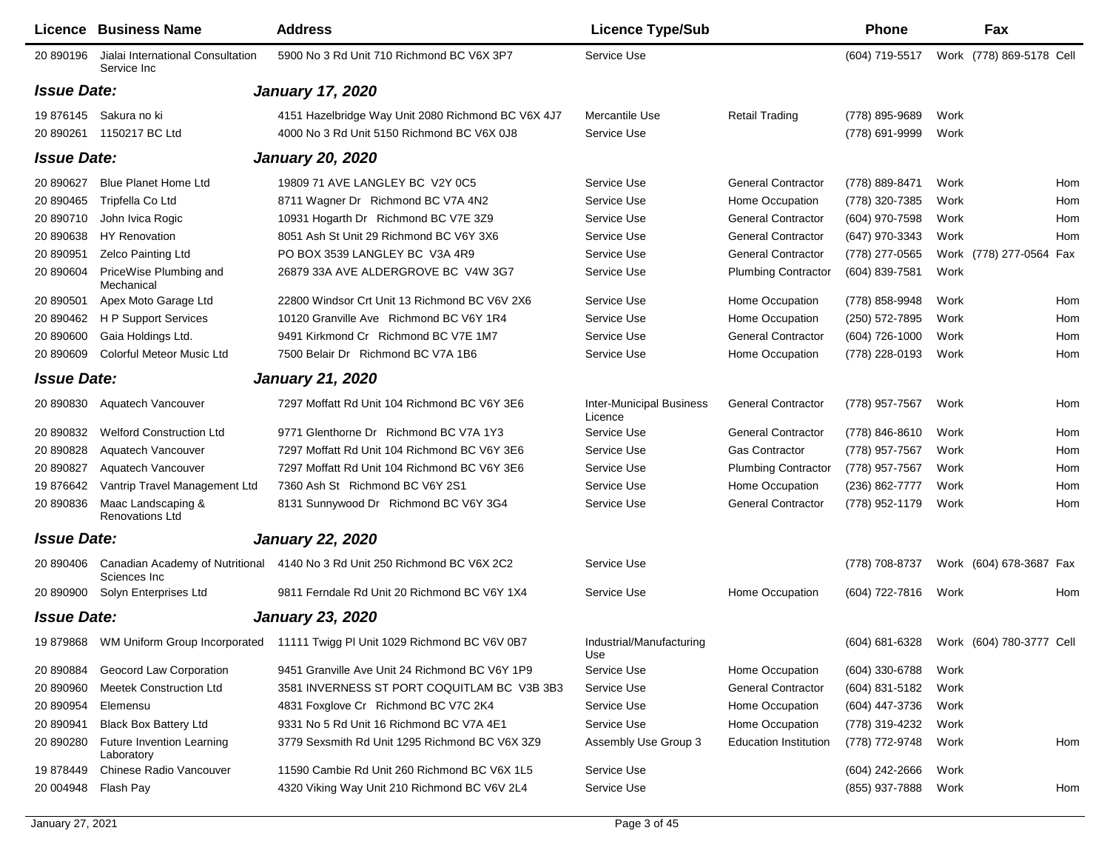|                    | <b>Licence Business Name</b>                     | <b>Address</b>                                                                       | <b>Licence Type/Sub</b>                    |                              | Phone          |      | Fax                      |     |
|--------------------|--------------------------------------------------|--------------------------------------------------------------------------------------|--------------------------------------------|------------------------------|----------------|------|--------------------------|-----|
| 20 890196          | Jialai International Consultation<br>Service Inc | 5900 No 3 Rd Unit 710 Richmond BC V6X 3P7                                            | Service Use                                |                              | (604) 719-5517 |      | Work (778) 869-5178 Cell |     |
| <b>Issue Date:</b> |                                                  | <b>January 17, 2020</b>                                                              |                                            |                              |                |      |                          |     |
| 19 876145          | Sakura no ki                                     | 4151 Hazelbridge Way Unit 2080 Richmond BC V6X 4J7                                   | Mercantile Use                             | <b>Retail Trading</b>        | (778) 895-9689 | Work |                          |     |
| 20 890261          | 1150217 BC Ltd                                   | 4000 No 3 Rd Unit 5150 Richmond BC V6X 0J8                                           | Service Use                                |                              | (778) 691-9999 | Work |                          |     |
| <b>Issue Date:</b> |                                                  | <b>January 20, 2020</b>                                                              |                                            |                              |                |      |                          |     |
| 20 890627          | Blue Planet Home Ltd                             | 19809 71 AVE LANGLEY BC V2Y 0C5                                                      | Service Use                                | <b>General Contractor</b>    | (778) 889-8471 | Work |                          | Hom |
| 20 890465          | Tripfella Co Ltd                                 | 8711 Wagner Dr Richmond BC V7A 4N2                                                   | Service Use                                | Home Occupation              | (778) 320-7385 | Work |                          | Hom |
| 20 890710          | John Ivica Rogic                                 | 10931 Hogarth Dr Richmond BC V7E 3Z9                                                 | Service Use                                | <b>General Contractor</b>    | (604) 970-7598 | Work |                          | Hom |
| 20 890638          | <b>HY Renovation</b>                             | 8051 Ash St Unit 29 Richmond BC V6Y 3X6                                              | Service Use                                | <b>General Contractor</b>    | (647) 970-3343 | Work |                          | Hom |
| 20 890951          | <b>Zelco Painting Ltd</b>                        | PO BOX 3539 LANGLEY BC V3A 4R9                                                       | Service Use                                | <b>General Contractor</b>    | (778) 277-0565 |      | Work (778) 277-0564 Fax  |     |
| 20 890604          | PriceWise Plumbing and<br>Mechanical             | 26879 33A AVE ALDERGROVE BC V4W 3G7                                                  | Service Use                                | <b>Plumbing Contractor</b>   | (604) 839-7581 | Work |                          |     |
| 20 890501          | Apex Moto Garage Ltd                             | 22800 Windsor Crt Unit 13 Richmond BC V6V 2X6                                        | Service Use                                | Home Occupation              | (778) 858-9948 | Work |                          | Hom |
| 20 890462          | H P Support Services                             | 10120 Granville Ave Richmond BC V6Y 1R4                                              | Service Use                                | Home Occupation              | (250) 572-7895 | Work |                          | Hom |
| 20 890600          | Gaia Holdings Ltd.                               | 9491 Kirkmond Cr Richmond BC V7E 1M7                                                 | Service Use                                | <b>General Contractor</b>    | (604) 726-1000 | Work |                          | Hom |
| 20 890609          | <b>Colorful Meteor Music Ltd</b>                 | 7500 Belair Dr Richmond BC V7A 1B6                                                   | Service Use                                | Home Occupation              | (778) 228-0193 | Work |                          | Hom |
| <b>Issue Date:</b> |                                                  | <b>January 21, 2020</b>                                                              |                                            |                              |                |      |                          |     |
| 20 890830          | Aquatech Vancouver                               | 7297 Moffatt Rd Unit 104 Richmond BC V6Y 3E6                                         | <b>Inter-Municipal Business</b><br>Licence | <b>General Contractor</b>    | (778) 957-7567 | Work |                          | Hom |
| 20 890832          | <b>Welford Construction Ltd</b>                  | 9771 Glenthorne Dr Richmond BC V7A 1Y3                                               | Service Use                                | <b>General Contractor</b>    | (778) 846-8610 | Work |                          | Hom |
| 20 890828          | Aquatech Vancouver                               | 7297 Moffatt Rd Unit 104 Richmond BC V6Y 3E6                                         | Service Use                                | <b>Gas Contractor</b>        | (778) 957-7567 | Work |                          | Hom |
| 20 890827          | Aquatech Vancouver                               | 7297 Moffatt Rd Unit 104 Richmond BC V6Y 3E6                                         | Service Use                                | <b>Plumbing Contractor</b>   | (778) 957-7567 | Work |                          | Hom |
| 19 876642          | Vantrip Travel Management Ltd                    | 7360 Ash St Richmond BC V6Y 2S1                                                      | Service Use                                | Home Occupation              | (236) 862-7777 | Work |                          | Hom |
| 20 890836          | Maac Landscaping &<br><b>Renovations Ltd</b>     | 8131 Sunnywood Dr Richmond BC V6Y 3G4                                                | Service Use                                | <b>General Contractor</b>    | (778) 952-1179 | Work |                          | Hom |
| <b>Issue Date:</b> |                                                  | <b>January 22, 2020</b>                                                              |                                            |                              |                |      |                          |     |
| 20 890406          | Canadian Academy of Nutritional<br>Sciences Inc  | 4140 No 3 Rd Unit 250 Richmond BC V6X 2C2                                            | Service Use                                |                              | (778) 708-8737 |      | Work (604) 678-3687 Fax  |     |
| 20 890900          | Solyn Enterprises Ltd                            | 9811 Ferndale Rd Unit 20 Richmond BC V6Y 1X4                                         | Service Use                                | Home Occupation              | (604) 722-7816 | Work |                          | Hom |
| <b>Issue Date:</b> |                                                  | <b>January 23, 2020</b>                                                              |                                            |                              |                |      |                          |     |
|                    |                                                  | 19 879868 WM Uniform Group Incorporated 11111 Twigg PI Unit 1029 Richmond BC V6V 0B7 | Industrial/Manufacturing<br>Use            |                              | (604) 681-6328 |      | Work (604) 780-3777 Cell |     |
| 20 890884          | <b>Geocord Law Corporation</b>                   | 9451 Granville Ave Unit 24 Richmond BC V6Y 1P9                                       | Service Use                                | Home Occupation              | (604) 330-6788 | Work |                          |     |
| 20 890960          | <b>Meetek Construction Ltd</b>                   | 3581 INVERNESS ST PORT COQUITLAM BC V3B 3B3                                          | Service Use                                | <b>General Contractor</b>    | (604) 831-5182 | Work |                          |     |
| 20 890954          | Elemensu                                         | 4831 Foxglove Cr Richmond BC V7C 2K4                                                 | Service Use                                | Home Occupation              | (604) 447-3736 | Work |                          |     |
| 20 890941          | <b>Black Box Battery Ltd</b>                     | 9331 No 5 Rd Unit 16 Richmond BC V7A 4E1                                             | Service Use                                | Home Occupation              | (778) 319-4232 | Work |                          |     |
| 20 890280          | Future Invention Learning<br>Laboratory          | 3779 Sexsmith Rd Unit 1295 Richmond BC V6X 3Z9                                       | Assembly Use Group 3                       | <b>Education Institution</b> | (778) 772-9748 | Work |                          | Hom |
| 19 878449          | Chinese Radio Vancouver                          | 11590 Cambie Rd Unit 260 Richmond BC V6X 1L5                                         | Service Use                                |                              | (604) 242-2666 | Work |                          |     |
| 20 004948          | Flash Pay                                        | 4320 Viking Way Unit 210 Richmond BC V6V 2L4                                         | Service Use                                |                              | (855) 937-7888 | Work |                          | Hom |
|                    |                                                  |                                                                                      |                                            |                              |                |      |                          |     |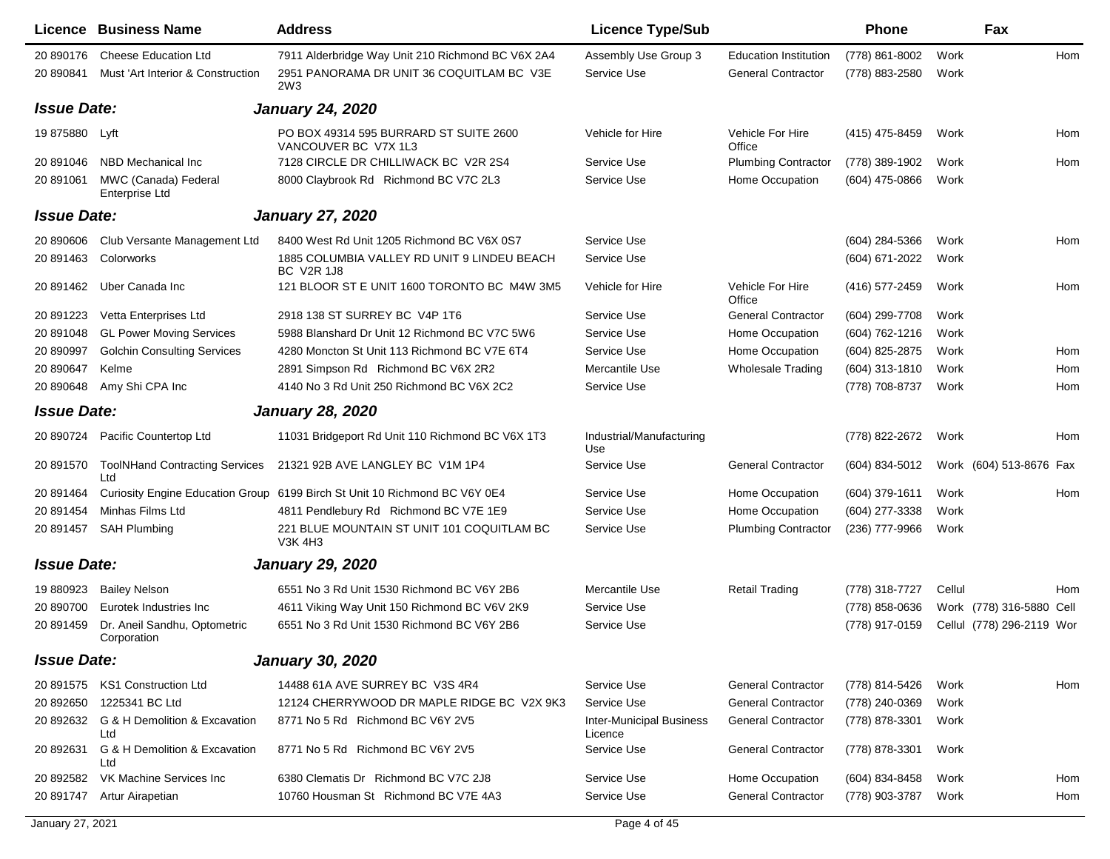| 20 890176<br><b>Cheese Education Ltd</b><br>7911 Alderbridge Way Unit 210 Richmond BC V6X 2A4<br>Assembly Use Group 3<br><b>Education Institution</b><br>(778) 861-8002<br>Work<br>2951 PANORAMA DR UNIT 36 COQUITLAM BC V3E<br>Must 'Art Interior & Construction<br>Service Use<br><b>General Contractor</b><br>(778) 883-2580<br>Work<br>20 890841<br>2W <sub>3</sub><br><b>Issue Date:</b><br><b>January 24, 2020</b><br>PO BOX 49314 595 BURRARD ST SUITE 2600<br>19 875880 Lyft<br>Vehicle For Hire<br>(415) 475-8459<br>Vehicle for Hire<br>Work<br>VANCOUVER BC V7X 1L3<br>Office<br>NBD Mechanical Inc<br>7128 CIRCLE DR CHILLIWACK BC V2R 2S4<br>Service Use<br><b>Plumbing Contractor</b><br>(778) 389-1902<br>Work<br>20 891046<br>MWC (Canada) Federal<br>8000 Claybrook Rd Richmond BC V7C 2L3<br>Service Use<br>Home Occupation<br>(604) 475-0866<br>Work<br>20 891061<br><b>Enterprise Ltd</b><br><b>Issue Date:</b><br><b>January 27, 2020</b><br>8400 West Rd Unit 1205 Richmond BC V6X 0S7<br>Service Use<br>(604) 284-5366<br>Work<br>20 890606<br>Club Versante Management Ltd<br>20 891463<br>Colorworks<br>1885 COLUMBIA VALLEY RD UNIT 9 LINDEU BEACH<br>Service Use<br>(604) 671-2022<br>Work<br><b>BC V2R 1J8</b><br>121 BLOOR ST E UNIT 1600 TORONTO BC M4W 3M5<br>Vehicle For Hire<br>Uber Canada Inc<br>Vehicle for Hire<br>(416) 577-2459<br>Work<br>20 891462<br>Office<br>Vetta Enterprises Ltd<br>2918 138 ST SURREY BC V4P 1T6<br>Service Use<br><b>General Contractor</b><br>(604) 299-7708<br>Work<br>20 891223<br><b>GL Power Moving Services</b><br>5988 Blanshard Dr Unit 12 Richmond BC V7C 5W6<br>Service Use<br>Home Occupation<br>(604) 762-1216<br>Work<br>20 891048<br>20 890997<br><b>Golchin Consulting Services</b><br>4280 Moncton St Unit 113 Richmond BC V7E 6T4<br>Service Use<br>Home Occupation<br>(604) 825-2875<br>Work<br>2891 Simpson Rd Richmond BC V6X 2R2<br>Mercantile Use<br>20 890647<br>Kelme<br><b>Wholesale Trading</b><br>(604) 313-1810<br>Work<br>20 890648<br>Amy Shi CPA Inc<br>4140 No 3 Rd Unit 250 Richmond BC V6X 2C2<br>Service Use<br>(778) 708-8737<br>Work<br><b>Issue Date:</b><br><b>January 28, 2020</b><br>Industrial/Manufacturing<br>Pacific Countertop Ltd<br>11031 Bridgeport Rd Unit 110 Richmond BC V6X 1T3<br>(778) 822-2672<br>20 890724<br>Work<br>Use<br><b>ToolNHand Contracting Services</b><br>21321 92B AVE LANGLEY BC V1M 1P4<br>Service Use<br><b>General Contractor</b><br>(604) 834-5012<br>Work (604) 513-8676 Fax<br>20 891570<br>Ltd<br>Curiosity Engine Education Group 6199 Birch St Unit 10 Richmond BC V6Y 0E4<br>Service Use<br>Home Occupation<br>(604) 379-1611<br>20 891464<br>Work<br>Minhas Films Ltd<br>Service Use<br>Home Occupation<br>20 891454<br>4811 Pendlebury Rd Richmond BC V7E 1E9<br>(604) 277-3338<br>Work<br>221 BLUE MOUNTAIN ST UNIT 101 COQUITLAM BC<br>20 891457<br>SAH Plumbing<br>Service Use<br><b>Plumbing Contractor</b><br>(236) 777-9966<br>Work<br><b>V3K 4H3</b><br><b>Issue Date:</b><br><b>January 29, 2020</b><br>Mercantile Use<br>19 880923<br><b>Bailey Nelson</b><br>6551 No 3 Rd Unit 1530 Richmond BC V6Y 2B6<br><b>Retail Trading</b><br>(778) 318-7727<br>Cellul<br>20 890700<br>Eurotek Industries Inc<br>4611 Viking Way Unit 150 Richmond BC V6V 2K9<br>Service Use<br>(778) 858-0636<br>Work (778) 316-5880 Cell |           | <b>Licence Business Name</b> | <b>Address</b>                             | <b>Licence Type/Sub</b> | <b>Phone</b>   | Fax                       |     |
|-------------------------------------------------------------------------------------------------------------------------------------------------------------------------------------------------------------------------------------------------------------------------------------------------------------------------------------------------------------------------------------------------------------------------------------------------------------------------------------------------------------------------------------------------------------------------------------------------------------------------------------------------------------------------------------------------------------------------------------------------------------------------------------------------------------------------------------------------------------------------------------------------------------------------------------------------------------------------------------------------------------------------------------------------------------------------------------------------------------------------------------------------------------------------------------------------------------------------------------------------------------------------------------------------------------------------------------------------------------------------------------------------------------------------------------------------------------------------------------------------------------------------------------------------------------------------------------------------------------------------------------------------------------------------------------------------------------------------------------------------------------------------------------------------------------------------------------------------------------------------------------------------------------------------------------------------------------------------------------------------------------------------------------------------------------------------------------------------------------------------------------------------------------------------------------------------------------------------------------------------------------------------------------------------------------------------------------------------------------------------------------------------------------------------------------------------------------------------------------------------------------------------------------------------------------------------------------------------------------------------------------------------------------------------------------------------------------------------------------------------------------------------------------------------------------------------------------------------------------------------------------------------------------------------------------------------------------------------------------------------------------------------------------------------------------------------------------------------------------------------------------------------------------------------------------------------------------------------------------------------------------------------------------------------------------------------------------------------------------------------------|-----------|------------------------------|--------------------------------------------|-------------------------|----------------|---------------------------|-----|
|                                                                                                                                                                                                                                                                                                                                                                                                                                                                                                                                                                                                                                                                                                                                                                                                                                                                                                                                                                                                                                                                                                                                                                                                                                                                                                                                                                                                                                                                                                                                                                                                                                                                                                                                                                                                                                                                                                                                                                                                                                                                                                                                                                                                                                                                                                                                                                                                                                                                                                                                                                                                                                                                                                                                                                                                                                                                                                                                                                                                                                                                                                                                                                                                                                                                                                                                                                               |           |                              |                                            |                         |                |                           | Hom |
|                                                                                                                                                                                                                                                                                                                                                                                                                                                                                                                                                                                                                                                                                                                                                                                                                                                                                                                                                                                                                                                                                                                                                                                                                                                                                                                                                                                                                                                                                                                                                                                                                                                                                                                                                                                                                                                                                                                                                                                                                                                                                                                                                                                                                                                                                                                                                                                                                                                                                                                                                                                                                                                                                                                                                                                                                                                                                                                                                                                                                                                                                                                                                                                                                                                                                                                                                                               |           |                              |                                            |                         |                |                           |     |
|                                                                                                                                                                                                                                                                                                                                                                                                                                                                                                                                                                                                                                                                                                                                                                                                                                                                                                                                                                                                                                                                                                                                                                                                                                                                                                                                                                                                                                                                                                                                                                                                                                                                                                                                                                                                                                                                                                                                                                                                                                                                                                                                                                                                                                                                                                                                                                                                                                                                                                                                                                                                                                                                                                                                                                                                                                                                                                                                                                                                                                                                                                                                                                                                                                                                                                                                                                               |           |                              |                                            |                         |                |                           |     |
|                                                                                                                                                                                                                                                                                                                                                                                                                                                                                                                                                                                                                                                                                                                                                                                                                                                                                                                                                                                                                                                                                                                                                                                                                                                                                                                                                                                                                                                                                                                                                                                                                                                                                                                                                                                                                                                                                                                                                                                                                                                                                                                                                                                                                                                                                                                                                                                                                                                                                                                                                                                                                                                                                                                                                                                                                                                                                                                                                                                                                                                                                                                                                                                                                                                                                                                                                                               |           |                              |                                            |                         |                |                           | Hom |
|                                                                                                                                                                                                                                                                                                                                                                                                                                                                                                                                                                                                                                                                                                                                                                                                                                                                                                                                                                                                                                                                                                                                                                                                                                                                                                                                                                                                                                                                                                                                                                                                                                                                                                                                                                                                                                                                                                                                                                                                                                                                                                                                                                                                                                                                                                                                                                                                                                                                                                                                                                                                                                                                                                                                                                                                                                                                                                                                                                                                                                                                                                                                                                                                                                                                                                                                                                               |           |                              |                                            |                         |                |                           | Hom |
|                                                                                                                                                                                                                                                                                                                                                                                                                                                                                                                                                                                                                                                                                                                                                                                                                                                                                                                                                                                                                                                                                                                                                                                                                                                                                                                                                                                                                                                                                                                                                                                                                                                                                                                                                                                                                                                                                                                                                                                                                                                                                                                                                                                                                                                                                                                                                                                                                                                                                                                                                                                                                                                                                                                                                                                                                                                                                                                                                                                                                                                                                                                                                                                                                                                                                                                                                                               |           |                              |                                            |                         |                |                           |     |
|                                                                                                                                                                                                                                                                                                                                                                                                                                                                                                                                                                                                                                                                                                                                                                                                                                                                                                                                                                                                                                                                                                                                                                                                                                                                                                                                                                                                                                                                                                                                                                                                                                                                                                                                                                                                                                                                                                                                                                                                                                                                                                                                                                                                                                                                                                                                                                                                                                                                                                                                                                                                                                                                                                                                                                                                                                                                                                                                                                                                                                                                                                                                                                                                                                                                                                                                                                               |           |                              |                                            |                         |                |                           |     |
|                                                                                                                                                                                                                                                                                                                                                                                                                                                                                                                                                                                                                                                                                                                                                                                                                                                                                                                                                                                                                                                                                                                                                                                                                                                                                                                                                                                                                                                                                                                                                                                                                                                                                                                                                                                                                                                                                                                                                                                                                                                                                                                                                                                                                                                                                                                                                                                                                                                                                                                                                                                                                                                                                                                                                                                                                                                                                                                                                                                                                                                                                                                                                                                                                                                                                                                                                                               |           |                              |                                            |                         |                |                           | Hom |
|                                                                                                                                                                                                                                                                                                                                                                                                                                                                                                                                                                                                                                                                                                                                                                                                                                                                                                                                                                                                                                                                                                                                                                                                                                                                                                                                                                                                                                                                                                                                                                                                                                                                                                                                                                                                                                                                                                                                                                                                                                                                                                                                                                                                                                                                                                                                                                                                                                                                                                                                                                                                                                                                                                                                                                                                                                                                                                                                                                                                                                                                                                                                                                                                                                                                                                                                                                               |           |                              |                                            |                         |                |                           |     |
|                                                                                                                                                                                                                                                                                                                                                                                                                                                                                                                                                                                                                                                                                                                                                                                                                                                                                                                                                                                                                                                                                                                                                                                                                                                                                                                                                                                                                                                                                                                                                                                                                                                                                                                                                                                                                                                                                                                                                                                                                                                                                                                                                                                                                                                                                                                                                                                                                                                                                                                                                                                                                                                                                                                                                                                                                                                                                                                                                                                                                                                                                                                                                                                                                                                                                                                                                                               |           |                              |                                            |                         |                |                           | Hom |
|                                                                                                                                                                                                                                                                                                                                                                                                                                                                                                                                                                                                                                                                                                                                                                                                                                                                                                                                                                                                                                                                                                                                                                                                                                                                                                                                                                                                                                                                                                                                                                                                                                                                                                                                                                                                                                                                                                                                                                                                                                                                                                                                                                                                                                                                                                                                                                                                                                                                                                                                                                                                                                                                                                                                                                                                                                                                                                                                                                                                                                                                                                                                                                                                                                                                                                                                                                               |           |                              |                                            |                         |                |                           |     |
|                                                                                                                                                                                                                                                                                                                                                                                                                                                                                                                                                                                                                                                                                                                                                                                                                                                                                                                                                                                                                                                                                                                                                                                                                                                                                                                                                                                                                                                                                                                                                                                                                                                                                                                                                                                                                                                                                                                                                                                                                                                                                                                                                                                                                                                                                                                                                                                                                                                                                                                                                                                                                                                                                                                                                                                                                                                                                                                                                                                                                                                                                                                                                                                                                                                                                                                                                                               |           |                              |                                            |                         |                |                           |     |
|                                                                                                                                                                                                                                                                                                                                                                                                                                                                                                                                                                                                                                                                                                                                                                                                                                                                                                                                                                                                                                                                                                                                                                                                                                                                                                                                                                                                                                                                                                                                                                                                                                                                                                                                                                                                                                                                                                                                                                                                                                                                                                                                                                                                                                                                                                                                                                                                                                                                                                                                                                                                                                                                                                                                                                                                                                                                                                                                                                                                                                                                                                                                                                                                                                                                                                                                                                               |           |                              |                                            |                         |                |                           | Hom |
|                                                                                                                                                                                                                                                                                                                                                                                                                                                                                                                                                                                                                                                                                                                                                                                                                                                                                                                                                                                                                                                                                                                                                                                                                                                                                                                                                                                                                                                                                                                                                                                                                                                                                                                                                                                                                                                                                                                                                                                                                                                                                                                                                                                                                                                                                                                                                                                                                                                                                                                                                                                                                                                                                                                                                                                                                                                                                                                                                                                                                                                                                                                                                                                                                                                                                                                                                                               |           |                              |                                            |                         |                |                           | Hom |
|                                                                                                                                                                                                                                                                                                                                                                                                                                                                                                                                                                                                                                                                                                                                                                                                                                                                                                                                                                                                                                                                                                                                                                                                                                                                                                                                                                                                                                                                                                                                                                                                                                                                                                                                                                                                                                                                                                                                                                                                                                                                                                                                                                                                                                                                                                                                                                                                                                                                                                                                                                                                                                                                                                                                                                                                                                                                                                                                                                                                                                                                                                                                                                                                                                                                                                                                                                               |           |                              |                                            |                         |                |                           | Hom |
|                                                                                                                                                                                                                                                                                                                                                                                                                                                                                                                                                                                                                                                                                                                                                                                                                                                                                                                                                                                                                                                                                                                                                                                                                                                                                                                                                                                                                                                                                                                                                                                                                                                                                                                                                                                                                                                                                                                                                                                                                                                                                                                                                                                                                                                                                                                                                                                                                                                                                                                                                                                                                                                                                                                                                                                                                                                                                                                                                                                                                                                                                                                                                                                                                                                                                                                                                                               |           |                              |                                            |                         |                |                           |     |
|                                                                                                                                                                                                                                                                                                                                                                                                                                                                                                                                                                                                                                                                                                                                                                                                                                                                                                                                                                                                                                                                                                                                                                                                                                                                                                                                                                                                                                                                                                                                                                                                                                                                                                                                                                                                                                                                                                                                                                                                                                                                                                                                                                                                                                                                                                                                                                                                                                                                                                                                                                                                                                                                                                                                                                                                                                                                                                                                                                                                                                                                                                                                                                                                                                                                                                                                                                               |           |                              |                                            |                         |                |                           | Hom |
|                                                                                                                                                                                                                                                                                                                                                                                                                                                                                                                                                                                                                                                                                                                                                                                                                                                                                                                                                                                                                                                                                                                                                                                                                                                                                                                                                                                                                                                                                                                                                                                                                                                                                                                                                                                                                                                                                                                                                                                                                                                                                                                                                                                                                                                                                                                                                                                                                                                                                                                                                                                                                                                                                                                                                                                                                                                                                                                                                                                                                                                                                                                                                                                                                                                                                                                                                                               |           |                              |                                            |                         |                |                           |     |
|                                                                                                                                                                                                                                                                                                                                                                                                                                                                                                                                                                                                                                                                                                                                                                                                                                                                                                                                                                                                                                                                                                                                                                                                                                                                                                                                                                                                                                                                                                                                                                                                                                                                                                                                                                                                                                                                                                                                                                                                                                                                                                                                                                                                                                                                                                                                                                                                                                                                                                                                                                                                                                                                                                                                                                                                                                                                                                                                                                                                                                                                                                                                                                                                                                                                                                                                                                               |           |                              |                                            |                         |                |                           | Hom |
|                                                                                                                                                                                                                                                                                                                                                                                                                                                                                                                                                                                                                                                                                                                                                                                                                                                                                                                                                                                                                                                                                                                                                                                                                                                                                                                                                                                                                                                                                                                                                                                                                                                                                                                                                                                                                                                                                                                                                                                                                                                                                                                                                                                                                                                                                                                                                                                                                                                                                                                                                                                                                                                                                                                                                                                                                                                                                                                                                                                                                                                                                                                                                                                                                                                                                                                                                                               |           |                              |                                            |                         |                |                           |     |
|                                                                                                                                                                                                                                                                                                                                                                                                                                                                                                                                                                                                                                                                                                                                                                                                                                                                                                                                                                                                                                                                                                                                                                                                                                                                                                                                                                                                                                                                                                                                                                                                                                                                                                                                                                                                                                                                                                                                                                                                                                                                                                                                                                                                                                                                                                                                                                                                                                                                                                                                                                                                                                                                                                                                                                                                                                                                                                                                                                                                                                                                                                                                                                                                                                                                                                                                                                               |           |                              |                                            |                         |                |                           |     |
|                                                                                                                                                                                                                                                                                                                                                                                                                                                                                                                                                                                                                                                                                                                                                                                                                                                                                                                                                                                                                                                                                                                                                                                                                                                                                                                                                                                                                                                                                                                                                                                                                                                                                                                                                                                                                                                                                                                                                                                                                                                                                                                                                                                                                                                                                                                                                                                                                                                                                                                                                                                                                                                                                                                                                                                                                                                                                                                                                                                                                                                                                                                                                                                                                                                                                                                                                                               |           |                              |                                            |                         |                |                           |     |
|                                                                                                                                                                                                                                                                                                                                                                                                                                                                                                                                                                                                                                                                                                                                                                                                                                                                                                                                                                                                                                                                                                                                                                                                                                                                                                                                                                                                                                                                                                                                                                                                                                                                                                                                                                                                                                                                                                                                                                                                                                                                                                                                                                                                                                                                                                                                                                                                                                                                                                                                                                                                                                                                                                                                                                                                                                                                                                                                                                                                                                                                                                                                                                                                                                                                                                                                                                               |           |                              |                                            |                         |                |                           | Hom |
|                                                                                                                                                                                                                                                                                                                                                                                                                                                                                                                                                                                                                                                                                                                                                                                                                                                                                                                                                                                                                                                                                                                                                                                                                                                                                                                                                                                                                                                                                                                                                                                                                                                                                                                                                                                                                                                                                                                                                                                                                                                                                                                                                                                                                                                                                                                                                                                                                                                                                                                                                                                                                                                                                                                                                                                                                                                                                                                                                                                                                                                                                                                                                                                                                                                                                                                                                                               |           |                              |                                            |                         |                |                           |     |
| Corporation                                                                                                                                                                                                                                                                                                                                                                                                                                                                                                                                                                                                                                                                                                                                                                                                                                                                                                                                                                                                                                                                                                                                                                                                                                                                                                                                                                                                                                                                                                                                                                                                                                                                                                                                                                                                                                                                                                                                                                                                                                                                                                                                                                                                                                                                                                                                                                                                                                                                                                                                                                                                                                                                                                                                                                                                                                                                                                                                                                                                                                                                                                                                                                                                                                                                                                                                                                   | 20 891459 | Dr. Aneil Sandhu, Optometric | 6551 No 3 Rd Unit 1530 Richmond BC V6Y 2B6 | Service Use             | (778) 917-0159 | Cellul (778) 296-2119 Wor |     |
| <b>Issue Date:</b><br><b>January 30, 2020</b>                                                                                                                                                                                                                                                                                                                                                                                                                                                                                                                                                                                                                                                                                                                                                                                                                                                                                                                                                                                                                                                                                                                                                                                                                                                                                                                                                                                                                                                                                                                                                                                                                                                                                                                                                                                                                                                                                                                                                                                                                                                                                                                                                                                                                                                                                                                                                                                                                                                                                                                                                                                                                                                                                                                                                                                                                                                                                                                                                                                                                                                                                                                                                                                                                                                                                                                                 |           |                              |                                            |                         |                |                           |     |
| 20 891575 KS1 Construction Ltd<br>14488 61A AVE SURREY BC V3S 4R4<br>Service Use<br><b>General Contractor</b><br>(778) 814-5426<br>Work                                                                                                                                                                                                                                                                                                                                                                                                                                                                                                                                                                                                                                                                                                                                                                                                                                                                                                                                                                                                                                                                                                                                                                                                                                                                                                                                                                                                                                                                                                                                                                                                                                                                                                                                                                                                                                                                                                                                                                                                                                                                                                                                                                                                                                                                                                                                                                                                                                                                                                                                                                                                                                                                                                                                                                                                                                                                                                                                                                                                                                                                                                                                                                                                                                       |           |                              |                                            |                         |                |                           | Hom |
| 1225341 BC Ltd<br><b>General Contractor</b><br>20 892650<br>12124 CHERRYWOOD DR MAPLE RIDGE BC V2X 9K3<br>Service Use<br>(778) 240-0369<br>Work                                                                                                                                                                                                                                                                                                                                                                                                                                                                                                                                                                                                                                                                                                                                                                                                                                                                                                                                                                                                                                                                                                                                                                                                                                                                                                                                                                                                                                                                                                                                                                                                                                                                                                                                                                                                                                                                                                                                                                                                                                                                                                                                                                                                                                                                                                                                                                                                                                                                                                                                                                                                                                                                                                                                                                                                                                                                                                                                                                                                                                                                                                                                                                                                                               |           |                              |                                            |                         |                |                           |     |
| 20 892632<br>G & H Demolition & Excavation<br>8771 No 5 Rd Richmond BC V6Y 2V5<br><b>Inter-Municipal Business</b><br><b>General Contractor</b><br>(778) 878-3301<br>Work<br>Ltd<br>Licence                                                                                                                                                                                                                                                                                                                                                                                                                                                                                                                                                                                                                                                                                                                                                                                                                                                                                                                                                                                                                                                                                                                                                                                                                                                                                                                                                                                                                                                                                                                                                                                                                                                                                                                                                                                                                                                                                                                                                                                                                                                                                                                                                                                                                                                                                                                                                                                                                                                                                                                                                                                                                                                                                                                                                                                                                                                                                                                                                                                                                                                                                                                                                                                    |           |                              |                                            |                         |                |                           |     |
| 20 892631<br>G & H Demolition & Excavation<br>8771 No 5 Rd Richmond BC V6Y 2V5<br>Service Use<br><b>General Contractor</b><br>(778) 878-3301<br>Work<br>Ltd                                                                                                                                                                                                                                                                                                                                                                                                                                                                                                                                                                                                                                                                                                                                                                                                                                                                                                                                                                                                                                                                                                                                                                                                                                                                                                                                                                                                                                                                                                                                                                                                                                                                                                                                                                                                                                                                                                                                                                                                                                                                                                                                                                                                                                                                                                                                                                                                                                                                                                                                                                                                                                                                                                                                                                                                                                                                                                                                                                                                                                                                                                                                                                                                                   |           |                              |                                            |                         |                |                           |     |
| VK Machine Services Inc<br>6380 Clematis Dr Richmond BC V7C 2J8<br>Service Use<br>Home Occupation<br>20 892582<br>(604) 834-8458<br>Work                                                                                                                                                                                                                                                                                                                                                                                                                                                                                                                                                                                                                                                                                                                                                                                                                                                                                                                                                                                                                                                                                                                                                                                                                                                                                                                                                                                                                                                                                                                                                                                                                                                                                                                                                                                                                                                                                                                                                                                                                                                                                                                                                                                                                                                                                                                                                                                                                                                                                                                                                                                                                                                                                                                                                                                                                                                                                                                                                                                                                                                                                                                                                                                                                                      |           |                              |                                            |                         |                |                           | Hom |
| 10760 Housman St Richmond BC V7E 4A3<br><b>General Contractor</b><br>Service Use<br>(778) 903-3787<br>20 891747<br>Artur Airapetian<br>Work                                                                                                                                                                                                                                                                                                                                                                                                                                                                                                                                                                                                                                                                                                                                                                                                                                                                                                                                                                                                                                                                                                                                                                                                                                                                                                                                                                                                                                                                                                                                                                                                                                                                                                                                                                                                                                                                                                                                                                                                                                                                                                                                                                                                                                                                                                                                                                                                                                                                                                                                                                                                                                                                                                                                                                                                                                                                                                                                                                                                                                                                                                                                                                                                                                   |           |                              |                                            |                         |                |                           | Hom |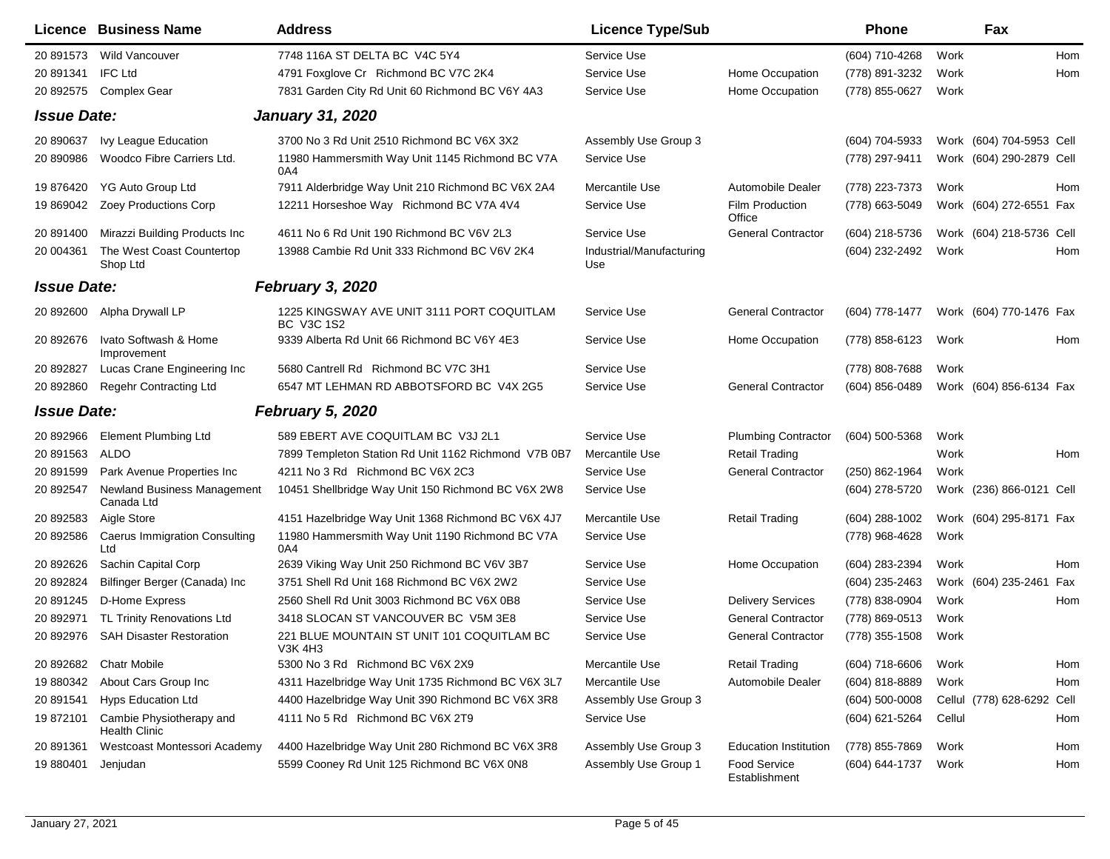|                    | Licence Business Name                            | <b>Address</b>                                                  | <b>Licence Type/Sub</b>         |                                      | <b>Phone</b>       |        | Fax                        |     |
|--------------------|--------------------------------------------------|-----------------------------------------------------------------|---------------------------------|--------------------------------------|--------------------|--------|----------------------------|-----|
| 20 891573          | <b>Wild Vancouver</b>                            | 7748 116A ST DELTA BC V4C 5Y4                                   | Service Use                     |                                      | (604) 710-4268     | Work   |                            | Hom |
| 20 891341          | <b>IFC Ltd</b>                                   | 4791 Foxglove Cr Richmond BC V7C 2K4                            | Service Use                     | Home Occupation                      | (778) 891-3232     | Work   |                            | Hom |
| 20 892575          | <b>Complex Gear</b>                              | 7831 Garden City Rd Unit 60 Richmond BC V6Y 4A3                 | Service Use                     | Home Occupation                      | (778) 855-0627     | Work   |                            |     |
| <b>Issue Date:</b> |                                                  | <b>January 31, 2020</b>                                         |                                 |                                      |                    |        |                            |     |
| 20 890637          | Ivy League Education                             | 3700 No 3 Rd Unit 2510 Richmond BC V6X 3X2                      | Assembly Use Group 3            |                                      | (604) 704-5933     |        | Work (604) 704-5953 Cell   |     |
| 20 890986          | Woodco Fibre Carriers Ltd.                       | 11980 Hammersmith Way Unit 1145 Richmond BC V7A<br>0A4          | Service Use                     |                                      | (778) 297-9411     |        | Work (604) 290-2879 Cell   |     |
| 19 876420          | YG Auto Group Ltd                                | 7911 Alderbridge Way Unit 210 Richmond BC V6X 2A4               | Mercantile Use                  | Automobile Dealer                    | (778) 223-7373     | Work   |                            | Hom |
| 19 869042          | Zoey Productions Corp                            | 12211 Horseshoe Way Richmond BC V7A 4V4                         | Service Use                     | Film Production<br>Office            | (778) 663-5049     |        | Work (604) 272-6551 Fax    |     |
| 20 891400          | Mirazzi Building Products Inc                    | 4611 No 6 Rd Unit 190 Richmond BC V6V 2L3                       | Service Use                     | <b>General Contractor</b>            | (604) 218-5736     |        | Work (604) 218-5736 Cell   |     |
| 20 004361          | The West Coast Countertop<br>Shop Ltd            | 13988 Cambie Rd Unit 333 Richmond BC V6V 2K4                    | Industrial/Manufacturing<br>Use |                                      | (604) 232-2492     | Work   |                            | Hom |
| <b>Issue Date:</b> |                                                  | <b>February 3, 2020</b>                                         |                                 |                                      |                    |        |                            |     |
| 20 892600          | Alpha Drywall LP                                 | 1225 KINGSWAY AVE UNIT 3111 PORT COQUITLAM<br><b>BC V3C 1S2</b> | Service Use                     | <b>General Contractor</b>            | (604) 778-1477     |        | Work (604) 770-1476 Fax    |     |
| 20 892676          | Ivato Softwash & Home<br>Improvement             | 9339 Alberta Rd Unit 66 Richmond BC V6Y 4E3                     | Service Use                     | Home Occupation                      | (778) 858-6123     | Work   |                            | Hom |
| 20 892827          | Lucas Crane Engineering Inc                      | 5680 Cantrell Rd Richmond BC V7C 3H1                            | Service Use                     |                                      | (778) 808-7688     | Work   |                            |     |
| 20 892860          | Regehr Contracting Ltd                           | 6547 MT LEHMAN RD ABBOTSFORD BC V4X 2G5                         | Service Use                     | <b>General Contractor</b>            | (604) 856-0489     |        | Work (604) 856-6134 Fax    |     |
| <b>Issue Date:</b> |                                                  | February 5, 2020                                                |                                 |                                      |                    |        |                            |     |
| 20 892966          | <b>Element Plumbing Ltd</b>                      | 589 EBERT AVE COQUITLAM BC V3J 2L1                              | Service Use                     | <b>Plumbing Contractor</b>           | $(604)$ 500-5368   | Work   |                            |     |
| 20 891563          | ALDO                                             | 7899 Templeton Station Rd Unit 1162 Richmond V7B 0B7            | Mercantile Use                  | <b>Retail Trading</b>                |                    | Work   |                            | Hom |
| 20 891599          | Park Avenue Properties Inc                       | 4211 No 3 Rd Richmond BC V6X 2C3                                | Service Use                     | <b>General Contractor</b>            | (250) 862-1964     | Work   |                            |     |
| 20 892547          | <b>Newland Business Management</b><br>Canada Ltd | 10451 Shellbridge Way Unit 150 Richmond BC V6X 2W8              | Service Use                     |                                      | (604) 278-5720     |        | Work (236) 866-0121 Cell   |     |
| 20 892583          | Aigle Store                                      | 4151 Hazelbridge Way Unit 1368 Richmond BC V6X 4J7              | Mercantile Use                  | <b>Retail Trading</b>                | (604) 288-1002     |        | Work (604) 295-8171 Fax    |     |
| 20 892586          | Caerus Immigration Consulting<br>Ltd             | 11980 Hammersmith Way Unit 1190 Richmond BC V7A<br>0A4          | Service Use                     |                                      | (778) 968-4628     | Work   |                            |     |
| 20 892626          | Sachin Capital Corp                              | 2639 Viking Way Unit 250 Richmond BC V6V 3B7                    | Service Use                     | Home Occupation                      | (604) 283-2394     | Work   |                            | Hom |
| 20 892824          | Bilfinger Berger (Canada) Inc                    | 3751 Shell Rd Unit 168 Richmond BC V6X 2W2                      | Service Use                     |                                      | (604) 235-2463     |        | Work (604) 235-2461 Fax    |     |
| 20 891245          | D-Home Express                                   | 2560 Shell Rd Unit 3003 Richmond BC V6X 0B8                     | Service Use                     | <b>Delivery Services</b>             | (778) 838-0904     | Work   |                            | Hom |
| 20 892971          | TL Trinity Renovations Ltd                       | 3418 SLOCAN ST VANCOUVER BC V5M 3E8                             | Service Use                     | <b>General Contractor</b>            | (778) 869-0513     | Work   |                            |     |
| 20 892976          | <b>SAH Disaster Restoration</b>                  | 221 BLUE MOUNTAIN ST UNIT 101 COQUITLAM BC<br>V3K 4H3           | Service Use                     | <b>General Contractor</b>            | (778) 355-1508     | Work   |                            |     |
| 20 892682          | Chatr Mobile                                     | 5300 No 3 Rd Richmond BC V6X 2X9                                | Mercantile Use                  | <b>Retail Trading</b>                | $(604)$ 718-6606   | Work   |                            | Hom |
| 19 880342          | About Cars Group Inc                             | 4311 Hazelbridge Way Unit 1735 Richmond BC V6X 3L7              | Mercantile Use                  | Automobile Dealer                    | $(604)$ 818-8889   | Work   |                            | Hom |
| 20 891541          | Hyps Education Ltd                               | 4400 Hazelbridge Way Unit 390 Richmond BC V6X 3R8               | Assembly Use Group 3            |                                      | $(604) 500 - 0008$ |        | Cellul (778) 628-6292 Cell |     |
| 19872101           | Cambie Physiotherapy and<br><b>Health Clinic</b> | 4111 No 5 Rd Richmond BC V6X 2T9                                | Service Use                     |                                      | (604) 621-5264     | Cellul |                            | Hom |
| 20 891361          | Westcoast Montessori Academy                     | 4400 Hazelbridge Way Unit 280 Richmond BC V6X 3R8               | Assembly Use Group 3            | <b>Education Institution</b>         | (778) 855-7869     | Work   |                            | Hom |
| 19 880401          | Jenjudan                                         | 5599 Cooney Rd Unit 125 Richmond BC V6X 0N8                     | Assembly Use Group 1            | <b>Food Service</b><br>Establishment | (604) 644-1737     | Work   |                            | Hom |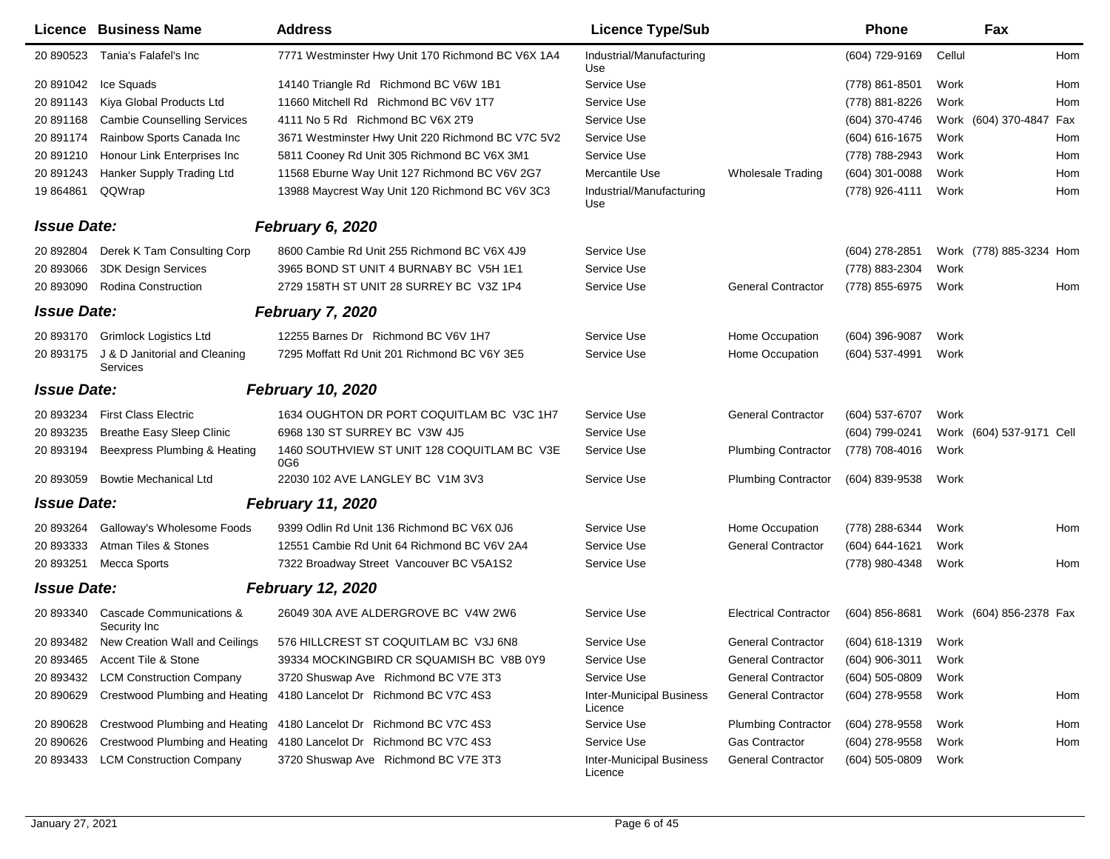|                    | Licence Business Name                     | <b>Address</b>                                                 | <b>Licence Type/Sub</b>                    |                              | Phone            |        | Fax                      |     |
|--------------------|-------------------------------------------|----------------------------------------------------------------|--------------------------------------------|------------------------------|------------------|--------|--------------------------|-----|
| 20 890523          | Tania's Falafel's Inc                     | 7771 Westminster Hwy Unit 170 Richmond BC V6X 1A4              | Industrial/Manufacturing<br>Use            |                              | (604) 729-9169   | Cellul |                          | Hom |
| 20 891042          | Ice Squads                                | 14140 Triangle Rd Richmond BC V6W 1B1                          | Service Use                                |                              | (778) 861-8501   | Work   |                          | Hom |
| 20 891143          | Kiya Global Products Ltd                  | 11660 Mitchell Rd Richmond BC V6V 1T7                          | Service Use                                |                              | (778) 881-8226   | Work   |                          | Hom |
| 20 891168          | <b>Cambie Counselling Services</b>        | 4111 No 5 Rd Richmond BC V6X 2T9                               | Service Use                                |                              | (604) 370-4746   |        | Work (604) 370-4847 Fax  |     |
| 20 891174          | Rainbow Sports Canada Inc                 | 3671 Westminster Hwy Unit 220 Richmond BC V7C 5V2              | Service Use                                |                              | (604) 616-1675   | Work   |                          | Hom |
| 20 891210          | Honour Link Enterprises Inc               | 5811 Cooney Rd Unit 305 Richmond BC V6X 3M1                    | Service Use                                |                              | (778) 788-2943   | Work   |                          | Hom |
| 20 891243          | Hanker Supply Trading Ltd                 | 11568 Eburne Way Unit 127 Richmond BC V6V 2G7                  | Mercantile Use                             | <b>Wholesale Trading</b>     | $(604)$ 301-0088 | Work   |                          | Hom |
| 19 864861          | QQWrap                                    | 13988 Maycrest Way Unit 120 Richmond BC V6V 3C3                | Industrial/Manufacturing<br>Use            |                              | (778) 926-4111   | Work   |                          | Hom |
| <b>Issue Date:</b> |                                           | February 6, 2020                                               |                                            |                              |                  |        |                          |     |
| 20 892804          | Derek K Tam Consulting Corp               | 8600 Cambie Rd Unit 255 Richmond BC V6X 4J9                    | Service Use                                |                              | (604) 278-2851   |        | Work (778) 885-3234 Hom  |     |
| 20 893066          | <b>3DK Design Services</b>                | 3965 BOND ST UNIT 4 BURNABY BC V5H 1E1                         | Service Use                                |                              | (778) 883-2304   | Work   |                          |     |
| 20 893090          | <b>Rodina Construction</b>                | 2729 158TH ST UNIT 28 SURREY BC V3Z 1P4                        | Service Use                                | <b>General Contractor</b>    | (778) 855-6975   | Work   |                          | Hom |
| <b>Issue Date:</b> |                                           | <b>February 7, 2020</b>                                        |                                            |                              |                  |        |                          |     |
| 20 893170          | <b>Grimlock Logistics Ltd</b>             | 12255 Barnes Dr Richmond BC V6V 1H7                            | Service Use                                | Home Occupation              | (604) 396-9087   | Work   |                          |     |
| 20 893175          | J & D Janitorial and Cleaning<br>Services | 7295 Moffatt Rd Unit 201 Richmond BC V6Y 3E5                   | Service Use                                | Home Occupation              | (604) 537-4991   | Work   |                          |     |
| <b>Issue Date:</b> |                                           | <b>February 10, 2020</b>                                       |                                            |                              |                  |        |                          |     |
| 20 893234          | <b>First Class Electric</b>               | 1634 OUGHTON DR PORT COQUITLAM BC V3C 1H7                      | Service Use                                | <b>General Contractor</b>    | (604) 537-6707   | Work   |                          |     |
| 20 893235          | <b>Breathe Easy Sleep Clinic</b>          | 6968 130 ST SURREY BC V3W 4J5                                  | Service Use                                |                              | (604) 799-0241   |        | Work (604) 537-9171 Cell |     |
| 20 893194          | Beexpress Plumbing & Heating              | 1460 SOUTHVIEW ST UNIT 128 COQUITLAM BC V3E<br>0G <sub>6</sub> | Service Use                                | <b>Plumbing Contractor</b>   | (778) 708-4016   | Work   |                          |     |
| 20 893059          | <b>Bowtie Mechanical Ltd</b>              | 22030 102 AVE LANGLEY BC V1M 3V3                               | Service Use                                | <b>Plumbing Contractor</b>   | $(604)$ 839-9538 | Work   |                          |     |
| <b>Issue Date:</b> |                                           | <b>February 11, 2020</b>                                       |                                            |                              |                  |        |                          |     |
| 20 893264          | Galloway's Wholesome Foods                | 9399 Odlin Rd Unit 136 Richmond BC V6X 0J6                     | Service Use                                | Home Occupation              | (778) 288-6344   | Work   |                          | Hom |
| 20 893333          | Atman Tiles & Stones                      | 12551 Cambie Rd Unit 64 Richmond BC V6V 2A4                    | Service Use                                | <b>General Contractor</b>    | (604) 644-1621   | Work   |                          |     |
| 20 893251          | <b>Mecca Sports</b>                       | 7322 Broadway Street Vancouver BC V5A1S2                       | Service Use                                |                              | (778) 980-4348   | Work   |                          | Hom |
| <b>Issue Date:</b> |                                           | <b>February 12, 2020</b>                                       |                                            |                              |                  |        |                          |     |
| 20 893340          | Cascade Communications &<br>Security Inc  | 26049 30A AVE ALDERGROVE BC V4W 2W6                            | Service Use                                | <b>Electrical Contractor</b> | $(604)$ 856-8681 |        | Work (604) 856-2378 Fax  |     |
| 20 893482          | New Creation Wall and Ceilings            | 576 HILLCREST ST COQUITLAM BC V3J 6N8                          | Service Use                                | <b>General Contractor</b>    | $(604)$ 618-1319 | Work   |                          |     |
| 20 893465          | Accent Tile & Stone                       | 39334 MOCKINGBIRD CR SQUAMISH BC V8B 0Y9                       | Service Use                                | <b>General Contractor</b>    | $(604)$ 906-3011 | Work   |                          |     |
| 20 893432          | <b>LCM Construction Company</b>           | 3720 Shuswap Ave Richmond BC V7E 3T3                           | Service Use                                | <b>General Contractor</b>    | $(604)$ 505-0809 | Work   |                          |     |
| 20 890629          | Crestwood Plumbing and Heating            | 4180 Lancelot Dr Richmond BC V7C 4S3                           | <b>Inter-Municipal Business</b><br>Licence | <b>General Contractor</b>    | (604) 278-9558   | Work   |                          | Hom |
| 20 890628          | Crestwood Plumbing and Heating            | 4180 Lancelot Dr Richmond BC V7C 4S3                           | Service Use                                | <b>Plumbing Contractor</b>   | (604) 278-9558   | Work   |                          | Hom |
| 20 890626          | Crestwood Plumbing and Heating            | 4180 Lancelot Dr Richmond BC V7C 4S3                           | Service Use                                | <b>Gas Contractor</b>        | (604) 278-9558   | Work   |                          | Hom |
| 20 893433          | <b>LCM Construction Company</b>           | 3720 Shuswap Ave Richmond BC V7E 3T3                           | <b>Inter-Municipal Business</b><br>Licence | <b>General Contractor</b>    | $(604)$ 505-0809 | Work   |                          |     |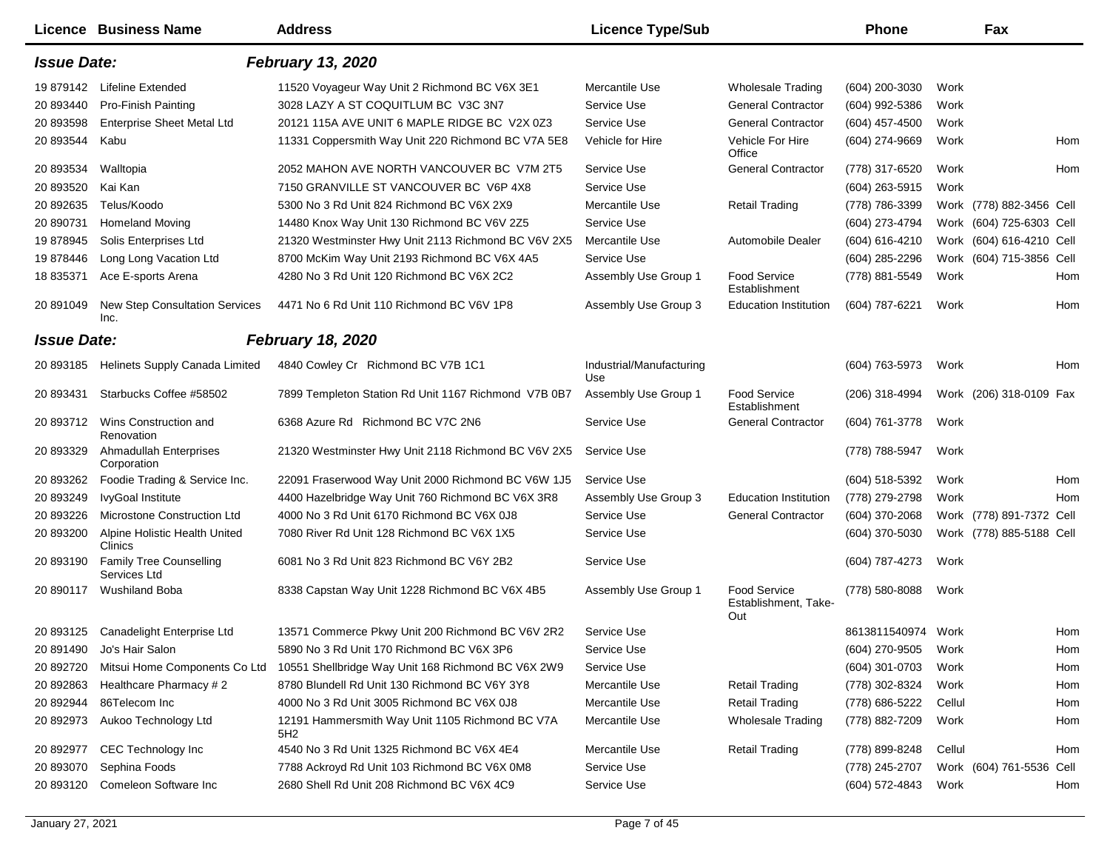|                    | Licence Business Name                          | <b>Address</b>                                         | <b>Licence Type/Sub</b>         |                                             | <b>Phone</b>       | Fax                      |     |
|--------------------|------------------------------------------------|--------------------------------------------------------|---------------------------------|---------------------------------------------|--------------------|--------------------------|-----|
| <b>Issue Date:</b> |                                                | <b>February 13, 2020</b>                               |                                 |                                             |                    |                          |     |
| 19 879142          | Lifeline Extended                              | 11520 Voyageur Way Unit 2 Richmond BC V6X 3E1          | Mercantile Use                  | <b>Wholesale Trading</b>                    | (604) 200-3030     | Work                     |     |
| 20 893440          | <b>Pro-Finish Painting</b>                     | 3028 LAZY A ST COQUITLUM BC V3C 3N7                    | Service Use                     | <b>General Contractor</b>                   | (604) 992-5386     | Work                     |     |
| 20 893598          | <b>Enterprise Sheet Metal Ltd</b>              | 20121 115A AVE UNIT 6 MAPLE RIDGE BC V2X 0Z3           | Service Use                     | <b>General Contractor</b>                   | (604) 457-4500     | Work                     |     |
| 20 893544          | Kabu                                           | 11331 Coppersmith Way Unit 220 Richmond BC V7A 5E8     | Vehicle for Hire                | Vehicle For Hire<br>Office                  | (604) 274-9669     | Work                     | Hom |
| 20 893534          | Walltopia                                      | 2052 MAHON AVE NORTH VANCOUVER BC V7M 2T5              | Service Use                     | <b>General Contractor</b>                   | (778) 317-6520     | Work                     | Hom |
| 20 893520          | Kai Kan                                        | 7150 GRANVILLE ST VANCOUVER BC V6P 4X8                 | Service Use                     |                                             | $(604)$ 263-5915   | Work                     |     |
| 20 892635          | Telus/Koodo                                    | 5300 No 3 Rd Unit 824 Richmond BC V6X 2X9              | Mercantile Use                  | <b>Retail Trading</b>                       | (778) 786-3399     | Work (778) 882-3456 Cell |     |
| 20 890731          | <b>Homeland Moving</b>                         | 14480 Knox Way Unit 130 Richmond BC V6V 2Z5            | Service Use                     |                                             | (604) 273-4794     | Work (604) 725-6303 Cell |     |
| 19 878945          | Solis Enterprises Ltd                          | 21320 Westminster Hwy Unit 2113 Richmond BC V6V 2X5    | Mercantile Use                  | Automobile Dealer                           | (604) 616-4210     | Work (604) 616-4210 Cell |     |
| 19 878446          | Long Long Vacation Ltd                         | 8700 McKim Way Unit 2193 Richmond BC V6X 4A5           | Service Use                     |                                             | $(604)$ 285-2296   | Work (604) 715-3856 Cell |     |
| 18 835371          | Ace E-sports Arena                             | 4280 No 3 Rd Unit 120 Richmond BC V6X 2C2              | Assembly Use Group 1            | Food Service<br>Establishment               | (778) 881-5549     | Work                     | Hom |
| 20 891049          | <b>New Step Consultation Services</b><br>Inc.  | 4471 No 6 Rd Unit 110 Richmond BC V6V 1P8              | Assembly Use Group 3            | <b>Education Institution</b>                | (604) 787-6221     | Work                     | Hom |
| <b>Issue Date:</b> |                                                | <b>February 18, 2020</b>                               |                                 |                                             |                    |                          |     |
| 20 893185          | Helinets Supply Canada Limited                 | 4840 Cowley Cr Richmond BC V7B 1C1                     | Industrial/Manufacturing<br>Use |                                             | (604) 763-5973     | Work                     | Hom |
| 20 893431          | Starbucks Coffee #58502                        | 7899 Templeton Station Rd Unit 1167 Richmond V7B 0B7   | Assembly Use Group 1            | <b>Food Service</b><br>Establishment        | (206) 318-4994     | Work (206) 318-0109 Fax  |     |
| 20 893712          | Wins Construction and<br>Renovation            | 6368 Azure Rd Richmond BC V7C 2N6                      | Service Use                     | <b>General Contractor</b>                   | (604) 761-3778     | Work                     |     |
| 20 893329          | <b>Ahmadullah Enterprises</b><br>Corporation   | 21320 Westminster Hwy Unit 2118 Richmond BC V6V 2X5    | Service Use                     |                                             | (778) 788-5947     | Work                     |     |
| 20 893262          | Foodie Trading & Service Inc.                  | 22091 Fraserwood Way Unit 2000 Richmond BC V6W 1J5     | Service Use                     |                                             | (604) 518-5392     | Work                     | Hom |
| 20 893249          | IvyGoal Institute                              | 4400 Hazelbridge Way Unit 760 Richmond BC V6X 3R8      | Assembly Use Group 3            | <b>Education Institution</b>                | (778) 279-2798     | Work                     | Hom |
| 20 893226          | <b>Microstone Construction Ltd</b>             | 4000 No 3 Rd Unit 6170 Richmond BC V6X 0J8             | Service Use                     | <b>General Contractor</b>                   | (604) 370-2068     | Work (778) 891-7372 Cell |     |
| 20 893200          | Alpine Holistic Health United<br>Clinics       | 7080 River Rd Unit 128 Richmond BC V6X 1X5             | Service Use                     |                                             | (604) 370-5030     | Work (778) 885-5188 Cell |     |
| 20 893190          | <b>Family Tree Counselling</b><br>Services Ltd | 6081 No 3 Rd Unit 823 Richmond BC V6Y 2B2              | Service Use                     |                                             | (604) 787-4273     | Work                     |     |
| 20 890117          | <b>Wushiland Boba</b>                          | 8338 Capstan Way Unit 1228 Richmond BC V6X 4B5         | Assembly Use Group 1            | Food Service<br>Establishment, Take-<br>Out | (778) 580-8088     | Work                     |     |
|                    | 20 893125 Canadelight Enterprise Ltd           | 13571 Commerce Pkwy Unit 200 Richmond BC V6V 2R2       | Service Use                     |                                             | 8613811540974 Work |                          | Hom |
| 20 891490          | Jo's Hair Salon                                | 5890 No 3 Rd Unit 170 Richmond BC V6X 3P6              | Service Use                     |                                             | (604) 270-9505     | Work                     | Hom |
| 20 892720          | Mitsui Home Components Co Ltd                  | 10551 Shellbridge Way Unit 168 Richmond BC V6X 2W9     | Service Use                     |                                             | (604) 301-0703     | Work                     | Hom |
| 20 892863          | Healthcare Pharmacy #2                         | 8780 Blundell Rd Unit 130 Richmond BC V6Y 3Y8          | Mercantile Use                  | <b>Retail Trading</b>                       | (778) 302-8324     | Work                     | Hom |
| 20 892944          | 86Telecom Inc                                  | 4000 No 3 Rd Unit 3005 Richmond BC V6X 0J8             | Mercantile Use                  | <b>Retail Trading</b>                       | (778) 686-5222     | Cellul                   | Hom |
| 20 892973          | Aukoo Technology Ltd                           | 12191 Hammersmith Way Unit 1105 Richmond BC V7A<br>5H2 | Mercantile Use                  | <b>Wholesale Trading</b>                    | (778) 882-7209     | Work                     | Hom |
| 20 892977          | CEC Technology Inc                             | 4540 No 3 Rd Unit 1325 Richmond BC V6X 4E4             | Mercantile Use                  | <b>Retail Trading</b>                       | (778) 899-8248     | Cellul                   | Hom |
| 20 893070          | Sephina Foods                                  | 7788 Ackroyd Rd Unit 103 Richmond BC V6X 0M8           | Service Use                     |                                             | (778) 245-2707     | Work (604) 761-5536 Cell |     |
| 20 893120          | Comeleon Software Inc                          | 2680 Shell Rd Unit 208 Richmond BC V6X 4C9             | Service Use                     |                                             | (604) 572-4843     | Work                     | Hom |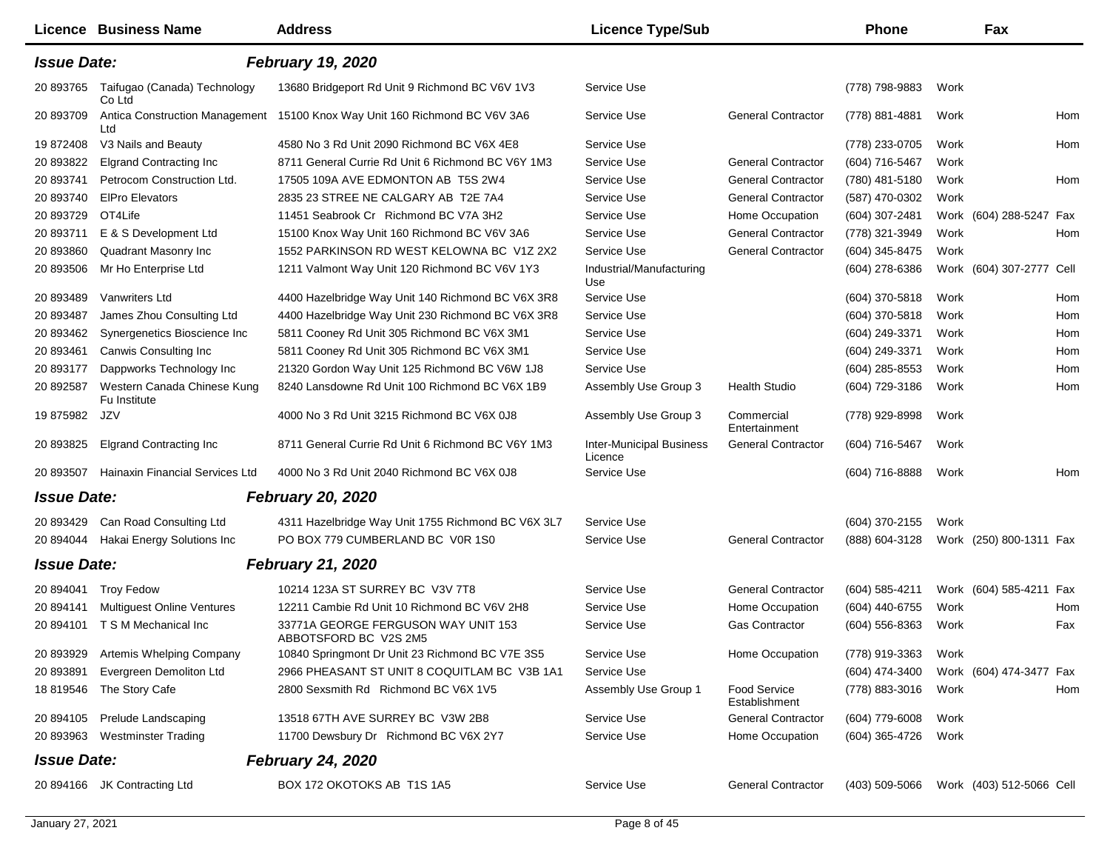|                    | Licence Business Name                       | <b>Address</b>                                                             | <b>Licence Type/Sub</b>                    |                               | <b>Phone</b>                            |      | Fax                      |     |
|--------------------|---------------------------------------------|----------------------------------------------------------------------------|--------------------------------------------|-------------------------------|-----------------------------------------|------|--------------------------|-----|
| <b>Issue Date:</b> |                                             | <b>February 19, 2020</b>                                                   |                                            |                               |                                         |      |                          |     |
| 20 893765          | Taifugao (Canada) Technology<br>Co Ltd      | 13680 Bridgeport Rd Unit 9 Richmond BC V6V 1V3                             | Service Use                                |                               | (778) 798-9883                          | Work |                          |     |
| 20 893709          | Ltd                                         | Antica Construction Management 15100 Knox Way Unit 160 Richmond BC V6V 3A6 | Service Use                                | <b>General Contractor</b>     | (778) 881-4881                          | Work |                          | Hom |
| 19 872408          | V3 Nails and Beauty                         | 4580 No 3 Rd Unit 2090 Richmond BC V6X 4E8                                 | Service Use                                |                               | (778) 233-0705                          | Work |                          | Hom |
| 20 893822          | <b>Elgrand Contracting Inc.</b>             | 8711 General Currie Rd Unit 6 Richmond BC V6Y 1M3                          | Service Use                                | <b>General Contractor</b>     | (604) 716-5467                          | Work |                          |     |
| 20 893741          | Petrocom Construction Ltd.                  | 17505 109A AVE EDMONTON AB T5S 2W4                                         | Service Use                                | <b>General Contractor</b>     | (780) 481-5180                          | Work |                          | Hom |
| 20 893740          | <b>EIPro Elevators</b>                      | 2835 23 STREE NE CALGARY AB T2E 7A4                                        | Service Use                                | <b>General Contractor</b>     | (587) 470-0302                          | Work |                          |     |
| 20 893729          | OT4Life                                     | 11451 Seabrook Cr Richmond BC V7A 3H2                                      | Service Use                                | Home Occupation               | (604) 307-2481                          |      | Work (604) 288-5247 Fax  |     |
| 20 893711          | E & S Development Ltd                       | 15100 Knox Way Unit 160 Richmond BC V6V 3A6                                | Service Use                                | <b>General Contractor</b>     | (778) 321-3949                          | Work |                          | Hom |
| 20 893860          | Quadrant Masonry Inc                        | 1552 PARKINSON RD WEST KELOWNA BC V1Z 2X2                                  | Service Use                                | <b>General Contractor</b>     | (604) 345-8475                          | Work |                          |     |
| 20 893506          | Mr Ho Enterprise Ltd                        | 1211 Valmont Way Unit 120 Richmond BC V6V 1Y3                              | Industrial/Manufacturing<br>Use            |                               | (604) 278-6386                          |      | Work (604) 307-2777 Cell |     |
| 20 893489          | Vanwriters Ltd                              | 4400 Hazelbridge Way Unit 140 Richmond BC V6X 3R8                          | Service Use                                |                               | (604) 370-5818                          | Work |                          | Hom |
| 20 893487          | James Zhou Consulting Ltd                   | 4400 Hazelbridge Way Unit 230 Richmond BC V6X 3R8                          | Service Use                                |                               | $(604)$ 370-5818                        | Work |                          | Hom |
| 20 893462          | Synergenetics Bioscience Inc                | 5811 Cooney Rd Unit 305 Richmond BC V6X 3M1                                | Service Use                                |                               | (604) 249-3371                          | Work |                          | Hom |
| 20 893461          | Canwis Consulting Inc                       | 5811 Cooney Rd Unit 305 Richmond BC V6X 3M1                                | Service Use                                |                               | (604) 249-3371                          | Work |                          | Hom |
| 20 893177          | Dappworks Technology Inc                    | 21320 Gordon Way Unit 125 Richmond BC V6W 1J8                              | Service Use                                |                               | (604) 285-8553                          | Work |                          | Hom |
| 20 892587          | Western Canada Chinese Kung<br>Fu Institute | 8240 Lansdowne Rd Unit 100 Richmond BC V6X 1B9                             | Assembly Use Group 3                       | <b>Health Studio</b>          | (604) 729-3186                          | Work |                          | Hom |
| 19875982           | JZV                                         | 4000 No 3 Rd Unit 3215 Richmond BC V6X 0J8                                 | Assembly Use Group 3                       | Commercial<br>Entertainment   | (778) 929-8998                          | Work |                          |     |
| 20 893825          | <b>Elgrand Contracting Inc</b>              | 8711 General Currie Rd Unit 6 Richmond BC V6Y 1M3                          | <b>Inter-Municipal Business</b><br>Licence | <b>General Contractor</b>     | (604) 716-5467                          | Work |                          |     |
| 20 893507          | Hainaxin Financial Services Ltd             | 4000 No 3 Rd Unit 2040 Richmond BC V6X 0J8                                 | Service Use                                |                               | (604) 716-8888                          | Work |                          | Hom |
| <b>Issue Date:</b> |                                             | <b>February 20, 2020</b>                                                   |                                            |                               |                                         |      |                          |     |
| 20 893429          | Can Road Consulting Ltd                     | 4311 Hazelbridge Way Unit 1755 Richmond BC V6X 3L7                         | Service Use                                |                               | (604) 370-2155                          | Work |                          |     |
| 20 894044          | Hakai Energy Solutions Inc                  | PO BOX 779 CUMBERLAND BC V0R 1S0                                           | Service Use                                | <b>General Contractor</b>     | (888) 604-3128                          |      | Work (250) 800-1311 Fax  |     |
| <b>Issue Date:</b> |                                             | <b>February 21, 2020</b>                                                   |                                            |                               |                                         |      |                          |     |
| 20 894041          | <b>Troy Fedow</b>                           | 10214 123A ST SURREY BC V3V 7T8                                            | Service Use                                | <b>General Contractor</b>     | $(604)$ 585-4211                        |      | Work (604) 585-4211 Fax  |     |
| 20 894141          | <b>Multiquest Online Ventures</b>           | 12211 Cambie Rd Unit 10 Richmond BC V6V 2H8                                | Service Use                                | Home Occupation               | (604) 440-6755                          | Work |                          | Hom |
| 20 894101          | T S M Mechanical Inc                        | 33771A GEORGE FERGUSON WAY UNIT 153<br>ABBOTSFORD BC V2S 2M5               | Service Use                                | <b>Gas Contractor</b>         | (604) 556-8363                          | Work |                          | Fax |
| 20 893929          | Artemis Whelping Company                    | 10840 Springmont Dr Unit 23 Richmond BC V7E 3S5                            | Service Use                                | Home Occupation               | (778) 919-3363                          | Work |                          |     |
| 20 893891          | Evergreen Demoliton Ltd                     | 2966 PHEASANT ST UNIT 8 COQUITLAM BC V3B 1A1                               | Service Use                                |                               | (604) 474-3400                          |      | Work (604) 474-3477 Fax  |     |
| 18 819546          | The Story Cafe                              | 2800 Sexsmith Rd Richmond BC V6X 1V5                                       | Assembly Use Group 1                       | Food Service<br>Establishment | (778) 883-3016                          | Work |                          | Hom |
| 20 894105          | <b>Prelude Landscaping</b>                  | 13518 67TH AVE SURREY BC V3W 2B8                                           | Service Use                                | <b>General Contractor</b>     | (604) 779-6008                          | Work |                          |     |
| 20 893963          | <b>Westminster Trading</b>                  | 11700 Dewsbury Dr Richmond BC V6X 2Y7                                      | Service Use                                | Home Occupation               | (604) 365-4726                          | Work |                          |     |
| <b>Issue Date:</b> |                                             | <b>February 24, 2020</b>                                                   |                                            |                               |                                         |      |                          |     |
|                    | 20 894166 JK Contracting Ltd                | BOX 172 OKOTOKS AB T1S 1A5                                                 | Service Use                                | <b>General Contractor</b>     | (403) 509-5066 Work (403) 512-5066 Cell |      |                          |     |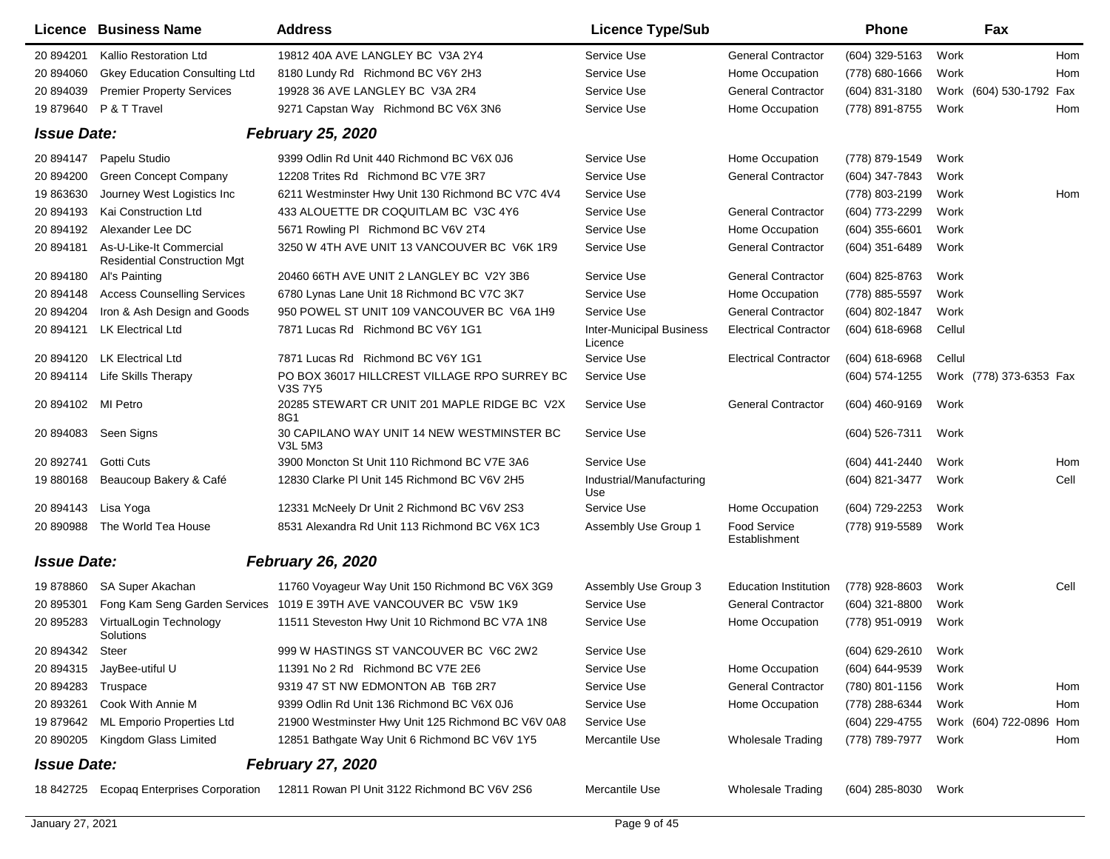|                    | Licence Business Name                                          | <b>Address</b>                                                     | <b>Licence Type/Sub</b>                    |                               | Phone               |        | Fax                     |      |
|--------------------|----------------------------------------------------------------|--------------------------------------------------------------------|--------------------------------------------|-------------------------------|---------------------|--------|-------------------------|------|
| 20 894201          | Kallio Restoration Ltd                                         | 19812 40A AVE LANGLEY BC V3A 2Y4                                   | Service Use                                | <b>General Contractor</b>     | (604) 329-5163      | Work   |                         | Hom  |
| 20 894060          | <b>Gkey Education Consulting Ltd</b>                           | 8180 Lundy Rd Richmond BC V6Y 2H3                                  | Service Use                                | Home Occupation               | (778) 680-1666      | Work   |                         | Hom  |
| 20 894039          | <b>Premier Property Services</b>                               | 19928 36 AVE LANGLEY BC V3A 2R4                                    | Service Use                                | <b>General Contractor</b>     | (604) 831-3180      |        | Work (604) 530-1792 Fax |      |
| 19 879640          | P & T Travel                                                   | 9271 Capstan Way Richmond BC V6X 3N6                               | Service Use                                | Home Occupation               | (778) 891-8755      | Work   |                         | Hom  |
| <b>Issue Date:</b> |                                                                | <b>February 25, 2020</b>                                           |                                            |                               |                     |        |                         |      |
| 20 894147          | Papelu Studio                                                  | 9399 Odlin Rd Unit 440 Richmond BC V6X 0J6                         | Service Use                                | Home Occupation               | (778) 879-1549      | Work   |                         |      |
| 20 894200          | <b>Green Concept Company</b>                                   | 12208 Trites Rd Richmond BC V7E 3R7                                | Service Use                                | <b>General Contractor</b>     | (604) 347-7843      | Work   |                         |      |
| 19 863630          | Journey West Logistics Inc                                     | 6211 Westminster Hwy Unit 130 Richmond BC V7C 4V4                  | Service Use                                |                               | (778) 803-2199      | Work   |                         | Hom  |
| 20 894193          | Kai Construction Ltd                                           | 433 ALOUETTE DR COQUITLAM BC V3C 4Y6                               | Service Use                                | <b>General Contractor</b>     | (604) 773-2299      | Work   |                         |      |
| 20 894192          | Alexander Lee DC                                               | 5671 Rowling PI Richmond BC V6V 2T4                                | Service Use                                | Home Occupation               | (604) 355-6601      | Work   |                         |      |
| 20 894181          | As-U-Like-It Commercial<br><b>Residential Construction Mgt</b> | 3250 W 4TH AVE UNIT 13 VANCOUVER BC V6K 1R9                        | Service Use                                | <b>General Contractor</b>     | (604) 351-6489      | Work   |                         |      |
| 20 894180          | Al's Painting                                                  | 20460 66TH AVE UNIT 2 LANGLEY BC V2Y 3B6                           | Service Use                                | <b>General Contractor</b>     | (604) 825-8763      | Work   |                         |      |
| 20 894148          | <b>Access Counselling Services</b>                             | 6780 Lynas Lane Unit 18 Richmond BC V7C 3K7                        | Service Use                                | Home Occupation               | (778) 885-5597      | Work   |                         |      |
| 20 894204          | Iron & Ash Design and Goods                                    | 950 POWEL ST UNIT 109 VANCOUVER BC V6A 1H9                         | Service Use                                | <b>General Contractor</b>     | (604) 802-1847      | Work   |                         |      |
| 20 894121          | <b>LK Electrical Ltd</b>                                       | 7871 Lucas Rd Richmond BC V6Y 1G1                                  | <b>Inter-Municipal Business</b><br>Licence | <b>Electrical Contractor</b>  | $(604)$ 618-6968    | Cellul |                         |      |
| 20 894120          | <b>LK Electrical Ltd</b>                                       | 7871 Lucas Rd Richmond BC V6Y 1G1                                  | Service Use                                | <b>Electrical Contractor</b>  | $(604)$ 618-6968    | Cellul |                         |      |
| 20 894114          | Life Skills Therapy                                            | PO BOX 36017 HILLCREST VILLAGE RPO SURREY BC<br><b>V3S7Y5</b>      | Service Use                                |                               | (604) 574-1255      |        | Work (778) 373-6353 Fax |      |
| 20 894102          | MI Petro                                                       | 20285 STEWART CR UNIT 201 MAPLE RIDGE BC V2X<br>8G1                | Service Use                                | <b>General Contractor</b>     | (604) 460-9169      | Work   |                         |      |
| 20 894083          | Seen Signs                                                     | 30 CAPILANO WAY UNIT 14 NEW WESTMINSTER BC<br><b>V3L 5M3</b>       | Service Use                                |                               | (604) 526-7311      | Work   |                         |      |
| 20 892741          | Gotti Cuts                                                     | 3900 Moncton St Unit 110 Richmond BC V7E 3A6                       | Service Use                                |                               | (604) 441-2440      | Work   |                         | Hom  |
| 19 880168          | Beaucoup Bakery & Café                                         | 12830 Clarke PI Unit 145 Richmond BC V6V 2H5                       | Industrial/Manufacturing<br>Use            |                               | (604) 821-3477      | Work   |                         | Cell |
| 20 894143          | Lisa Yoga                                                      | 12331 McNeely Dr Unit 2 Richmond BC V6V 2S3                        | Service Use                                | Home Occupation               | (604) 729-2253      | Work   |                         |      |
| 20 890988          | The World Tea House                                            | 8531 Alexandra Rd Unit 113 Richmond BC V6X 1C3                     | Assembly Use Group 1                       | Food Service<br>Establishment | (778) 919-5589      | Work   |                         |      |
| <b>Issue Date:</b> |                                                                | <b>February 26, 2020</b>                                           |                                            |                               |                     |        |                         |      |
| 19878860           | SA Super Akachan                                               | 11760 Voyageur Way Unit 150 Richmond BC V6X 3G9                    | Assembly Use Group 3                       | <b>Education Institution</b>  | (778) 928-8603      | Work   |                         | Cell |
| 20 895301          |                                                                | Fong Kam Seng Garden Services 1019 E 39TH AVE VANCOUVER BC V5W 1K9 | Service Use                                | <b>General Contractor</b>     | (604) 321-8800      | Work   |                         |      |
| 20 895283          | VirtualLogin Technology<br>Solutions                           | 11511 Steveston Hwy Unit 10 Richmond BC V7A 1N8                    | Service Use                                | Home Occupation               | (778) 951-0919      | Work   |                         |      |
| 20 894342 Steer    |                                                                | 999 W HASTINGS ST VANCOUVER BC V6C 2W2                             | Service Use                                |                               | (604) 629-2610 Work |        |                         |      |
| 20 894315          | JayBee-utiful U                                                | 11391 No 2 Rd Richmond BC V7E 2E6                                  | Service Use                                | Home Occupation               | (604) 644-9539      | Work   |                         |      |
| 20 894283          | Truspace                                                       | 9319 47 ST NW EDMONTON AB T6B 2R7                                  | Service Use                                | <b>General Contractor</b>     | (780) 801-1156      | Work   |                         | Hom  |
| 20 893261          | Cook With Annie M                                              | 9399 Odlin Rd Unit 136 Richmond BC V6X 0J6                         | Service Use                                | Home Occupation               | (778) 288-6344      | Work   |                         | Hom  |
| 19 879642          | ML Emporio Properties Ltd                                      | 21900 Westminster Hwy Unit 125 Richmond BC V6V 0A8                 | Service Use                                |                               | (604) 229-4755      |        | Work (604) 722-0896 Hom |      |
| 20 890205          | Kingdom Glass Limited                                          | 12851 Bathgate Way Unit 6 Richmond BC V6V 1Y5                      | Mercantile Use                             | <b>Wholesale Trading</b>      | (778) 789-7977      | Work   |                         | Hom  |
| <b>Issue Date:</b> |                                                                | <b>February 27, 2020</b>                                           |                                            |                               |                     |        |                         |      |
| 18 842725          | Ecopag Enterprises Corporation                                 | 12811 Rowan PI Unit 3122 Richmond BC V6V 2S6                       | Mercantile Use                             | <b>Wholesale Trading</b>      | $(604)$ 285-8030    | Work   |                         |      |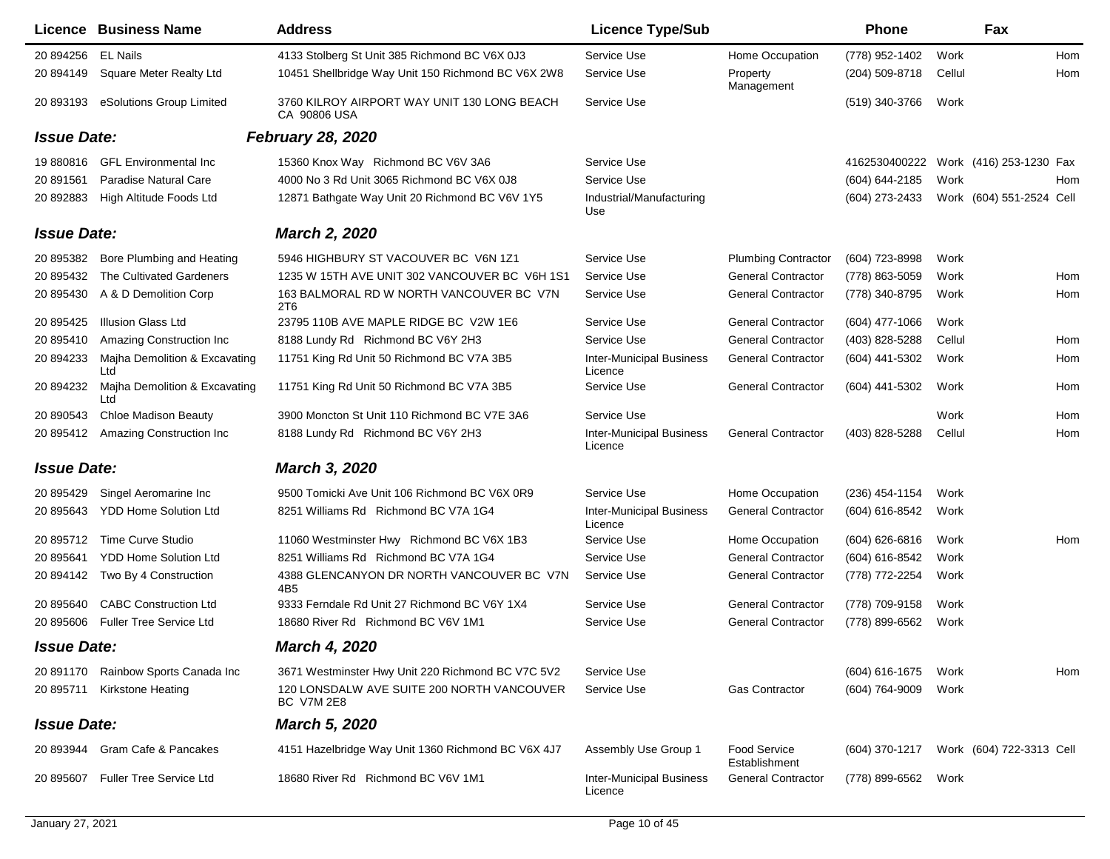|                    | <b>Licence Business Name</b>         | <b>Address</b>                                               | <b>Licence Type/Sub</b>                    |                                      | <b>Phone</b>                            |        | Fax                      |     |
|--------------------|--------------------------------------|--------------------------------------------------------------|--------------------------------------------|--------------------------------------|-----------------------------------------|--------|--------------------------|-----|
| 20 894256          | <b>EL Nails</b>                      | 4133 Stolberg St Unit 385 Richmond BC V6X 0J3                | Service Use                                | Home Occupation                      | (778) 952-1402                          | Work   |                          | Hom |
| 20 894149          | Square Meter Realty Ltd              | 10451 Shellbridge Way Unit 150 Richmond BC V6X 2W8           | Service Use                                | Property<br>Management               | (204) 509-8718                          | Cellul |                          | Hom |
| 20 893193          | eSolutions Group Limited             | 3760 KILROY AIRPORT WAY UNIT 130 LONG BEACH<br>CA 90806 USA  | Service Use                                |                                      | (519) 340-3766                          | Work   |                          |     |
| <b>Issue Date:</b> |                                      | <b>February 28, 2020</b>                                     |                                            |                                      |                                         |        |                          |     |
| 19 880816          | <b>GFL Environmental Inc</b>         | 15360 Knox Way Richmond BC V6V 3A6                           | Service Use                                |                                      | 4162530400222                           |        | Work (416) 253-1230 Fax  |     |
| 20 891561          | Paradise Natural Care                | 4000 No 3 Rd Unit 3065 Richmond BC V6X 0J8                   | Service Use                                |                                      | (604) 644-2185                          | Work   |                          | Hom |
| 20 892883          | High Altitude Foods Ltd              | 12871 Bathgate Way Unit 20 Richmond BC V6V 1Y5               | Industrial/Manufacturing<br>Use            |                                      | (604) 273-2433                          |        | Work (604) 551-2524 Cell |     |
| <b>Issue Date:</b> |                                      | <b>March 2, 2020</b>                                         |                                            |                                      |                                         |        |                          |     |
| 20 895382          | Bore Plumbing and Heating            | 5946 HIGHBURY ST VACOUVER BC V6N 1Z1                         | Service Use                                | <b>Plumbing Contractor</b>           | (604) 723-8998                          | Work   |                          |     |
| 20 895432          | The Cultivated Gardeners             | 1235 W 15TH AVE UNIT 302 VANCOUVER BC V6H 1S1                | Service Use                                | <b>General Contractor</b>            | (778) 863-5059                          | Work   |                          | Hom |
| 20 895430          | A & D Demolition Corp                | 163 BALMORAL RD W NORTH VANCOUVER BC V7N<br>2T6              | Service Use                                | <b>General Contractor</b>            | (778) 340-8795                          | Work   |                          | Hom |
| 20 895425          | <b>Illusion Glass Ltd</b>            | 23795 110B AVE MAPLE RIDGE BC V2W 1E6                        | Service Use                                | <b>General Contractor</b>            | $(604)$ 477-1066                        | Work   |                          |     |
| 20 895410          | Amazing Construction Inc             | 8188 Lundy Rd Richmond BC V6Y 2H3                            | Service Use                                | <b>General Contractor</b>            | (403) 828-5288                          | Cellul |                          | Hom |
| 20 894233          | Majha Demolition & Excavating<br>Ltd | 11751 King Rd Unit 50 Richmond BC V7A 3B5                    | <b>Inter-Municipal Business</b><br>Licence | <b>General Contractor</b>            | (604) 441-5302                          | Work   |                          | Hom |
| 20 894232          | Majha Demolition & Excavating<br>Ltd | 11751 King Rd Unit 50 Richmond BC V7A 3B5                    | Service Use                                | <b>General Contractor</b>            | (604) 441-5302                          | Work   |                          | Hom |
| 20 890543          | <b>Chloe Madison Beauty</b>          | 3900 Moncton St Unit 110 Richmond BC V7E 3A6                 | Service Use                                |                                      |                                         | Work   |                          | Hom |
| 20 895412          | Amazing Construction Inc             | 8188 Lundy Rd Richmond BC V6Y 2H3                            | <b>Inter-Municipal Business</b><br>Licence | <b>General Contractor</b>            | (403) 828-5288                          | Cellul |                          | Hom |
| <b>Issue Date:</b> |                                      | <b>March 3, 2020</b>                                         |                                            |                                      |                                         |        |                          |     |
| 20 895429          | Singel Aeromarine Inc                | 9500 Tomicki Ave Unit 106 Richmond BC V6X 0R9                | Service Use                                | Home Occupation                      | $(236)$ 454-1154                        | Work   |                          |     |
| 20 895643          | <b>YDD Home Solution Ltd</b>         | 8251 Williams Rd Richmond BC V7A 1G4                         | <b>Inter-Municipal Business</b><br>Licence | <b>General Contractor</b>            | (604) 616-8542                          | Work   |                          |     |
| 20 895712          | Time Curve Studio                    | 11060 Westminster Hwy Richmond BC V6X 1B3                    | Service Use                                | Home Occupation                      | $(604) 626 - 6816$                      | Work   |                          | Hom |
| 20 895641          | <b>YDD Home Solution Ltd</b>         | 8251 Williams Rd Richmond BC V7A 1G4                         | Service Use                                | <b>General Contractor</b>            | (604) 616-8542                          | Work   |                          |     |
| 20 894142          | Two By 4 Construction                | 4388 GLENCANYON DR NORTH VANCOUVER BC V7N<br>4B <sub>5</sub> | Service Use                                | <b>General Contractor</b>            | (778) 772-2254                          | Work   |                          |     |
| 20 895640          | <b>CABC Construction Ltd</b>         | 9333 Ferndale Rd Unit 27 Richmond BC V6Y 1X4                 | Service Use                                | <b>General Contractor</b>            | (778) 709-9158                          | Work   |                          |     |
| 20 895606          | <b>Fuller Tree Service Ltd</b>       | 18680 River Rd Richmond BC V6V 1M1                           | Service Use                                | <b>General Contractor</b>            | (778) 899-6562                          | Work   |                          |     |
| <b>Issue Date:</b> |                                      | <b>March 4, 2020</b>                                         |                                            |                                      |                                         |        |                          |     |
| 20 891170          | Rainbow Sports Canada Inc            | 3671 Westminster Hwy Unit 220 Richmond BC V7C 5V2            | Service Use                                |                                      | (604) 616-1675                          | Work   |                          | Hom |
| 20 895711          | Kirkstone Heating                    | 120 LONSDALW AVE SUITE 200 NORTH VANCOUVER<br>BC V7M 2E8     | Service Use                                | <b>Gas Contractor</b>                | (604) 764-9009                          | Work   |                          |     |
| <b>Issue Date:</b> |                                      | <b>March 5, 2020</b>                                         |                                            |                                      |                                         |        |                          |     |
|                    | 20 893944 Gram Cafe & Pancakes       | 4151 Hazelbridge Way Unit 1360 Richmond BC V6X 4J7           | Assembly Use Group 1                       | <b>Food Service</b><br>Establishment | (604) 370-1217 Work (604) 722-3313 Cell |        |                          |     |
| 20 895607          | <b>Fuller Tree Service Ltd</b>       | 18680 River Rd Richmond BC V6V 1M1                           | <b>Inter-Municipal Business</b><br>Licence | <b>General Contractor</b>            | (778) 899-6562                          | Work   |                          |     |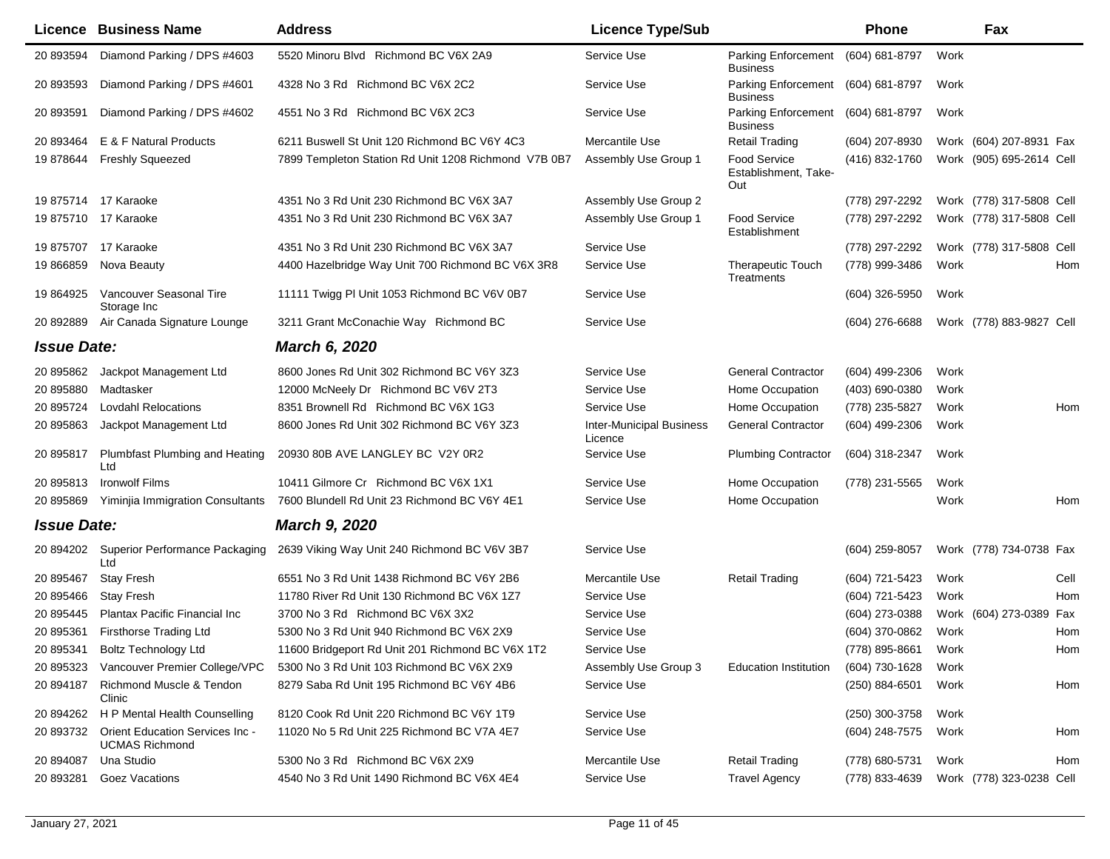|                    | <b>Licence Business Name</b>                             | <b>Address</b>                                       | <b>Licence Type/Sub</b>                    |                                                       | <b>Phone</b>     | Fax                      |      |
|--------------------|----------------------------------------------------------|------------------------------------------------------|--------------------------------------------|-------------------------------------------------------|------------------|--------------------------|------|
| 20 893594          | Diamond Parking / DPS #4603                              | 5520 Minoru Blvd Richmond BC V6X 2A9                 | Service Use                                | Parking Enforcement (604) 681-8797<br><b>Business</b> |                  | Work                     |      |
| 20 893593          | Diamond Parking / DPS #4601                              | 4328 No 3 Rd Richmond BC V6X 2C2                     | Service Use                                | <b>Parking Enforcement</b><br>Business                | (604) 681-8797   | Work                     |      |
| 20 893591          | Diamond Parking / DPS #4602                              | 4551 No 3 Rd Richmond BC V6X 2C3                     | Service Use                                | Parking Enforcement<br><b>Business</b>                | (604) 681-8797   | Work                     |      |
| 20 893464          | E & F Natural Products                                   | 6211 Buswell St Unit 120 Richmond BC V6Y 4C3         | Mercantile Use                             | <b>Retail Trading</b>                                 | (604) 207-8930   | Work (604) 207-8931 Fax  |      |
| 19 878644          | <b>Freshly Squeezed</b>                                  | 7899 Templeton Station Rd Unit 1208 Richmond V7B 0B7 | Assembly Use Group 1                       | <b>Food Service</b><br>Establishment, Take-<br>Out    | (416) 832-1760   | Work (905) 695-2614 Cell |      |
|                    | 19 875714 17 Karaoke                                     | 4351 No 3 Rd Unit 230 Richmond BC V6X 3A7            | Assembly Use Group 2                       |                                                       | (778) 297-2292   | Work (778) 317-5808 Cell |      |
|                    | 19 875710 17 Karaoke                                     | 4351 No 3 Rd Unit 230 Richmond BC V6X 3A7            | Assembly Use Group 1                       | <b>Food Service</b><br>Establishment                  | (778) 297-2292   | Work (778) 317-5808 Cell |      |
| 19 875707          | 17 Karaoke                                               | 4351 No 3 Rd Unit 230 Richmond BC V6X 3A7            | Service Use                                |                                                       | (778) 297-2292   | Work (778) 317-5808 Cell |      |
| 19 866859          | Nova Beauty                                              | 4400 Hazelbridge Way Unit 700 Richmond BC V6X 3R8    | Service Use                                | <b>Therapeutic Touch</b><br>Treatments                | (778) 999-3486   | Work                     | Hom  |
| 19 864925          | Vancouver Seasonal Tire<br>Storage Inc                   | 11111 Twigg PI Unit 1053 Richmond BC V6V 0B7         | Service Use                                |                                                       | $(604)$ 326-5950 | Work                     |      |
| 20 892889          | Air Canada Signature Lounge                              | 3211 Grant McConachie Way Richmond BC                | Service Use                                |                                                       | (604) 276-6688   | Work (778) 883-9827 Cell |      |
| <b>Issue Date:</b> |                                                          | <b>March 6, 2020</b>                                 |                                            |                                                       |                  |                          |      |
| 20 895862          | Jackpot Management Ltd                                   | 8600 Jones Rd Unit 302 Richmond BC V6Y 3Z3           | Service Use                                | <b>General Contractor</b>                             | (604) 499-2306   | Work                     |      |
| 20 895880          | Madtasker                                                | 12000 McNeely Dr Richmond BC V6V 2T3                 | Service Use                                | Home Occupation                                       | (403) 690-0380   | Work                     |      |
| 20 895724          | <b>Lovdahl Relocations</b>                               | 8351 Brownell Rd Richmond BC V6X 1G3                 | Service Use                                | Home Occupation                                       | (778) 235-5827   | Work                     | Hom  |
| 20 895863          | Jackpot Management Ltd                                   | 8600 Jones Rd Unit 302 Richmond BC V6Y 3Z3           | <b>Inter-Municipal Business</b><br>Licence | <b>General Contractor</b>                             | (604) 499-2306   | Work                     |      |
| 20 895817          | Plumbfast Plumbing and Heating<br>Ltd                    | 20930 80B AVE LANGLEY BC V2Y 0R2                     | Service Use                                | <b>Plumbing Contractor</b>                            | (604) 318-2347   | Work                     |      |
| 20 895813          | <b>Ironwolf Films</b>                                    | 10411 Gilmore Cr Richmond BC V6X 1X1                 | Service Use                                | Home Occupation                                       | (778) 231-5565   | Work                     |      |
| 20 895869          | Yiminjia Immigration Consultants                         | 7600 Blundell Rd Unit 23 Richmond BC V6Y 4E1         | Service Use                                | Home Occupation                                       |                  | Work                     | Hom  |
| <b>Issue Date:</b> |                                                          | <b>March 9, 2020</b>                                 |                                            |                                                       |                  |                          |      |
| 20 894202          | Superior Performance Packaging<br>Ltd                    | 2639 Viking Way Unit 240 Richmond BC V6V 3B7         | Service Use                                |                                                       | $(604)$ 259-8057 | Work (778) 734-0738 Fax  |      |
| 20 895467          | <b>Stay Fresh</b>                                        | 6551 No 3 Rd Unit 1438 Richmond BC V6Y 2B6           | Mercantile Use                             | <b>Retail Trading</b>                                 | (604) 721-5423   | Work                     | Cell |
| 20 895466          | <b>Stay Fresh</b>                                        | 11780 River Rd Unit 130 Richmond BC V6X 1Z7          | Service Use                                |                                                       | (604) 721-5423   | Work                     | Hom  |
| 20 895445          | Plantax Pacific Financial Inc                            | 3700 No 3 Rd Richmond BC V6X 3X2                     | Service Use                                |                                                       | (604) 273-0388   | Work (604) 273-0389      | Fax  |
| 20 895361          | <b>Firsthorse Trading Ltd</b>                            | 5300 No 3 Rd Unit 940 Richmond BC V6X 2X9            | Service Use                                |                                                       | (604) 370-0862   | Work                     | Hom  |
|                    | 20 895341 Boltz Technology Ltd                           | 11600 Bridgeport Rd Unit 201 Richmond BC V6X 1T2     | Service Use                                |                                                       | (778) 895-8661   | Work                     | Hom  |
|                    | 20 895323 Vancouver Premier College/VPC                  | 5300 No 3 Rd Unit 103 Richmond BC V6X 2X9            | Assembly Use Group 3                       | <b>Education Institution</b>                          | (604) 730-1628   | Work                     |      |
| 20 894187          | Richmond Muscle & Tendon<br>Clinic                       | 8279 Saba Rd Unit 195 Richmond BC V6Y 4B6            | Service Use                                |                                                       | (250) 884-6501   | Work                     | Hom  |
|                    | 20 894262 H P Mental Health Counselling                  | 8120 Cook Rd Unit 220 Richmond BC V6Y 1T9            | Service Use                                |                                                       | (250) 300-3758   | Work                     |      |
| 20 893732          | Orient Education Services Inc -<br><b>UCMAS Richmond</b> | 11020 No 5 Rd Unit 225 Richmond BC V7A 4E7           | Service Use                                |                                                       | (604) 248-7575   | Work                     | Hom  |
| 20 894087          | Una Studio                                               | 5300 No 3 Rd Richmond BC V6X 2X9                     | Mercantile Use                             | <b>Retail Trading</b>                                 | (778) 680-5731   | Work                     | Hom  |
| 20 893281          | Goez Vacations                                           | 4540 No 3 Rd Unit 1490 Richmond BC V6X 4E4           | Service Use                                | <b>Travel Agency</b>                                  | (778) 833-4639   | Work (778) 323-0238 Cell |      |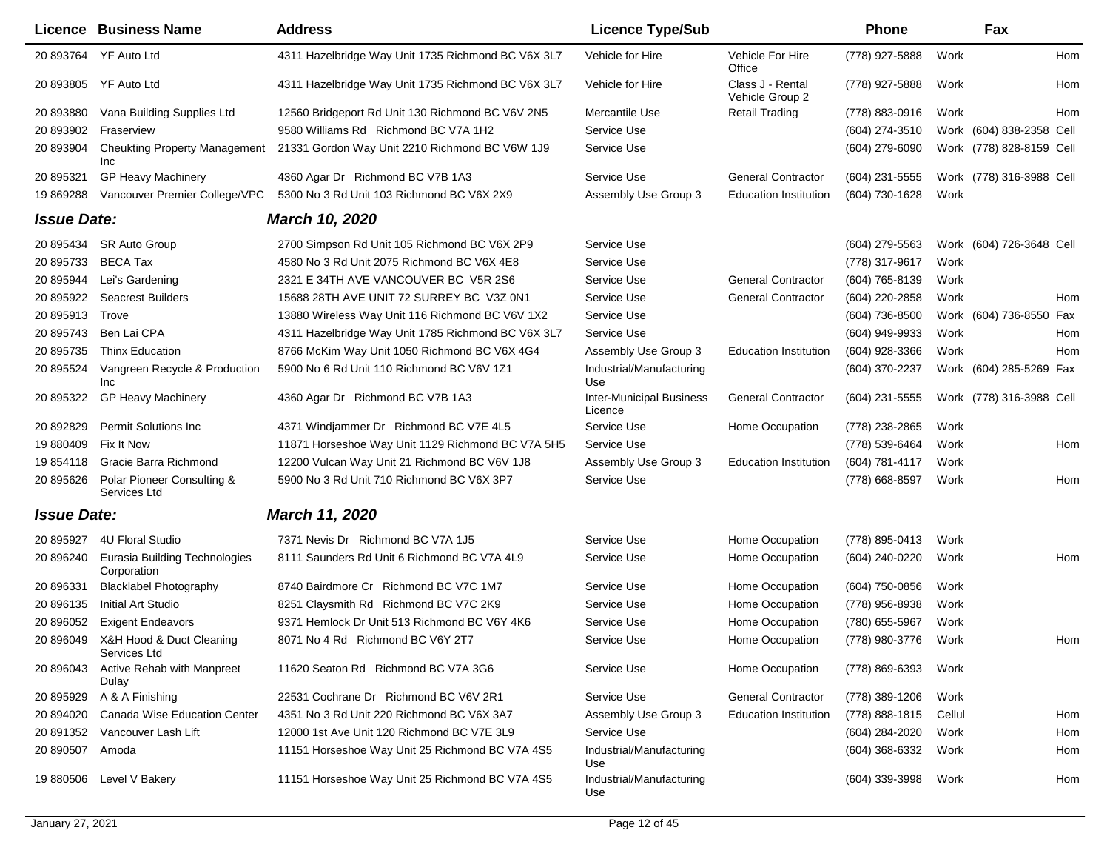| Licence            | <b>Business Name</b>                         | <b>Address</b>                                     | <b>Licence Type/Sub</b>                    |                                     | <b>Phone</b>     |        | Fax                      |     |
|--------------------|----------------------------------------------|----------------------------------------------------|--------------------------------------------|-------------------------------------|------------------|--------|--------------------------|-----|
|                    | 20 893764 YF Auto Ltd                        | 4311 Hazelbridge Way Unit 1735 Richmond BC V6X 3L7 | Vehicle for Hire                           | Vehicle For Hire<br>Office          | (778) 927-5888   | Work   |                          | Hom |
|                    | 20 893805 YF Auto Ltd                        | 4311 Hazelbridge Way Unit 1735 Richmond BC V6X 3L7 | Vehicle for Hire                           | Class J - Rental<br>Vehicle Group 2 | (778) 927-5888   | Work   |                          | Hom |
| 20 893880          | Vana Building Supplies Ltd                   | 12560 Bridgeport Rd Unit 130 Richmond BC V6V 2N5   | Mercantile Use                             | <b>Retail Trading</b>               | (778) 883-0916   | Work   |                          | Hom |
| 20 893902          | Fraserview                                   | 9580 Williams Rd Richmond BC V7A 1H2               | Service Use                                |                                     | (604) 274-3510   |        | Work (604) 838-2358 Cell |     |
| 20 893904          | <b>Cheukting Property Management</b><br>Inc  | 21331 Gordon Way Unit 2210 Richmond BC V6W 1J9     | Service Use                                |                                     | (604) 279-6090   |        | Work (778) 828-8159 Cell |     |
| 20 895321          | <b>GP Heavy Machinery</b>                    | 4360 Agar Dr Richmond BC V7B 1A3                   | Service Use                                | <b>General Contractor</b>           | (604) 231-5555   |        | Work (778) 316-3988 Cell |     |
| 19 869288          | Vancouver Premier College/VPC                | 5300 No 3 Rd Unit 103 Richmond BC V6X 2X9          | Assembly Use Group 3                       | <b>Education Institution</b>        | (604) 730-1628   | Work   |                          |     |
| <b>Issue Date:</b> |                                              | March 10, 2020                                     |                                            |                                     |                  |        |                          |     |
| 20 895434          | <b>SR Auto Group</b>                         | 2700 Simpson Rd Unit 105 Richmond BC V6X 2P9       | Service Use                                |                                     | (604) 279-5563   |        | Work (604) 726-3648 Cell |     |
| 20 895733          | <b>BECA Tax</b>                              | 4580 No 3 Rd Unit 2075 Richmond BC V6X 4E8         | Service Use                                |                                     | (778) 317-9617   | Work   |                          |     |
| 20 895944          | Lei's Gardening                              | 2321 E 34TH AVE VANCOUVER BC V5R 2S6               | Service Use                                | <b>General Contractor</b>           | (604) 765-8139   | Work   |                          |     |
| 20 895922          | <b>Seacrest Builders</b>                     | 15688 28TH AVE UNIT 72 SURREY BC V3Z 0N1           | Service Use                                | <b>General Contractor</b>           | (604) 220-2858   | Work   |                          | Hom |
| 20 895913          | Trove                                        | 13880 Wireless Way Unit 116 Richmond BC V6V 1X2    | Service Use                                |                                     | (604) 736-8500   |        | Work (604) 736-8550 Fax  |     |
| 20 895743          | Ben Lai CPA                                  | 4311 Hazelbridge Way Unit 1785 Richmond BC V6X 3L7 | Service Use                                |                                     | (604) 949-9933   | Work   |                          | Hom |
| 20 895735          | <b>Thinx Education</b>                       | 8766 McKim Way Unit 1050 Richmond BC V6X 4G4       | Assembly Use Group 3                       | <b>Education Institution</b>        | (604) 928-3366   | Work   |                          | Hom |
| 20 895524          | Vangreen Recycle & Production<br>Inc         | 5900 No 6 Rd Unit 110 Richmond BC V6V 1Z1          | Industrial/Manufacturing<br>Use            |                                     | (604) 370-2237   |        | Work (604) 285-5269 Fax  |     |
| 20 895322          | <b>GP Heavy Machinery</b>                    | 4360 Agar Dr Richmond BC V7B 1A3                   | <b>Inter-Municipal Business</b><br>Licence | <b>General Contractor</b>           | $(604)$ 231-5555 |        | Work (778) 316-3988 Cell |     |
| 20 892829          | <b>Permit Solutions Inc.</b>                 | 4371 Windjammer Dr Richmond BC V7E 4L5             | Service Use                                | Home Occupation                     | (778) 238-2865   | Work   |                          |     |
| 19 880409          | Fix It Now                                   | 11871 Horseshoe Way Unit 1129 Richmond BC V7A 5H5  | Service Use                                |                                     | (778) 539-6464   | Work   |                          | Hom |
| 19 854118          | Gracie Barra Richmond                        | 12200 Vulcan Way Unit 21 Richmond BC V6V 1J8       | Assembly Use Group 3                       | <b>Education Institution</b>        | (604) 781-4117   | Work   |                          |     |
| 20 895626          | Polar Pioneer Consulting &<br>Services Ltd   | 5900 No 3 Rd Unit 710 Richmond BC V6X 3P7          | Service Use                                |                                     | (778) 668-8597   | Work   |                          | Hom |
| <b>Issue Date:</b> |                                              | March 11, 2020                                     |                                            |                                     |                  |        |                          |     |
| 20 895927          | 4U Floral Studio                             | 7371 Nevis Dr Richmond BC V7A 1J5                  | Service Use                                | Home Occupation                     | (778) 895-0413   | Work   |                          |     |
| 20 896240          | Eurasia Building Technologies<br>Corporation | 8111 Saunders Rd Unit 6 Richmond BC V7A 4L9        | Service Use                                | Home Occupation                     | (604) 240-0220   | Work   |                          | Hom |
| 20 896331          | <b>Blacklabel Photography</b>                | 8740 Bairdmore Cr Richmond BC V7C 1M7              | Service Use                                | Home Occupation                     | (604) 750-0856   | Work   |                          |     |
| 20 896135          | Initial Art Studio                           | 8251 Claysmith Rd Richmond BC V7C 2K9              | Service Use                                | Home Occupation                     | (778) 956-8938   | Work   |                          |     |
| 20 896052          | <b>Exigent Endeavors</b>                     | 9371 Hemlock Dr Unit 513 Richmond BC V6Y 4K6       | Service Use                                | Home Occupation                     | (780) 655-5967   | Work   |                          |     |
| 20 896049          | X&H Hood & Duct Cleaning<br>Services Ltd     | 8071 No 4 Rd Richmond BC V6Y 2T7                   | Service Use                                | Home Occupation                     | (778) 980-3776   | Work   |                          | Hom |
| 20 896043          | Active Rehab with Manpreet<br>Dulay          | 11620 Seaton Rd Richmond BC V7A 3G6                | Service Use                                | Home Occupation                     | (778) 869-6393   | Work   |                          |     |
| 20 895929          | A & A Finishing                              | 22531 Cochrane Dr Richmond BC V6V 2R1              | Service Use                                | <b>General Contractor</b>           | (778) 389-1206   | Work   |                          |     |
| 20 894020          | Canada Wise Education Center                 | 4351 No 3 Rd Unit 220 Richmond BC V6X 3A7          | Assembly Use Group 3                       | <b>Education Institution</b>        | (778) 888-1815   | Cellul |                          | Hom |
| 20 891352          | Vancouver Lash Lift                          | 12000 1st Ave Unit 120 Richmond BC V7E 3L9         | Service Use                                |                                     | (604) 284-2020   | Work   |                          | Hom |
| 20 890507          | Amoda                                        | 11151 Horseshoe Way Unit 25 Richmond BC V7A 4S5    | Industrial/Manufacturing<br>Use            |                                     | (604) 368-6332   | Work   |                          | Hom |
| 19 880506          | Level V Bakery                               | 11151 Horseshoe Way Unit 25 Richmond BC V7A 4S5    | Industrial/Manufacturing<br>Use            |                                     | (604) 339-3998   | Work   |                          | Hom |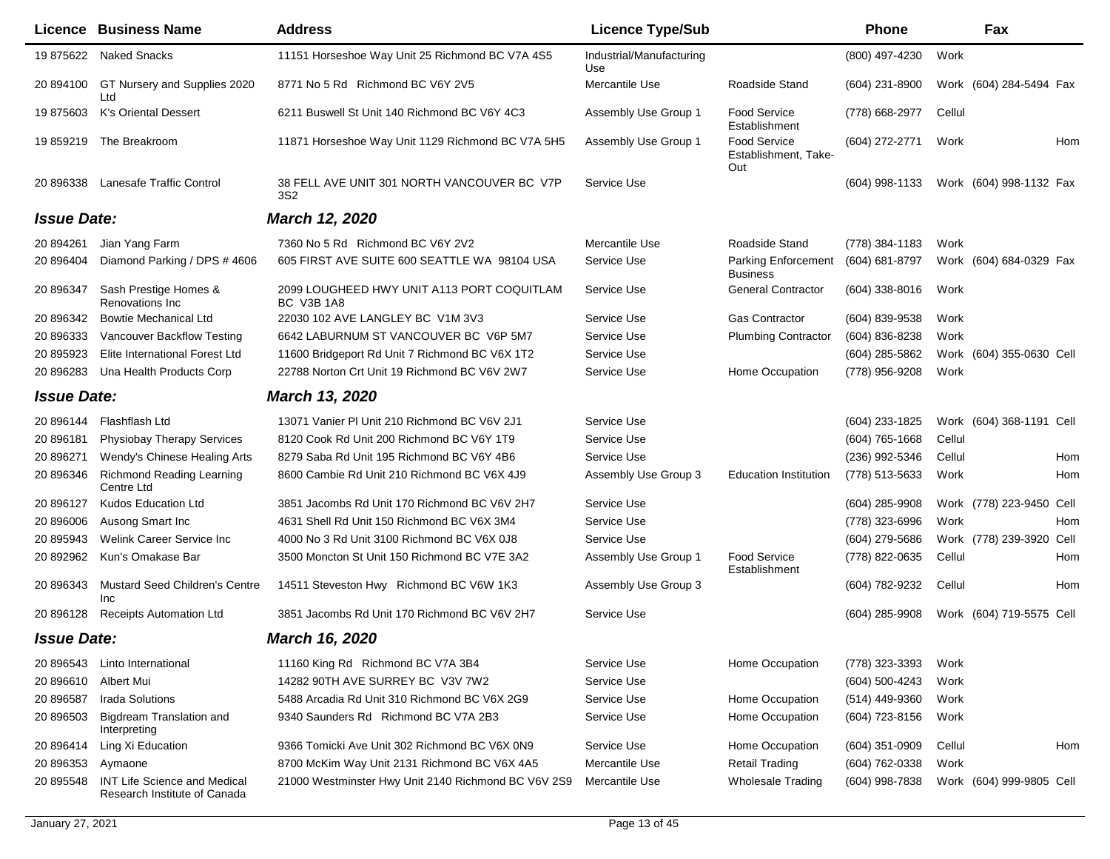|                    | Licence Business Name                                               | <b>Address</b>                                           | <b>Licence Type/Sub</b>         |                                                    | <b>Phone</b>     |        | Fax                      |     |
|--------------------|---------------------------------------------------------------------|----------------------------------------------------------|---------------------------------|----------------------------------------------------|------------------|--------|--------------------------|-----|
| 19 875622          | <b>Naked Snacks</b>                                                 | 11151 Horseshoe Way Unit 25 Richmond BC V7A 4S5          | Industrial/Manufacturing<br>Use |                                                    | (800) 497-4230   | Work   |                          |     |
| 20 894100          | GT Nursery and Supplies 2020<br>Ltd                                 | 8771 No 5 Rd Richmond BC V6Y 2V5                         | Mercantile Use                  | Roadside Stand                                     | (604) 231-8900   |        | Work (604) 284-5494 Fax  |     |
| 19875603           | <b>K's Oriental Dessert</b>                                         | 6211 Buswell St Unit 140 Richmond BC V6Y 4C3             | Assembly Use Group 1            | <b>Food Service</b><br>Establishment               | (778) 668-2977   | Cellul |                          |     |
| 19 859219          | The Breakroom                                                       | 11871 Horseshoe Way Unit 1129 Richmond BC V7A 5H5        | Assembly Use Group 1            | <b>Food Service</b><br>Establishment, Take-<br>Out | (604) 272-2771   | Work   |                          | Hom |
| 20 896338          | Lanesafe Traffic Control                                            | 38 FELL AVE UNIT 301 NORTH VANCOUVER BC V7P<br>3S2       | Service Use                     |                                                    | (604) 998-1133   |        | Work (604) 998-1132 Fax  |     |
| <b>Issue Date:</b> |                                                                     | March 12, 2020                                           |                                 |                                                    |                  |        |                          |     |
| 20 894261          | Jian Yang Farm                                                      | 7360 No 5 Rd Richmond BC V6Y 2V2                         | Mercantile Use                  | Roadside Stand                                     | (778) 384-1183   | Work   |                          |     |
| 20 896404          | Diamond Parking / DPS # 4606                                        | 605 FIRST AVE SUITE 600 SEATTLE WA 98104 USA             | Service Use                     | Parking Enforcement<br><b>Business</b>             | (604) 681-8797   |        | Work (604) 684-0329 Fax  |     |
| 20 896347          | Sash Prestige Homes &<br>Renovations Inc.                           | 2099 LOUGHEED HWY UNIT A113 PORT COQUITLAM<br>BC V3B 1A8 | Service Use                     | <b>General Contractor</b>                          | $(604)$ 338-8016 | Work   |                          |     |
| 20 896342          | <b>Bowtie Mechanical Ltd</b>                                        | 22030 102 AVE LANGLEY BC V1M 3V3                         | Service Use                     | <b>Gas Contractor</b>                              | (604) 839-9538   | Work   |                          |     |
| 20 896333          | Vancouver Backflow Testing                                          | 6642 LABURNUM ST VANCOUVER BC V6P 5M7                    | Service Use                     | <b>Plumbing Contractor</b>                         | (604) 836-8238   | Work   |                          |     |
| 20 895923          | Elite International Forest Ltd                                      | 11600 Bridgeport Rd Unit 7 Richmond BC V6X 1T2           | Service Use                     |                                                    | $(604)$ 285-5862 |        | Work (604) 355-0630 Cell |     |
| 20 896283          | Una Health Products Corp                                            | 22788 Norton Crt Unit 19 Richmond BC V6V 2W7             | Service Use                     | Home Occupation                                    | (778) 956-9208   | Work   |                          |     |
| <b>Issue Date:</b> |                                                                     | <b>March 13, 2020</b>                                    |                                 |                                                    |                  |        |                          |     |
| 20 896144          | Flashflash Ltd                                                      | 13071 Vanier PI Unit 210 Richmond BC V6V 2J1             | Service Use                     |                                                    | (604) 233-1825   |        | Work (604) 368-1191 Cell |     |
| 20 896181          | <b>Physiobay Therapy Services</b>                                   | 8120 Cook Rd Unit 200 Richmond BC V6Y 1T9                | Service Use                     |                                                    | $(604)$ 765-1668 | Cellul |                          |     |
| 20 896271          | Wendy's Chinese Healing Arts                                        | 8279 Saba Rd Unit 195 Richmond BC V6Y 4B6                | Service Use                     |                                                    | (236) 992-5346   | Cellul |                          | Hom |
| 20 896346          | <b>Richmond Reading Learning</b><br>Centre Ltd                      | 8600 Cambie Rd Unit 210 Richmond BC V6X 4J9              | Assembly Use Group 3            | <b>Education Institution</b>                       | (778) 513-5633   | Work   |                          | Hom |
| 20 896127          | <b>Kudos Education Ltd</b>                                          | 3851 Jacombs Rd Unit 170 Richmond BC V6V 2H7             | Service Use                     |                                                    | $(604)$ 285-9908 |        | Work (778) 223-9450 Cell |     |
| 20 896006          | Ausong Smart Inc                                                    | 4631 Shell Rd Unit 150 Richmond BC V6X 3M4               | Service Use                     |                                                    | (778) 323-6996   | Work   |                          | Hom |
| 20 895943          | Welink Career Service Inc                                           | 4000 No 3 Rd Unit 3100 Richmond BC V6X 0J8               | Service Use                     |                                                    | (604) 279-5686   |        | Work (778) 239-3920 Cell |     |
| 20 892962          | Kun's Omakase Bar                                                   | 3500 Moncton St Unit 150 Richmond BC V7E 3A2             | Assembly Use Group 1            | Food Service<br>Establishment                      | (778) 822-0635   | Cellul |                          | Hom |
| 20 896343          | Mustard Seed Children's Centre<br>Inc                               | 14511 Steveston Hwy Richmond BC V6W 1K3                  | Assembly Use Group 3            |                                                    | (604) 782-9232   | Cellul |                          | Hom |
| 20 896128          | <b>Receipts Automation Ltd</b>                                      | 3851 Jacombs Rd Unit 170 Richmond BC V6V 2H7             | Service Use                     |                                                    | (604) 285-9908   |        | Work (604) 719-5575 Cell |     |
| <b>Issue Date:</b> |                                                                     | March 16, 2020                                           |                                 |                                                    |                  |        |                          |     |
| 20 896543          | Linto International                                                 | 11160 King Rd Richmond BC V7A 3B4                        | Service Use                     | Home Occupation                                    | (778) 323-3393   | Work   |                          |     |
| 20 896610          | Albert Mui                                                          | 14282 90TH AVE SURREY BC V3V 7W2                         | Service Use                     |                                                    | (604) 500-4243   | Work   |                          |     |
| 20 896587          | Irada Solutions                                                     | 5488 Arcadia Rd Unit 310 Richmond BC V6X 2G9             | Service Use                     | Home Occupation                                    | (514) 449-9360   | Work   |                          |     |
| 20 896503          | <b>Bigdream Translation and</b><br>Interpreting                     | 9340 Saunders Rd Richmond BC V7A 2B3                     | Service Use                     | Home Occupation                                    | (604) 723-8156   | Work   |                          |     |
| 20 896414          | Ling Xi Education                                                   | 9366 Tomicki Ave Unit 302 Richmond BC V6X 0N9            | Service Use                     | Home Occupation                                    | $(604)$ 351-0909 | Cellul |                          | Hom |
| 20 896353          | Aymaone                                                             | 8700 McKim Way Unit 2131 Richmond BC V6X 4A5             | Mercantile Use                  | <b>Retail Trading</b>                              | (604) 762-0338   | Work   |                          |     |
| 20 895548          | <b>INT Life Science and Medical</b><br>Research Institute of Canada | 21000 Westminster Hwy Unit 2140 Richmond BC V6V 2S9      | Mercantile Use                  | <b>Wholesale Trading</b>                           | (604) 998-7838   |        | Work (604) 999-9805 Cell |     |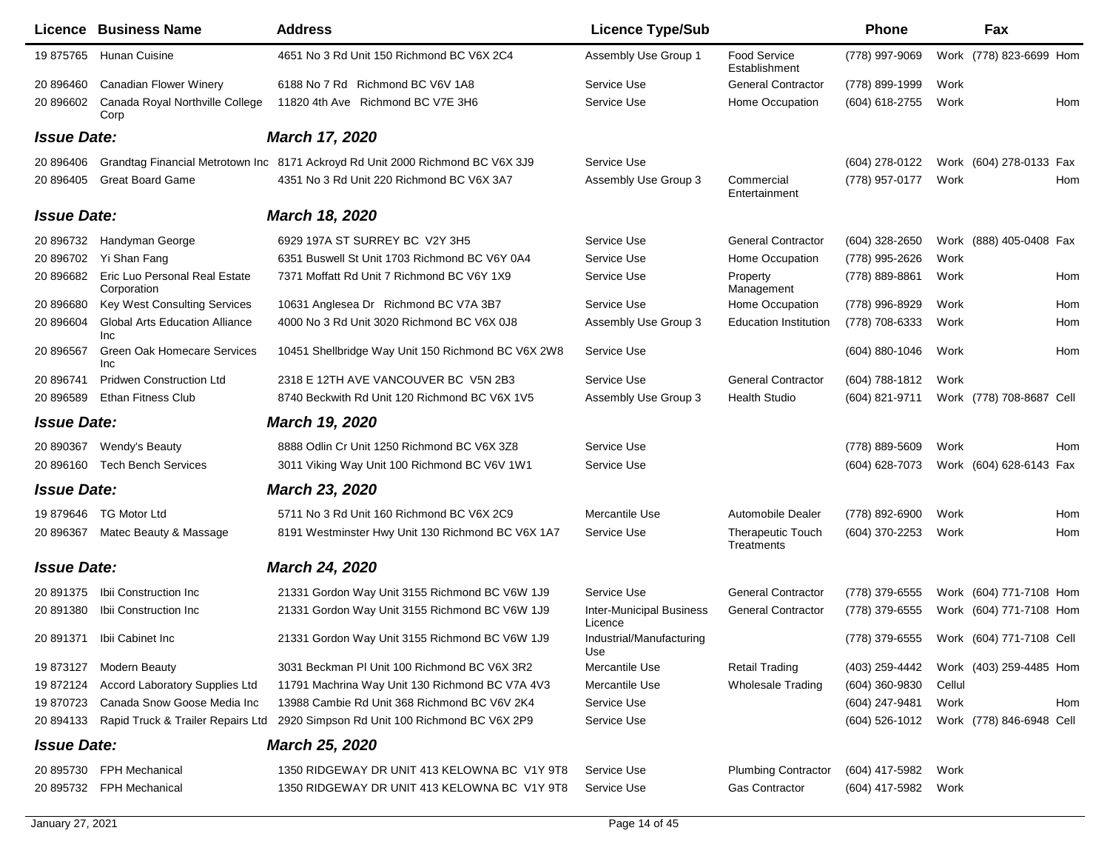|                    |                    | Licence Business Name                        | <b>Address</b>                                                                 | <b>Licence Type/Sub</b>                    |                                        | <b>Phone</b>     |        | Fax                      |     |
|--------------------|--------------------|----------------------------------------------|--------------------------------------------------------------------------------|--------------------------------------------|----------------------------------------|------------------|--------|--------------------------|-----|
|                    | 19 875765          | Hunan Cuisine                                | 4651 No 3 Rd Unit 150 Richmond BC V6X 2C4                                      | Assembly Use Group 1                       | Food Service<br>Establishment          | (778) 997-9069   |        | Work (778) 823-6699 Hom  |     |
|                    | 20 896460          | <b>Canadian Flower Winery</b>                | 6188 No 7 Rd Richmond BC V6V 1A8                                               | Service Use                                | <b>General Contractor</b>              | (778) 899-1999   | Work   |                          |     |
|                    | 20 896602          | Canada Royal Northville College<br>Corp      | 11820 4th Ave Richmond BC V7E 3H6                                              | Service Use                                | Home Occupation                        | (604) 618-2755   | Work   |                          | Hom |
|                    | <b>Issue Date:</b> |                                              | March 17, 2020                                                                 |                                            |                                        |                  |        |                          |     |
|                    | 20 896406          |                                              | Grandtag Financial Metrotown Inc 8171 Ackroyd Rd Unit 2000 Richmond BC V6X 3J9 | Service Use                                |                                        | (604) 278-0122   |        | Work (604) 278-0133 Fax  |     |
|                    | 20 896405          | <b>Great Board Game</b>                      | 4351 No 3 Rd Unit 220 Richmond BC V6X 3A7                                      | Assembly Use Group 3                       | Commercial<br>Entertainment            | (778) 957-0177   | Work   |                          | Hom |
| <b>Issue Date:</b> |                    |                                              | <b>March 18, 2020</b>                                                          |                                            |                                        |                  |        |                          |     |
|                    | 20 896732          | Handyman George                              | 6929 197A ST SURREY BC V2Y 3H5                                                 | Service Use                                | <b>General Contractor</b>              | (604) 328-2650   |        | Work (888) 405-0408 Fax  |     |
|                    | 20 896702          | Yi Shan Fang                                 | 6351 Buswell St Unit 1703 Richmond BC V6Y 0A4                                  | Service Use                                | Home Occupation                        | (778) 995-2626   | Work   |                          |     |
|                    | 20 896682          | Eric Luo Personal Real Estate<br>Corporation | 7371 Moffatt Rd Unit 7 Richmond BC V6Y 1X9                                     | Service Use                                | Property<br>Management                 | (778) 889-8861   | Work   |                          | Hom |
|                    | 20 896680          | Key West Consulting Services                 | 10631 Anglesea Dr Richmond BC V7A 3B7                                          | Service Use                                | Home Occupation                        | (778) 996-8929   | Work   |                          | Hom |
|                    | 20 896604          | <b>Global Arts Education Alliance</b><br>Inc | 4000 No 3 Rd Unit 3020 Richmond BC V6X 0J8                                     | Assembly Use Group 3                       | <b>Education Institution</b>           | (778) 708-6333   | Work   |                          | Hom |
|                    | 20 896567          | Green Oak Homecare Services<br><b>Inc</b>    | 10451 Shellbridge Way Unit 150 Richmond BC V6X 2W8                             | Service Use                                |                                        | (604) 880-1046   | Work   |                          | Hom |
|                    | 20 896741          | <b>Pridwen Construction Ltd</b>              | 2318 E 12TH AVE VANCOUVER BC V5N 2B3                                           | Service Use                                | <b>General Contractor</b>              | (604) 788-1812   | Work   |                          |     |
|                    | 20 896589          | <b>Ethan Fitness Club</b>                    | 8740 Beckwith Rd Unit 120 Richmond BC V6X 1V5                                  | Assembly Use Group 3                       | <b>Health Studio</b>                   | (604) 821-9711   |        | Work (778) 708-8687 Cell |     |
|                    | <b>Issue Date:</b> |                                              | March 19, 2020                                                                 |                                            |                                        |                  |        |                          |     |
|                    | 20 890367          | Wendy's Beauty                               | 8888 Odlin Cr Unit 1250 Richmond BC V6X 3Z8                                    | Service Use                                |                                        | (778) 889-5609   | Work   |                          | Hom |
|                    | 20 896160          | <b>Tech Bench Services</b>                   | 3011 Viking Way Unit 100 Richmond BC V6V 1W1                                   | Service Use                                |                                        | (604) 628-7073   |        | Work (604) 628-6143 Fax  |     |
|                    | <b>Issue Date:</b> |                                              | <b>March 23, 2020</b>                                                          |                                            |                                        |                  |        |                          |     |
|                    | 19 879646          | <b>TG Motor Ltd</b>                          | 5711 No 3 Rd Unit 160 Richmond BC V6X 2C9                                      | Mercantile Use                             | Automobile Dealer                      | (778) 892-6900   | Work   |                          | Hom |
|                    | 20 896367          | Matec Beauty & Massage                       | 8191 Westminster Hwy Unit 130 Richmond BC V6X 1A7                              | Service Use                                | <b>Therapeutic Touch</b><br>Treatments | (604) 370-2253   | Work   |                          | Hom |
|                    | <b>Issue Date:</b> |                                              | <b>March 24, 2020</b>                                                          |                                            |                                        |                  |        |                          |     |
|                    | 20 891375          | Ibii Construction Inc.                       | 21331 Gordon Way Unit 3155 Richmond BC V6W 1J9                                 | Service Use                                | <b>General Contractor</b>              | (778) 379-6555   |        | Work (604) 771-7108 Hom  |     |
|                    | 20 891380          | Ibii Construction Inc                        | 21331 Gordon Way Unit 3155 Richmond BC V6W 1J9                                 | <b>Inter-Municipal Business</b><br>Licence | <b>General Contractor</b>              | (778) 379-6555   |        | Work (604) 771-7108 Hom  |     |
|                    | 20 891371          | Ibii Cabinet Inc                             | 21331 Gordon Way Unit 3155 Richmond BC V6W 1J9                                 | Industrial/Manufacturing<br>Use            |                                        | (778) 379-6555   |        | Work (604) 771-7108 Cell |     |
|                    | 19 873127          | <b>Modern Beauty</b>                         | 3031 Beckman PI Unit 100 Richmond BC V6X 3R2                                   | Mercantile Use                             | <b>Retail Trading</b>                  | (403) 259-4442   |        | Work (403) 259-4485 Hom  |     |
|                    | 19 872124          | <b>Accord Laboratory Supplies Ltd</b>        | 11791 Machrina Way Unit 130 Richmond BC V7A 4V3                                | Mercantile Use                             | <b>Wholesale Trading</b>               | $(604)$ 360-9830 | Cellul |                          |     |
|                    | 19 870723          | Canada Snow Goose Media Inc                  | 13988 Cambie Rd Unit 368 Richmond BC V6V 2K4                                   | Service Use                                |                                        | (604) 247-9481   | Work   |                          | Hom |
|                    | 20 894133          | Rapid Truck & Trailer Repairs Ltd            | 2920 Simpson Rd Unit 100 Richmond BC V6X 2P9                                   | Service Use                                |                                        | (604) 526-1012   |        | Work (778) 846-6948 Cell |     |
|                    | <b>Issue Date:</b> |                                              | <b>March 25, 2020</b>                                                          |                                            |                                        |                  |        |                          |     |
|                    | 20 895730          | FPH Mechanical                               | 1350 RIDGEWAY DR UNIT 413 KELOWNA BC V1Y 9T8                                   | Service Use                                | <b>Plumbing Contractor</b>             | (604) 417-5982   | Work   |                          |     |
|                    | 20 895732          | FPH Mechanical                               | 1350 RIDGEWAY DR UNIT 413 KELOWNA BC V1Y 9T8                                   | Service Use                                | <b>Gas Contractor</b>                  | (604) 417-5982   | Work   |                          |     |
|                    |                    |                                              |                                                                                |                                            |                                        |                  |        |                          |     |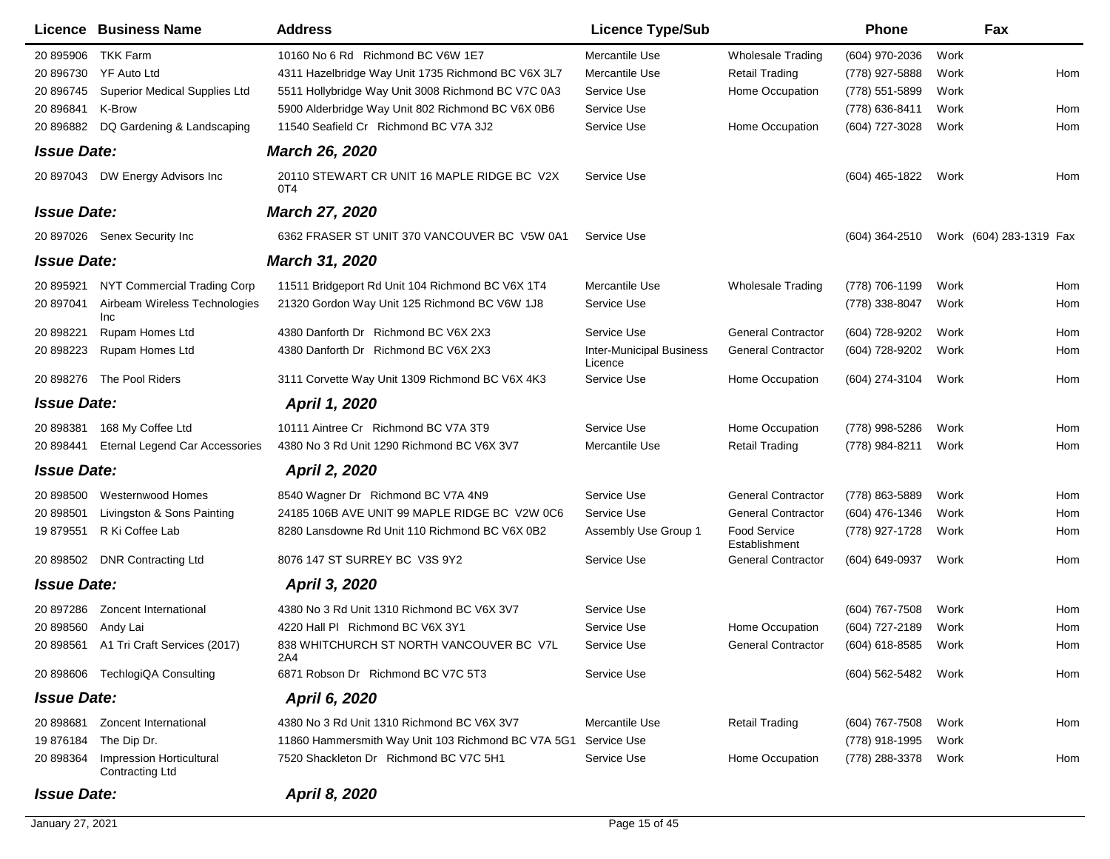| <b>Licence Business Name</b>                             | <b>Address</b>                                                 | <b>Licence Type/Sub</b>                    |                                      | <b>Phone</b>     |      | Fax                     |
|----------------------------------------------------------|----------------------------------------------------------------|--------------------------------------------|--------------------------------------|------------------|------|-------------------------|
| TKK Farm<br>20 895906                                    | 10160 No 6 Rd Richmond BC V6W 1E7                              | Mercantile Use                             | <b>Wholesale Trading</b>             | (604) 970-2036   | Work |                         |
| <b>YF Auto Ltd</b><br>20 896730                          | 4311 Hazelbridge Way Unit 1735 Richmond BC V6X 3L7             | Mercantile Use                             | <b>Retail Trading</b>                | (778) 927-5888   | Work | Hom                     |
| 20 896745<br><b>Superior Medical Supplies Ltd</b>        | 5511 Hollybridge Way Unit 3008 Richmond BC V7C 0A3             | Service Use                                | Home Occupation                      | (778) 551-5899   | Work |                         |
| 20 896841<br>K-Brow                                      | 5900 Alderbridge Way Unit 802 Richmond BC V6X 0B6              | Service Use                                |                                      | (778) 636-8411   | Work | Hom                     |
| DQ Gardening & Landscaping<br>20 896882                  | 11540 Seafield Cr Richmond BC V7A 3J2                          | Service Use                                | Home Occupation                      | (604) 727-3028   | Work | Hom                     |
| <b>Issue Date:</b>                                       | <b>March 26, 2020</b>                                          |                                            |                                      |                  |      |                         |
| 20 897043 DW Energy Advisors Inc                         | 20110 STEWART CR UNIT 16 MAPLE RIDGE BC V2X<br>0T4             | Service Use                                |                                      | (604) 465-1822   | Work | Hom                     |
| <b>Issue Date:</b>                                       | <b>March 27, 2020</b>                                          |                                            |                                      |                  |      |                         |
| 20 897026 Senex Security Inc                             | 6362 FRASER ST UNIT 370 VANCOUVER BC V5W 0A1                   | Service Use                                |                                      | (604) 364-2510   |      | Work (604) 283-1319 Fax |
| <b>Issue Date:</b>                                       | <b>March 31, 2020</b>                                          |                                            |                                      |                  |      |                         |
| NYT Commercial Trading Corp<br>20 895921                 | 11511 Bridgeport Rd Unit 104 Richmond BC V6X 1T4               | Mercantile Use                             | Wholesale Trading                    | (778) 706-1199   | Work | Hom                     |
| Airbeam Wireless Technologies<br>20 897041<br>Inc        | 21320 Gordon Way Unit 125 Richmond BC V6W 1J8                  | Service Use                                |                                      | (778) 338-8047   | Work | Hom                     |
| 20 898221<br>Rupam Homes Ltd                             | 4380 Danforth Dr Richmond BC V6X 2X3                           | Service Use                                | <b>General Contractor</b>            | (604) 728-9202   | Work | Hom                     |
| Rupam Homes Ltd<br>20 898223                             | 4380 Danforth Dr Richmond BC V6X 2X3                           | <b>Inter-Municipal Business</b><br>Licence | <b>General Contractor</b>            | (604) 728-9202   | Work | Hom                     |
| 20 898276 The Pool Riders                                | 3111 Corvette Way Unit 1309 Richmond BC V6X 4K3                | Service Use                                | Home Occupation                      | (604) 274-3104   | Work | Hom                     |
| <b>Issue Date:</b>                                       | <b>April 1, 2020</b>                                           |                                            |                                      |                  |      |                         |
| 20 898381<br>168 My Coffee Ltd                           | 10111 Aintree Cr Richmond BC V7A 3T9                           | Service Use                                | Home Occupation                      | (778) 998-5286   | Work | Hom                     |
| Eternal Legend Car Accessories<br>20 898441              | 4380 No 3 Rd Unit 1290 Richmond BC V6X 3V7                     | Mercantile Use                             | <b>Retail Trading</b>                | (778) 984-8211   | Work | Hom                     |
| <b>Issue Date:</b>                                       | <b>April 2, 2020</b>                                           |                                            |                                      |                  |      |                         |
| 20 898500<br>Westernwood Homes                           | 8540 Wagner Dr Richmond BC V7A 4N9                             | Service Use                                | <b>General Contractor</b>            | (778) 863-5889   | Work | Hom                     |
| 20 898501<br>Livingston & Sons Painting                  | 24185 106B AVE UNIT 99 MAPLE RIDGE BC V2W 0C6                  | Service Use                                | <b>General Contractor</b>            | (604) 476-1346   | Work | Hom                     |
| R Ki Coffee Lab<br>19 879551                             | 8280 Lansdowne Rd Unit 110 Richmond BC V6X 0B2                 | Assembly Use Group 1                       | <b>Food Service</b><br>Establishment | (778) 927-1728   | Work | Hom                     |
| 20 898502 DNR Contracting Ltd                            | 8076 147 ST SURREY BC V3S 9Y2                                  | Service Use                                | <b>General Contractor</b>            | (604) 649-0937   | Work | Hom                     |
| <b>Issue Date:</b>                                       | <b>April 3, 2020</b>                                           |                                            |                                      |                  |      |                         |
| 20 897286<br>Zoncent International                       | 4380 No 3 Rd Unit 1310 Richmond BC V6X 3V7                     | Service Use                                |                                      | (604) 767-7508   | Work | Hom                     |
| 20 898560<br>Andy Lai                                    | 4220 Hall PI Richmond BC V6X 3Y1                               | Service Use                                | Home Occupation                      | (604) 727-2189   | Work | Hom                     |
| 20 898561 A1 Tri Craft Services (2017)                   | 838 WHITCHURCH ST NORTH VANCOUVER BC V7L<br>2A4                | Service Use                                | <b>General Contractor</b>            | (604) 618-8585   | Work | Hom                     |
| 20 898606 TechlogiQA Consulting                          | 6871 Robson Dr Richmond BC V7C 5T3                             | Service Use                                |                                      | (604) 562-5482   | Work | Hom                     |
| <b>Issue Date:</b>                                       | April 6, 2020                                                  |                                            |                                      |                  |      |                         |
| Zoncent International<br>20 898681                       | 4380 No 3 Rd Unit 1310 Richmond BC V6X 3V7                     | Mercantile Use                             | <b>Retail Trading</b>                | $(604)$ 767-7508 | Work | Hom                     |
| 19 876184<br>The Dip Dr.                                 | 11860 Hammersmith Way Unit 103 Richmond BC V7A 5G1 Service Use |                                            |                                      | (778) 918-1995   | Work |                         |
| Impression Horticultural<br>20 898364<br>Contracting Ltd | 7520 Shackleton Dr Richmond BC V7C 5H1                         | Service Use                                | Home Occupation                      | (778) 288-3378   | Work | Hom                     |
| <b>Issue Date:</b>                                       | April 8, 2020                                                  |                                            |                                      |                  |      |                         |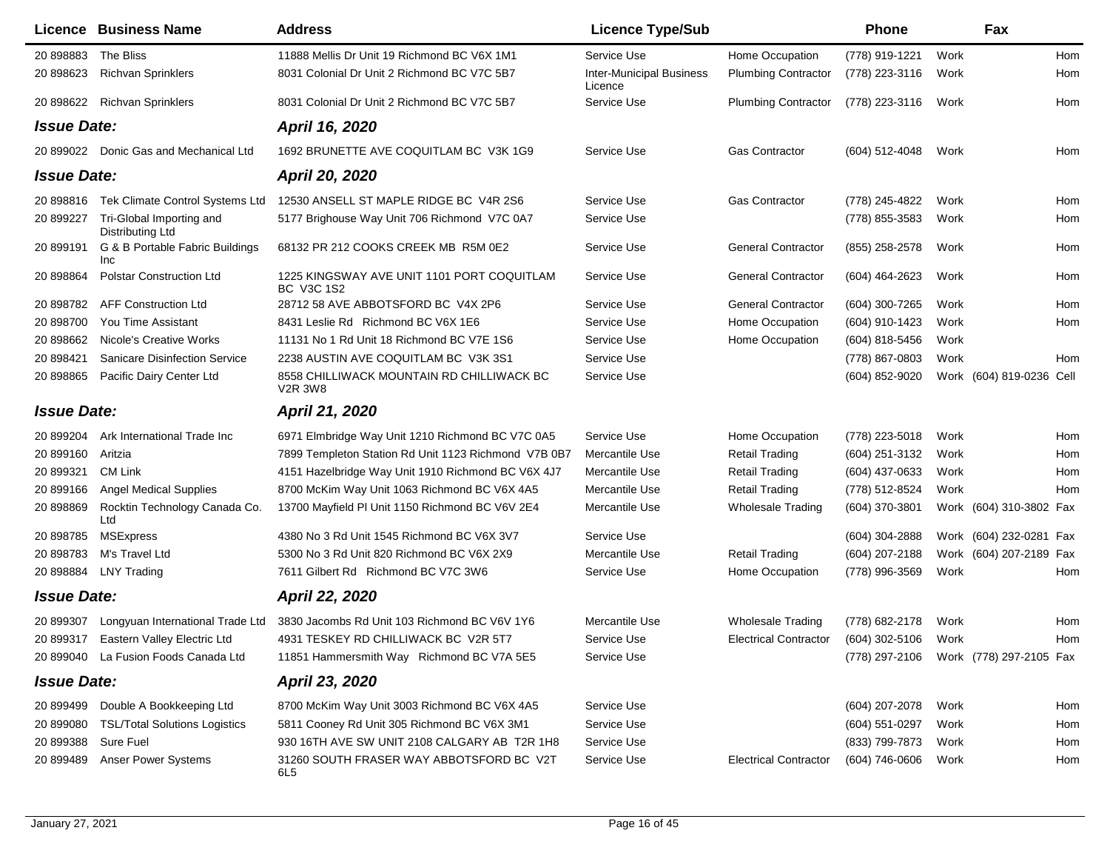|                    | <b>Licence Business Name</b>                 | <b>Address</b>                                              | <b>Licence Type/Sub</b>                    |                              | <b>Phone</b>                           |      | Fax                      |     |
|--------------------|----------------------------------------------|-------------------------------------------------------------|--------------------------------------------|------------------------------|----------------------------------------|------|--------------------------|-----|
| 20 898883          | The Bliss                                    | 11888 Mellis Dr Unit 19 Richmond BC V6X 1M1                 | Service Use                                | Home Occupation              | (778) 919-1221                         | Work |                          | Hom |
| 20 898623          | <b>Richvan Sprinklers</b>                    | 8031 Colonial Dr Unit 2 Richmond BC V7C 5B7                 | <b>Inter-Municipal Business</b><br>Licence | <b>Plumbing Contractor</b>   | (778) 223-3116                         | Work |                          | Hom |
|                    | 20 898622 Richvan Sprinklers                 | 8031 Colonial Dr Unit 2 Richmond BC V7C 5B7                 | Service Use                                | <b>Plumbing Contractor</b>   | (778) 223-3116                         | Work |                          | Hom |
| <b>Issue Date:</b> |                                              | April 16, 2020                                              |                                            |                              |                                        |      |                          |     |
|                    | 20 899022 Donic Gas and Mechanical Ltd       | 1692 BRUNETTE AVE COQUITLAM BC V3K 1G9                      | Service Use                                | Gas Contractor               | (604) 512-4048                         | Work |                          | Hom |
|                    | <b>Issue Date:</b>                           | <b>April 20, 2020</b>                                       |                                            |                              |                                        |      |                          |     |
| 20 898816          | Tek Climate Control Systems Ltd              | 12530 ANSELL ST MAPLE RIDGE BC V4R 2S6                      | Service Use                                | <b>Gas Contractor</b>        | (778) 245-4822                         | Work |                          | Hom |
| 20 899227          | Tri-Global Importing and<br>Distributing Ltd | 5177 Brighouse Way Unit 706 Richmond V7C 0A7                | Service Use                                |                              | (778) 855-3583                         | Work |                          | Hom |
| 20 899191          | G & B Portable Fabric Buildings<br>Inc       | 68132 PR 212 COOKS CREEK MB R5M 0E2                         | Service Use                                | <b>General Contractor</b>    | (855) 258-2578                         | Work |                          | Hom |
| 20 898864          | <b>Polstar Construction Ltd</b>              | 1225 KINGSWAY AVE UNIT 1101 PORT COQUITLAM<br>BC V3C 1S2    | Service Use                                | <b>General Contractor</b>    | (604) 464-2623                         | Work |                          | Hom |
| 20 898782          | <b>AFF Construction Ltd</b>                  | 28712 58 AVE ABBOTSFORD BC V4X 2P6                          | Service Use                                | <b>General Contractor</b>    | (604) 300-7265                         | Work |                          | Hom |
| 20 898700          | <b>You Time Assistant</b>                    | 8431 Leslie Rd Richmond BC V6X 1E6                          | Service Use                                | Home Occupation              | (604) 910-1423                         | Work |                          | Hom |
| 20 898662          | Nicole's Creative Works                      | 11131 No 1 Rd Unit 18 Richmond BC V7E 1S6                   | Service Use                                | Home Occupation              | (604) 818-5456                         | Work |                          |     |
| 20 898421          | <b>Sanicare Disinfection Service</b>         | 2238 AUSTIN AVE COQUITLAM BC V3K 3S1                        | Service Use                                |                              | (778) 867-0803                         | Work |                          | Hom |
| 20 898865          | Pacific Dairy Center Ltd                     | 8558 CHILLIWACK MOUNTAIN RD CHILLIWACK BC<br><b>V2R 3W8</b> | Service Use                                |                              | (604) 852-9020                         |      | Work (604) 819-0236 Cell |     |
|                    | <b>Issue Date:</b>                           | April 21, 2020                                              |                                            |                              |                                        |      |                          |     |
| 20 899204          | Ark International Trade Inc                  | 6971 Elmbridge Way Unit 1210 Richmond BC V7C 0A5            | Service Use                                | Home Occupation              | (778) 223-5018                         | Work |                          | Hom |
| 20 899160          | Aritzia                                      | 7899 Templeton Station Rd Unit 1123 Richmond V7B 0B7        | Mercantile Use                             | <b>Retail Trading</b>        | (604) 251-3132                         | Work |                          | Hom |
| 20 899321          | CM Link                                      | 4151 Hazelbridge Way Unit 1910 Richmond BC V6X 4J7          | Mercantile Use                             | <b>Retail Trading</b>        | (604) 437-0633                         | Work |                          | Hom |
| 20 899166          | <b>Angel Medical Supplies</b>                | 8700 McKim Way Unit 1063 Richmond BC V6X 4A5                | Mercantile Use                             | <b>Retail Trading</b>        | (778) 512-8524                         | Work |                          | Hom |
| 20 898869          | Rocktin Technology Canada Co.<br>Ltd         | 13700 Mayfield PI Unit 1150 Richmond BC V6V 2E4             | Mercantile Use                             | <b>Wholesale Trading</b>     | (604) 370-3801                         |      | Work (604) 310-3802 Fax  |     |
| 20 898785          | <b>MSExpress</b>                             | 4380 No 3 Rd Unit 1545 Richmond BC V6X 3V7                  | Service Use                                |                              | (604) 304-2888                         |      | Work (604) 232-0281 Fax  |     |
| 20 898783          | M's Travel Ltd                               | 5300 No 3 Rd Unit 820 Richmond BC V6X 2X9                   | Mercantile Use                             | <b>Retail Trading</b>        | (604) 207-2188                         |      | Work (604) 207-2189 Fax  |     |
| 20 898884          | <b>LNY Trading</b>                           | 7611 Gilbert Rd Richmond BC V7C 3W6                         | Service Use                                | Home Occupation              | (778) 996-3569                         | Work |                          | Hom |
|                    | <b>Issue Date:</b>                           | <b>April 22, 2020</b>                                       |                                            |                              |                                        |      |                          |     |
| 20 899307          | Longyuan International Trade Ltd             | 3830 Jacombs Rd Unit 103 Richmond BC V6V 1Y6                | Mercantile Use                             | <b>Wholesale Trading</b>     | (778) 682-2178                         | Work |                          | Hom |
| 20 899317          | Eastern Valley Electric Ltd                  | 4931 TESKEY RD CHILLIWACK BC V2R 5T7                        | Service Use                                | <b>Electrical Contractor</b> | (604) 302-5106                         | Work |                          | Hom |
|                    | 20 899040 La Fusion Foods Canada Ltd         | 11851 Hammersmith Way Richmond BC V7A 5E5                   | Service Use                                |                              | (778) 297-2106 Work (778) 297-2105 Fax |      |                          |     |
|                    | <b>Issue Date:</b>                           | April 23, 2020                                              |                                            |                              |                                        |      |                          |     |
| 20 899499          | Double A Bookkeeping Ltd                     | 8700 McKim Way Unit 3003 Richmond BC V6X 4A5                | Service Use                                |                              | (604) 207-2078                         | Work |                          | Hom |
| 20 899080          | <b>TSL/Total Solutions Logistics</b>         | 5811 Cooney Rd Unit 305 Richmond BC V6X 3M1                 | Service Use                                |                              | $(604)$ 551-0297                       | Work |                          | Hom |
| 20 899388          | Sure Fuel                                    | 930 16TH AVE SW UNIT 2108 CALGARY AB T2R 1H8                | Service Use                                |                              | (833) 799-7873                         | Work |                          | Hom |
| 20 899489          | Anser Power Systems                          | 31260 SOUTH FRASER WAY ABBOTSFORD BC V2T<br>6L5             | Service Use                                | <b>Electrical Contractor</b> | (604) 746-0606                         | Work |                          | Hom |
|                    |                                              |                                                             |                                            |                              |                                        |      |                          |     |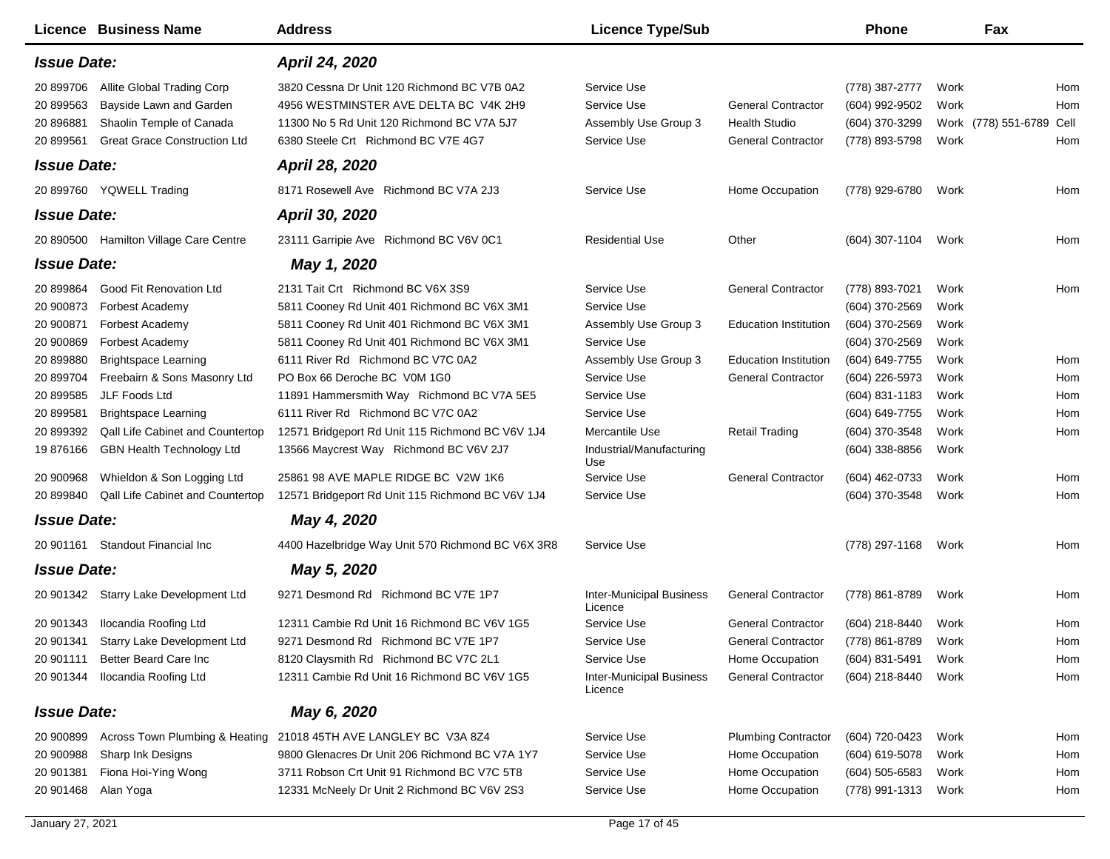| <b>Licence Business Name</b>                                                                                                                                                                          | <b>Address</b>                                                                                                                                                                                                      | <b>Licence Type/Sub</b>                                                                   |                                                                                           | <b>Phone</b>                                                                           | Fax                                              |                          |
|-------------------------------------------------------------------------------------------------------------------------------------------------------------------------------------------------------|---------------------------------------------------------------------------------------------------------------------------------------------------------------------------------------------------------------------|-------------------------------------------------------------------------------------------|-------------------------------------------------------------------------------------------|----------------------------------------------------------------------------------------|--------------------------------------------------|--------------------------|
| <b>Issue Date:</b>                                                                                                                                                                                    | April 24, 2020                                                                                                                                                                                                      |                                                                                           |                                                                                           |                                                                                        |                                                  |                          |
| 20 899706<br>Allite Global Trading Corp<br>20 899563<br>Bayside Lawn and Garden<br>20 896881<br>Shaolin Temple of Canada<br><b>Great Grace Construction Ltd</b><br>20 899561                          | 3820 Cessna Dr Unit 120 Richmond BC V7B 0A2<br>4956 WESTMINSTER AVE DELTA BC V4K 2H9<br>11300 No 5 Rd Unit 120 Richmond BC V7A 5J7<br>6380 Steele Crt Richmond BC V7E 4G7                                           | Service Use<br>Service Use<br>Assembly Use Group 3<br>Service Use                         | <b>General Contractor</b><br><b>Health Studio</b><br><b>General Contractor</b>            | (778) 387-2777<br>(604) 992-9502<br>(604) 370-3299<br>(778) 893-5798                   | Work<br>Work<br>Work (778) 551-6789 Cell<br>Work | Hom<br>Hom<br>Hom        |
| <b>Issue Date:</b>                                                                                                                                                                                    | April 28, 2020                                                                                                                                                                                                      |                                                                                           |                                                                                           |                                                                                        |                                                  |                          |
| YQWELL Trading<br>20 899760                                                                                                                                                                           | 8171 Rosewell Ave Richmond BC V7A 2J3                                                                                                                                                                               | Service Use                                                                               | Home Occupation                                                                           | (778) 929-6780                                                                         | Work                                             | Hom                      |
| <b>Issue Date:</b>                                                                                                                                                                                    | April 30, 2020                                                                                                                                                                                                      |                                                                                           |                                                                                           |                                                                                        |                                                  |                          |
| <b>Hamilton Village Care Centre</b><br>20 890500                                                                                                                                                      | 23111 Garripie Ave Richmond BC V6V 0C1                                                                                                                                                                              | <b>Residential Use</b>                                                                    | Other                                                                                     | $(604)$ 307-1104                                                                       | Work                                             | Hom                      |
| <b>Issue Date:</b>                                                                                                                                                                                    | May 1, 2020                                                                                                                                                                                                         |                                                                                           |                                                                                           |                                                                                        |                                                  |                          |
| 20 899864<br>Good Fit Renovation Ltd<br>20 900873<br><b>Forbest Academy</b><br>20 900871<br><b>Forbest Academy</b><br>20 900869<br><b>Forbest Academy</b><br>20 899880<br><b>Brightspace Learning</b> | 2131 Tait Crt Richmond BC V6X 3S9<br>5811 Cooney Rd Unit 401 Richmond BC V6X 3M1<br>5811 Cooney Rd Unit 401 Richmond BC V6X 3M1<br>5811 Cooney Rd Unit 401 Richmond BC V6X 3M1<br>6111 River Rd Richmond BC V7C 0A2 | Service Use<br>Service Use<br>Assembly Use Group 3<br>Service Use<br>Assembly Use Group 3 | <b>General Contractor</b><br><b>Education Institution</b><br><b>Education Institution</b> | (778) 893-7021<br>(604) 370-2569<br>(604) 370-2569<br>(604) 370-2569<br>(604) 649-7755 | Work<br>Work<br>Work<br>Work<br>Work             | Hom<br>Hom               |
| 20 899704<br>Freebairn & Sons Masonry Ltd<br>20 899585<br>JLF Foods Ltd                                                                                                                               | PO Box 66 Deroche BC V0M 1G0<br>11891 Hammersmith Way Richmond BC V7A 5E5                                                                                                                                           | Service Use<br>Service Use                                                                | <b>General Contractor</b>                                                                 | (604) 226-5973<br>$(604)$ 831-1183                                                     | Work<br>Work                                     | Hom<br>Hom               |
| 20 899581<br><b>Brightspace Learning</b>                                                                                                                                                              | 6111 River Rd Richmond BC V7C 0A2                                                                                                                                                                                   | Service Use                                                                               |                                                                                           | (604) 649-7755                                                                         | Work                                             | Hom                      |
| 20 899392<br><b>Qall Life Cabinet and Countertop</b><br>19 876166<br>GBN Health Technology Ltd                                                                                                        | 12571 Bridgeport Rd Unit 115 Richmond BC V6V 1J4<br>13566 Maycrest Way Richmond BC V6V 2J7                                                                                                                          | Mercantile Use<br>Industrial/Manufacturing<br>Use                                         | <b>Retail Trading</b>                                                                     | (604) 370-3548<br>(604) 338-8856                                                       | Work<br>Work                                     | Hom                      |
| 20 900968<br>Whieldon & Son Logging Ltd                                                                                                                                                               | 25861 98 AVE MAPLE RIDGE BC V2W 1K6                                                                                                                                                                                 | Service Use                                                                               | <b>General Contractor</b>                                                                 | (604) 462-0733                                                                         | Work                                             | Hom                      |
| <b>Qall Life Cabinet and Countertop</b><br>20 899840<br><b>Issue Date:</b>                                                                                                                            | 12571 Bridgeport Rd Unit 115 Richmond BC V6V 1J4<br>May 4, 2020                                                                                                                                                     | Service Use                                                                               |                                                                                           | (604) 370-3548                                                                         | Work                                             | Hom                      |
| 20 901161 Standout Financial Inc                                                                                                                                                                      | 4400 Hazelbridge Way Unit 570 Richmond BC V6X 3R8                                                                                                                                                                   | Service Use                                                                               |                                                                                           | (778) 297-1168 Work                                                                    |                                                  | Hom                      |
| <b>Issue Date:</b>                                                                                                                                                                                    | May 5, 2020                                                                                                                                                                                                         |                                                                                           |                                                                                           |                                                                                        |                                                  |                          |
| 20 901342 Starry Lake Development Ltd                                                                                                                                                                 | 9271 Desmond Rd Richmond BC V7E 1P7                                                                                                                                                                                 | <b>Inter-Municipal Business</b><br>Licence                                                | <b>General Contractor</b>                                                                 | (778) 861-8789                                                                         | Work                                             | Hom                      |
| Ilocandia Roofing Ltd<br>20 901343                                                                                                                                                                    | 12311 Cambie Rd Unit 16 Richmond BC V6V 1G5                                                                                                                                                                         | Service Use                                                                               | <b>General Contractor</b>                                                                 | (604) 218-8440                                                                         | Work                                             | Hom                      |
| 20 901341 Starry Lake Development Ltd                                                                                                                                                                 | 9271 Desmond Rd Richmond BC V7E 1P7                                                                                                                                                                                 | Service Use                                                                               | <b>General Contractor</b>                                                                 | (778) 861-8789                                                                         | Work                                             | Hom                      |
| Better Beard Care Inc<br>20 901111                                                                                                                                                                    | 8120 Claysmith Rd Richmond BC V7C 2L1                                                                                                                                                                               | Service Use                                                                               | Home Occupation                                                                           | $(604)$ 831-5491                                                                       | Work                                             | Hom                      |
| Ilocandia Roofing Ltd<br>20 901344                                                                                                                                                                    | 12311 Cambie Rd Unit 16 Richmond BC V6V 1G5                                                                                                                                                                         | <b>Inter-Municipal Business</b><br>Licence                                                | <b>General Contractor</b>                                                                 | (604) 218-8440                                                                         | Work                                             | Hom                      |
| <b>Issue Date:</b>                                                                                                                                                                                    | May 6, 2020                                                                                                                                                                                                         |                                                                                           |                                                                                           |                                                                                        |                                                  |                          |
| 20 900899<br>Across Town Plumbing & Heating<br>Sharp Ink Designs<br>20 900988<br>Fiona Hoi-Ying Wong<br>20 901381<br>20 901468<br>Alan Yoga                                                           | 21018 45TH AVE LANGLEY BC V3A 8Z4<br>9800 Glenacres Dr Unit 206 Richmond BC V7A 1Y7<br>3711 Robson Crt Unit 91 Richmond BC V7C 5T8<br>12331 McNeely Dr Unit 2 Richmond BC V6V 2S3                                   | Service Use<br>Service Use<br>Service Use<br>Service Use                                  | <b>Plumbing Contractor</b><br>Home Occupation<br>Home Occupation<br>Home Occupation       | (604) 720-0423<br>(604) 619-5078<br>$(604)$ 505-6583<br>(778) 991-1313                 | Work<br>Work<br>Work<br>Work                     | Hom<br>Hom<br>Hom<br>Hom |
|                                                                                                                                                                                                       |                                                                                                                                                                                                                     |                                                                                           |                                                                                           |                                                                                        |                                                  |                          |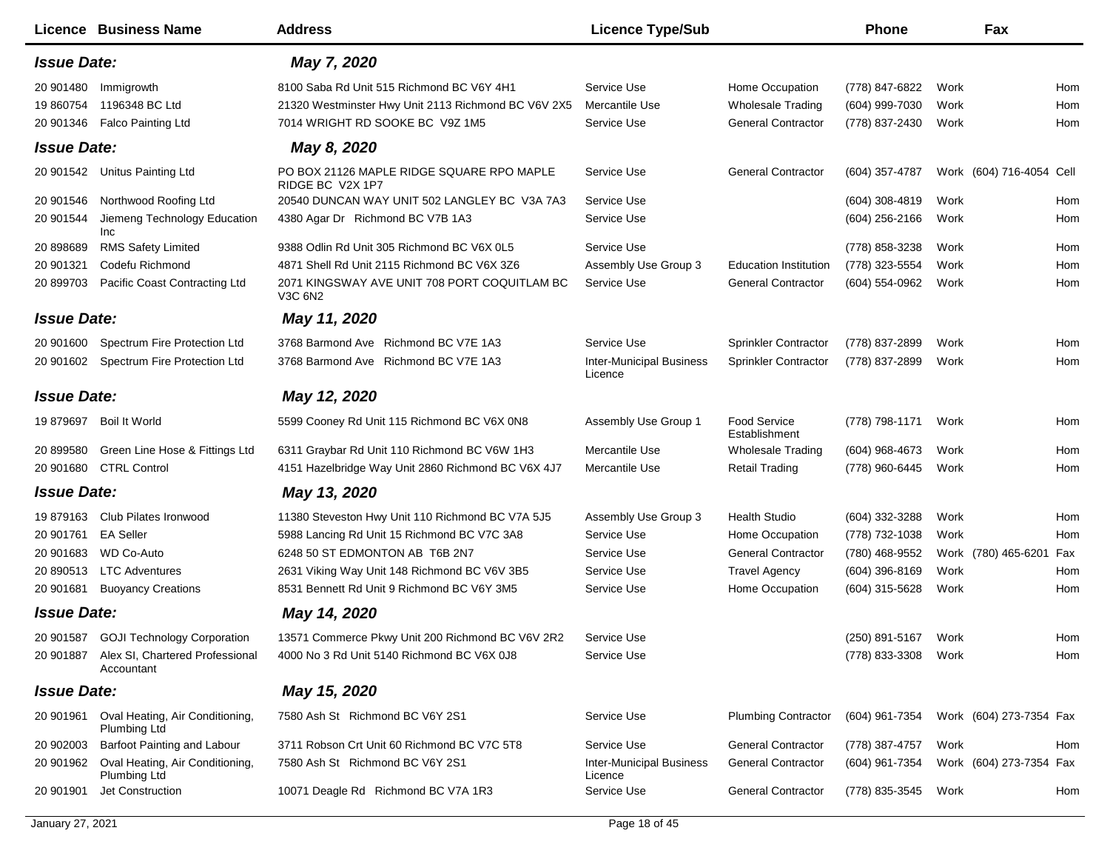|                    | <b>Licence Business Name</b>                            | <b>Address</b>                                                 | <b>Licence Type/Sub</b>                    |                                      | <b>Phone</b>     |      | Fax                      |     |
|--------------------|---------------------------------------------------------|----------------------------------------------------------------|--------------------------------------------|--------------------------------------|------------------|------|--------------------------|-----|
| <b>Issue Date:</b> |                                                         | May 7, 2020                                                    |                                            |                                      |                  |      |                          |     |
| 20 901480          | Immigrowth                                              | 8100 Saba Rd Unit 515 Richmond BC V6Y 4H1                      | Service Use                                | Home Occupation                      | (778) 847-6822   | Work |                          | Hom |
| 19 860754          | 1196348 BC Ltd                                          | 21320 Westminster Hwy Unit 2113 Richmond BC V6V 2X5            | Mercantile Use                             | <b>Wholesale Trading</b>             | (604) 999-7030   | Work |                          | Hom |
| 20 901346          | <b>Falco Painting Ltd</b>                               | 7014 WRIGHT RD SOOKE BC V9Z 1M5                                | Service Use                                | <b>General Contractor</b>            | (778) 837-2430   | Work |                          | Hom |
| <b>Issue Date:</b> |                                                         | May 8, 2020                                                    |                                            |                                      |                  |      |                          |     |
| 20 901542          | <b>Unitus Painting Ltd</b>                              | PO BOX 21126 MAPLE RIDGE SQUARE RPO MAPLE<br>RIDGE BC V2X 1P7  | Service Use                                | <b>General Contractor</b>            | (604) 357-4787   |      | Work (604) 716-4054 Cell |     |
| 20 901546          | Northwood Roofing Ltd                                   | 20540 DUNCAN WAY UNIT 502 LANGLEY BC V3A 7A3                   | Service Use                                |                                      | $(604)$ 308-4819 | Work |                          | Hom |
| 20 901544          | Jiemeng Technology Education<br><b>Inc</b>              | 4380 Agar Dr Richmond BC V7B 1A3                               | Service Use                                |                                      | $(604)$ 256-2166 | Work |                          | Hom |
| 20 898689          | <b>RMS Safety Limited</b>                               | 9388 Odlin Rd Unit 305 Richmond BC V6X 0L5                     | Service Use                                |                                      | (778) 858-3238   | Work |                          | Hom |
| 20 901321          | Codefu Richmond                                         | 4871 Shell Rd Unit 2115 Richmond BC V6X 3Z6                    | Assembly Use Group 3                       | <b>Education Institution</b>         | (778) 323-5554   | Work |                          | Hom |
| 20 899703          | Pacific Coast Contracting Ltd                           | 2071 KINGSWAY AVE UNIT 708 PORT COQUITLAM BC<br><b>V3C 6N2</b> | Service Use                                | <b>General Contractor</b>            | (604) 554-0962   | Work |                          | Hom |
| <b>Issue Date:</b> |                                                         | May 11, 2020                                                   |                                            |                                      |                  |      |                          |     |
| 20 901600          | Spectrum Fire Protection Ltd                            | 3768 Barmond Ave Richmond BC V7E 1A3                           | Service Use                                | <b>Sprinkler Contractor</b>          | (778) 837-2899   | Work |                          | Hom |
|                    | 20 901602 Spectrum Fire Protection Ltd                  | 3768 Barmond Ave Richmond BC V7E 1A3                           | <b>Inter-Municipal Business</b><br>Licence | Sprinkler Contractor                 | (778) 837-2899   | Work |                          | Hom |
| <b>Issue Date:</b> |                                                         | May 12, 2020                                                   |                                            |                                      |                  |      |                          |     |
| 19 879697          | Boil It World                                           | 5599 Cooney Rd Unit 115 Richmond BC V6X 0N8                    | Assembly Use Group 1                       | <b>Food Service</b><br>Establishment | (778) 798-1171   | Work |                          | Hom |
| 20 899580          | Green Line Hose & Fittings Ltd                          | 6311 Graybar Rd Unit 110 Richmond BC V6W 1H3                   | Mercantile Use                             | <b>Wholesale Trading</b>             | (604) 968-4673   | Work |                          | Hom |
| 20 901680          | <b>CTRL Control</b>                                     | 4151 Hazelbridge Way Unit 2860 Richmond BC V6X 4J7             | Mercantile Use                             | <b>Retail Trading</b>                | (778) 960-6445   | Work |                          | Hom |
| <b>Issue Date:</b> |                                                         | May 13, 2020                                                   |                                            |                                      |                  |      |                          |     |
| 19879163           | Club Pilates Ironwood                                   | 11380 Steveston Hwy Unit 110 Richmond BC V7A 5J5               | Assembly Use Group 3                       | <b>Health Studio</b>                 | (604) 332-3288   | Work |                          | Hom |
| 20 901761          | <b>EA Seller</b>                                        | 5988 Lancing Rd Unit 15 Richmond BC V7C 3A8                    | Service Use                                | Home Occupation                      | (778) 732-1038   | Work |                          | Hom |
| 20 901683          | <b>WD Co-Auto</b>                                       | 6248 50 ST EDMONTON AB T6B 2N7                                 | Service Use                                | <b>General Contractor</b>            | (780) 468-9552   |      | Work (780) 465-6201      | Fax |
| 20 890513          | <b>LTC Adventures</b>                                   | 2631 Viking Way Unit 148 Richmond BC V6V 3B5                   | Service Use                                | <b>Travel Agency</b>                 | $(604)$ 396-8169 | Work |                          | Hom |
| 20 901681          | <b>Buoyancy Creations</b>                               | 8531 Bennett Rd Unit 9 Richmond BC V6Y 3M5                     | Service Use                                | Home Occupation                      | (604) 315-5628   | Work |                          | Hom |
| <b>Issue Date:</b> |                                                         | May 14, 2020                                                   |                                            |                                      |                  |      |                          |     |
|                    | 20 901587 GOJI Technology Corporation                   | 13571 Commerce Pkwy Unit 200 Richmond BC V6V 2R2               | Service Use                                |                                      | (250) 891-5167   | Work |                          | Hom |
|                    | 20 901887 Alex SI, Chartered Professional<br>Accountant | 4000 No 3 Rd Unit 5140 Richmond BC V6X 0J8                     | Service Use                                |                                      | (778) 833-3308   | Work |                          | Hom |
| <b>Issue Date:</b> |                                                         | May 15, 2020                                                   |                                            |                                      |                  |      |                          |     |
| 20 901961          | Oval Heating, Air Conditioning,<br><b>Plumbing Ltd</b>  | 7580 Ash St Richmond BC V6Y 2S1                                | Service Use                                | <b>Plumbing Contractor</b>           | (604) 961-7354   |      | Work (604) 273-7354 Fax  |     |
| 20 902003          | Barfoot Painting and Labour                             | 3711 Robson Crt Unit 60 Richmond BC V7C 5T8                    | Service Use                                | <b>General Contractor</b>            | (778) 387-4757   | Work |                          | Hom |
| 20 901962          | Oval Heating, Air Conditioning,<br>Plumbing Ltd         | 7580 Ash St Richmond BC V6Y 2S1                                | <b>Inter-Municipal Business</b><br>Licence | <b>General Contractor</b>            | (604) 961-7354   |      | Work (604) 273-7354 Fax  |     |
| 20 901901          | Jet Construction                                        | 10071 Deagle Rd Richmond BC V7A 1R3                            | Service Use                                | <b>General Contractor</b>            | (778) 835-3545   | Work |                          | Hom |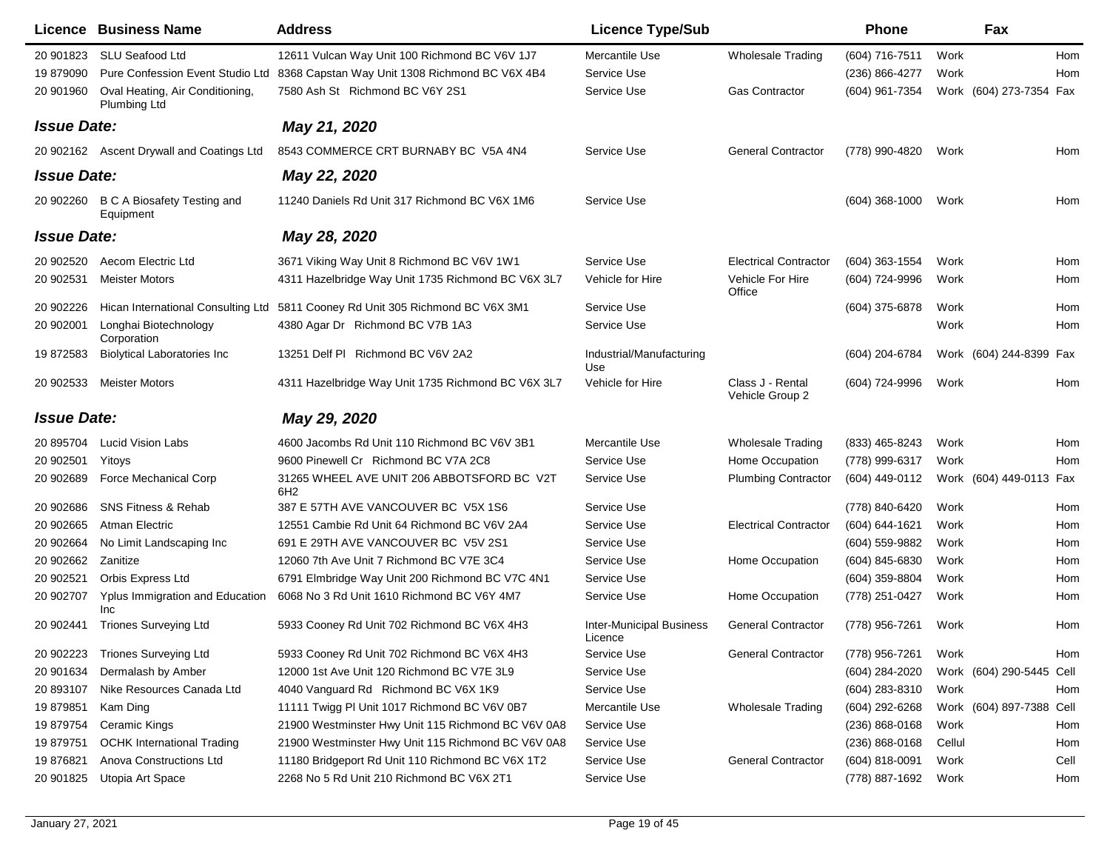|                    | <b>Licence Business Name</b>                    | <b>Address</b>                                                | <b>Licence Type/Sub</b>                    |                                     | <b>Phone</b>       | Fax                      |      |
|--------------------|-------------------------------------------------|---------------------------------------------------------------|--------------------------------------------|-------------------------------------|--------------------|--------------------------|------|
| 20 901823          | <b>SLU Seafood Ltd</b>                          | 12611 Vulcan Way Unit 100 Richmond BC V6V 1J7                 | Mercantile Use                             | <b>Wholesale Trading</b>            | (604) 716-7511     | Work                     | Hom  |
| 19 879090          | Pure Confession Event Studio Ltd                | 8368 Capstan Way Unit 1308 Richmond BC V6X 4B4                | Service Use                                |                                     | (236) 866-4277     | Work                     | Hom  |
| 20 901960          | Oval Heating, Air Conditioning,<br>Plumbing Ltd | 7580 Ash St Richmond BC V6Y 2S1                               | Service Use                                | <b>Gas Contractor</b>               | (604) 961-7354     | Work (604) 273-7354 Fax  |      |
| <b>Issue Date:</b> |                                                 | May 21, 2020                                                  |                                            |                                     |                    |                          |      |
|                    | 20 902162 Ascent Drywall and Coatings Ltd       | 8543 COMMERCE CRT BURNABY BC V5A 4N4                          | Service Use                                | <b>General Contractor</b>           | (778) 990-4820     | Work                     | Hom  |
| <b>Issue Date:</b> |                                                 | May 22, 2020                                                  |                                            |                                     |                    |                          |      |
| 20 902260          | <b>B C A Biosafety Testing and</b><br>Equipment | 11240 Daniels Rd Unit 317 Richmond BC V6X 1M6                 | Service Use                                |                                     | $(604)$ 368-1000   | Work                     | Hom  |
| <b>Issue Date:</b> |                                                 | May 28, 2020                                                  |                                            |                                     |                    |                          |      |
| 20 902520          | Aecom Electric Ltd                              | 3671 Viking Way Unit 8 Richmond BC V6V 1W1                    | Service Use                                | <b>Electrical Contractor</b>        | (604) 363-1554     | Work                     | Hom  |
| 20 902531          | <b>Meister Motors</b>                           | 4311 Hazelbridge Way Unit 1735 Richmond BC V6X 3L7            | Vehicle for Hire                           | Vehicle For Hire<br>Office          | (604) 724-9996     | Work                     | Hom  |
| 20 902226          | Hican International Consulting Ltd              | 5811 Cooney Rd Unit 305 Richmond BC V6X 3M1                   | Service Use                                |                                     | (604) 375-6878     | Work                     | Hom  |
| 20 902001          | Longhai Biotechnology<br>Corporation            | 4380 Agar Dr Richmond BC V7B 1A3                              | Service Use                                |                                     |                    | Work                     | Hom  |
| 19872583           | <b>Biolytical Laboratories Inc</b>              | 13251 Delf PI Richmond BC V6V 2A2                             | Industrial/Manufacturing<br>Use            |                                     | (604) 204-6784     | Work (604) 244-8399 Fax  |      |
| 20 902533          | <b>Meister Motors</b>                           | 4311 Hazelbridge Way Unit 1735 Richmond BC V6X 3L7            | Vehicle for Hire                           | Class J - Rental<br>Vehicle Group 2 | (604) 724-9996     | Work                     | Hom  |
| <b>Issue Date:</b> |                                                 | May 29, 2020                                                  |                                            |                                     |                    |                          |      |
| 20 895704          | <b>Lucid Vision Labs</b>                        | 4600 Jacombs Rd Unit 110 Richmond BC V6V 3B1                  | Mercantile Use                             | <b>Wholesale Trading</b>            | (833) 465-8243     | Work                     | Hom  |
| 20 902501          | Yitoys                                          | 9600 Pinewell Cr Richmond BC V7A 2C8                          | Service Use                                | Home Occupation                     | (778) 999-6317     | Work                     | Hom  |
| 20 902689          | Force Mechanical Corp                           | 31265 WHEEL AVE UNIT 206 ABBOTSFORD BC V2T<br>6H <sub>2</sub> | Service Use                                | <b>Plumbing Contractor</b>          | (604) 449-0112     | Work (604) 449-0113 Fax  |      |
| 20 902686          | <b>SNS Fitness &amp; Rehab</b>                  | 387 E 57TH AVE VANCOUVER BC V5X 1S6                           | Service Use                                |                                     | (778) 840-6420     | Work                     | Hom  |
| 20 902665          | Atman Electric                                  | 12551 Cambie Rd Unit 64 Richmond BC V6V 2A4                   | Service Use                                | <b>Electrical Contractor</b>        | (604) 644-1621     | Work                     | Hom  |
| 20 902664          | No Limit Landscaping Inc                        | 691 E 29TH AVE VANCOUVER BC V5V 2S1                           | Service Use                                |                                     | (604) 559-9882     | Work                     | Hom  |
| 20 902662          | Zanitize                                        | 12060 7th Ave Unit 7 Richmond BC V7E 3C4                      | Service Use                                | Home Occupation                     | (604) 845-6830     | Work                     | Hom  |
| 20 902521          | Orbis Express Ltd                               | 6791 Elmbridge Way Unit 200 Richmond BC V7C 4N1               | Service Use                                |                                     | (604) 359-8804     | Work                     | Hom  |
| 20 902707          | Yplus Immigration and Education<br>Inc          | 6068 No 3 Rd Unit 1610 Richmond BC V6Y 4M7                    | Service Use                                | Home Occupation                     | (778) 251-0427     | Work                     | Hom  |
| 20 902441          | <b>Triones Surveying Ltd</b>                    | 5933 Cooney Rd Unit 702 Richmond BC V6X 4H3                   | <b>Inter-Municipal Business</b><br>Licence | <b>General Contractor</b>           | (778) 956-7261     | Work                     | Hom  |
| 20 902223          | <b>Triones Surveying Ltd</b>                    | 5933 Cooney Rd Unit 702 Richmond BC V6X 4H3                   | Service Use                                | <b>General Contractor</b>           | (778) 956-7261     | Work                     | Hom  |
| 20 901634          | Dermalash by Amber                              | 12000 1st Ave Unit 120 Richmond BC V7E 3L9                    | Service Use                                |                                     | (604) 284-2020     | Work (604) 290-5445 Cell |      |
| 20 893107          | Nike Resources Canada Ltd                       | 4040 Vanguard Rd Richmond BC V6X 1K9                          | Service Use                                |                                     | (604) 283-8310     | Work                     | Hom  |
| 19 879851          | Kam Ding                                        | 11111 Twigg PI Unit 1017 Richmond BC V6V 0B7                  | Mercantile Use                             | <b>Wholesale Trading</b>            | (604) 292-6268     | Work (604) 897-7388 Cell |      |
| 19879754           | <b>Ceramic Kings</b>                            | 21900 Westminster Hwy Unit 115 Richmond BC V6V 0A8            | Service Use                                |                                     | $(236) 868 - 0168$ | Work                     | Hom  |
| 19 879751          | <b>OCHK International Trading</b>               | 21900 Westminster Hwy Unit 115 Richmond BC V6V 0A8            | Service Use                                |                                     | $(236)$ 868-0168   | Cellul                   | Hom  |
| 19 876821          | Anova Constructions Ltd                         | 11180 Bridgeport Rd Unit 110 Richmond BC V6X 1T2              | Service Use                                | <b>General Contractor</b>           | (604) 818-0091     | Work                     | Cell |
| 20 901825          | Utopia Art Space                                | 2268 No 5 Rd Unit 210 Richmond BC V6X 2T1                     | Service Use                                |                                     | (778) 887-1692     | Work                     | Hom  |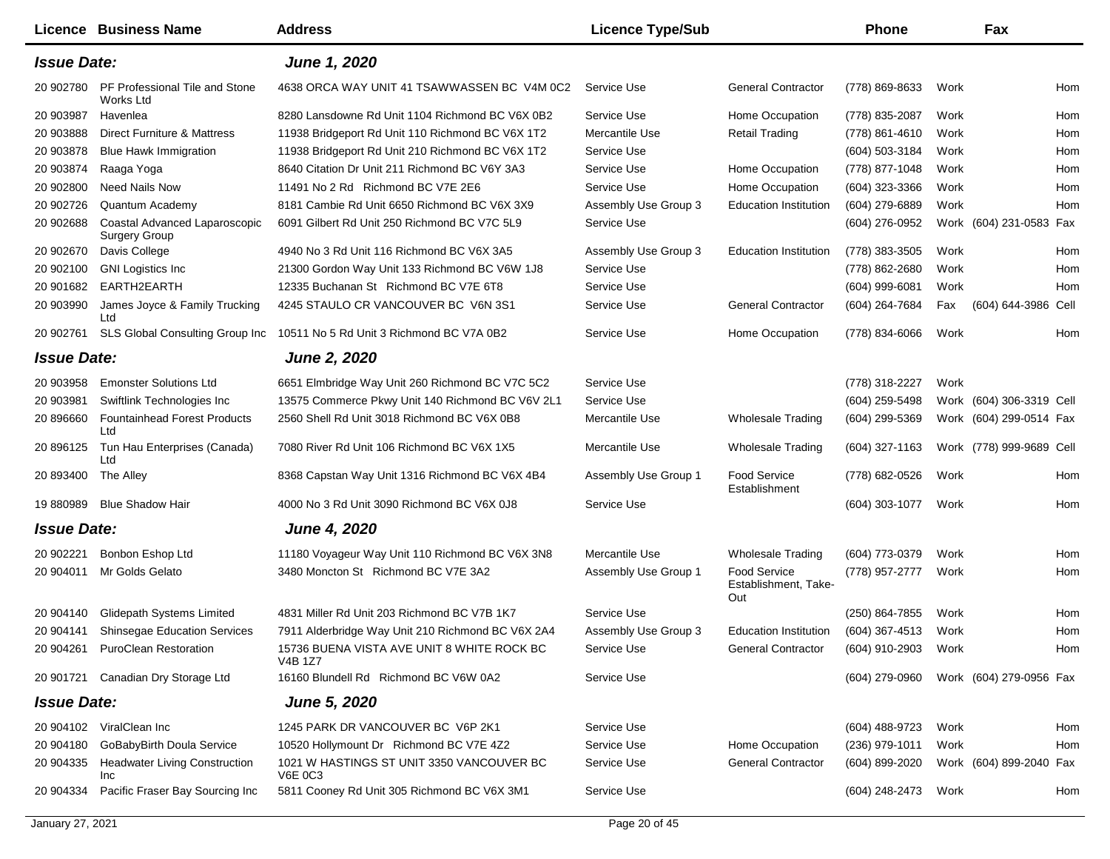|                    | <b>Licence Business Name</b>                          | <b>Address</b>                                              | <b>Licence Type/Sub</b> |                                             | <b>Phone</b>     |      | Fax                      |     |
|--------------------|-------------------------------------------------------|-------------------------------------------------------------|-------------------------|---------------------------------------------|------------------|------|--------------------------|-----|
| <b>Issue Date:</b> |                                                       | June 1, 2020                                                |                         |                                             |                  |      |                          |     |
| 20 902780          | PF Professional Tile and Stone<br>Works Ltd           | 4638 ORCA WAY UNIT 41 TSAWWASSEN BC V4M 0C2                 | Service Use             | <b>General Contractor</b>                   | (778) 869-8633   | Work |                          | Hom |
| 20 903987          | Havenlea                                              | 8280 Lansdowne Rd Unit 1104 Richmond BC V6X 0B2             | Service Use             | Home Occupation                             | (778) 835-2087   | Work |                          | Hom |
| 20 903888          | Direct Furniture & Mattress                           | 11938 Bridgeport Rd Unit 110 Richmond BC V6X 1T2            | Mercantile Use          | <b>Retail Trading</b>                       | (778) 861-4610   | Work |                          | Hom |
| 20 903878          | <b>Blue Hawk Immigration</b>                          | 11938 Bridgeport Rd Unit 210 Richmond BC V6X 1T2            | Service Use             |                                             | (604) 503-3184   | Work |                          | Hom |
| 20 903874          | Raaga Yoga                                            | 8640 Citation Dr Unit 211 Richmond BC V6Y 3A3               | Service Use             | Home Occupation                             | (778) 877-1048   | Work |                          | Hom |
| 20 902800          | <b>Need Nails Now</b>                                 | 11491 No 2 Rd Richmond BC V7E 2E6                           | Service Use             | Home Occupation                             | (604) 323-3366   | Work |                          | Hom |
| 20 902726          | Quantum Academy                                       | 8181 Cambie Rd Unit 6650 Richmond BC V6X 3X9                | Assembly Use Group 3    | <b>Education Institution</b>                | (604) 279-6889   | Work |                          | Hom |
| 20 902688          | Coastal Advanced Laparoscopic<br><b>Surgery Group</b> | 6091 Gilbert Rd Unit 250 Richmond BC V7C 5L9                | Service Use             |                                             | (604) 276-0952   |      | Work (604) 231-0583 Fax  |     |
| 20 902670          | Davis College                                         | 4940 No 3 Rd Unit 116 Richmond BC V6X 3A5                   | Assembly Use Group 3    | <b>Education Institution</b>                | (778) 383-3505   | Work |                          | Hom |
| 20 902100          | <b>GNI Logistics Inc</b>                              | 21300 Gordon Way Unit 133 Richmond BC V6W 1J8               | Service Use             |                                             | (778) 862-2680   | Work |                          | Hom |
| 20 901682          | EARTH2EARTH                                           | 12335 Buchanan St Richmond BC V7E 6T8                       | Service Use             |                                             | (604) 999-6081   | Work |                          | Hom |
| 20 903990          | James Joyce & Family Trucking<br>Ltd                  | 4245 STAULO CR VANCOUVER BC V6N 3S1                         | Service Use             | <b>General Contractor</b>                   | (604) 264-7684   | Fax  | (604) 644-3986 Cell      |     |
| 20 902761          | SLS Global Consulting Group Inc                       | 10511 No 5 Rd Unit 3 Richmond BC V7A 0B2                    | Service Use             | Home Occupation                             | (778) 834-6066   | Work |                          | Hom |
| <b>Issue Date:</b> |                                                       | <b>June 2, 2020</b>                                         |                         |                                             |                  |      |                          |     |
| 20 903958          | <b>Emonster Solutions Ltd</b>                         | 6651 Elmbridge Way Unit 260 Richmond BC V7C 5C2             | Service Use             |                                             | (778) 318-2227   | Work |                          |     |
| 20 903981          | Swiftlink Technologies Inc                            | 13575 Commerce Pkwy Unit 140 Richmond BC V6V 2L1            | Service Use             |                                             | (604) 259-5498   |      | Work (604) 306-3319 Cell |     |
| 20 896660          | <b>Fountainhead Forest Products</b><br>Ltd            | 2560 Shell Rd Unit 3018 Richmond BC V6X 0B8                 | Mercantile Use          | <b>Wholesale Trading</b>                    | (604) 299-5369   |      | Work (604) 299-0514 Fax  |     |
| 20 896125          | Tun Hau Enterprises (Canada)<br>Ltd                   | 7080 River Rd Unit 106 Richmond BC V6X 1X5                  | Mercantile Use          | <b>Wholesale Trading</b>                    | (604) 327-1163   |      | Work (778) 999-9689 Cell |     |
| 20 893400          | The Alley                                             | 8368 Capstan Way Unit 1316 Richmond BC V6X 4B4              | Assembly Use Group 1    | Food Service<br>Establishment               | (778) 682-0526   | Work |                          | Hom |
| 19 880989          | <b>Blue Shadow Hair</b>                               | 4000 No 3 Rd Unit 3090 Richmond BC V6X 0J8                  | Service Use             |                                             | (604) 303-1077   | Work |                          | Hom |
| <b>Issue Date:</b> |                                                       | <b>June 4, 2020</b>                                         |                         |                                             |                  |      |                          |     |
| 20 902221          | Bonbon Eshop Ltd                                      | 11180 Voyageur Way Unit 110 Richmond BC V6X 3N8             | Mercantile Use          | <b>Wholesale Trading</b>                    | (604) 773-0379   | Work |                          | Hom |
| 20 904011          | Mr Golds Gelato                                       | 3480 Moncton St Richmond BC V7E 3A2                         | Assembly Use Group 1    | Food Service<br>Establishment, Take-<br>Out | (778) 957-2777   | Work |                          | Hom |
| 20 904140          | Glidepath Systems Limited                             | 4831 Miller Rd Unit 203 Richmond BC V7B 1K7                 | Service Use             |                                             | (250) 864-7855   | Work |                          | Hom |
| 20 904141          | <b>Shinsegae Education Services</b>                   | 7911 Alderbridge Way Unit 210 Richmond BC V6X 2A4           | Assembly Use Group 3    | <b>Education Institution</b>                | (604) 367-4513   | Work |                          | Hom |
|                    | 20 904261 PuroClean Restoration                       | 15736 BUENA VISTA AVE UNIT 8 WHITE ROCK BC<br>V4B 1Z7       | Service Use             | <b>General Contractor</b>                   | (604) 910-2903   | Work |                          | Hom |
|                    | 20 901721 Canadian Dry Storage Ltd                    | 16160 Blundell Rd Richmond BC V6W 0A2                       | Service Use             |                                             | (604) 279-0960   |      | Work (604) 279-0956 Fax  |     |
| <b>Issue Date:</b> |                                                       | <b>June 5, 2020</b>                                         |                         |                                             |                  |      |                          |     |
|                    | 20 904102 ViralClean Inc                              | 1245 PARK DR VANCOUVER BC V6P 2K1                           | Service Use             |                                             | (604) 488-9723   | Work |                          | Hom |
| 20 904180          | GoBabyBirth Doula Service                             | 10520 Hollymount Dr Richmond BC V7E 4Z2                     | Service Use             | Home Occupation                             | (236) 979-1011   | Work |                          | Hom |
| 20 904335          | <b>Headwater Living Construction</b><br>Inc           | 1021 W HASTINGS ST UNIT 3350 VANCOUVER BC<br><b>V6E 0C3</b> | Service Use             | <b>General Contractor</b>                   | $(604)$ 899-2020 |      | Work (604) 899-2040 Fax  |     |
| 20 904334          | Pacific Fraser Bay Sourcing Inc                       | 5811 Cooney Rd Unit 305 Richmond BC V6X 3M1                 | Service Use             |                                             | (604) 248-2473   | Work |                          | Hom |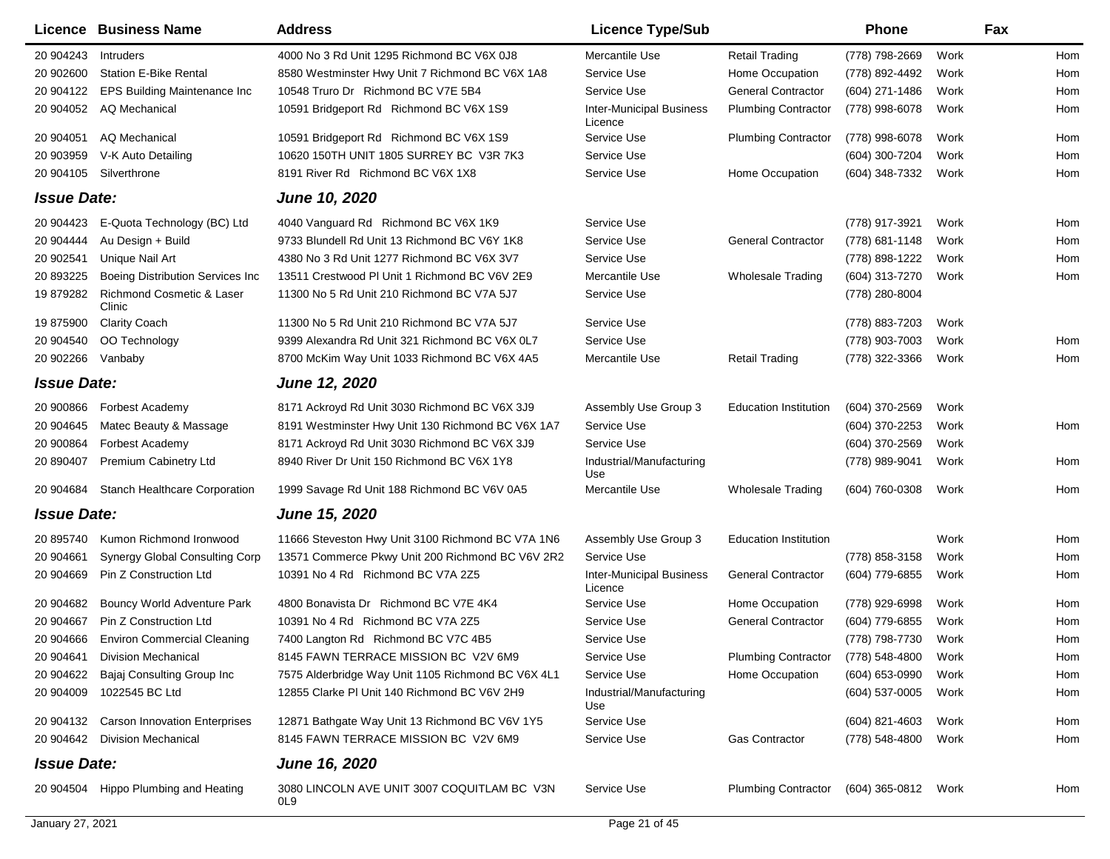|                    | Licence Business Name                   | <b>Address</b>                                                 | <b>Licence Type/Sub</b>                    |                              | Phone            |      | Fax |
|--------------------|-----------------------------------------|----------------------------------------------------------------|--------------------------------------------|------------------------------|------------------|------|-----|
| 20 904243          | Intruders                               | 4000 No 3 Rd Unit 1295 Richmond BC V6X 0J8                     | Mercantile Use                             | <b>Retail Trading</b>        | (778) 798-2669   | Work | Hom |
| 20 902600          | <b>Station E-Bike Rental</b>            | 8580 Westminster Hwy Unit 7 Richmond BC V6X 1A8                | Service Use                                | Home Occupation              | (778) 892-4492   | Work | Hom |
| 20 904122          | EPS Building Maintenance Inc            | 10548 Truro Dr Richmond BC V7E 5B4                             | Service Use                                | <b>General Contractor</b>    | (604) 271-1486   | Work | Hom |
| 20 904052          | AQ Mechanical                           | 10591 Bridgeport Rd Richmond BC V6X 1S9                        | <b>Inter-Municipal Business</b><br>Licence | <b>Plumbing Contractor</b>   | (778) 998-6078   | Work | Hom |
| 20 904051          | AQ Mechanical                           | 10591 Bridgeport Rd Richmond BC V6X 1S9                        | Service Use                                | <b>Plumbing Contractor</b>   | (778) 998-6078   | Work | Hom |
| 20 903959          | V-K Auto Detailing                      | 10620 150TH UNIT 1805 SURREY BC V3R 7K3                        | Service Use                                |                              | (604) 300-7204   | Work | Hom |
| 20 904105          | Silverthrone                            | 8191 River Rd Richmond BC V6X 1X8                              | Service Use                                | Home Occupation              | (604) 348-7332   | Work | Hom |
| <b>Issue Date:</b> |                                         | <b>June 10, 2020</b>                                           |                                            |                              |                  |      |     |
| 20 904423          | E-Quota Technology (BC) Ltd             | 4040 Vanguard Rd Richmond BC V6X 1K9                           | Service Use                                |                              | (778) 917-3921   | Work | Hom |
| 20 904444          | Au Design + Build                       | 9733 Blundell Rd Unit 13 Richmond BC V6Y 1K8                   | Service Use                                | <b>General Contractor</b>    | (778) 681-1148   | Work | Hom |
| 20 902541          | Unique Nail Art                         | 4380 No 3 Rd Unit 1277 Richmond BC V6X 3V7                     | Service Use                                |                              | (778) 898-1222   | Work | Hom |
| 20 893225          | <b>Boeing Distribution Services Inc</b> | 13511 Crestwood PI Unit 1 Richmond BC V6V 2E9                  | Mercantile Use                             | <b>Wholesale Trading</b>     | (604) 313-7270   | Work | Hom |
| 19 879282          | Richmond Cosmetic & Laser<br>Clinic     | 11300 No 5 Rd Unit 210 Richmond BC V7A 5J7                     | Service Use                                |                              | (778) 280-8004   |      |     |
| 19 875900          | <b>Clarity Coach</b>                    | 11300 No 5 Rd Unit 210 Richmond BC V7A 5J7                     | Service Use                                |                              | (778) 883-7203   | Work |     |
| 20 904540          | OO Technology                           | 9399 Alexandra Rd Unit 321 Richmond BC V6X 0L7                 | Service Use                                |                              | (778) 903-7003   | Work | Hom |
| 20 902266          | Vanbaby                                 | 8700 McKim Way Unit 1033 Richmond BC V6X 4A5                   | Mercantile Use                             | <b>Retail Trading</b>        | (778) 322-3366   | Work | Hom |
| <b>Issue Date:</b> |                                         | June 12, 2020                                                  |                                            |                              |                  |      |     |
| 20 900866          | Forbest Academy                         | 8171 Ackroyd Rd Unit 3030 Richmond BC V6X 3J9                  | Assembly Use Group 3                       | <b>Education Institution</b> | (604) 370-2569   | Work |     |
| 20 904645          | Matec Beauty & Massage                  | 8191 Westminster Hwy Unit 130 Richmond BC V6X 1A7              | Service Use                                |                              | (604) 370-2253   | Work | Hom |
| 20 900864          | Forbest Academy                         | 8171 Ackroyd Rd Unit 3030 Richmond BC V6X 3J9                  | Service Use                                |                              | (604) 370-2569   | Work |     |
| 20 890407          | <b>Premium Cabinetry Ltd</b>            | 8940 River Dr Unit 150 Richmond BC V6X 1Y8                     | Industrial/Manufacturing<br>Use            |                              | (778) 989-9041   | Work | Hom |
| 20 904684          | <b>Stanch Healthcare Corporation</b>    | 1999 Savage Rd Unit 188 Richmond BC V6V 0A5                    | Mercantile Use                             | Wholesale Trading            | (604) 760-0308   | Work | Hom |
| <b>Issue Date:</b> |                                         | <b>June 15, 2020</b>                                           |                                            |                              |                  |      |     |
| 20 895740          | Kumon Richmond Ironwood                 | 11666 Steveston Hwy Unit 3100 Richmond BC V7A 1N6              | Assembly Use Group 3                       | <b>Education Institution</b> |                  | Work | Hom |
| 20 904661          | Synergy Global Consulting Corp          | 13571 Commerce Pkwy Unit 200 Richmond BC V6V 2R2               | Service Use                                |                              | (778) 858-3158   | Work | Hom |
| 20 904669          | Pin Z Construction Ltd                  | 10391 No 4 Rd Richmond BC V7A 2Z5                              | <b>Inter-Municipal Business</b><br>Licence | <b>General Contractor</b>    | (604) 779-6855   | Work | Hom |
| 20 904682          | Bouncy World Adventure Park             | 4800 Bonavista Dr Richmond BC V7E 4K4                          | Service Use                                | Home Occupation              | (778) 929-6998   | Work | Hom |
| 20 904667          | Pin Z Construction Ltd                  | 10391 No 4 Rd Richmond BC V7A 2Z5                              | Service Use                                | <b>General Contractor</b>    | (604) 779-6855   | Work | Hom |
| 20 904666          | <b>Environ Commercial Cleaning</b>      | 7400 Langton Rd Richmond BC V7C 4B5                            | Service Use                                |                              | (778) 798-7730   | Work | Hom |
| 20 904641          | <b>Division Mechanical</b>              | 8145 FAWN TERRACE MISSION BC V2V 6M9                           | Service Use                                | <b>Plumbing Contractor</b>   | (778) 548-4800   | Work | Hom |
| 20 904622          | Bajaj Consulting Group Inc              | 7575 Alderbridge Way Unit 1105 Richmond BC V6X 4L1             | Service Use                                | Home Occupation              | (604) 653-0990   | Work | Hom |
| 20 904009          | 1022545 BC Ltd                          | 12855 Clarke PI Unit 140 Richmond BC V6V 2H9                   | Industrial/Manufacturing<br>Use            |                              | (604) 537-0005   | Work | Hom |
| 20 904132          | <b>Carson Innovation Enterprises</b>    | 12871 Bathgate Way Unit 13 Richmond BC V6V 1Y5                 | Service Use                                |                              | $(604)$ 821-4603 | Work | Hom |
| 20 904642          | <b>Division Mechanical</b>              | 8145 FAWN TERRACE MISSION BC V2V 6M9                           | Service Use                                | Gas Contractor               | (778) 548-4800   | Work | Hom |
| <b>Issue Date:</b> |                                         | <b>June 16, 2020</b>                                           |                                            |                              |                  |      |     |
| 20 904504          | Hippo Plumbing and Heating              | 3080 LINCOLN AVE UNIT 3007 COQUITLAM BC V3N<br>OL <sub>9</sub> | Service Use                                | <b>Plumbing Contractor</b>   | (604) 365-0812   | Work | Hom |
| January 27, 2021   |                                         |                                                                | Page 21 of 45                              |                              |                  |      |     |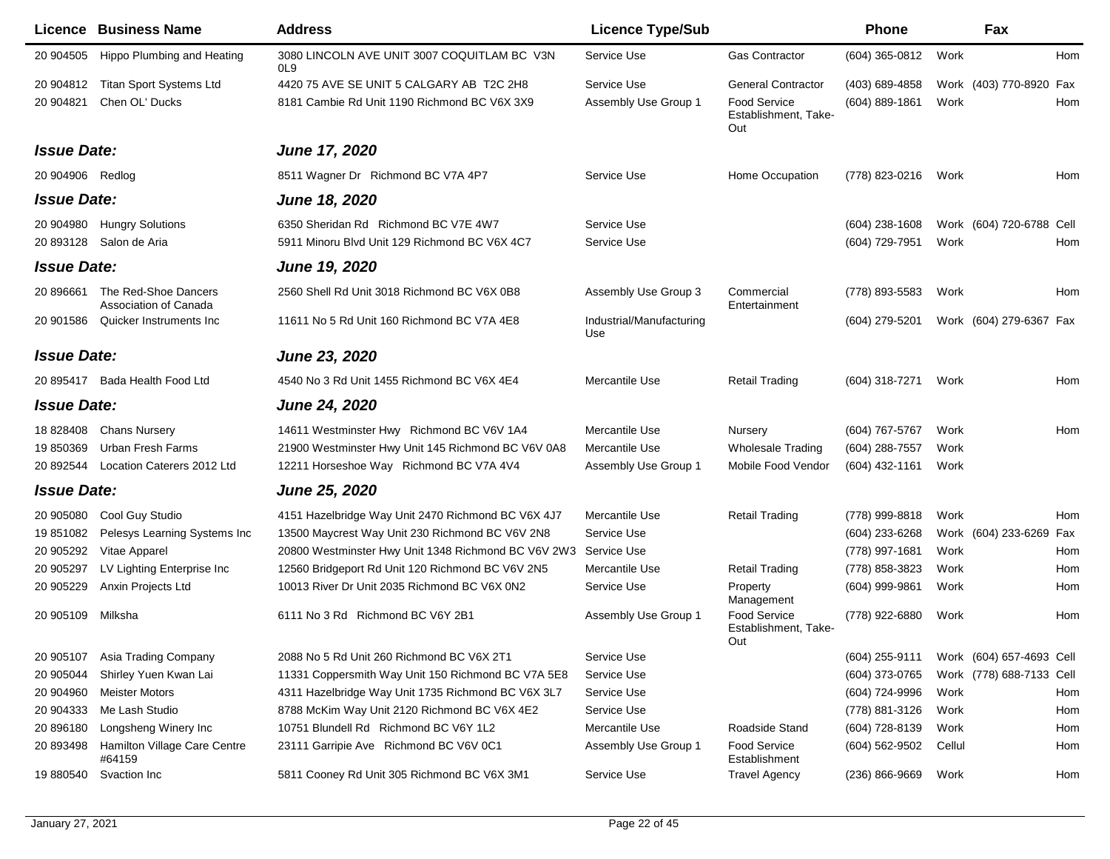|                    | <b>Licence Business Name</b>                  | <b>Address</b>                                                  | <b>Licence Type/Sub</b>         |                                                    | Phone              | Fax                      |     |
|--------------------|-----------------------------------------------|-----------------------------------------------------------------|---------------------------------|----------------------------------------------------|--------------------|--------------------------|-----|
| 20 904505          | Hippo Plumbing and Heating                    | 3080 LINCOLN AVE UNIT 3007 COQUITLAM BC V3N<br>OL <sub>9</sub>  | Service Use                     | <b>Gas Contractor</b>                              | $(604)$ 365-0812   | Work                     | Hom |
| 20 904812          | <b>Titan Sport Systems Ltd</b>                | 4420 75 AVE SE UNIT 5 CALGARY AB T2C 2H8                        | Service Use                     | <b>General Contractor</b>                          | (403) 689-4858     | Work (403) 770-8920      | Fax |
| 20 904821          | Chen OL' Ducks                                | 8181 Cambie Rd Unit 1190 Richmond BC V6X 3X9                    | Assembly Use Group 1            | <b>Food Service</b><br>Establishment, Take-<br>Out | $(604)$ 889-1861   | Work                     | Hom |
| <b>Issue Date:</b> |                                               | <b>June 17, 2020</b>                                            |                                 |                                                    |                    |                          |     |
| 20 904906          | Redlog                                        | 8511 Wagner Dr Richmond BC V7A 4P7                              | Service Use                     | Home Occupation                                    | (778) 823-0216     | Work                     | Hom |
| <b>Issue Date:</b> |                                               | June 18, 2020                                                   |                                 |                                                    |                    |                          |     |
| 20 904980          | <b>Hungry Solutions</b>                       | 6350 Sheridan Rd Richmond BC V7E 4W7                            | Service Use                     |                                                    | $(604)$ 238-1608   | Work (604) 720-6788 Cell |     |
| 20 893128          | Salon de Aria                                 | 5911 Minoru Blvd Unit 129 Richmond BC V6X 4C7                   | Service Use                     |                                                    | (604) 729-7951     | Work                     | Hom |
| <b>Issue Date:</b> |                                               | June 19, 2020                                                   |                                 |                                                    |                    |                          |     |
| 20 896661          | The Red-Shoe Dancers<br>Association of Canada | 2560 Shell Rd Unit 3018 Richmond BC V6X 0B8                     | Assembly Use Group 3            | Commercial<br>Entertainment                        | (778) 893-5583     | Work                     | Hom |
| 20 901586          | Quicker Instruments Inc                       | 11611 No 5 Rd Unit 160 Richmond BC V7A 4E8                      | Industrial/Manufacturing<br>Use |                                                    | (604) 279-5201     | Work (604) 279-6367 Fax  |     |
| <b>Issue Date:</b> |                                               | <b>June 23, 2020</b>                                            |                                 |                                                    |                    |                          |     |
|                    | 20 895417 Bada Health Food Ltd                | 4540 No 3 Rd Unit 1455 Richmond BC V6X 4E4                      | Mercantile Use                  | <b>Retail Trading</b>                              | (604) 318-7271     | Work                     | Hom |
| <b>Issue Date:</b> |                                               | <b>June 24, 2020</b>                                            |                                 |                                                    |                    |                          |     |
| 18 828408          | <b>Chans Nursery</b>                          | 14611 Westminster Hwy Richmond BC V6V 1A4                       | Mercantile Use                  | Nursery                                            | (604) 767-5767     | Work                     | Hom |
| 19 850369          | Urban Fresh Farms                             | 21900 Westminster Hwy Unit 145 Richmond BC V6V 0A8              | Mercantile Use                  | <b>Wholesale Trading</b>                           | (604) 288-7557     | Work                     |     |
| 20 892544          | Location Caterers 2012 Ltd                    | 12211 Horseshoe Way Richmond BC V7A 4V4                         | Assembly Use Group 1            | Mobile Food Vendor                                 | (604) 432-1161     | Work                     |     |
| <b>Issue Date:</b> |                                               | <b>June 25, 2020</b>                                            |                                 |                                                    |                    |                          |     |
| 20 905080          | Cool Guy Studio                               | 4151 Hazelbridge Way Unit 2470 Richmond BC V6X 4J7              | Mercantile Use                  | <b>Retail Trading</b>                              | (778) 999-8818     | Work                     | Hom |
| 19 851082          | Pelesys Learning Systems Inc                  | 13500 Maycrest Way Unit 230 Richmond BC V6V 2N8                 | Service Use                     |                                                    | (604) 233-6268     | Work (604) 233-6269      | Fax |
| 20 905292          | Vitae Apparel                                 | 20800 Westminster Hwy Unit 1348 Richmond BC V6V 2W3 Service Use |                                 |                                                    | (778) 997-1681     | Work                     | Hom |
| 20 905297          | LV Lighting Enterprise Inc                    | 12560 Bridgeport Rd Unit 120 Richmond BC V6V 2N5                | Mercantile Use                  | <b>Retail Trading</b>                              | (778) 858-3823     | Work                     | Hom |
| 20 905229          | Anxin Projects Ltd                            | 10013 River Dr Unit 2035 Richmond BC V6X 0N2                    | Service Use                     | Property<br>Management                             | (604) 999-9861     | Work                     | Hom |
| 20 905109          | Milksha                                       | 6111 No 3 Rd Richmond BC V6Y 2B1                                | Assembly Use Group 1            | <b>Food Service</b><br>Establishment, Take-<br>Out | (778) 922-6880     | Work                     | Hom |
| 20 905107          | Asia Trading Company                          | 2088 No 5 Rd Unit 260 Richmond BC V6X 2T1                       | Service Use                     |                                                    | (604) 255-9111     | Work (604) 657-4693 Cell |     |
| 20 905044          | Shirley Yuen Kwan Lai                         | 11331 Coppersmith Way Unit 150 Richmond BC V7A 5E8              | Service Use                     |                                                    | (604) 373-0765     | Work (778) 688-7133 Cell |     |
| 20 904960          | <b>Meister Motors</b>                         | 4311 Hazelbridge Way Unit 1735 Richmond BC V6X 3L7              | Service Use                     |                                                    | (604) 724-9996     | Work                     | Hom |
| 20 904333          | Me Lash Studio                                | 8788 McKim Way Unit 2120 Richmond BC V6X 4E2                    | Service Use                     |                                                    | (778) 881-3126     | Work                     | Hom |
| 20 896180          | Longsheng Winery Inc                          | 10751 Blundell Rd Richmond BC V6Y 1L2                           | Mercantile Use                  | Roadside Stand                                     | (604) 728-8139     | Work                     | Hom |
| 20 893498          | Hamilton Village Care Centre<br>#64159        | 23111 Garripie Ave Richmond BC V6V 0C1                          | Assembly Use Group 1            | <b>Food Service</b><br>Establishment               | (604) 562-9502     | Cellul                   | Hom |
| 19 880540          | Svaction Inc                                  | 5811 Cooney Rd Unit 305 Richmond BC V6X 3M1                     | Service Use                     | <b>Travel Agency</b>                               | $(236) 866 - 9669$ | Work                     | Hom |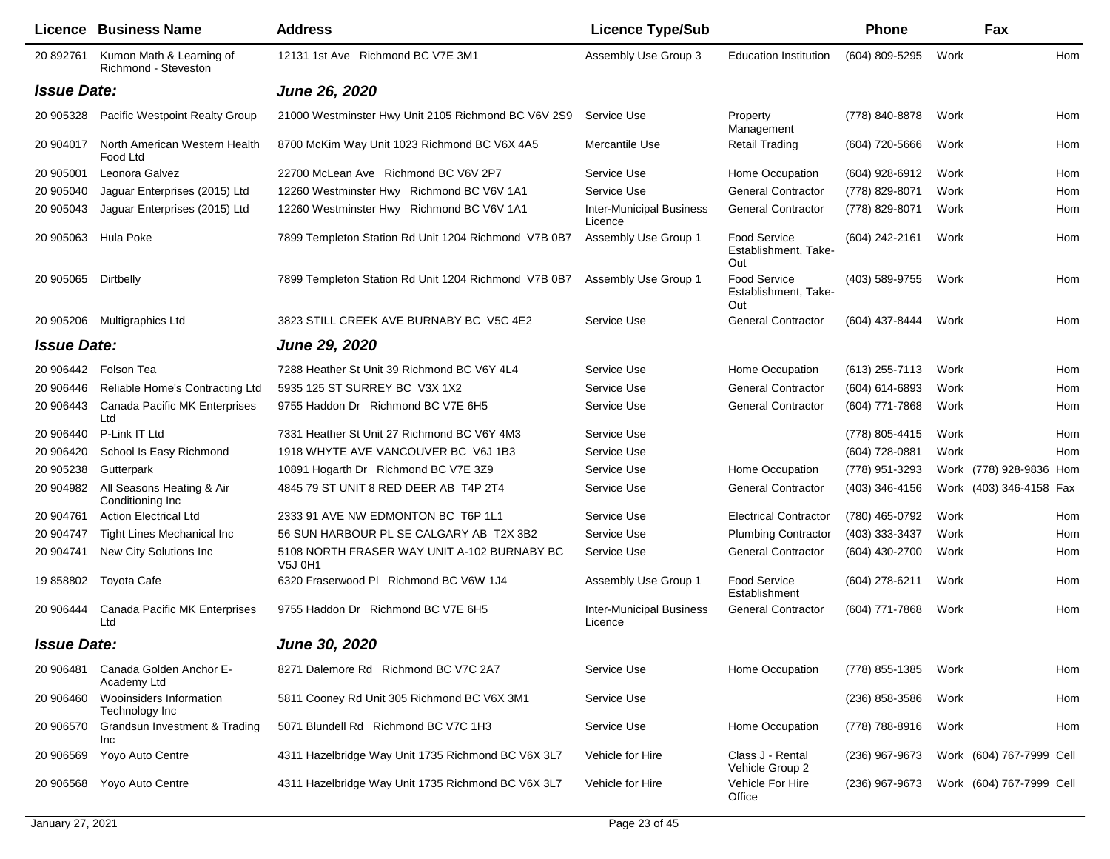|                    | Licence Business Name                            | <b>Address</b>                                         | <b>Licence Type/Sub</b>                    |                                                    | <b>Phone</b>     | Fax                      |     |
|--------------------|--------------------------------------------------|--------------------------------------------------------|--------------------------------------------|----------------------------------------------------|------------------|--------------------------|-----|
| 20 892761          | Kumon Math & Learning of<br>Richmond - Steveston | 12131 1st Ave Richmond BC V7E 3M1                      | Assembly Use Group 3                       | <b>Education Institution</b>                       | (604) 809-5295   | Work                     | Hom |
| <b>Issue Date:</b> |                                                  | June 26, 2020                                          |                                            |                                                    |                  |                          |     |
| 20 905328          | Pacific Westpoint Realty Group                   | 21000 Westminster Hwy Unit 2105 Richmond BC V6V 2S9    | Service Use                                | Property<br>Management                             | (778) 840-8878   | Work                     | Hom |
| 20 904017          | North American Western Health<br>Food Ltd        | 8700 McKim Way Unit 1023 Richmond BC V6X 4A5           | Mercantile Use                             | <b>Retail Trading</b>                              | (604) 720-5666   | Work                     | Hom |
| 20 905001          | Leonora Galvez                                   | 22700 McLean Ave Richmond BC V6V 2P7                   | Service Use                                | Home Occupation                                    | (604) 928-6912   | Work                     | Hom |
| 20 905040          | Jaguar Enterprises (2015) Ltd                    | 12260 Westminster Hwy Richmond BC V6V 1A1              | Service Use                                | <b>General Contractor</b>                          | (778) 829-8071   | Work                     | Hom |
| 20 905043          | Jaguar Enterprises (2015) Ltd                    | 12260 Westminster Hwy Richmond BC V6V 1A1              | <b>Inter-Municipal Business</b><br>Licence | <b>General Contractor</b>                          | (778) 829-8071   | Work                     | Hom |
| 20 905063          | Hula Poke                                        | 7899 Templeton Station Rd Unit 1204 Richmond V7B 0B7   | Assembly Use Group 1                       | <b>Food Service</b><br>Establishment, Take-<br>Out | (604) 242-2161   | Work                     | Hom |
| 20 905065          | Dirtbelly                                        | 7899 Templeton Station Rd Unit 1204 Richmond V7B 0B7   | Assembly Use Group 1                       | Food Service<br>Establishment, Take-<br>Out        | (403) 589-9755   | Work                     | Hom |
| 20 905206          | Multigraphics Ltd                                | 3823 STILL CREEK AVE BURNABY BC V5C 4E2                | Service Use                                | <b>General Contractor</b>                          | (604) 437-8444   | Work                     | Hom |
| <b>Issue Date:</b> |                                                  | <b>June 29, 2020</b>                                   |                                            |                                                    |                  |                          |     |
| 20 906442          | Folson Tea                                       | 7288 Heather St Unit 39 Richmond BC V6Y 4L4            | Service Use                                | Home Occupation                                    | (613) 255-7113   | Work                     | Hom |
| 20 906446          | Reliable Home's Contracting Ltd                  | 5935 125 ST SURREY BC V3X 1X2                          | Service Use                                | <b>General Contractor</b>                          | (604) 614-6893   | Work                     | Hom |
| 20 906443          | Canada Pacific MK Enterprises<br>Ltd             | 9755 Haddon Dr Richmond BC V7E 6H5                     | Service Use                                | <b>General Contractor</b>                          | (604) 771-7868   | Work                     | Hom |
| 20 906440          | P-Link IT Ltd                                    | 7331 Heather St Unit 27 Richmond BC V6Y 4M3            | Service Use                                |                                                    | (778) 805-4415   | Work                     | Hom |
| 20 906420          | School Is Easy Richmond                          | 1918 WHYTE AVE VANCOUVER BC V6J 1B3                    | Service Use                                |                                                    | (604) 728-0881   | Work                     | Hom |
| 20 905238          | Gutterpark                                       | 10891 Hogarth Dr Richmond BC V7E 3Z9                   | Service Use                                | Home Occupation                                    | (778) 951-3293   | Work (778) 928-9836 Hom  |     |
| 20 904982          | All Seasons Heating & Air<br>Conditioning Inc    | 4845 79 ST UNIT 8 RED DEER AB T4P 2T4                  | Service Use                                | <b>General Contractor</b>                          | (403) 346-4156   | Work (403) 346-4158 Fax  |     |
| 20 904761          | <b>Action Electrical Ltd</b>                     | 2333 91 AVE NW EDMONTON BC T6P 1L1                     | Service Use                                | <b>Electrical Contractor</b>                       | (780) 465-0792   | Work                     | Hom |
| 20 904747          | <b>Tight Lines Mechanical Inc.</b>               | 56 SUN HARBOUR PL SE CALGARY AB T2X 3B2                | Service Use                                | <b>Plumbing Contractor</b>                         | (403) 333-3437   | Work                     | Hom |
| 20 904741          | New City Solutions Inc                           | 5108 NORTH FRASER WAY UNIT A-102 BURNABY BC<br>V5J 0H1 | Service Use                                | <b>General Contractor</b>                          | (604) 430-2700   | Work                     | Hom |
| 19 858802          | Toyota Cafe                                      | 6320 Fraserwood PI Richmond BC V6W 1J4                 | Assembly Use Group 1                       | <b>Food Service</b><br>Establishment               | (604) 278-6211   | Work                     | Hom |
| 20 906444          | Canada Pacific MK Enterprises<br>Ltd             | 9755 Haddon Dr Richmond BC V7E 6H5                     | <b>Inter-Municipal Business</b><br>Licence | <b>General Contractor</b>                          | (604) 771-7868   | Work                     | Hom |
| <b>Issue Date:</b> |                                                  | <b>June 30, 2020</b>                                   |                                            |                                                    |                  |                          |     |
| 20 906481          | Canada Golden Anchor E-<br>Academy Ltd           | 8271 Dalemore Rd Richmond BC V7C 2A7                   | Service Use                                | Home Occupation                                    | (778) 855-1385   | Work                     | Hom |
| 20 906460          | Wooinsiders Information<br>Technology Inc        | 5811 Cooney Rd Unit 305 Richmond BC V6X 3M1            | Service Use                                |                                                    | $(236)$ 858-3586 | Work                     | Hom |
| 20 906570          | Grandsun Investment & Trading<br>Inc             | 5071 Blundell Rd Richmond BC V7C 1H3                   | Service Use                                | Home Occupation                                    | (778) 788-8916   | Work                     | Hom |
| 20 906569          | Yoyo Auto Centre                                 | 4311 Hazelbridge Way Unit 1735 Richmond BC V6X 3L7     | Vehicle for Hire                           | Class J - Rental<br>Vehicle Group 2                | (236) 967-9673   | Work (604) 767-7999 Cell |     |
| 20 906568          | Yoyo Auto Centre                                 | 4311 Hazelbridge Way Unit 1735 Richmond BC V6X 3L7     | Vehicle for Hire                           | Vehicle For Hire<br>Office                         | (236) 967-9673   | Work (604) 767-7999 Cell |     |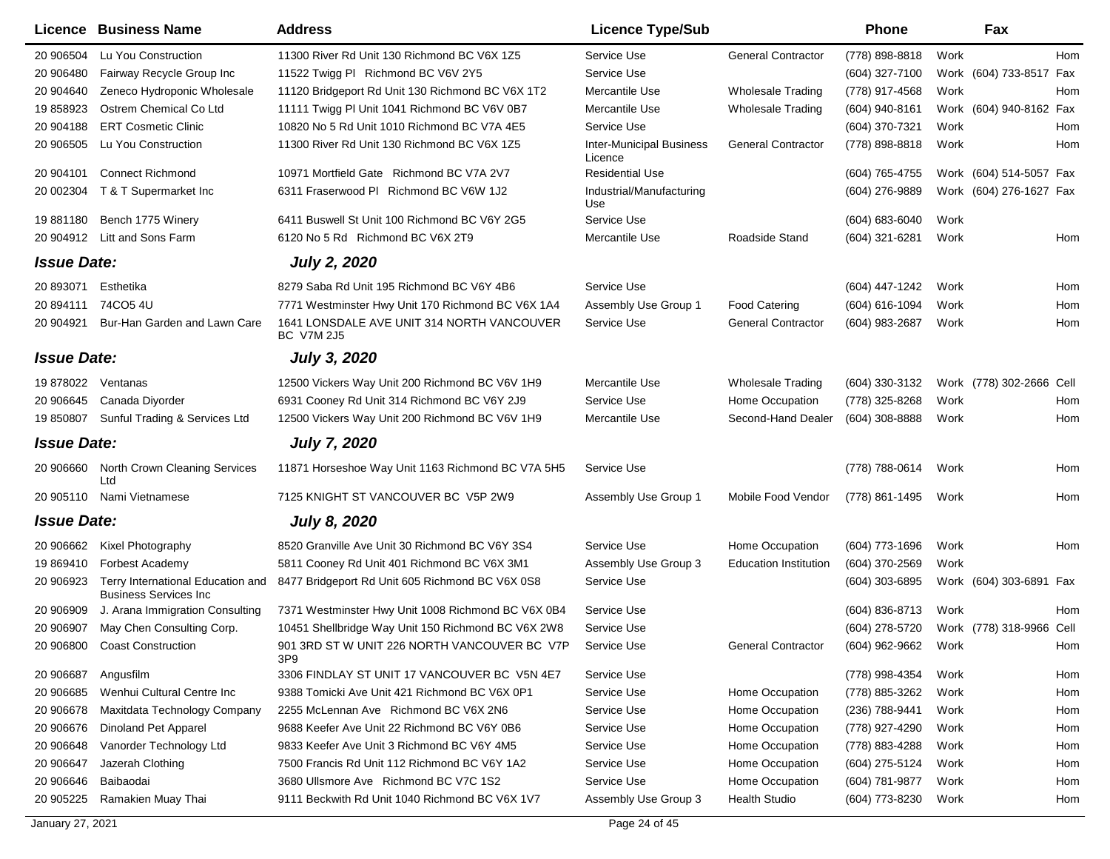|                    | Licence Business Name                                              | <b>Address</b>                                                  | <b>Licence Type/Sub</b>                    |                              | Phone            |      | Fax                      |     |
|--------------------|--------------------------------------------------------------------|-----------------------------------------------------------------|--------------------------------------------|------------------------------|------------------|------|--------------------------|-----|
| 20 906504          | Lu You Construction                                                | 11300 River Rd Unit 130 Richmond BC V6X 1Z5                     | Service Use                                | <b>General Contractor</b>    | (778) 898-8818   | Work |                          | Hom |
| 20 906480          | Fairway Recycle Group Inc                                          | 11522 Twigg PI Richmond BC V6V 2Y5                              | Service Use                                |                              | (604) 327-7100   |      | Work (604) 733-8517 Fax  |     |
| 20 904640          | Zeneco Hydroponic Wholesale                                        | 11120 Bridgeport Rd Unit 130 Richmond BC V6X 1T2                | Mercantile Use                             | <b>Wholesale Trading</b>     | (778) 917-4568   | Work |                          | Hom |
| 19 858923          | Ostrem Chemical Co Ltd                                             | 11111 Twigg PI Unit 1041 Richmond BC V6V 0B7                    | Mercantile Use                             | <b>Wholesale Trading</b>     | (604) 940-8161   |      | Work (604) 940-8162 Fax  |     |
| 20 904188          | <b>ERT Cosmetic Clinic</b>                                         | 10820 No 5 Rd Unit 1010 Richmond BC V7A 4E5                     | Service Use                                |                              | (604) 370-7321   | Work |                          | Hom |
| 20 906505          | Lu You Construction                                                | 11300 River Rd Unit 130 Richmond BC V6X 1Z5                     | <b>Inter-Municipal Business</b><br>Licence | <b>General Contractor</b>    | (778) 898-8818   | Work |                          | Hom |
| 20 904101          | <b>Connect Richmond</b>                                            | 10971 Mortfield Gate Richmond BC V7A 2V7                        | <b>Residential Use</b>                     |                              | (604) 765-4755   |      | Work (604) 514-5057 Fax  |     |
| 20 002304          | T & T Supermarket Inc                                              | 6311 Fraserwood PI Richmond BC V6W 1J2                          | Industrial/Manufacturing<br>Use            |                              | (604) 276-9889   |      | Work (604) 276-1627 Fax  |     |
| 19881180           | Bench 1775 Winery                                                  | 6411 Buswell St Unit 100 Richmond BC V6Y 2G5                    | Service Use                                |                              | (604) 683-6040   | Work |                          |     |
| 20 904912          | Litt and Sons Farm                                                 | 6120 No 5 Rd Richmond BC V6X 2T9                                | Mercantile Use                             | Roadside Stand               | (604) 321-6281   | Work |                          | Hom |
| <b>Issue Date:</b> |                                                                    | <b>July 2, 2020</b>                                             |                                            |                              |                  |      |                          |     |
| 20 893071          | Esthetika                                                          | 8279 Saba Rd Unit 195 Richmond BC V6Y 4B6                       | Service Use                                |                              | (604) 447-1242   | Work |                          | Hom |
| 20 894111          | 74CO5 4U                                                           | 7771 Westminster Hwy Unit 170 Richmond BC V6X 1A4               | Assembly Use Group 1                       | <b>Food Catering</b>         | $(604)$ 616-1094 | Work |                          | Hom |
| 20 904921          | Bur-Han Garden and Lawn Care                                       | 1641 LONSDALE AVE UNIT 314 NORTH VANCOUVER<br><b>BC V7M 2J5</b> | Service Use                                | <b>General Contractor</b>    | (604) 983-2687   | Work |                          | Hom |
| <b>Issue Date:</b> |                                                                    | <b>July 3, 2020</b>                                             |                                            |                              |                  |      |                          |     |
| 19 878022 Ventanas |                                                                    | 12500 Vickers Way Unit 200 Richmond BC V6V 1H9                  | Mercantile Use                             | <b>Wholesale Trading</b>     | (604) 330-3132   |      | Work (778) 302-2666 Cell |     |
| 20 906645          | Canada Diyorder                                                    | 6931 Cooney Rd Unit 314 Richmond BC V6Y 2J9                     | Service Use                                | Home Occupation              | (778) 325-8268   | Work |                          | Hom |
| 19 850807          | Sunful Trading & Services Ltd                                      | 12500 Vickers Way Unit 200 Richmond BC V6V 1H9                  | Mercantile Use                             | Second-Hand Dealer           | (604) 308-8888   | Work |                          | Hom |
| <b>Issue Date:</b> |                                                                    | <b>July 7, 2020</b>                                             |                                            |                              |                  |      |                          |     |
| 20 906660          | North Crown Cleaning Services<br>Ltd                               | 11871 Horseshoe Way Unit 1163 Richmond BC V7A 5H5               | Service Use                                |                              | (778) 788-0614   | Work |                          | Hom |
| 20 905110          | Nami Vietnamese                                                    | 7125 KNIGHT ST VANCOUVER BC V5P 2W9                             | Assembly Use Group 1                       | Mobile Food Vendor           | (778) 861-1495   | Work |                          | Hom |
| <b>Issue Date:</b> |                                                                    | <b>July 8, 2020</b>                                             |                                            |                              |                  |      |                          |     |
| 20 906662          | Kixel Photography                                                  | 8520 Granville Ave Unit 30 Richmond BC V6Y 3S4                  | Service Use                                | Home Occupation              | (604) 773-1696   | Work |                          | Hom |
| 19 869410          | <b>Forbest Academy</b>                                             | 5811 Cooney Rd Unit 401 Richmond BC V6X 3M1                     | Assembly Use Group 3                       | <b>Education Institution</b> | (604) 370-2569   | Work |                          |     |
| 20 906923          | Terry International Education and<br><b>Business Services Inc.</b> | 8477 Bridgeport Rd Unit 605 Richmond BC V6X 0S8                 | Service Use                                |                              | (604) 303-6895   |      | Work (604) 303-6891 Fax  |     |
| 20 906909          | J. Arana Immigration Consulting                                    | 7371 Westminster Hwy Unit 1008 Richmond BC V6X 0B4              | Service Use                                |                              | (604) 836-8713   | Work |                          | Hom |
| 20 906907          | May Chen Consulting Corp.                                          | 10451 Shellbridge Way Unit 150 Richmond BC V6X 2W8              | Service Use                                |                              | (604) 278-5720   |      | Work (778) 318-9966 Cell |     |
|                    | 20 906800 Coast Construction                                       | 901 3RD ST W UNIT 226 NORTH VANCOUVER BC V7P<br>3P9             | Service Use                                | General Contractor           | (604) 962-9662   | Work |                          | Hom |
| 20 906687          | Angusfilm                                                          | 3306 FINDLAY ST UNIT 17 VANCOUVER BC V5N 4E7                    | Service Use                                |                              | (778) 998-4354   | Work |                          | Hom |
| 20 906685          | Wenhui Cultural Centre Inc                                         | 9388 Tomicki Ave Unit 421 Richmond BC V6X 0P1                   | Service Use                                | Home Occupation              | (778) 885-3262   | Work |                          | Hom |
| 20 906678          | Maxitdata Technology Company                                       | 2255 McLennan Ave Richmond BC V6X 2N6                           | Service Use                                | Home Occupation              | (236) 788-9441   | Work |                          | Hom |
| 20 906676          | Dinoland Pet Apparel                                               | 9688 Keefer Ave Unit 22 Richmond BC V6Y 0B6                     | Service Use                                | Home Occupation              | (778) 927-4290   | Work |                          | Hom |
| 20 906648          | Vanorder Technology Ltd                                            | 9833 Keefer Ave Unit 3 Richmond BC V6Y 4M5                      | Service Use                                | Home Occupation              | (778) 883-4288   | Work |                          | Hom |
| 20 906647          | Jazerah Clothing                                                   | 7500 Francis Rd Unit 112 Richmond BC V6Y 1A2                    | Service Use                                | Home Occupation              | (604) 275-5124   | Work |                          | Hom |
| 20 906646          | Baibaodai                                                          | 3680 Ullsmore Ave Richmond BC V7C 1S2                           | Service Use                                | Home Occupation              | (604) 781-9877   | Work |                          | Hom |
| 20 905225          | Ramakien Muay Thai                                                 | 9111 Beckwith Rd Unit 1040 Richmond BC V6X 1V7                  | Assembly Use Group 3                       | <b>Health Studio</b>         | (604) 773-8230   | Work |                          | Hom |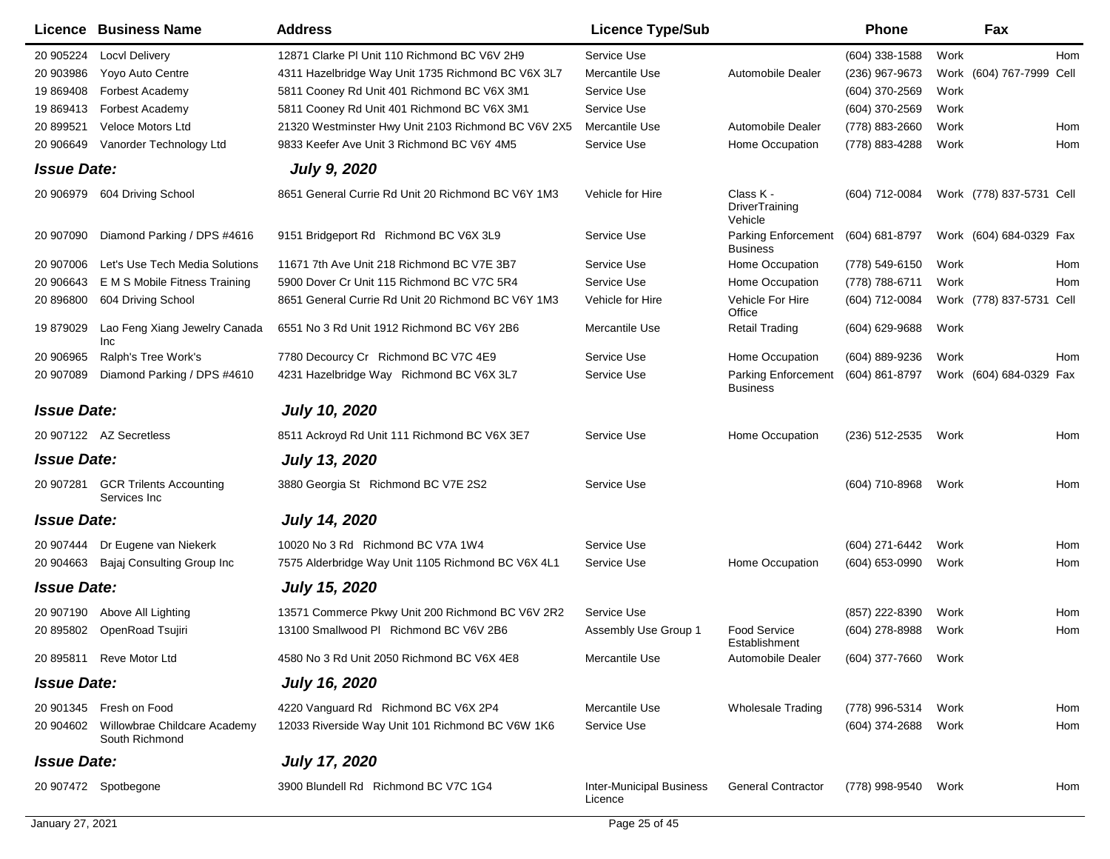|                    | Licence Business Name                                    | <b>Address</b>                                      | <b>Licence Type/Sub</b>                    |                                               | <b>Phone</b>     |      | Fax                      |     |
|--------------------|----------------------------------------------------------|-----------------------------------------------------|--------------------------------------------|-----------------------------------------------|------------------|------|--------------------------|-----|
| 20 905224          | <b>Locvl Delivery</b>                                    | 12871 Clarke PI Unit 110 Richmond BC V6V 2H9        | Service Use                                |                                               | (604) 338-1588   | Work |                          | Hom |
| 20 903986          | Yoyo Auto Centre                                         | 4311 Hazelbridge Way Unit 1735 Richmond BC V6X 3L7  | Mercantile Use                             | Automobile Dealer                             | (236) 967-9673   |      | Work (604) 767-7999 Cell |     |
| 19 869408          | Forbest Academy                                          | 5811 Cooney Rd Unit 401 Richmond BC V6X 3M1         | Service Use                                |                                               | (604) 370-2569   | Work |                          |     |
| 19 869413          | Forbest Academy                                          | 5811 Cooney Rd Unit 401 Richmond BC V6X 3M1         | Service Use                                |                                               | (604) 370-2569   | Work |                          |     |
| 20 899521          | <b>Veloce Motors Ltd</b>                                 | 21320 Westminster Hwy Unit 2103 Richmond BC V6V 2X5 | Mercantile Use                             | Automobile Dealer                             | (778) 883-2660   | Work |                          | Hom |
| 20 906649          | Vanorder Technology Ltd                                  | 9833 Keefer Ave Unit 3 Richmond BC V6Y 4M5          | Service Use                                | Home Occupation                               | (778) 883-4288   | Work |                          | Hom |
| <b>Issue Date:</b> |                                                          | <b>July 9, 2020</b>                                 |                                            |                                               |                  |      |                          |     |
| 20 906979          | 604 Driving School                                       | 8651 General Currie Rd Unit 20 Richmond BC V6Y 1M3  | Vehicle for Hire                           | Class K -<br><b>DriverTraining</b><br>Vehicle | (604) 712-0084   |      | Work (778) 837-5731 Cell |     |
| 20 907090          | Diamond Parking / DPS #4616                              | 9151 Bridgeport Rd Richmond BC V6X 3L9              | Service Use                                | <b>Parking Enforcement</b><br><b>Business</b> | (604) 681-8797   |      | Work (604) 684-0329 Fax  |     |
| 20 907006          | Let's Use Tech Media Solutions                           | 11671 7th Ave Unit 218 Richmond BC V7E 3B7          | Service Use                                | Home Occupation                               | (778) 549-6150   | Work |                          | Hom |
| 20 906643          | E M S Mobile Fitness Training                            | 5900 Dover Cr Unit 115 Richmond BC V7C 5R4          | Service Use                                | Home Occupation                               | (778) 788-6711   | Work |                          | Hom |
| 20 896800          | 604 Driving School                                       | 8651 General Currie Rd Unit 20 Richmond BC V6Y 1M3  | Vehicle for Hire                           | Vehicle For Hire<br>Office                    | (604) 712-0084   |      | Work (778) 837-5731 Cell |     |
| 19 879029          | Lao Feng Xiang Jewelry Canada<br>Inc                     | 6551 No 3 Rd Unit 1912 Richmond BC V6Y 2B6          | Mercantile Use                             | <b>Retail Trading</b>                         | $(604)$ 629-9688 | Work |                          |     |
| 20 906965          | Ralph's Tree Work's                                      | 7780 Decourcy Cr Richmond BC V7C 4E9                | Service Use                                | Home Occupation                               | (604) 889-9236   | Work |                          | Hom |
| 20 907089          | Diamond Parking / DPS #4610                              | 4231 Hazelbridge Way Richmond BC V6X 3L7            | Service Use                                | <b>Parking Enforcement</b><br><b>Business</b> | (604) 861-8797   |      | Work (604) 684-0329 Fax  |     |
| <b>Issue Date:</b> |                                                          | <b>July 10, 2020</b>                                |                                            |                                               |                  |      |                          |     |
|                    | 20 907122 AZ Secretless                                  | 8511 Ackroyd Rd Unit 111 Richmond BC V6X 3E7        | Service Use                                | Home Occupation                               | (236) 512-2535   | Work |                          | Hom |
| <b>Issue Date:</b> |                                                          | <b>July 13, 2020</b>                                |                                            |                                               |                  |      |                          |     |
| 20 907281          | <b>GCR Trilents Accounting</b><br>Services Inc           | 3880 Georgia St Richmond BC V7E 2S2                 | Service Use                                |                                               | (604) 710-8968   | Work |                          | Hom |
| <b>Issue Date:</b> |                                                          | <b>July 14, 2020</b>                                |                                            |                                               |                  |      |                          |     |
| 20 907444          | Dr Eugene van Niekerk                                    | 10020 No 3 Rd Richmond BC V7A 1W4                   | Service Use                                |                                               | (604) 271-6442   | Work |                          | Hom |
| 20 904663          | Bajaj Consulting Group Inc                               | 7575 Alderbridge Way Unit 1105 Richmond BC V6X 4L1  | Service Use                                | Home Occupation                               | (604) 653-0990   | Work |                          | Hom |
| <b>Issue Date:</b> |                                                          | <b>July 15, 2020</b>                                |                                            |                                               |                  |      |                          |     |
| 20 907190          | Above All Lighting                                       | 13571 Commerce Pkwy Unit 200 Richmond BC V6V 2R2    | Service Use                                |                                               | (857) 222-8390   | Work |                          | Hom |
| 20 895802          | OpenRoad Tsujiri                                         | 13100 Smallwood PI Richmond BC V6V 2B6              | Assembly Use Group 1                       | <b>Food Service</b><br>Establishment          | (604) 278-8988   | Work |                          | Hom |
|                    | 20 895811 Reve Motor Ltd                                 | 4580 No 3 Rd Unit 2050 Richmond BC V6X 4E8          | Mercantile Use                             | Automobile Dealer                             | (604) 377-7660   | Work |                          |     |
| <b>Issue Date:</b> |                                                          | <b>July 16, 2020</b>                                |                                            |                                               |                  |      |                          |     |
|                    | 20 901345 Fresh on Food                                  | 4220 Vanguard Rd Richmond BC V6X 2P4                | Mercantile Use                             | <b>Wholesale Trading</b>                      | (778) 996-5314   | Work |                          | Hom |
|                    | 20 904602 Willowbrae Childcare Academy<br>South Richmond | 12033 Riverside Way Unit 101 Richmond BC V6W 1K6    | Service Use                                |                                               | (604) 374-2688   | Work |                          | Hom |
| <b>Issue Date:</b> |                                                          | <b>July 17, 2020</b>                                |                                            |                                               |                  |      |                          |     |
|                    | 20 907472 Spotbegone                                     | 3900 Blundell Rd Richmond BC V7C 1G4                | <b>Inter-Municipal Business</b><br>Licence | <b>General Contractor</b>                     | (778) 998-9540   | Work |                          | Hom |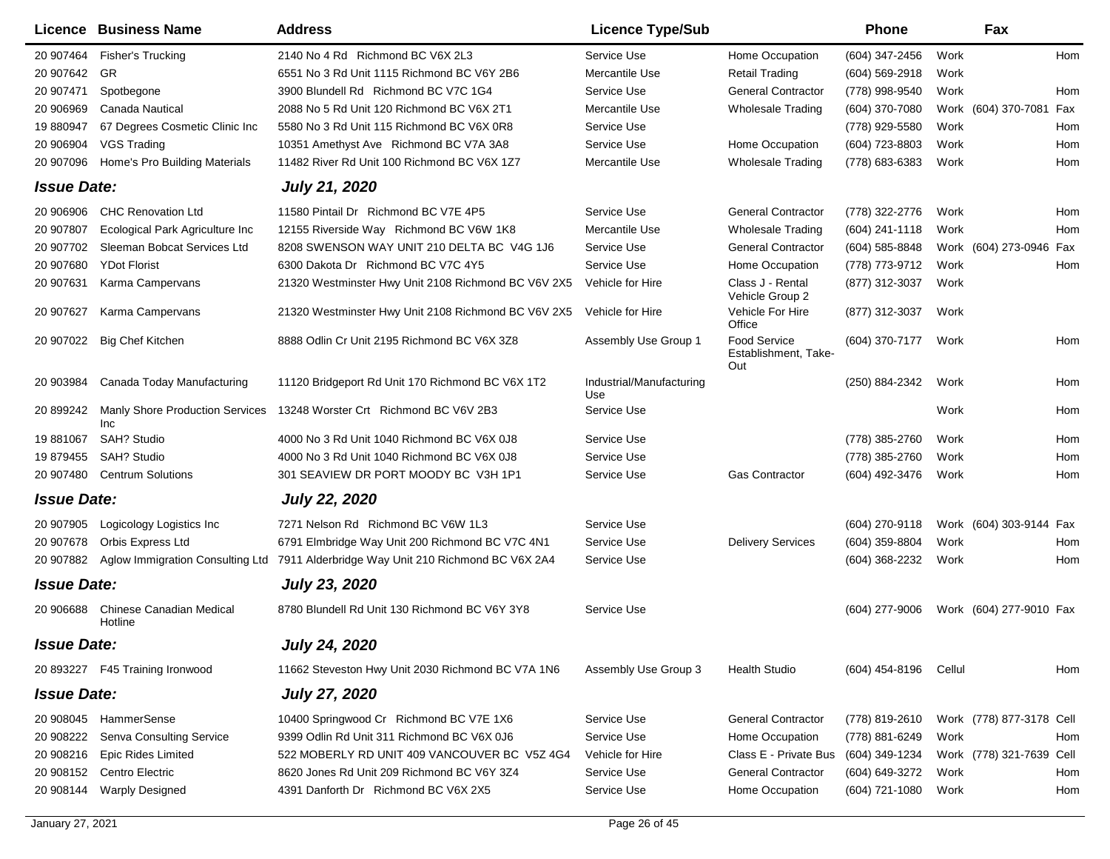|                    | <b>Licence Business Name</b>                  | <b>Address</b>                                      | <b>Licence Type/Sub</b>         |                                                    | <b>Phone</b>     | Fax                      |     |
|--------------------|-----------------------------------------------|-----------------------------------------------------|---------------------------------|----------------------------------------------------|------------------|--------------------------|-----|
| 20 907464          | <b>Fisher's Trucking</b>                      | 2140 No 4 Rd Richmond BC V6X 2L3                    | Service Use                     | Home Occupation                                    | (604) 347-2456   | Work                     | Hom |
| 20 907642          | GR                                            | 6551 No 3 Rd Unit 1115 Richmond BC V6Y 2B6          | Mercantile Use                  | <b>Retail Trading</b>                              | $(604)$ 569-2918 | Work                     |     |
| 20 907471          | Spotbegone                                    | 3900 Blundell Rd Richmond BC V7C 1G4                | Service Use                     | <b>General Contractor</b>                          | (778) 998-9540   | Work                     | Hom |
| 20 906969          | Canada Nautical                               | 2088 No 5 Rd Unit 120 Richmond BC V6X 2T1           | Mercantile Use                  | <b>Wholesale Trading</b>                           | (604) 370-7080   | Work (604) 370-7081      | Fax |
| 19 880947          | 67 Degrees Cosmetic Clinic Inc                | 5580 No 3 Rd Unit 115 Richmond BC V6X 0R8           | Service Use                     |                                                    | (778) 929-5580   | Work                     | Hom |
| 20 906904          | <b>VGS Trading</b>                            | 10351 Amethyst Ave Richmond BC V7A 3A8              | Service Use                     | Home Occupation                                    | (604) 723-8803   | Work                     | Hom |
| 20 907096          | Home's Pro Building Materials                 | 11482 River Rd Unit 100 Richmond BC V6X 1Z7         | Mercantile Use                  | <b>Wholesale Trading</b>                           | (778) 683-6383   | Work                     | Hom |
| <b>Issue Date:</b> |                                               | <b>July 21, 2020</b>                                |                                 |                                                    |                  |                          |     |
| 20 906906          | <b>CHC Renovation Ltd</b>                     | 11580 Pintail Dr Richmond BC V7E 4P5                | Service Use                     | <b>General Contractor</b>                          | (778) 322-2776   | Work                     | Hom |
| 20 907807          | Ecological Park Agriculture Inc               | 12155 Riverside Way Richmond BC V6W 1K8             | Mercantile Use                  | <b>Wholesale Trading</b>                           | (604) 241-1118   | Work                     | Hom |
| 20 907702          | Sleeman Bobcat Services Ltd                   | 8208 SWENSON WAY UNIT 210 DELTA BC V4G 1J6          | Service Use                     | <b>General Contractor</b>                          | (604) 585-8848   | Work (604) 273-0946      | Fax |
| 20 907680          | <b>YDot Florist</b>                           | 6300 Dakota Dr Richmond BC V7C 4Y5                  | Service Use                     | Home Occupation                                    | (778) 773-9712   | Work                     | Hom |
| 20 907631          | Karma Campervans                              | 21320 Westminster Hwy Unit 2108 Richmond BC V6V 2X5 | Vehicle for Hire                | Class J - Rental<br>Vehicle Group 2                | (877) 312-3037   | Work                     |     |
| 20 907627          | Karma Campervans                              | 21320 Westminster Hwy Unit 2108 Richmond BC V6V 2X5 | Vehicle for Hire                | Vehicle For Hire<br>Office                         | (877) 312-3037   | Work                     |     |
| 20 907022          | <b>Big Chef Kitchen</b>                       | 8888 Odlin Cr Unit 2195 Richmond BC V6X 3Z8         | Assembly Use Group 1            | <b>Food Service</b><br>Establishment, Take-<br>Out | (604) 370-7177   | Work                     | Hom |
| 20 903984          | Canada Today Manufacturing                    | 11120 Bridgeport Rd Unit 170 Richmond BC V6X 1T2    | Industrial/Manufacturing<br>Use |                                                    | (250) 884-2342   | Work                     | Hom |
| 20 899242          | <b>Manly Shore Production Services</b><br>Inc | 13248 Worster Crt Richmond BC V6V 2B3               | Service Use                     |                                                    |                  | Work                     | Hom |
| 19 881067          | <b>SAH? Studio</b>                            | 4000 No 3 Rd Unit 1040 Richmond BC V6X 0J8          | Service Use                     |                                                    | (778) 385-2760   | Work                     | Hom |
| 19 879455          | SAH? Studio                                   | 4000 No 3 Rd Unit 1040 Richmond BC V6X 0J8          | Service Use                     |                                                    | (778) 385-2760   | Work                     | Hom |
| 20 907480          | <b>Centrum Solutions</b>                      | 301 SEAVIEW DR PORT MOODY BC V3H 1P1                | Service Use                     | <b>Gas Contractor</b>                              | (604) 492-3476   | Work                     | Hom |
| <b>Issue Date:</b> |                                               | <b>July 22, 2020</b>                                |                                 |                                                    |                  |                          |     |
| 20 907905          | Logicology Logistics Inc                      | 7271 Nelson Rd Richmond BC V6W 1L3                  | Service Use                     |                                                    | (604) 270-9118   | Work (604) 303-9144 Fax  |     |
| 20 907678          | Orbis Express Ltd                             | 6791 Elmbridge Way Unit 200 Richmond BC V7C 4N1     | Service Use                     | <b>Delivery Services</b>                           | (604) 359-8804   | Work                     | Hom |
| 20 907882          | Aglow Immigration Consulting Ltd              | 7911 Alderbridge Way Unit 210 Richmond BC V6X 2A4   | Service Use                     |                                                    | (604) 368-2232   | Work                     | Hom |
| <b>Issue Date:</b> |                                               | <b>July 23, 2020</b>                                |                                 |                                                    |                  |                          |     |
| 20 906688          | Chinese Canadian Medical<br>Hotline           | 8780 Blundell Rd Unit 130 Richmond BC V6Y 3Y8       | Service Use                     |                                                    | (604) 277-9006   | Work (604) 277-9010 Fax  |     |
| <b>Issue Date:</b> |                                               | <b>July 24, 2020</b>                                |                                 |                                                    |                  |                          |     |
|                    | 20 893227  F45 Training Ironwood              | 11662 Steveston Hwy Unit 2030 Richmond BC V7A 1N6   | Assembly Use Group 3            | <b>Health Studio</b>                               | (604) 454-8196   | Cellul                   | Hom |
| <b>Issue Date:</b> |                                               | <b>July 27, 2020</b>                                |                                 |                                                    |                  |                          |     |
| 20 908045          | HammerSense                                   | 10400 Springwood Cr Richmond BC V7E 1X6             | Service Use                     | <b>General Contractor</b>                          | (778) 819-2610   | Work (778) 877-3178 Cell |     |
| 20 908222          | Senva Consulting Service                      | 9399 Odlin Rd Unit 311 Richmond BC V6X 0J6          | Service Use                     | Home Occupation                                    | (778) 881-6249   | Work                     | Hom |
| 20 908216          | <b>Epic Rides Limited</b>                     | 522 MOBERLY RD UNIT 409 VANCOUVER BC V5Z 4G4        | Vehicle for Hire                | Class E - Private Bus                              | (604) 349-1234   | Work (778) 321-7639 Cell |     |
| 20 908152          | Centro Electric                               | 8620 Jones Rd Unit 209 Richmond BC V6Y 3Z4          | Service Use                     | <b>General Contractor</b>                          | (604) 649-3272   | Work                     | Hom |
| 20 908144          | <b>Warply Designed</b>                        | 4391 Danforth Dr Richmond BC V6X 2X5                | Service Use                     | Home Occupation                                    | (604) 721-1080   | Work                     | Hom |
|                    |                                               |                                                     |                                 |                                                    |                  |                          |     |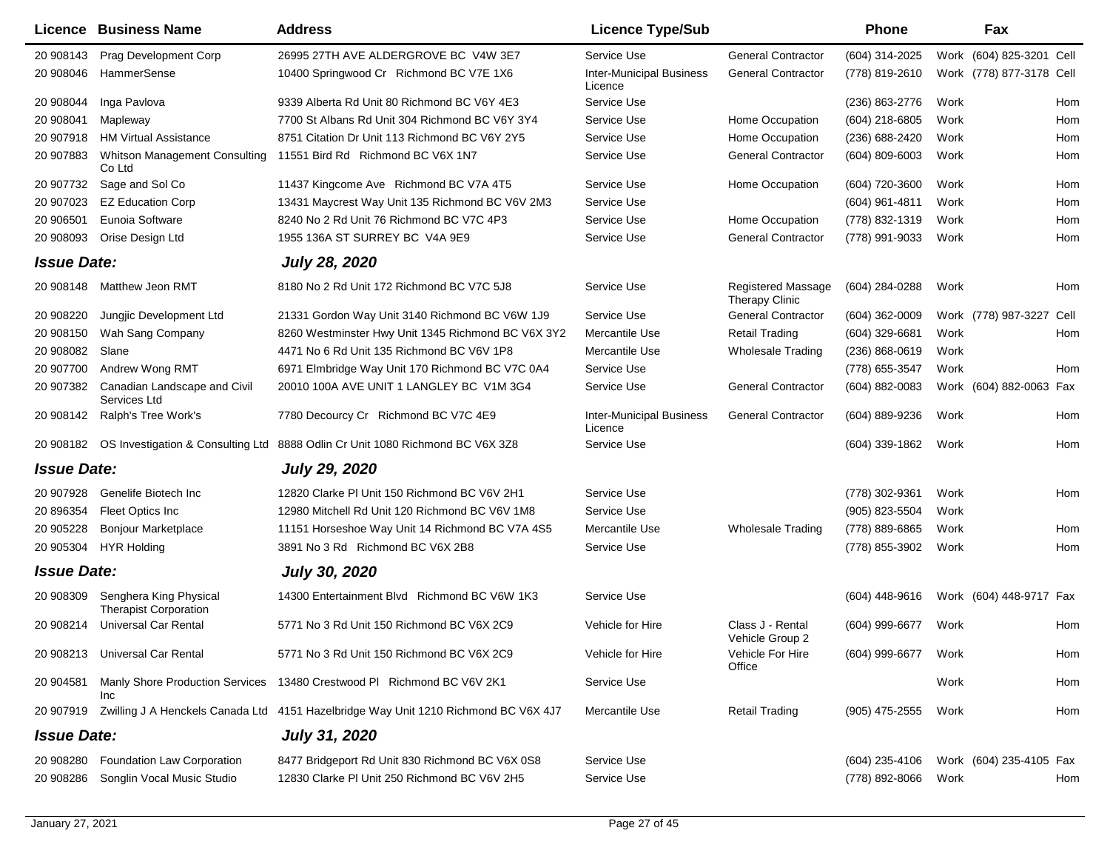|                    | <b>Licence Business Name</b>                           | <b>Address</b>                                                                      | <b>Licence Type/Sub</b>                    |                                             | <b>Phone</b>     | Fax                      |      |
|--------------------|--------------------------------------------------------|-------------------------------------------------------------------------------------|--------------------------------------------|---------------------------------------------|------------------|--------------------------|------|
| 20 908143          | Prag Development Corp                                  | 26995 27TH AVE ALDERGROVE BC V4W 3E7                                                | Service Use                                | <b>General Contractor</b>                   | (604) 314-2025   | Work (604) 825-3201 Cell |      |
| 20 908046          | HammerSense                                            | 10400 Springwood Cr Richmond BC V7E 1X6                                             | <b>Inter-Municipal Business</b><br>Licence | <b>General Contractor</b>                   | (778) 819-2610   | Work (778) 877-3178 Cell |      |
| 20 908044          | Inga Pavlova                                           | 9339 Alberta Rd Unit 80 Richmond BC V6Y 4E3                                         | Service Use                                |                                             | (236) 863-2776   | Work                     | Hom  |
| 20 908041          | Mapleway                                               | 7700 St Albans Rd Unit 304 Richmond BC V6Y 3Y4                                      | Service Use                                | Home Occupation                             | (604) 218-6805   | Work                     | Hom  |
| 20 907918          | <b>HM Virtual Assistance</b>                           | 8751 Citation Dr Unit 113 Richmond BC V6Y 2Y5                                       | Service Use                                | Home Occupation                             | (236) 688-2420   | Work                     | Hom  |
| 20 907883          | Whitson Management Consulting<br>Co Ltd                | 11551 Bird Rd Richmond BC V6X 1N7                                                   | Service Use                                | <b>General Contractor</b>                   | $(604)$ 809-6003 | Work                     | Hom  |
| 20 907732          | Sage and Sol Co                                        | 11437 Kingcome Ave Richmond BC V7A 4T5                                              | Service Use                                | Home Occupation                             | (604) 720-3600   | Work                     | Hom  |
| 20 907023          | <b>EZ Education Corp</b>                               | 13431 Maycrest Way Unit 135 Richmond BC V6V 2M3                                     | Service Use                                |                                             | (604) 961-4811   | Work                     | Hom  |
| 20 906501          | Eunoia Software                                        | 8240 No 2 Rd Unit 76 Richmond BC V7C 4P3                                            | Service Use                                | Home Occupation                             | (778) 832-1319   | Work                     | Hom  |
| 20 908093          | Orise Design Ltd                                       | 1955 136A ST SURREY BC V4A 9E9                                                      | Service Use                                | <b>General Contractor</b>                   | (778) 991-9033   | Work                     | Hom  |
| <b>Issue Date:</b> |                                                        | <b>July 28, 2020</b>                                                                |                                            |                                             |                  |                          |      |
| 20 908148          | Matthew Jeon RMT                                       | 8180 No 2 Rd Unit 172 Richmond BC V7C 5J8                                           | Service Use                                | Registered Massage<br><b>Therapy Clinic</b> | (604) 284-0288   | Work                     | Hom  |
| 20 908220          | Jungjic Development Ltd                                | 21331 Gordon Way Unit 3140 Richmond BC V6W 1J9                                      | Service Use                                | <b>General Contractor</b>                   | $(604)$ 362-0009 | Work (778) 987-3227      | Cell |
| 20 908150          | Wah Sang Company                                       | 8260 Westminster Hwy Unit 1345 Richmond BC V6X 3Y2                                  | Mercantile Use                             | <b>Retail Trading</b>                       | (604) 329-6681   | Work                     | Hom  |
| 20 908082          | Slane                                                  | 4471 No 6 Rd Unit 135 Richmond BC V6V 1P8                                           | Mercantile Use                             | <b>Wholesale Trading</b>                    | (236) 868-0619   | Work                     |      |
| 20 907700          | Andrew Wong RMT                                        | 6971 Elmbridge Way Unit 170 Richmond BC V7C 0A4                                     | Service Use                                |                                             | (778) 655-3547   | Work                     | Hom  |
| 20 907382          | Canadian Landscape and Civil<br>Services Ltd           | 20010 100A AVE UNIT 1 LANGLEY BC V1M 3G4                                            | Service Use                                | <b>General Contractor</b>                   | (604) 882-0083   | Work (604) 882-0063      | Fax  |
| 20 908142          | Ralph's Tree Work's                                    | 7780 Decourcy Cr Richmond BC V7C 4E9                                                | <b>Inter-Municipal Business</b><br>Licence | <b>General Contractor</b>                   | (604) 889-9236   | Work                     | Hom  |
| 20 908182          | OS Investigation & Consulting Ltd                      | 8888 Odlin Cr Unit 1080 Richmond BC V6X 3Z8                                         | Service Use                                |                                             | (604) 339-1862   | Work                     | Hom  |
| <b>Issue Date:</b> |                                                        | <b>July 29, 2020</b>                                                                |                                            |                                             |                  |                          |      |
| 20 907928          | Genelife Biotech Inc                                   | 12820 Clarke PI Unit 150 Richmond BC V6V 2H1                                        | Service Use                                |                                             | (778) 302-9361   | Work                     | Hom  |
| 20 896354          | Fleet Optics Inc                                       | 12980 Mitchell Rd Unit 120 Richmond BC V6V 1M8                                      | Service Use                                |                                             | (905) 823-5504   | Work                     |      |
| 20 905228          | <b>Bonjour Marketplace</b>                             | 11151 Horseshoe Way Unit 14 Richmond BC V7A 4S5                                     | Mercantile Use                             | Wholesale Trading                           | (778) 889-6865   | Work                     | Hom  |
| 20 905304          | <b>HYR Holding</b>                                     | 3891 No 3 Rd Richmond BC V6X 2B8                                                    | Service Use                                |                                             | (778) 855-3902   | Work                     | Hom  |
| <b>Issue Date:</b> |                                                        | <b>July 30, 2020</b>                                                                |                                            |                                             |                  |                          |      |
| 20 908309          | Senghera King Physical<br><b>Therapist Corporation</b> | 14300 Entertainment Blvd Richmond BC V6W 1K3                                        | Service Use                                |                                             | (604) 448-9616   | Work (604) 448-9717 Fax  |      |
| 20 908214          | <b>Universal Car Rental</b>                            | 5771 No 3 Rd Unit 150 Richmond BC V6X 2C9                                           | Vehicle for Hire                           | Class J - Rental<br>Vehicle Group 2         | (604) 999-6677   | Work                     | Hom  |
|                    | 20 908213 Universal Car Rental                         | 5771 No 3 Rd Unit 150 Richmond BC V6X 2C9                                           | Vehicle for Hire                           | Vehicle For Hire<br>Office                  | (604) 999-6677   | Work                     | Hom  |
| 20 904581          | Inc                                                    | Manly Shore Production Services 13480 Crestwood Pl Richmond BC V6V 2K1              | Service Use                                |                                             |                  | Work                     | Hom  |
| 20 907919          |                                                        | Zwilling J A Henckels Canada Ltd 4151 Hazelbridge Way Unit 1210 Richmond BC V6X 4J7 | Mercantile Use                             | <b>Retail Trading</b>                       | (905) 475-2555   | Work                     | Hom  |
| <b>Issue Date:</b> |                                                        | <b>July 31, 2020</b>                                                                |                                            |                                             |                  |                          |      |
| 20 908280          | Foundation Law Corporation                             | 8477 Bridgeport Rd Unit 830 Richmond BC V6X 0S8                                     | Service Use                                |                                             | (604) 235-4106   | Work (604) 235-4105 Fax  |      |
| 20 908286          | Songlin Vocal Music Studio                             | 12830 Clarke PI Unit 250 Richmond BC V6V 2H5                                        | Service Use                                |                                             | (778) 892-8066   | Work                     | Hom  |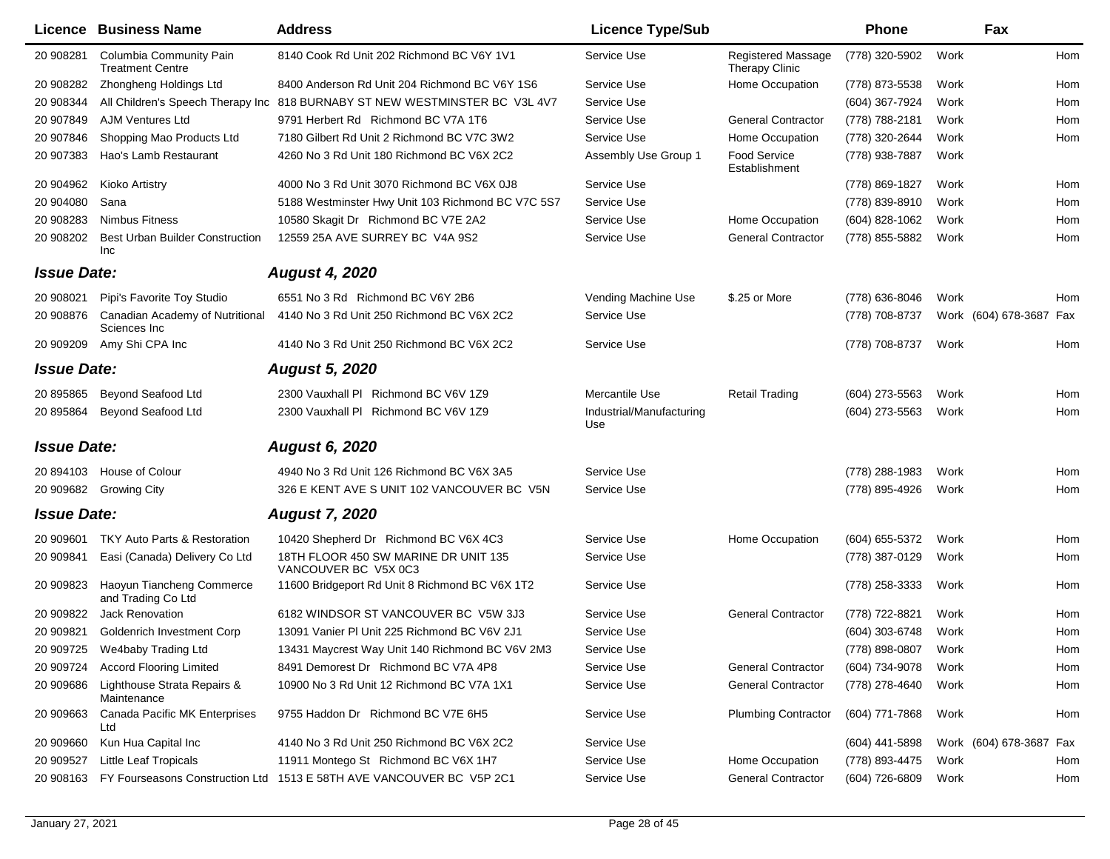|                    | <b>Licence Business Name</b>                       | <b>Address</b>                                                       | <b>Licence Type/Sub</b>         |                                             | <b>Phone</b>        |      | Fax                     |     |
|--------------------|----------------------------------------------------|----------------------------------------------------------------------|---------------------------------|---------------------------------------------|---------------------|------|-------------------------|-----|
| 20 908281          | Columbia Community Pain<br><b>Treatment Centre</b> | 8140 Cook Rd Unit 202 Richmond BC V6Y 1V1                            | Service Use                     | Registered Massage<br><b>Therapy Clinic</b> | (778) 320-5902      | Work |                         | Hom |
| 20 908282          | Zhongheng Holdings Ltd                             | 8400 Anderson Rd Unit 204 Richmond BC V6Y 1S6                        | Service Use                     | Home Occupation                             | (778) 873-5538      | Work |                         | Hom |
| 20 908344          | All Children's Speech Therapy Inc                  | 818 BURNABY ST NEW WESTMINSTER BC V3L 4V7                            | Service Use                     |                                             | (604) 367-7924      | Work |                         | Hom |
| 20 907849          | <b>AJM Ventures Ltd</b>                            | 9791 Herbert Rd Richmond BC V7A 1T6                                  | Service Use                     | <b>General Contractor</b>                   | (778) 788-2181      | Work |                         | Hom |
| 20 907846          | Shopping Mao Products Ltd                          | 7180 Gilbert Rd Unit 2 Richmond BC V7C 3W2                           | Service Use                     | Home Occupation                             | (778) 320-2644      | Work |                         | Hom |
| 20 907383          | Hao's Lamb Restaurant                              | 4260 No 3 Rd Unit 180 Richmond BC V6X 2C2                            | Assembly Use Group 1            | <b>Food Service</b><br>Establishment        | (778) 938-7887      | Work |                         |     |
| 20 904962          | Kioko Artistry                                     | 4000 No 3 Rd Unit 3070 Richmond BC V6X 0J8                           | Service Use                     |                                             | (778) 869-1827      | Work |                         | Hom |
| 20 904080          | Sana                                               | 5188 Westminster Hwy Unit 103 Richmond BC V7C 5S7                    | Service Use                     |                                             | (778) 839-8910      | Work |                         | Hom |
| 20 908283          | <b>Nimbus Fitness</b>                              | 10580 Skagit Dr Richmond BC V7E 2A2                                  | Service Use                     | Home Occupation                             | (604) 828-1062      | Work |                         | Hom |
| 20 908202          | Best Urban Builder Construction<br>Inc             | 12559 25A AVE SURREY BC V4A 9S2                                      | Service Use                     | <b>General Contractor</b>                   | (778) 855-5882      | Work |                         | Hom |
| <b>Issue Date:</b> |                                                    | <b>August 4, 2020</b>                                                |                                 |                                             |                     |      |                         |     |
| 20 908021          | Pipi's Favorite Toy Studio                         | 6551 No 3 Rd Richmond BC V6Y 2B6                                     | Vending Machine Use             | \$.25 or More                               | (778) 636-8046      | Work |                         | Hom |
| 20 908876          | Canadian Academy of Nutritional<br>Sciences Inc    | 4140 No 3 Rd Unit 250 Richmond BC V6X 2C2                            | Service Use                     |                                             | (778) 708-8737      |      | Work (604) 678-3687 Fax |     |
| 20 909209          | Amy Shi CPA Inc                                    | 4140 No 3 Rd Unit 250 Richmond BC V6X 2C2                            | Service Use                     |                                             | (778) 708-8737      | Work |                         | Hom |
| <b>Issue Date:</b> |                                                    | <b>August 5, 2020</b>                                                |                                 |                                             |                     |      |                         |     |
| 20 895865          | <b>Beyond Seafood Ltd</b>                          | 2300 Vauxhall PI Richmond BC V6V 1Z9                                 | Mercantile Use                  | <b>Retail Trading</b>                       | $(604)$ 273-5563    | Work |                         | Hom |
| 20 895864          | <b>Beyond Seafood Ltd</b>                          | 2300 Vauxhall PI Richmond BC V6V 1Z9                                 | Industrial/Manufacturing<br>Use |                                             | (604) 273-5563      | Work |                         | Hom |
| <b>Issue Date:</b> |                                                    | <b>August 6, 2020</b>                                                |                                 |                                             |                     |      |                         |     |
| 20 894103          | House of Colour                                    | 4940 No 3 Rd Unit 126 Richmond BC V6X 3A5                            | Service Use                     |                                             | (778) 288-1983      | Work |                         | Hom |
| 20 909682          | <b>Growing City</b>                                | 326 E KENT AVE S UNIT 102 VANCOUVER BC V5N                           | Service Use                     |                                             | (778) 895-4926      | Work |                         | Hom |
| <b>Issue Date:</b> |                                                    | <b>August 7, 2020</b>                                                |                                 |                                             |                     |      |                         |     |
| 20 909601          | <b>TKY Auto Parts &amp; Restoration</b>            | 10420 Shepherd Dr Richmond BC V6X 4C3                                | Service Use                     | Home Occupation                             | (604) 655-5372      | Work |                         | Hom |
| 20 909841          | Easi (Canada) Delivery Co Ltd                      | 18TH FLOOR 450 SW MARINE DR UNIT 135<br>VANCOUVER BC V5X 0C3         | Service Use                     |                                             | (778) 387-0129      | Work |                         | Hom |
| 20 909823          | Haoyun Tiancheng Commerce<br>and Trading Co Ltd    | 11600 Bridgeport Rd Unit 8 Richmond BC V6X 1T2                       | Service Use                     |                                             | (778) 258-3333      | Work |                         | Hom |
| 20 909822          | <b>Jack Renovation</b>                             | 6182 WINDSOR ST VANCOUVER BC V5W 3J3                                 | Service Use                     | <b>General Contractor</b>                   | (778) 722-8821      | Work |                         | Hom |
| 20 909821          | <b>Goldenrich Investment Corp</b>                  | 13091 Vanier PI Unit 225 Richmond BC V6V 2J1                         | Service Use                     |                                             | (604) 303-6748      | Work |                         | Hom |
|                    | 20 909725 We4baby Trading Ltd                      | 13431 Maycrest Way Unit 140 Richmond BC V6V 2M3                      | Service Use                     |                                             | (778) 898-0807 Work |      |                         | Hom |
|                    | 20 909724 Accord Flooring Limited                  | 8491 Demorest Dr Richmond BC V7A 4P8                                 | Service Use                     | <b>General Contractor</b>                   | (604) 734-9078      | Work |                         | Hom |
| 20 909686          | Lighthouse Strata Repairs &<br>Maintenance         | 10900 No 3 Rd Unit 12 Richmond BC V7A 1X1                            | Service Use                     | <b>General Contractor</b>                   | (778) 278-4640      | Work |                         | Hom |
| 20 909663          | Canada Pacific MK Enterprises<br>Ltd               | 9755 Haddon Dr Richmond BC V7E 6H5                                   | Service Use                     | <b>Plumbing Contractor</b>                  | (604) 771-7868      | Work |                         | Hom |
| 20 909660          | Kun Hua Capital Inc                                | 4140 No 3 Rd Unit 250 Richmond BC V6X 2C2                            | Service Use                     |                                             | (604) 441-5898      |      | Work (604) 678-3687 Fax |     |
| 20 909527          | Little Leaf Tropicals                              | 11911 Montego St Richmond BC V6X 1H7                                 | Service Use                     | Home Occupation                             | (778) 893-4475      | Work |                         | Hom |
| 20 908163          |                                                    | FY Fourseasons Construction Ltd 1513 E 58TH AVE VANCOUVER BC V5P 2C1 | Service Use                     | <b>General Contractor</b>                   | (604) 726-6809      | Work |                         | Hom |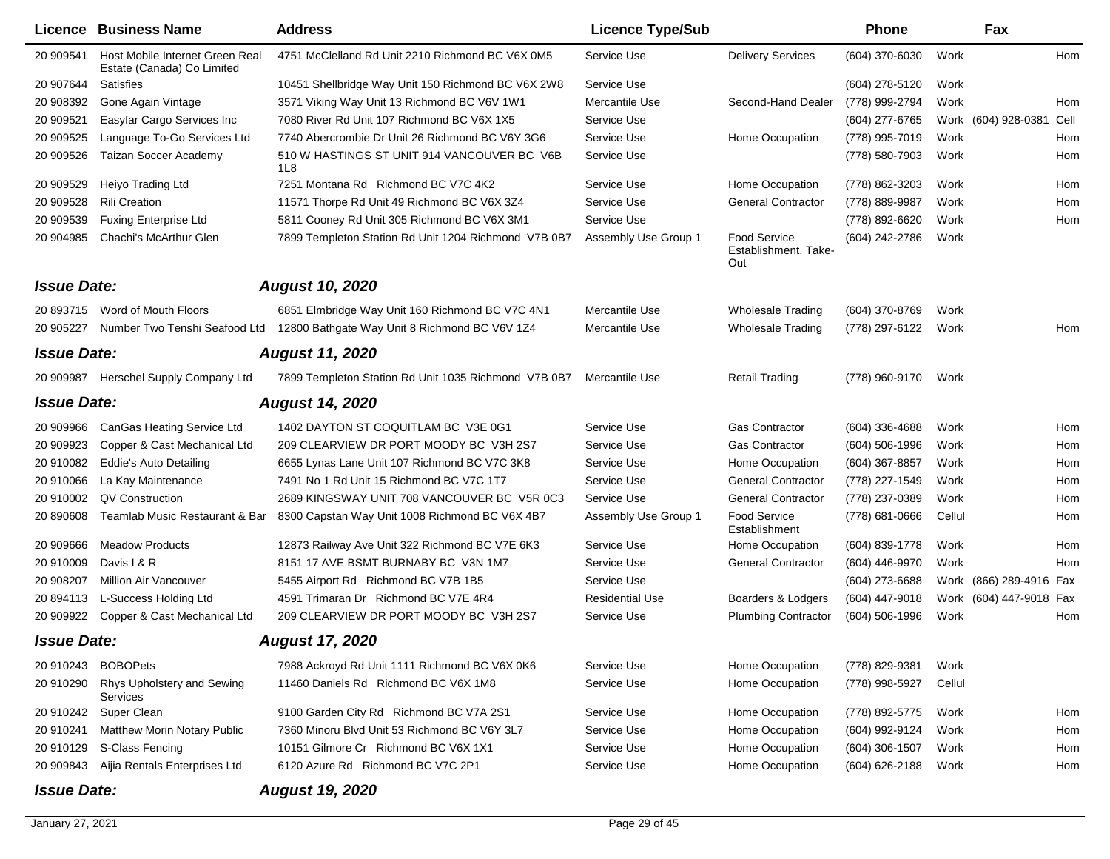|                    | <b>Licence Business Name</b>                                  | <b>Address</b>                                       | <b>Licence Type/Sub</b> |                                             | <b>Phone</b>     |        | Fax                     |            |
|--------------------|---------------------------------------------------------------|------------------------------------------------------|-------------------------|---------------------------------------------|------------------|--------|-------------------------|------------|
| 20 909541          | Host Mobile Internet Green Real<br>Estate (Canada) Co Limited | 4751 McClelland Rd Unit 2210 Richmond BC V6X 0M5     | Service Use             | <b>Delivery Services</b>                    | (604) 370-6030   | Work   |                         | Hom        |
| 20 907644          | Satisfies                                                     | 10451 Shellbridge Way Unit 150 Richmond BC V6X 2W8   | Service Use             |                                             | (604) 278-5120   | Work   |                         |            |
| 20 908392          | Gone Again Vintage                                            | 3571 Viking Way Unit 13 Richmond BC V6V 1W1          | Mercantile Use          | Second-Hand Dealer                          | (778) 999-2794   | Work   |                         | Hom        |
| 20 909521          | Easyfar Cargo Services Inc                                    | 7080 River Rd Unit 107 Richmond BC V6X 1X5           | Service Use             |                                             | (604) 277-6765   |        | Work (604) 928-0381     | Cell       |
| 20 909525          | Language To-Go Services Ltd                                   | 7740 Abercrombie Dr Unit 26 Richmond BC V6Y 3G6      | Service Use             | Home Occupation                             | (778) 995-7019   | Work   |                         | Hom        |
| 20 909526          | Taizan Soccer Academy                                         | 510 W HASTINGS ST UNIT 914 VANCOUVER BC V6B<br>1L8   | Service Use             |                                             | (778) 580-7903   | Work   |                         | Hom        |
| 20 909529          | Heiyo Trading Ltd                                             | 7251 Montana Rd Richmond BC V7C 4K2                  | Service Use             | Home Occupation                             | (778) 862-3203   | Work   |                         | Hom        |
| 20 909528          | <b>Rili Creation</b>                                          | 11571 Thorpe Rd Unit 49 Richmond BC V6X 3Z4          | Service Use             | <b>General Contractor</b>                   | (778) 889-9987   | Work   |                         | <b>Hom</b> |
| 20 909539          | <b>Fuxing Enterprise Ltd</b>                                  | 5811 Cooney Rd Unit 305 Richmond BC V6X 3M1          | Service Use             |                                             | (778) 892-6620   | Work   |                         | Hom        |
| 20 904985          | Chachi's McArthur Glen                                        | 7899 Templeton Station Rd Unit 1204 Richmond V7B 0B7 | Assembly Use Group 1    | Food Service<br>Establishment, Take-<br>Out | (604) 242-2786   | Work   |                         |            |
| <b>Issue Date:</b> |                                                               | <b>August 10, 2020</b>                               |                         |                                             |                  |        |                         |            |
| 20 893715          | Word of Mouth Floors                                          | 6851 Elmbridge Way Unit 160 Richmond BC V7C 4N1      | Mercantile Use          | <b>Wholesale Trading</b>                    | (604) 370-8769   | Work   |                         |            |
| 20 905227          | Number Two Tenshi Seafood Ltd                                 | 12800 Bathgate Way Unit 8 Richmond BC V6V 1Z4        | Mercantile Use          | <b>Wholesale Trading</b>                    | (778) 297-6122   | Work   |                         | Hom        |
| <b>Issue Date:</b> |                                                               | <b>August 11, 2020</b>                               |                         |                                             |                  |        |                         |            |
| 20 909987          | Herschel Supply Company Ltd                                   | 7899 Templeton Station Rd Unit 1035 Richmond V7B 0B7 | Mercantile Use          | <b>Retail Trading</b>                       | (778) 960-9170   | Work   |                         |            |
| <b>Issue Date:</b> |                                                               | <b>August 14, 2020</b>                               |                         |                                             |                  |        |                         |            |
| 20 909966          | CanGas Heating Service Ltd                                    | 1402 DAYTON ST COQUITLAM BC V3E 0G1                  | Service Use             | Gas Contractor                              | $(604)$ 336-4688 | Work   |                         | Hom        |
| 20 909923          | Copper & Cast Mechanical Ltd                                  | 209 CLEARVIEW DR PORT MOODY BC V3H 2S7               | Service Use             | Gas Contractor                              | (604) 506-1996   | Work   |                         | Hom        |
| 20 910082          | <b>Eddie's Auto Detailing</b>                                 | 6655 Lynas Lane Unit 107 Richmond BC V7C 3K8         | Service Use             | Home Occupation                             | (604) 367-8857   | Work   |                         | Hom        |
| 20 910066          | La Kay Maintenance                                            | 7491 No 1 Rd Unit 15 Richmond BC V7C 1T7             | Service Use             | <b>General Contractor</b>                   | (778) 227-1549   | Work   |                         | Hom        |
| 20 910002          | QV Construction                                               | 2689 KINGSWAY UNIT 708 VANCOUVER BC V5R 0C3          | Service Use             | <b>General Contractor</b>                   | (778) 237-0389   | Work   |                         | Hom        |
| 20 890608          | Teamlab Music Restaurant & Bar                                | 8300 Capstan Way Unit 1008 Richmond BC V6X 4B7       | Assembly Use Group 1    | Food Service<br>Establishment               | (778) 681-0666   | Cellul |                         | Hom        |
| 20 909666          | <b>Meadow Products</b>                                        | 12873 Railway Ave Unit 322 Richmond BC V7E 6K3       | Service Use             | Home Occupation                             | (604) 839-1778   | Work   |                         | Hom        |
| 20 910009          | Davis I & R                                                   | 8151 17 AVE BSMT BURNABY BC V3N 1M7                  | Service Use             | <b>General Contractor</b>                   | (604) 446-9970   | Work   |                         | Hom        |
| 20 908207          | <b>Million Air Vancouver</b>                                  | 5455 Airport Rd Richmond BC V7B 1B5                  | Service Use             |                                             | (604) 273-6688   |        | Work (866) 289-4916 Fax |            |
| 20 894113          | L-Success Holding Ltd                                         | 4591 Trimaran Dr Richmond BC V7E 4R4                 | <b>Residential Use</b>  | Boarders & Lodgers                          | (604) 447-9018   |        | Work (604) 447-9018 Fax |            |
| 20 909922          | Copper & Cast Mechanical Ltd                                  | 209 CLEARVIEW DR PORT MOODY BC V3H 2S7               | Service Use             | <b>Plumbing Contractor</b>                  | (604) 506-1996   | Work   |                         | Hom        |
| <b>Issue Date:</b> |                                                               | <b>August 17, 2020</b>                               |                         |                                             |                  |        |                         |            |
| 20 910243          | <b>BOBOPets</b>                                               | 7988 Ackroyd Rd Unit 1111 Richmond BC V6X 0K6        | Service Use             | Home Occupation                             | (778) 829-9381   | Work   |                         |            |
| 20 910290          | Rhys Upholstery and Sewing<br>Services                        | 11460 Daniels Rd Richmond BC V6X 1M8                 | Service Use             | Home Occupation                             | (778) 998-5927   | Cellul |                         |            |
| 20 910242          | Super Clean                                                   | 9100 Garden City Rd Richmond BC V7A 2S1              | Service Use             | Home Occupation                             | (778) 892-5775   | Work   |                         | Hom        |
| 20 910241          | Matthew Morin Notary Public                                   | 7360 Minoru Blvd Unit 53 Richmond BC V6Y 3L7         | Service Use             | Home Occupation                             | (604) 992-9124   | Work   |                         | Hom        |
| 20 910129          | S-Class Fencing                                               | 10151 Gilmore Cr Richmond BC V6X 1X1                 | Service Use             | Home Occupation                             | $(604)$ 306-1507 | Work   |                         | Hom        |
| 20 909843          | Aijia Rentals Enterprises Ltd                                 | 6120 Azure Rd Richmond BC V7C 2P1                    | Service Use             | Home Occupation                             | (604) 626-2188   | Work   |                         | Hom        |
| <b>Issue Date:</b> |                                                               | <b>August 19, 2020</b>                               |                         |                                             |                  |        |                         |            |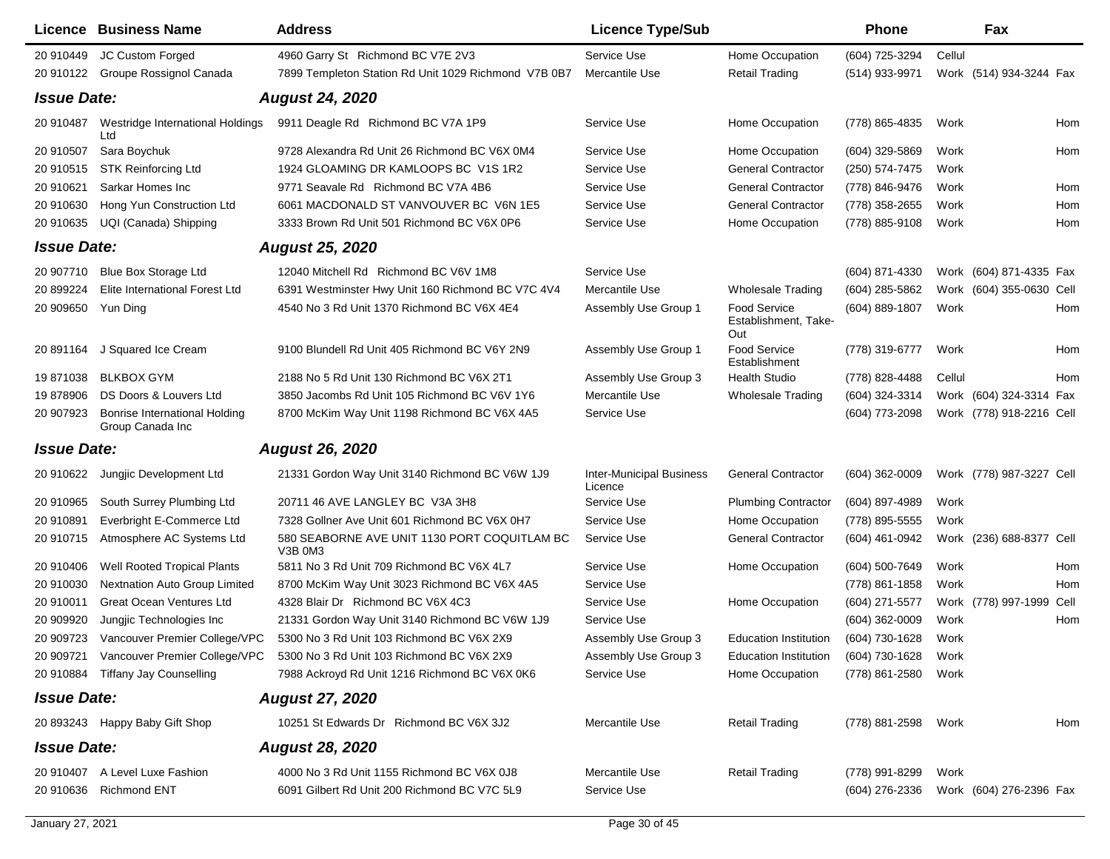|                    | <b>Licence Business Name</b>                             | <b>Address</b>                                          | <b>Licence Type/Sub</b>                    |                                                    | <b>Phone</b>     |        | Fax                      |      |
|--------------------|----------------------------------------------------------|---------------------------------------------------------|--------------------------------------------|----------------------------------------------------|------------------|--------|--------------------------|------|
| 20 910449          | JC Custom Forged                                         | 4960 Garry St Richmond BC V7E 2V3                       | Service Use                                | Home Occupation                                    | (604) 725-3294   | Cellul |                          |      |
| 20 910122          | Groupe Rossignol Canada                                  | 7899 Templeton Station Rd Unit 1029 Richmond V7B 0B7    | Mercantile Use                             | <b>Retail Trading</b>                              | (514) 933-9971   |        | Work (514) 934-3244 Fax  |      |
| <b>Issue Date:</b> |                                                          | <b>August 24, 2020</b>                                  |                                            |                                                    |                  |        |                          |      |
| 20 910487          | Westridge International Holdings<br>Ltd                  | 9911 Deagle Rd Richmond BC V7A 1P9                      | Service Use                                | Home Occupation                                    | (778) 865-4835   | Work   |                          | Hom  |
| 20 910507          | Sara Boychuk                                             | 9728 Alexandra Rd Unit 26 Richmond BC V6X 0M4           | Service Use                                | Home Occupation                                    | $(604)$ 329-5869 | Work   |                          | Hom  |
| 20 910515          | <b>STK Reinforcing Ltd</b>                               | 1924 GLOAMING DR KAMLOOPS BC V1S 1R2                    | Service Use                                | <b>General Contractor</b>                          | (250) 574-7475   | Work   |                          |      |
| 20 910621          | Sarkar Homes Inc                                         | 9771 Seavale Rd Richmond BC V7A 4B6                     | Service Use                                | <b>General Contractor</b>                          | (778) 846-9476   | Work   |                          | Hom  |
| 20 910630          | Hong Yun Construction Ltd                                | 6061 MACDONALD ST VANVOUVER BC V6N 1E5                  | Service Use                                | <b>General Contractor</b>                          | (778) 358-2655   | Work   |                          | Hom  |
| 20 910635          | UQI (Canada) Shipping                                    | 3333 Brown Rd Unit 501 Richmond BC V6X 0P6              | Service Use                                | Home Occupation                                    | (778) 885-9108   | Work   |                          | Hom  |
| <b>Issue Date:</b> |                                                          | <b>August 25, 2020</b>                                  |                                            |                                                    |                  |        |                          |      |
| 20 907710          | Blue Box Storage Ltd                                     | 12040 Mitchell Rd Richmond BC V6V 1M8                   | Service Use                                |                                                    | (604) 871-4330   |        | Work (604) 871-4335 Fax  |      |
| 20 899224          | Elite International Forest Ltd                           | 6391 Westminster Hwy Unit 160 Richmond BC V7C 4V4       | Mercantile Use                             | <b>Wholesale Trading</b>                           | (604) 285-5862   |        | Work (604) 355-0630 Cell |      |
| 20 909650          | Yun Ding                                                 | 4540 No 3 Rd Unit 1370 Richmond BC V6X 4E4              | Assembly Use Group 1                       | <b>Food Service</b><br>Establishment, Take-<br>Out | (604) 889-1807   | Work   |                          | Hom  |
| 20 891164          | J Squared Ice Cream                                      | 9100 Blundell Rd Unit 405 Richmond BC V6Y 2N9           | Assembly Use Group 1                       | <b>Food Service</b><br>Establishment               | (778) 319-6777   | Work   |                          | Hom  |
| 19871038           | <b>BLKBOX GYM</b>                                        | 2188 No 5 Rd Unit 130 Richmond BC V6X 2T1               | Assembly Use Group 3                       | <b>Health Studio</b>                               | (778) 828-4488   | Cellul |                          | Hom  |
| 19 878906          | DS Doors & Louvers Ltd                                   | 3850 Jacombs Rd Unit 105 Richmond BC V6V 1Y6            | Mercantile Use                             | <b>Wholesale Trading</b>                           | (604) 324-3314   |        | Work (604) 324-3314 Fax  |      |
| 20 907923          | <b>Bonrise International Holding</b><br>Group Canada Inc | 8700 McKim Way Unit 1198 Richmond BC V6X 4A5            | Service Use                                |                                                    | (604) 773-2098   |        | Work (778) 918-2216 Cell |      |
| <b>Issue Date:</b> |                                                          | <b>August 26, 2020</b>                                  |                                            |                                                    |                  |        |                          |      |
| 20 910622          | Jungjic Development Ltd                                  | 21331 Gordon Way Unit 3140 Richmond BC V6W 1J9          | <b>Inter-Municipal Business</b><br>Licence | <b>General Contractor</b>                          | $(604)$ 362-0009 |        | Work (778) 987-3227 Cell |      |
| 20 910965          | South Surrey Plumbing Ltd                                | 20711 46 AVE LANGLEY BC V3A 3H8                         | Service Use                                | <b>Plumbing Contractor</b>                         | (604) 897-4989   | Work   |                          |      |
| 20 910891          | Everbright E-Commerce Ltd                                | 7328 Gollner Ave Unit 601 Richmond BC V6X 0H7           | Service Use                                | Home Occupation                                    | (778) 895-5555   | Work   |                          |      |
| 20 910715          | Atmosphere AC Systems Ltd                                | 580 SEABORNE AVE UNIT 1130 PORT COQUITLAM BC<br>V3B 0M3 | Service Use                                | <b>General Contractor</b>                          | (604) 461-0942   |        | Work (236) 688-8377 Cell |      |
| 20 910406          | <b>Well Rooted Tropical Plants</b>                       | 5811 No 3 Rd Unit 709 Richmond BC V6X 4L7               | Service Use                                | Home Occupation                                    | (604) 500-7649   | Work   |                          | Hom  |
| 20 910030          | <b>Nextnation Auto Group Limited</b>                     | 8700 McKim Way Unit 3023 Richmond BC V6X 4A5            | Service Use                                |                                                    | (778) 861-1858   | Work   |                          | Hom  |
| 20 910011          | <b>Great Ocean Ventures Ltd</b>                          | 4328 Blair Dr Richmond BC V6X 4C3                       | Service Use                                | Home Occupation                                    | (604) 271-5577   |        | Work (778) 997-1999      | Cell |
| 20 909920          | Jungjic Technologies Inc                                 | 21331 Gordon Way Unit 3140 Richmond BC V6W 1J9          | Service Use                                |                                                    | (604) 362-0009   | Work   |                          | Hom  |
| 20 909723          | Vancouver Premier College/VPC                            | 5300 No 3 Rd Unit 103 Richmond BC V6X 2X9               | Assembly Use Group 3                       | <b>Education Institution</b>                       | (604) 730-1628   | Work   |                          |      |
| 20 909721          | Vancouver Premier College/VPC                            | 5300 No 3 Rd Unit 103 Richmond BC V6X 2X9               | Assembly Use Group 3                       | <b>Education Institution</b>                       | (604) 730-1628   | Work   |                          |      |
| 20 910884          | Tiffany Jay Counselling                                  | 7988 Ackroyd Rd Unit 1216 Richmond BC V6X 0K6           | Service Use                                | Home Occupation                                    | (778) 861-2580   | Work   |                          |      |
| <b>Issue Date:</b> |                                                          | <b>August 27, 2020</b>                                  |                                            |                                                    |                  |        |                          |      |
|                    | 20 893243 Happy Baby Gift Shop                           | 10251 St Edwards Dr Richmond BC V6X 3J2                 | Mercantile Use                             | <b>Retail Trading</b>                              | (778) 881-2598   | Work   |                          | Hom  |
| <b>Issue Date:</b> |                                                          | <b>August 28, 2020</b>                                  |                                            |                                                    |                  |        |                          |      |
| 20 910407          | A Level Luxe Fashion                                     | 4000 No 3 Rd Unit 1155 Richmond BC V6X 0J8              | Mercantile Use                             | <b>Retail Trading</b>                              | (778) 991-8299   | Work   |                          |      |
|                    | 20 910636 Richmond ENT                                   | 6091 Gilbert Rd Unit 200 Richmond BC V7C 5L9            | Service Use                                |                                                    | (604) 276-2336   |        | Work (604) 276-2396 Fax  |      |
|                    |                                                          |                                                         |                                            |                                                    |                  |        |                          |      |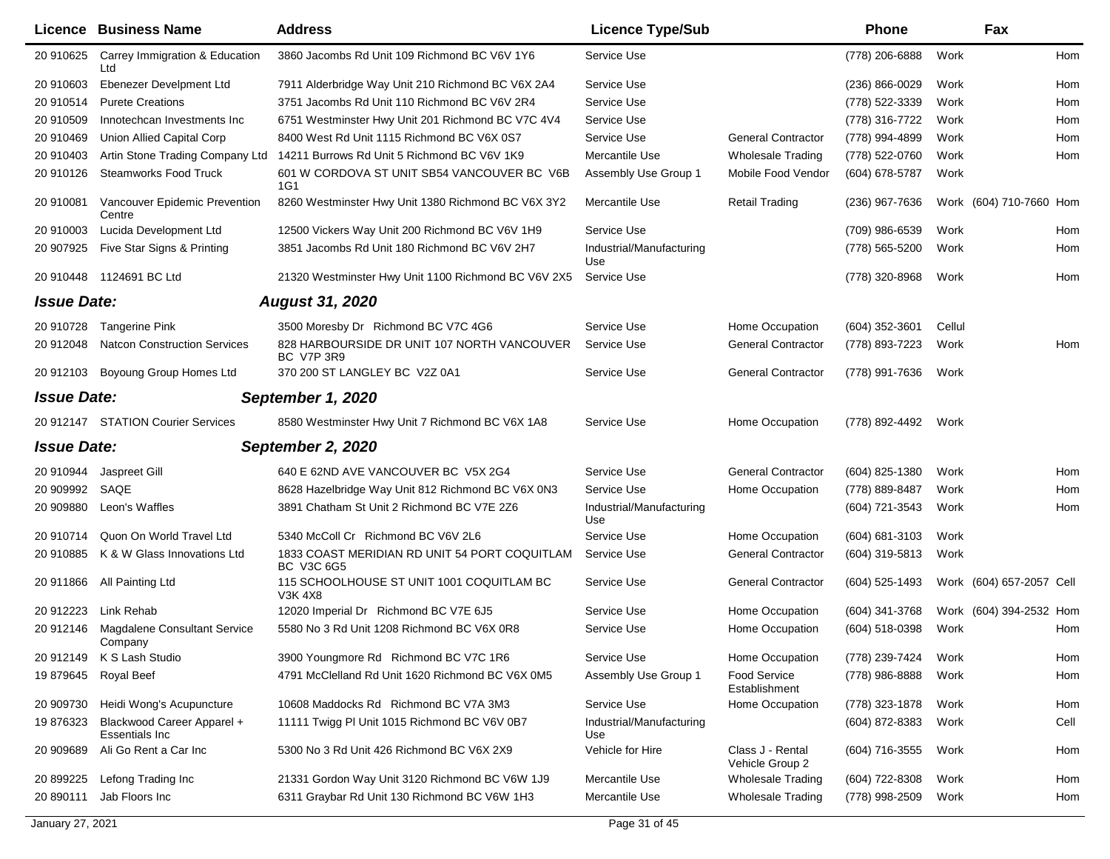|                    | <b>Licence Business Name</b>                 | <b>Address</b>                                                     | <b>Licence Type/Sub</b>         |                                      | <b>Phone</b>       |        | Fax                      |      |
|--------------------|----------------------------------------------|--------------------------------------------------------------------|---------------------------------|--------------------------------------|--------------------|--------|--------------------------|------|
| 20 910625          | Carrey Immigration & Education<br>Ltd        | 3860 Jacombs Rd Unit 109 Richmond BC V6V 1Y6                       | Service Use                     |                                      | (778) 206-6888     | Work   |                          | Hom  |
| 20 910603          | Ebenezer Develpment Ltd                      | 7911 Alderbridge Way Unit 210 Richmond BC V6X 2A4                  | Service Use                     |                                      | $(236) 866 - 0029$ | Work   |                          | Hom  |
| 20 910514          | <b>Purete Creations</b>                      | 3751 Jacombs Rd Unit 110 Richmond BC V6V 2R4                       | Service Use                     |                                      | (778) 522-3339     | Work   |                          | Hom  |
| 20 910509          | Innotechcan Investments Inc                  | 6751 Westminster Hwy Unit 201 Richmond BC V7C 4V4                  | Service Use                     |                                      | (778) 316-7722     | Work   |                          | Hom  |
| 20 910469          | Union Allied Capital Corp                    | 8400 West Rd Unit 1115 Richmond BC V6X 0S7                         | Service Use                     | <b>General Contractor</b>            | (778) 994-4899     | Work   |                          | Hom  |
| 20 910403          | Artin Stone Trading Company Ltd              | 14211 Burrows Rd Unit 5 Richmond BC V6V 1K9                        | Mercantile Use                  | <b>Wholesale Trading</b>             | (778) 522-0760     | Work   |                          | Hom  |
| 20 910126          | <b>Steamworks Food Truck</b>                 | 601 W CORDOVA ST UNIT SB54 VANCOUVER BC V6B<br>1G1                 | Assembly Use Group 1            | Mobile Food Vendor                   | (604) 678-5787     | Work   |                          |      |
| 20 910081          | Vancouver Epidemic Prevention<br>Centre      | 8260 Westminster Hwy Unit 1380 Richmond BC V6X 3Y2                 | Mercantile Use                  | <b>Retail Trading</b>                | (236) 967-7636     |        | Work (604) 710-7660 Hom  |      |
| 20 910003          | Lucida Development Ltd                       | 12500 Vickers Way Unit 200 Richmond BC V6V 1H9                     | Service Use                     |                                      | (709) 986-6539     | Work   |                          | Hom  |
| 20 907925          | Five Star Signs & Printing                   | 3851 Jacombs Rd Unit 180 Richmond BC V6V 2H7                       | Industrial/Manufacturing<br>Use |                                      | (778) 565-5200     | Work   |                          | Hom  |
| 20 910448          | 1124691 BC Ltd                               | 21320 Westminster Hwy Unit 1100 Richmond BC V6V 2X5                | Service Use                     |                                      | (778) 320-8968     | Work   |                          | Hom  |
| <b>Issue Date:</b> |                                              | <b>August 31, 2020</b>                                             |                                 |                                      |                    |        |                          |      |
| 20 910728          | <b>Tangerine Pink</b>                        | 3500 Moresby Dr Richmond BC V7C 4G6                                | Service Use                     | Home Occupation                      | (604) 352-3601     | Cellul |                          |      |
| 20 912048          | <b>Natcon Construction Services</b>          | 828 HARBOURSIDE DR UNIT 107 NORTH VANCOUVER<br><b>BC V7P 3R9</b>   | Service Use                     | <b>General Contractor</b>            | (778) 893-7223     | Work   |                          | Hom  |
| 20 912103          | Boyoung Group Homes Ltd                      | 370 200 ST LANGLEY BC V2Z 0A1                                      | Service Use                     | <b>General Contractor</b>            | (778) 991-7636     | Work   |                          |      |
| <b>Issue Date:</b> |                                              | September 1, 2020                                                  |                                 |                                      |                    |        |                          |      |
|                    | 20 912147 STATION Courier Services           | 8580 Westminster Hwy Unit 7 Richmond BC V6X 1A8                    | Service Use                     | Home Occupation                      | (778) 892-4492     | Work   |                          |      |
| <b>Issue Date:</b> |                                              | September 2, 2020                                                  |                                 |                                      |                    |        |                          |      |
| 20 910944          | Jaspreet Gill                                | 640 E 62ND AVE VANCOUVER BC V5X 2G4                                | Service Use                     | <b>General Contractor</b>            | (604) 825-1380     | Work   |                          | Hom  |
| 20 909992          | SAQE                                         | 8628 Hazelbridge Way Unit 812 Richmond BC V6X 0N3                  | Service Use                     | Home Occupation                      | (778) 889-8487     | Work   |                          | Hom  |
| 20 909880          | Leon's Waffles                               | 3891 Chatham St Unit 2 Richmond BC V7E 2Z6                         | Industrial/Manufacturing<br>Use |                                      | (604) 721-3543     | Work   |                          | Hom  |
| 20 910714          | Quon On World Travel Ltd                     | 5340 McColl Cr Richmond BC V6V 2L6                                 | Service Use                     | Home Occupation                      | (604) 681-3103     | Work   |                          |      |
| 20 910885          | K & W Glass Innovations Ltd                  | 1833 COAST MERIDIAN RD UNIT 54 PORT COQUITLAM<br><b>BC V3C 6G5</b> | Service Use                     | <b>General Contractor</b>            | (604) 319-5813     | Work   |                          |      |
|                    | 20 911866 All Painting Ltd                   | 115 SCHOOLHOUSE ST UNIT 1001 COQUITLAM BC<br>V3K 4X8               | Service Use                     | <b>General Contractor</b>            | (604) 525-1493     |        | Work (604) 657-2057 Cell |      |
| 20 912223          | Link Rehab                                   | 12020 Imperial Dr Richmond BC V7E 6J5                              | Service Use                     | Home Occupation                      | (604) 341-3768     |        | Work (604) 394-2532 Hom  |      |
| 20 912146          | Magdalene Consultant Service<br>Company      | 5580 No 3 Rd Unit 1208 Richmond BC V6X 0R8                         | Service Use                     | Home Occupation                      | (604) 518-0398     | Work   |                          | Hom  |
|                    | 20 912149 K S Lash Studio                    | 3900 Youngmore Rd Richmond BC V7C 1R6                              | Service Use                     | Home Occupation                      | (778) 239-7424     | Work   |                          | Hom  |
| 19 879645          | Royal Beef                                   | 4791 McClelland Rd Unit 1620 Richmond BC V6X 0M5                   | Assembly Use Group 1            | <b>Food Service</b><br>Establishment | (778) 986-8888     | Work   |                          | Hom  |
| 20 909730          | Heidi Wong's Acupuncture                     | 10608 Maddocks Rd Richmond BC V7A 3M3                              | Service Use                     | Home Occupation                      | (778) 323-1878     | Work   |                          | Hom  |
| 19 876323          | Blackwood Career Apparel +<br>Essentials Inc | 11111 Twigg PI Unit 1015 Richmond BC V6V 0B7                       | Industrial/Manufacturing<br>Use |                                      | (604) 872-8383     | Work   |                          | Cell |
| 20 909689          | Ali Go Rent a Car Inc                        | 5300 No 3 Rd Unit 426 Richmond BC V6X 2X9                          | Vehicle for Hire                | Class J - Rental<br>Vehicle Group 2  | (604) 716-3555     | Work   |                          | Hom  |
| 20 899225          | Lefong Trading Inc                           | 21331 Gordon Way Unit 3120 Richmond BC V6W 1J9                     | Mercantile Use                  | <b>Wholesale Trading</b>             | (604) 722-8308     | Work   |                          | Hom  |
| 20 890111          | Jab Floors Inc                               | 6311 Graybar Rd Unit 130 Richmond BC V6W 1H3                       | Mercantile Use                  | <b>Wholesale Trading</b>             | (778) 998-2509     | Work   |                          | Hom  |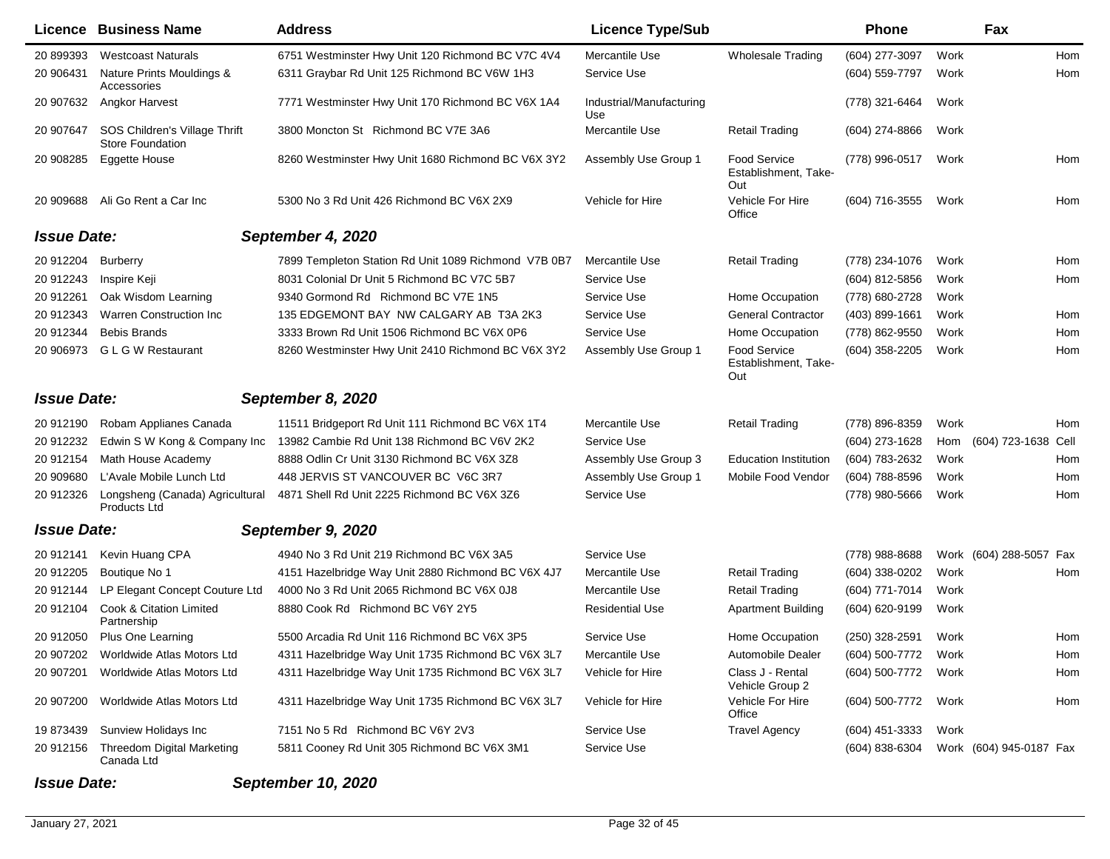| Licence            | <b>Business Name</b>                                     | <b>Address</b>                                       | <b>Licence Type/Sub</b>         |                                                    | <b>Phone</b>        |      | Fax                     |      |
|--------------------|----------------------------------------------------------|------------------------------------------------------|---------------------------------|----------------------------------------------------|---------------------|------|-------------------------|------|
| 20 899393          | <b>Westcoast Naturals</b>                                | 6751 Westminster Hwy Unit 120 Richmond BC V7C 4V4    | Mercantile Use                  | <b>Wholesale Trading</b>                           | (604) 277-3097      | Work |                         | Hom  |
| 20 906431          | Nature Prints Mouldings &<br>Accessories                 | 6311 Graybar Rd Unit 125 Richmond BC V6W 1H3         | Service Use                     |                                                    | (604) 559-7797      | Work |                         | Hom  |
| 20 907632          | Angkor Harvest                                           | 7771 Westminster Hwy Unit 170 Richmond BC V6X 1A4    | Industrial/Manufacturing<br>Use |                                                    | (778) 321-6464      | Work |                         |      |
| 20 907647          | SOS Children's Village Thrift<br><b>Store Foundation</b> | 3800 Moncton St Richmond BC V7E 3A6                  | Mercantile Use                  | Retail Trading                                     | $(604)$ 274-8866    | Work |                         |      |
| 20 908285          | <b>Eggette House</b>                                     | 8260 Westminster Hwy Unit 1680 Richmond BC V6X 3Y2   | Assembly Use Group 1            | <b>Food Service</b><br>Establishment, Take-<br>Out | (778) 996-0517      | Work |                         | Hom  |
|                    | 20 909688 Ali Go Rent a Car Inc                          | 5300 No 3 Rd Unit 426 Richmond BC V6X 2X9            | Vehicle for Hire                | Vehicle For Hire<br>Office                         | (604) 716-3555      | Work |                         | Hom  |
| <b>Issue Date:</b> |                                                          | September 4, 2020                                    |                                 |                                                    |                     |      |                         |      |
| 20 912204          | <b>Burberry</b>                                          | 7899 Templeton Station Rd Unit 1089 Richmond V7B 0B7 | Mercantile Use                  | <b>Retail Trading</b>                              | (778) 234-1076      | Work |                         | Hom  |
| 20 912243          | Inspire Keji                                             | 8031 Colonial Dr Unit 5 Richmond BC V7C 5B7          | Service Use                     |                                                    | (604) 812-5856      | Work |                         | Hom  |
| 20 912261          | Oak Wisdom Learning                                      | 9340 Gormond Rd Richmond BC V7E 1N5                  | Service Use                     | Home Occupation                                    | (778) 680-2728      | Work |                         |      |
| 20 912343          | Warren Construction Inc                                  | 135 EDGEMONT BAY NW CALGARY AB T3A 2K3               | Service Use                     | <b>General Contractor</b>                          | (403) 899-1661      | Work |                         | Hom  |
| 20 912344          | <b>Bebis Brands</b>                                      | 3333 Brown Rd Unit 1506 Richmond BC V6X 0P6          | Service Use                     | Home Occupation                                    | (778) 862-9550      | Work |                         | Hom  |
| 20 906973          | <b>GLGW Restaurant</b>                                   | 8260 Westminster Hwy Unit 2410 Richmond BC V6X 3Y2   | Assembly Use Group 1            | <b>Food Service</b><br>Establishment, Take-<br>Out | (604) 358-2205      | Work |                         | Hom  |
| <b>Issue Date:</b> |                                                          | September 8, 2020                                    |                                 |                                                    |                     |      |                         |      |
| 20 912190          | Robam Applianes Canada                                   | 11511 Bridgeport Rd Unit 111 Richmond BC V6X 1T4     | Mercantile Use                  | <b>Retail Trading</b>                              | (778) 896-8359      | Work |                         | Hom  |
| 20 912232          | Edwin S W Kong & Company Inc                             | 13982 Cambie Rd Unit 138 Richmond BC V6V 2K2         | Service Use                     |                                                    | (604) 273-1628      | Hom  | (604) 723-1638          | Cell |
| 20 912154          | Math House Academy                                       | 8888 Odlin Cr Unit 3130 Richmond BC V6X 3Z8          | Assembly Use Group 3            | <b>Education Institution</b>                       | (604) 783-2632      | Work |                         | Hom  |
| 20 909680          | L'Avale Mobile Lunch Ltd                                 | 448 JERVIS ST VANCOUVER BC V6C 3R7                   | Assembly Use Group 1            | Mobile Food Vendor                                 | (604) 788-8596      | Work |                         | Hom  |
| 20 912326          | Longsheng (Canada) Agricultural<br>Products Ltd          | 4871 Shell Rd Unit 2225 Richmond BC V6X 3Z6          | Service Use                     |                                                    | (778) 980-5666      | Work |                         | Hom  |
| <b>Issue Date:</b> |                                                          | September 9, 2020                                    |                                 |                                                    |                     |      |                         |      |
| 20 912141          | Kevin Huang CPA                                          | 4940 No 3 Rd Unit 219 Richmond BC V6X 3A5            | Service Use                     |                                                    | (778) 988-8688      |      | Work (604) 288-5057 Fax |      |
| 20 912205          | Boutique No 1                                            | 4151 Hazelbridge Way Unit 2880 Richmond BC V6X 4J7   | Mercantile Use                  | <b>Retail Trading</b>                              | (604) 338-0202      | Work |                         | Hom  |
| 20 912144          | LP Elegant Concept Couture Ltd                           | 4000 No 3 Rd Unit 2065 Richmond BC V6X 0J8           | Mercantile Use                  | <b>Retail Trading</b>                              | (604) 771-7014      | Work |                         |      |
| 20 912104          | Cook & Citation Limited<br>Partnership                   | 8880 Cook Rd Richmond BC V6Y 2Y5                     | <b>Residential Use</b>          | <b>Apartment Building</b>                          | (604) 620-9199      | Work |                         |      |
| 20 912050          | Plus One Learning                                        | 5500 Arcadia Rd Unit 116 Richmond BC V6X 3P5         | Service Use                     | Home Occupation                                    | (250) 328-2591      | Work |                         | Hom  |
|                    | 20 907202 Worldwide Atlas Motors Ltd                     | 4311 Hazelbridge Way Unit 1735 Richmond BC V6X 3L7   | Mercantile Use                  | Automobile Dealer                                  | (604) 500-7772 Work |      |                         | Hom  |
| 20 907201          | Worldwide Atlas Motors Ltd                               | 4311 Hazelbridge Way Unit 1735 Richmond BC V6X 3L7   | Vehicle for Hire                | Class J - Rental<br>Vehicle Group 2                | (604) 500-7772      | Work |                         | Hom  |
| 20 907200          | Worldwide Atlas Motors Ltd                               | 4311 Hazelbridge Way Unit 1735 Richmond BC V6X 3L7   | Vehicle for Hire                | Vehicle For Hire<br>Office                         | (604) 500-7772      | Work |                         | Hom  |
| 19 873439          | Sunview Holidays Inc                                     | 7151 No 5 Rd Richmond BC V6Y 2V3                     | Service Use                     | <b>Travel Agency</b>                               | $(604)$ 451-3333    | Work |                         |      |
| 20 912156          | <b>Threedom Digital Marketing</b><br>Canada Ltd          | 5811 Cooney Rd Unit 305 Richmond BC V6X 3M1          | Service Use                     |                                                    | (604) 838-6304      |      | Work (604) 945-0187 Fax |      |

## *Issue Date: September 10, 2020*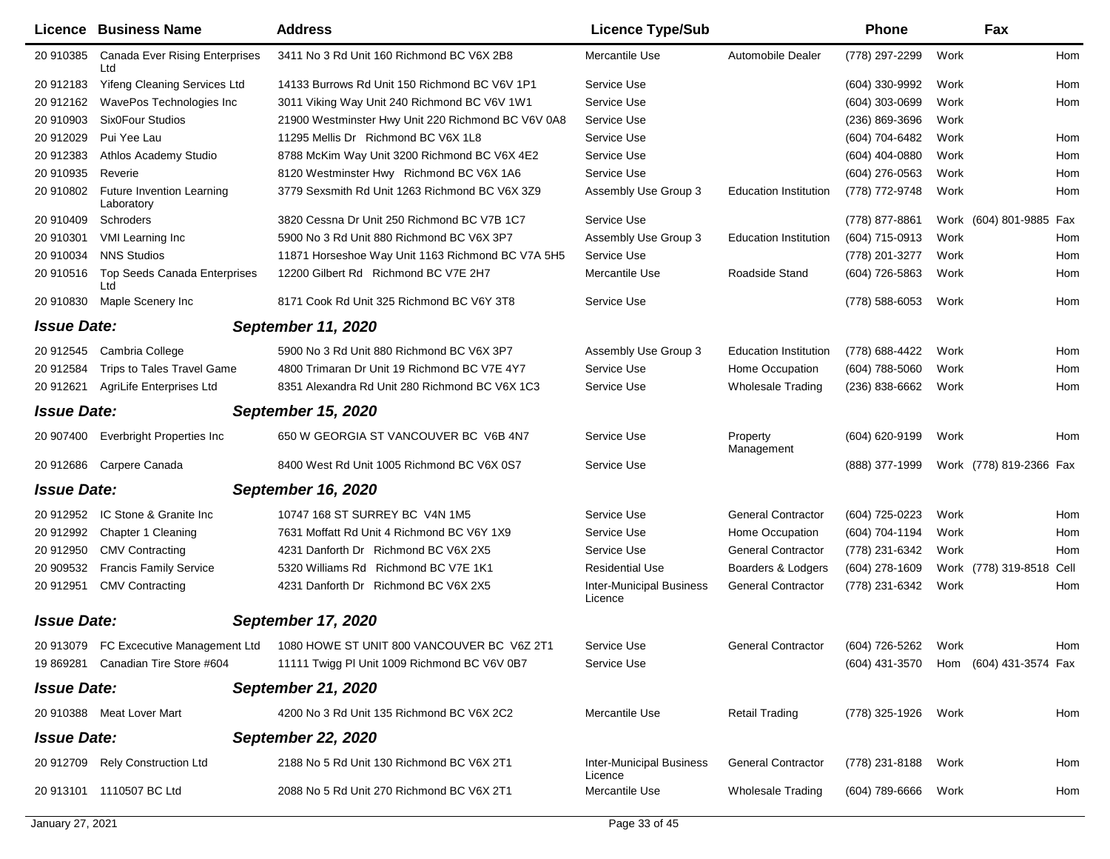|                    | <b>Licence Business Name</b>                   | <b>Address</b>                                                                    | <b>Licence Type/Sub</b>                    |                              | <b>Phone</b>                          |      | Fax                      |     |
|--------------------|------------------------------------------------|-----------------------------------------------------------------------------------|--------------------------------------------|------------------------------|---------------------------------------|------|--------------------------|-----|
| 20 910385          | <b>Canada Ever Rising Enterprises</b><br>Ltd   | 3411 No 3 Rd Unit 160 Richmond BC V6X 2B8                                         | Mercantile Use                             | Automobile Dealer            | (778) 297-2299                        | Work |                          | Hom |
| 20 912183          | <b>Yifeng Cleaning Services Ltd</b>            | 14133 Burrows Rd Unit 150 Richmond BC V6V 1P1                                     | Service Use                                |                              | (604) 330-9992                        | Work |                          | Hom |
| 20 912162          | WavePos Technologies Inc                       | 3011 Viking Way Unit 240 Richmond BC V6V 1W1                                      | Service Use                                |                              | (604) 303-0699                        | Work |                          | Hom |
| 20 910903          | Six0Four Studios                               | 21900 Westminster Hwy Unit 220 Richmond BC V6V 0A8                                | Service Use                                |                              | (236) 869-3696                        | Work |                          |     |
| 20 912029          | Pui Yee Lau                                    | 11295 Mellis Dr Richmond BC V6X 1L8                                               | Service Use                                |                              | (604) 704-6482                        | Work |                          | Hom |
| 20 912383          | Athlos Academy Studio                          | 8788 McKim Way Unit 3200 Richmond BC V6X 4E2                                      | Service Use                                |                              | $(604)$ 404-0880                      | Work |                          | Hom |
| 20 910935          | Reverie                                        | 8120 Westminster Hwy Richmond BC V6X 1A6                                          | Service Use                                |                              | (604) 276-0563                        | Work |                          | Hom |
| 20 910802          | <b>Future Invention Learning</b><br>Laboratory | 3779 Sexsmith Rd Unit 1263 Richmond BC V6X 3Z9                                    | Assembly Use Group 3                       | <b>Education Institution</b> | (778) 772-9748                        | Work |                          | Hom |
| 20 910409          | Schroders                                      | 3820 Cessna Dr Unit 250 Richmond BC V7B 1C7                                       | Service Use                                |                              | (778) 877-8861                        |      | Work (604) 801-9885 Fax  |     |
| 20 910301          | VMI Learning Inc                               | 5900 No 3 Rd Unit 880 Richmond BC V6X 3P7                                         | Assembly Use Group 3                       | <b>Education Institution</b> | (604) 715-0913                        | Work |                          | Hom |
| 20 910034          | <b>NNS Studios</b>                             | 11871 Horseshoe Way Unit 1163 Richmond BC V7A 5H5                                 | Service Use                                |                              | (778) 201-3277                        | Work |                          | Hom |
| 20 910516          | <b>Top Seeds Canada Enterprises</b><br>Ltd     | 12200 Gilbert Rd Richmond BC V7E 2H7                                              | Mercantile Use                             | Roadside Stand               | (604) 726-5863                        | Work |                          | Hom |
| 20 910830          | Maple Scenery Inc                              | 8171 Cook Rd Unit 325 Richmond BC V6Y 3T8                                         | Service Use                                |                              | (778) 588-6053                        | Work |                          | Hom |
| <b>Issue Date:</b> |                                                | <b>September 11, 2020</b>                                                         |                                            |                              |                                       |      |                          |     |
| 20 912545          | Cambria College                                | 5900 No 3 Rd Unit 880 Richmond BC V6X 3P7                                         | Assembly Use Group 3                       | <b>Education Institution</b> | (778) 688-4422                        | Work |                          | Hom |
| 20 912584          | Trips to Tales Travel Game                     | 4800 Trimaran Dr Unit 19 Richmond BC V7E 4Y7                                      | Service Use                                | Home Occupation              | (604) 788-5060                        | Work |                          | Hom |
| 20 912621          | AgriLife Enterprises Ltd                       | 8351 Alexandra Rd Unit 280 Richmond BC V6X 1C3                                    | Service Use                                | <b>Wholesale Trading</b>     | (236) 838-6662                        | Work |                          | Hom |
| <b>Issue Date:</b> |                                                | <b>September 15, 2020</b>                                                         |                                            |                              |                                       |      |                          |     |
| 20 907400          | <b>Everbright Properties Inc</b>               | 650 W GEORGIA ST VANCOUVER BC V6B 4N7                                             | Service Use                                | Property<br>Management       | (604) 620-9199                        | Work |                          | Hom |
| 20 912686          | Carpere Canada                                 | 8400 West Rd Unit 1005 Richmond BC V6X 0S7                                        | Service Use                                |                              | (888) 377-1999                        |      | Work (778) 819-2366 Fax  |     |
| <b>Issue Date:</b> |                                                | <b>September 16, 2020</b>                                                         |                                            |                              |                                       |      |                          |     |
| 20 912952          | IC Stone & Granite Inc.                        | 10747 168 ST SURREY BC V4N 1M5                                                    | Service Use                                | <b>General Contractor</b>    | (604) 725-0223                        | Work |                          | Hom |
| 20 912992          | Chapter 1 Cleaning                             | 7631 Moffatt Rd Unit 4 Richmond BC V6Y 1X9                                        | Service Use                                | Home Occupation              | (604) 704-1194                        | Work |                          | Hom |
| 20 912950          | <b>CMV Contracting</b>                         | 4231 Danforth Dr Richmond BC V6X 2X5                                              | Service Use                                | <b>General Contractor</b>    | (778) 231-6342                        | Work |                          | Hom |
| 20 909532          | <b>Francis Family Service</b>                  | 5320 Williams Rd Richmond BC V7E 1K1                                              | <b>Residential Use</b>                     | Boarders & Lodgers           | (604) 278-1609                        |      | Work (778) 319-8518 Cell |     |
| 20 912951          | <b>CMV Contracting</b>                         | 4231 Danforth Dr Richmond BC V6X 2X5                                              | <b>Inter-Municipal Business</b><br>Licence | <b>General Contractor</b>    | (778) 231-6342                        | Work |                          | Hom |
| <b>Issue Date:</b> |                                                | <b>September 17, 2020</b>                                                         |                                            |                              |                                       |      |                          |     |
|                    |                                                | 20 913079 FC Excecutive Management Ltd 1080 HOWE ST UNIT 800 VANCOUVER BC V6Z 2T1 | Service Use                                | <b>General Contractor</b>    | (604) 726-5262                        | Work |                          | Hom |
|                    | 19 869281 Canadian Tire Store #604             | 11111 Twigg PI Unit 1009 Richmond BC V6V 0B7                                      | Service Use                                |                              | (604) 431-3570 Hom (604) 431-3574 Fax |      |                          |     |
| <b>Issue Date:</b> |                                                | <b>September 21, 2020</b>                                                         |                                            |                              |                                       |      |                          |     |
|                    | 20 910388 Meat Lover Mart                      | 4200 No 3 Rd Unit 135 Richmond BC V6X 2C2                                         | Mercantile Use                             | <b>Retail Trading</b>        | (778) 325-1926 Work                   |      |                          | Hom |
| <b>Issue Date:</b> |                                                | <b>September 22, 2020</b>                                                         |                                            |                              |                                       |      |                          |     |
|                    | 20 912709 Rely Construction Ltd                | 2188 No 5 Rd Unit 130 Richmond BC V6X 2T1                                         | <b>Inter-Municipal Business</b><br>Licence | <b>General Contractor</b>    | (778) 231-8188                        | Work |                          | Hom |
|                    | 20 913101 1110507 BC Ltd                       | 2088 No 5 Rd Unit 270 Richmond BC V6X 2T1                                         | Mercantile Use                             | <b>Wholesale Trading</b>     | (604) 789-6666                        | Work |                          | Hom |
|                    |                                                |                                                                                   |                                            |                              |                                       |      |                          |     |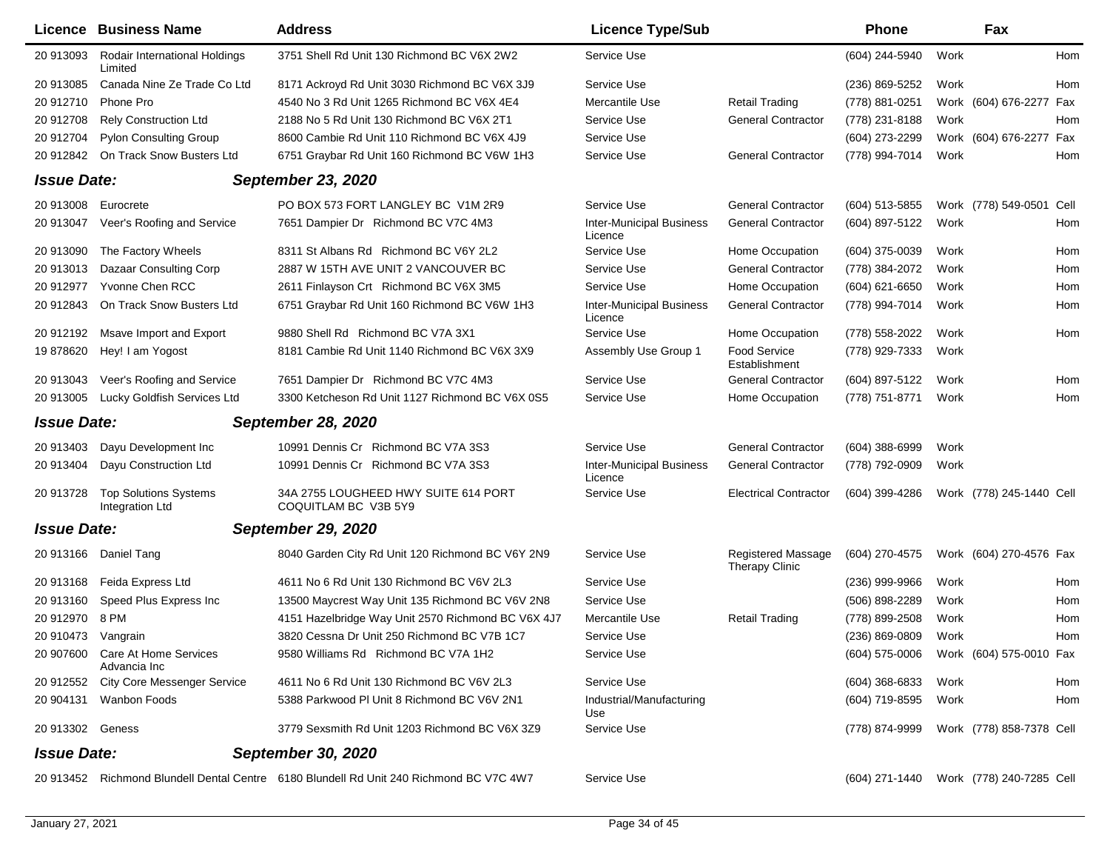| Licence            | <b>Business Name</b>                            | <b>Address</b>                                                                          | <b>Licence Type/Sub</b>                    |                                                    | Phone                                  |      | Fax                      |     |
|--------------------|-------------------------------------------------|-----------------------------------------------------------------------------------------|--------------------------------------------|----------------------------------------------------|----------------------------------------|------|--------------------------|-----|
| 20 913093          | Rodair International Holdings<br>Limited        | 3751 Shell Rd Unit 130 Richmond BC V6X 2W2                                              | Service Use                                |                                                    | (604) 244-5940                         | Work |                          | Hom |
| 20 913085          | Canada Nine Ze Trade Co Ltd                     | 8171 Ackroyd Rd Unit 3030 Richmond BC V6X 3J9                                           | Service Use                                |                                                    | (236) 869-5252                         | Work |                          | Hom |
| 20 912710          | Phone Pro                                       | 4540 No 3 Rd Unit 1265 Richmond BC V6X 4E4                                              | Mercantile Use                             | <b>Retail Trading</b>                              | (778) 881-0251                         |      | Work (604) 676-2277 Fax  |     |
| 20 912708          | <b>Rely Construction Ltd</b>                    | 2188 No 5 Rd Unit 130 Richmond BC V6X 2T1                                               | Service Use                                | <b>General Contractor</b>                          | (778) 231-8188                         | Work |                          | Hom |
| 20 912704          | <b>Pylon Consulting Group</b>                   | 8600 Cambie Rd Unit 110 Richmond BC V6X 4J9                                             | Service Use                                |                                                    | (604) 273-2299                         |      | Work (604) 676-2277 Fax  |     |
| 20 912842          | On Track Snow Busters Ltd                       | 6751 Graybar Rd Unit 160 Richmond BC V6W 1H3                                            | Service Use                                | <b>General Contractor</b>                          | (778) 994-7014                         | Work |                          | Hom |
| <b>Issue Date:</b> |                                                 | <b>September 23, 2020</b>                                                               |                                            |                                                    |                                        |      |                          |     |
| 20 913008          | Eurocrete                                       | PO BOX 573 FORT LANGLEY BC V1M 2R9                                                      | Service Use                                | <b>General Contractor</b>                          | (604) 513-5855                         |      | Work (778) 549-0501 Cell |     |
| 20 913047          | Veer's Roofing and Service                      | 7651 Dampier Dr Richmond BC V7C 4M3                                                     | <b>Inter-Municipal Business</b><br>Licence | <b>General Contractor</b>                          | (604) 897-5122                         | Work |                          | Hom |
| 20 913090          | The Factory Wheels                              | 8311 St Albans Rd Richmond BC V6Y 2L2                                                   | Service Use                                | Home Occupation                                    | (604) 375-0039                         | Work |                          | Hom |
| 20 913013          | Dazaar Consulting Corp                          | 2887 W 15TH AVE UNIT 2 VANCOUVER BC                                                     | Service Use                                | <b>General Contractor</b>                          | (778) 384-2072                         | Work |                          | Hom |
| 20 912977          | Yvonne Chen RCC                                 | 2611 Finlayson Crt Richmond BC V6X 3M5                                                  | Service Use                                | Home Occupation                                    | (604) 621-6650                         | Work |                          | Hom |
| 20 912843          | On Track Snow Busters Ltd                       | 6751 Graybar Rd Unit 160 Richmond BC V6W 1H3                                            | <b>Inter-Municipal Business</b><br>Licence | <b>General Contractor</b>                          | (778) 994-7014                         | Work |                          | Hom |
| 20 912192          | Msave Import and Export                         | 9880 Shell Rd Richmond BC V7A 3X1                                                       | Service Use                                | Home Occupation                                    | (778) 558-2022                         | Work |                          | Hom |
| 19878620           | Hey! I am Yogost                                | 8181 Cambie Rd Unit 1140 Richmond BC V6X 3X9                                            | Assembly Use Group 1                       | <b>Food Service</b><br>Establishment               | (778) 929-7333                         | Work |                          |     |
| 20 913043          | Veer's Roofing and Service                      | 7651 Dampier Dr Richmond BC V7C 4M3                                                     | Service Use                                | <b>General Contractor</b>                          | (604) 897-5122                         | Work |                          | Hom |
| 20 913005          | Lucky Goldfish Services Ltd                     | 3300 Ketcheson Rd Unit 1127 Richmond BC V6X 0S5                                         | Service Use                                | Home Occupation                                    | (778) 751-8771                         | Work |                          | Hom |
| <b>Issue Date:</b> |                                                 | <b>September 28, 2020</b>                                                               |                                            |                                                    |                                        |      |                          |     |
| 20 913403          | Dayu Development Inc                            | 10991 Dennis Cr Richmond BC V7A 3S3                                                     | Service Use                                | <b>General Contractor</b>                          | $(604)$ 388-6999                       | Work |                          |     |
| 20 913404          | Dayu Construction Ltd                           | 10991 Dennis Cr Richmond BC V7A 3S3                                                     | <b>Inter-Municipal Business</b><br>Licence | <b>General Contractor</b>                          | (778) 792-0909                         | Work |                          |     |
| 20 913728          | <b>Top Solutions Systems</b><br>Integration Ltd | 34A 2755 LOUGHEED HWY SUITE 614 PORT<br>COQUITLAM BC V3B 5Y9                            | Service Use                                | <b>Electrical Contractor</b>                       | (604) 399-4286                         |      | Work (778) 245-1440 Cell |     |
| <b>Issue Date:</b> |                                                 | <b>September 29, 2020</b>                                                               |                                            |                                                    |                                        |      |                          |     |
|                    | 20 913166 Daniel Tang                           | 8040 Garden City Rd Unit 120 Richmond BC V6Y 2N9                                        | Service Use                                | <b>Registered Massage</b><br><b>Therapy Clinic</b> | (604) 270-4575                         |      | Work (604) 270-4576 Fax  |     |
| 20 913168          | Feida Express Ltd                               | 4611 No 6 Rd Unit 130 Richmond BC V6V 2L3                                               | Service Use                                |                                                    | (236) 999-9966                         | Work |                          | Hom |
| 20 913160          | Speed Plus Express Inc                          | 13500 Maycrest Way Unit 135 Richmond BC V6V 2N8                                         | Service Use                                |                                                    | (506) 898-2289                         | Work |                          | Hom |
| 20 912970          | 8 PM                                            | 4151 Hazelbridge Way Unit 2570 Richmond BC V6X 4J7                                      | Mercantile Use                             | <b>Retail Trading</b>                              | (778) 899-2508                         | Work |                          | Hom |
| 20 910473 Vangrain |                                                 | 3820 Cessna Dr Unit 250 Richmond BC V7B 1C7                                             | Service Use                                |                                                    | (236) 869-0809                         | Work |                          | Hom |
| 20 907600          | Care At Home Services<br>Advancia Inc           | 9580 Williams Rd Richmond BC V7A 1H2                                                    | Service Use                                |                                                    | (604) 575-0006 Work (604) 575-0010 Fax |      |                          |     |
| 20 912552          | <b>City Core Messenger Service</b>              | 4611 No 6 Rd Unit 130 Richmond BC V6V 2L3                                               | Service Use                                |                                                    | $(604)$ 368-6833                       | Work |                          | Hom |
| 20 904131          | Wanbon Foods                                    | 5388 Parkwood PI Unit 8 Richmond BC V6V 2N1                                             | Industrial/Manufacturing<br>Use            |                                                    | (604) 719-8595                         | Work |                          | Hom |
| 20 913302 Geness   |                                                 | 3779 Sexsmith Rd Unit 1203 Richmond BC V6X 3Z9                                          | Service Use                                |                                                    | (778) 874-9999                         |      | Work (778) 858-7378 Cell |     |
| <b>Issue Date:</b> |                                                 | <b>September 30, 2020</b>                                                               |                                            |                                                    |                                        |      |                          |     |
|                    |                                                 | 20 913452 Richmond Blundell Dental Centre 6180 Blundell Rd Unit 240 Richmond BC V7C 4W7 | Service Use                                |                                                    | (604) 271-1440                         |      | Work (778) 240-7285 Cell |     |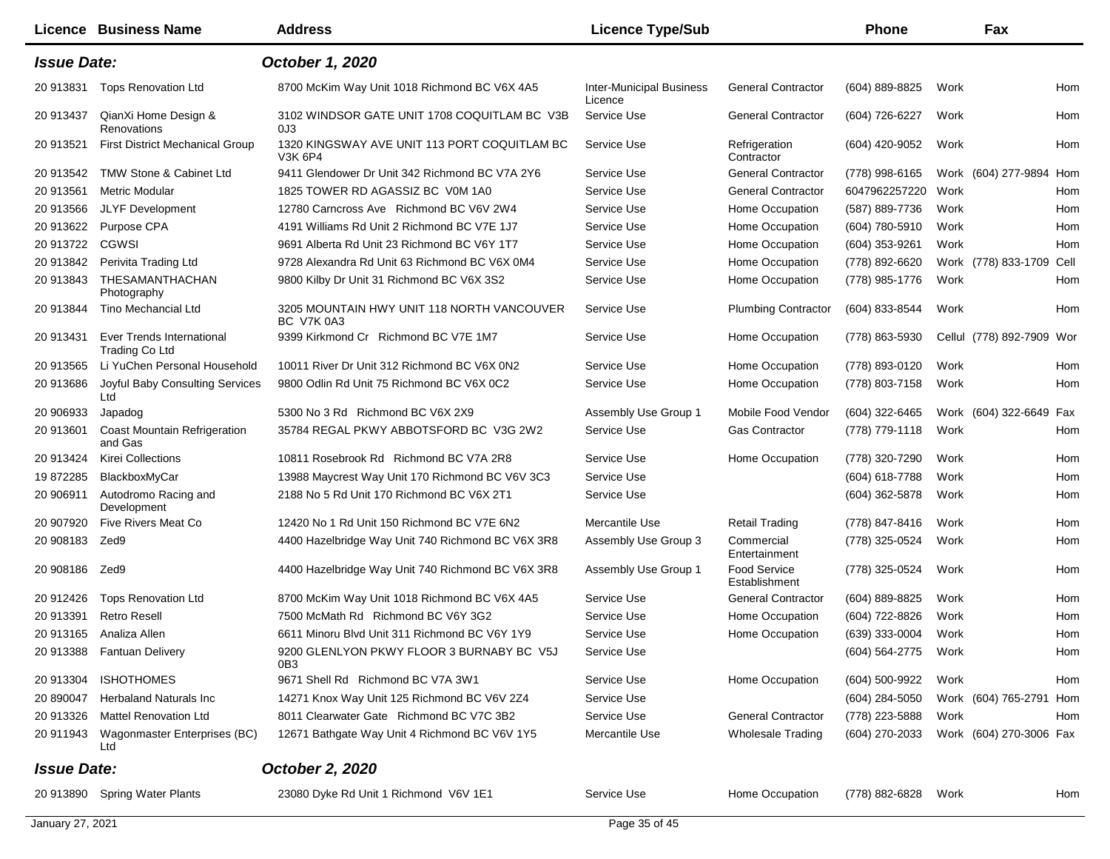|                    | Licence Business Name                       | <b>Address</b>                                               | <b>Licence Type/Sub</b>                    |                               | <b>Phone</b>   |      | Fax                       |     |
|--------------------|---------------------------------------------|--------------------------------------------------------------|--------------------------------------------|-------------------------------|----------------|------|---------------------------|-----|
| <b>Issue Date:</b> |                                             | October 1, 2020                                              |                                            |                               |                |      |                           |     |
| 20 913831          | <b>Tops Renovation Ltd</b>                  | 8700 McKim Way Unit 1018 Richmond BC V6X 4A5                 | <b>Inter-Municipal Business</b><br>Licence | <b>General Contractor</b>     | (604) 889-8825 | Work |                           | Hom |
| 20 913437          | QianXi Home Design &<br>Renovations         | 3102 WINDSOR GATE UNIT 1708 COQUITLAM BC V3B<br>0J3          | Service Use                                | <b>General Contractor</b>     | (604) 726-6227 | Work |                           | Hom |
| 20 913521          | First District Mechanical Group             | 1320 KINGSWAY AVE UNIT 113 PORT COQUITLAM BC<br>V3K 6P4      | Service Use                                | Refrigeration<br>Contractor   | (604) 420-9052 | Work |                           | Hom |
| 20 913542          | TMW Stone & Cabinet Ltd                     | 9411 Glendower Dr Unit 342 Richmond BC V7A 2Y6               | Service Use                                | <b>General Contractor</b>     | (778) 998-6165 |      | Work (604) 277-9894 Hom   |     |
| 20 913561          | <b>Metric Modular</b>                       | 1825 TOWER RD AGASSIZ BC V0M 1A0                             | Service Use                                | <b>General Contractor</b>     | 6047962257220  | Work |                           | Hom |
| 20 913566          | <b>JLYF Development</b>                     | 12780 Carncross Ave Richmond BC V6V 2W4                      | Service Use                                | Home Occupation               | (587) 889-7736 | Work |                           | Hom |
| 20 913622          | Purpose CPA                                 | 4191 Williams Rd Unit 2 Richmond BC V7E 1J7                  | Service Use                                | Home Occupation               | (604) 780-5910 | Work |                           | Hom |
| 20 913722          | CGWSI                                       | 9691 Alberta Rd Unit 23 Richmond BC V6Y 1T7                  | Service Use                                | Home Occupation               | (604) 353-9261 | Work |                           | Hom |
| 20 913842          | Perivita Trading Ltd                        | 9728 Alexandra Rd Unit 63 Richmond BC V6X 0M4                | Service Use                                | Home Occupation               | (778) 892-6620 |      | Work (778) 833-1709 Cell  |     |
| 20 913843          | THESAMANTHACHAN<br>Photography              | 9800 Kilby Dr Unit 31 Richmond BC V6X 3S2                    | Service Use                                | Home Occupation               | (778) 985-1776 | Work |                           | Hom |
| 20 913844          | Tino Mechancial Ltd                         | 3205 MOUNTAIN HWY UNIT 118 NORTH VANCOUVER<br>BC V7K 0A3     | Service Use                                | <b>Plumbing Contractor</b>    | (604) 833-8544 | Work |                           | Hom |
| 20 913431          | Ever Trends International<br>Trading Co Ltd | 9399 Kirkmond Cr Richmond BC V7E 1M7                         | Service Use                                | Home Occupation               | (778) 863-5930 |      | Cellul (778) 892-7909 Wor |     |
| 20 913565          | Li YuChen Personal Household                | 10011 River Dr Unit 312 Richmond BC V6X 0N2                  | Service Use                                | Home Occupation               | (778) 893-0120 | Work |                           | Hom |
| 20 913686          | Joyful Baby Consulting Services<br>Ltd      | 9800 Odlin Rd Unit 75 Richmond BC V6X 0C2                    | Service Use                                | Home Occupation               | (778) 803-7158 | Work |                           | Hom |
| 20 906933          | Japadog                                     | 5300 No 3 Rd Richmond BC V6X 2X9                             | Assembly Use Group 1                       | Mobile Food Vendor            | (604) 322-6465 |      | Work (604) 322-6649 Fax   |     |
| 20 913601          | Coast Mountain Refrigeration<br>and Gas     | 35784 REGAL PKWY ABBOTSFORD BC V3G 2W2                       | Service Use                                | Gas Contractor                | (778) 779-1118 | Work |                           | Hom |
| 20 913424          | <b>Kirei Collections</b>                    | 10811 Rosebrook Rd Richmond BC V7A 2R8                       | Service Use                                | Home Occupation               | (778) 320-7290 | Work |                           | Hom |
| 19 872285          | BlackboxMyCar                               | 13988 Maycrest Way Unit 170 Richmond BC V6V 3C3              | Service Use                                |                               | (604) 618-7788 | Work |                           | Hom |
| 20 906911          | Autodromo Racing and<br>Development         | 2188 No 5 Rd Unit 170 Richmond BC V6X 2T1                    | Service Use                                |                               | (604) 362-5878 | Work |                           | Hom |
| 20 907920          | Five Rivers Meat Co                         | 12420 No 1 Rd Unit 150 Richmond BC V7E 6N2                   | Mercantile Use                             | <b>Retail Trading</b>         | (778) 847-8416 | Work |                           | Hom |
| 20 908183          | Zed9                                        | 4400 Hazelbridge Way Unit 740 Richmond BC V6X 3R8            | Assembly Use Group 3                       | Commercial<br>Entertainment   | (778) 325-0524 | Work |                           | Hom |
| 20 908186          | Zed9                                        | 4400 Hazelbridge Way Unit 740 Richmond BC V6X 3R8            | Assembly Use Group 1                       | Food Service<br>Establishment | (778) 325-0524 | Work |                           | Hom |
| 20 912426          | <b>Tops Renovation Ltd</b>                  | 8700 McKim Way Unit 1018 Richmond BC V6X 4A5                 | Service Use                                | <b>General Contractor</b>     | (604) 889-8825 | Work |                           | Hom |
| 20 913391          | <b>Retro Resell</b>                         | 7500 McMath Rd Richmond BC V6Y 3G2                           | Service Use                                | Home Occupation               | (604) 722-8826 | Work |                           | Hom |
| 20 913165          | Analiza Allen                               | 6611 Minoru Blvd Unit 311 Richmond BC V6Y 1Y9                | Service Use                                | Home Occupation               | (639) 333-0004 | Work |                           | Hom |
|                    | 20 913388 Fantuan Delivery                  | 9200 GLENLYON PKWY FLOOR 3 BURNABY BC V5J<br>0B <sub>3</sub> | Service Use                                |                               | (604) 564-2775 | Work |                           | Hom |
| 20 913304          | <b>ISHOTHOMES</b>                           | 9671 Shell Rd Richmond BC V7A 3W1                            | Service Use                                | Home Occupation               | (604) 500-9922 | Work |                           | Hom |
| 20 890047          | <b>Herbaland Naturals Inc.</b>              | 14271 Knox Way Unit 125 Richmond BC V6V 2Z4                  | Service Use                                |                               | (604) 284-5050 |      | Work (604) 765-2791 Hom   |     |
| 20 913326          | <b>Mattel Renovation Ltd</b>                | 8011 Clearwater Gate Richmond BC V7C 3B2                     | Service Use                                | <b>General Contractor</b>     | (778) 223-5888 | Work |                           | Hom |
| 20 911943          | Wagonmaster Enterprises (BC)<br>Ltd         | 12671 Bathgate Way Unit 4 Richmond BC V6V 1Y5                | Mercantile Use                             | <b>Wholesale Trading</b>      | (604) 270-2033 |      | Work (604) 270-3006 Fax   |     |
| <b>Issue Date:</b> |                                             | October 2, 2020                                              |                                            |                               |                |      |                           |     |
| 20 913890          | <b>Spring Water Plants</b>                  | 23080 Dyke Rd Unit 1 Richmond V6V 1E1                        | Service Use                                | Home Occupation               | (778) 882-6828 | Work |                           | Hom |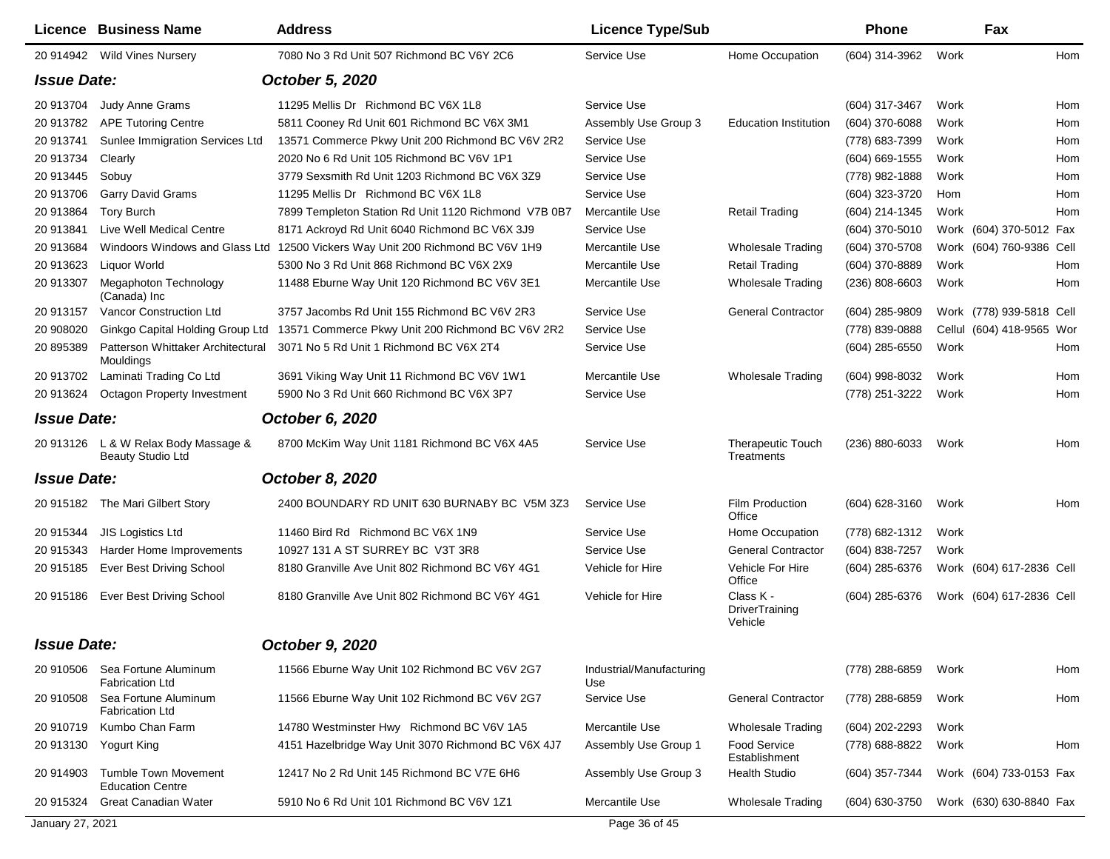| Licence            | <b>Business Name</b>                                             | <b>Address</b>                                                                | <b>Licence Type/Sub</b>         |                                        | <b>Phone</b>       |      | Fax                       |     |
|--------------------|------------------------------------------------------------------|-------------------------------------------------------------------------------|---------------------------------|----------------------------------------|--------------------|------|---------------------------|-----|
|                    | 20 914942 Wild Vines Nursery                                     | 7080 No 3 Rd Unit 507 Richmond BC V6Y 2C6                                     | Service Use                     | Home Occupation                        | (604) 314-3962     | Work |                           | Hom |
| <b>Issue Date:</b> |                                                                  | October 5, 2020                                                               |                                 |                                        |                    |      |                           |     |
| 20 913704          | <b>Judy Anne Grams</b>                                           | 11295 Mellis Dr Richmond BC V6X 1L8                                           | Service Use                     |                                        | (604) 317-3467     | Work |                           | Hom |
| 20 913782          | <b>APE Tutoring Centre</b>                                       | 5811 Cooney Rd Unit 601 Richmond BC V6X 3M1                                   | Assembly Use Group 3            | <b>Education Institution</b>           | (604) 370-6088     | Work |                           | Hom |
| 20 913741          | Sunlee Immigration Services Ltd                                  | 13571 Commerce Pkwy Unit 200 Richmond BC V6V 2R2                              | Service Use                     |                                        | (778) 683-7399     | Work |                           | Hom |
| 20 913734          | Clearly                                                          | 2020 No 6 Rd Unit 105 Richmond BC V6V 1P1                                     | Service Use                     |                                        | (604) 669-1555     | Work |                           | Hom |
| 20 913445          | Sobuy                                                            | 3779 Sexsmith Rd Unit 1203 Richmond BC V6X 3Z9                                | Service Use                     |                                        | (778) 982-1888     | Work |                           | Hom |
| 20 913706          | <b>Garry David Grams</b>                                         | 11295 Mellis Dr Richmond BC V6X 1L8                                           | Service Use                     |                                        | (604) 323-3720     | Hom  |                           | Hom |
| 20 913864          | <b>Tory Burch</b>                                                | 7899 Templeton Station Rd Unit 1120 Richmond V7B 0B7                          | Mercantile Use                  | <b>Retail Trading</b>                  | (604) 214-1345     | Work |                           | Hom |
| 20 913841          | Live Well Medical Centre                                         | 8171 Ackroyd Rd Unit 6040 Richmond BC V6X 3J9                                 | Service Use                     |                                        | (604) 370-5010     |      | Work (604) 370-5012 Fax   |     |
| 20 913684          |                                                                  | Windoors Windows and Glass Ltd 12500 Vickers Way Unit 200 Richmond BC V6V 1H9 | Mercantile Use                  | <b>Wholesale Trading</b>               | (604) 370-5708     |      | Work (604) 760-9386 Cell  |     |
| 20 913623          | <b>Liquor World</b>                                              | 5300 No 3 Rd Unit 868 Richmond BC V6X 2X9                                     | Mercantile Use                  | <b>Retail Trading</b>                  | (604) 370-8889     | Work |                           | Hom |
| 20 913307          | <b>Megaphoton Technology</b><br>(Canada) Inc                     | 11488 Eburne Way Unit 120 Richmond BC V6V 3E1                                 | Mercantile Use                  | <b>Wholesale Trading</b>               | $(236) 808 - 6603$ | Work |                           | Hom |
| 20 913157          | Vancor Construction Ltd                                          | 3757 Jacombs Rd Unit 155 Richmond BC V6V 2R3                                  | Service Use                     | <b>General Contractor</b>              | (604) 285-9809     |      | Work (778) 939-5818 Cell  |     |
| 20 908020          | Ginkgo Capital Holding Group Ltd                                 | 13571 Commerce Pkwy Unit 200 Richmond BC V6V 2R2                              | Service Use                     |                                        | (778) 839-0888     |      | Cellul (604) 418-9565 Wor |     |
| 20 895389          | Mouldings                                                        | Patterson Whittaker Architectural 3071 No 5 Rd Unit 1 Richmond BC V6X 2T4     | Service Use                     |                                        | (604) 285-6550     | Work |                           | Hom |
| 20 913702          | Laminati Trading Co Ltd                                          | 3691 Viking Way Unit 11 Richmond BC V6V 1W1                                   | Mercantile Use                  | <b>Wholesale Trading</b>               | (604) 998-8032     | Work |                           | Hom |
| 20 913624          | <b>Octagon Property Investment</b>                               | 5900 No 3 Rd Unit 660 Richmond BC V6X 3P7                                     | Service Use                     |                                        | (778) 251-3222     | Work |                           | Hom |
| <b>Issue Date:</b> |                                                                  | October 6, 2020                                                               |                                 |                                        |                    |      |                           |     |
|                    | 20 913126 L & W Relax Body Massage &<br><b>Beauty Studio Ltd</b> | 8700 McKim Way Unit 1181 Richmond BC V6X 4A5                                  | Service Use                     | <b>Therapeutic Touch</b><br>Treatments | $(236) 880 - 6033$ | Work |                           | Hom |
| <b>Issue Date:</b> |                                                                  | October 8, 2020                                                               |                                 |                                        |                    |      |                           |     |
| 20 915182          | The Mari Gilbert Story                                           | 2400 BOUNDARY RD UNIT 630 BURNABY BC V5M 3Z3                                  | Service Use                     | Film Production<br>Office              | (604) 628-3160     | Work |                           | Hom |
| 20 915344          | <b>JIS Logistics Ltd</b>                                         | 11460 Bird Rd Richmond BC V6X 1N9                                             | Service Use                     | Home Occupation                        | (778) 682-1312     | Work |                           |     |
| 20 915343          | Harder Home Improvements                                         | 10927 131 A ST SURREY BC V3T 3R8                                              | Service Use                     | <b>General Contractor</b>              | (604) 838-7257     | Work |                           |     |
| 20 915185          | <b>Ever Best Driving School</b>                                  | 8180 Granville Ave Unit 802 Richmond BC V6Y 4G1                               | Vehicle for Hire                | Vehicle For Hire<br>Office             | (604) 285-6376     |      | Work (604) 617-2836 Cell  |     |
| 20 915186          | <b>Ever Best Driving School</b>                                  | 8180 Granville Ave Unit 802 Richmond BC V6Y 4G1                               | Vehicle for Hire                | Class K -<br>DriverTraining<br>Vehicle | (604) 285-6376     |      | Work (604) 617-2836 Cell  |     |
| <b>Issue Date:</b> |                                                                  | October 9, 2020                                                               |                                 |                                        |                    |      |                           |     |
|                    | 20 910506 Sea Fortune Aluminum<br><b>Fabrication Ltd</b>         | 11566 Eburne Way Unit 102 Richmond BC V6V 2G7                                 | Industrial/Manufacturing<br>Use |                                        | (778) 288-6859     | Work |                           | Hom |
| 20 910508          | Sea Fortune Aluminum<br><b>Fabrication Ltd</b>                   | 11566 Eburne Way Unit 102 Richmond BC V6V 2G7                                 | Service Use                     | <b>General Contractor</b>              | (778) 288-6859     | Work |                           | Hom |
| 20 910719          | Kumbo Chan Farm                                                  | 14780 Westminster Hwy Richmond BC V6V 1A5                                     | Mercantile Use                  | <b>Wholesale Trading</b>               | (604) 202-2293     | Work |                           |     |
| 20 913130          | Yogurt King                                                      | 4151 Hazelbridge Way Unit 3070 Richmond BC V6X 4J7                            | Assembly Use Group 1            | <b>Food Service</b><br>Establishment   | (778) 688-8822     | Work |                           | Hom |
| 20 914903          | <b>Tumble Town Movement</b><br><b>Education Centre</b>           | 12417 No 2 Rd Unit 145 Richmond BC V7E 6H6                                    | Assembly Use Group 3            | <b>Health Studio</b>                   | (604) 357-7344     |      | Work (604) 733-0153 Fax   |     |
| 20 915324          | <b>Great Canadian Water</b>                                      | 5910 No 6 Rd Unit 101 Richmond BC V6V 1Z1                                     | Mercantile Use                  | <b>Wholesale Trading</b>               | (604) 630-3750     |      | Work (630) 630-8840 Fax   |     |
| January 27, 2021   |                                                                  |                                                                               | Page 36 of 45                   |                                        |                    |      |                           |     |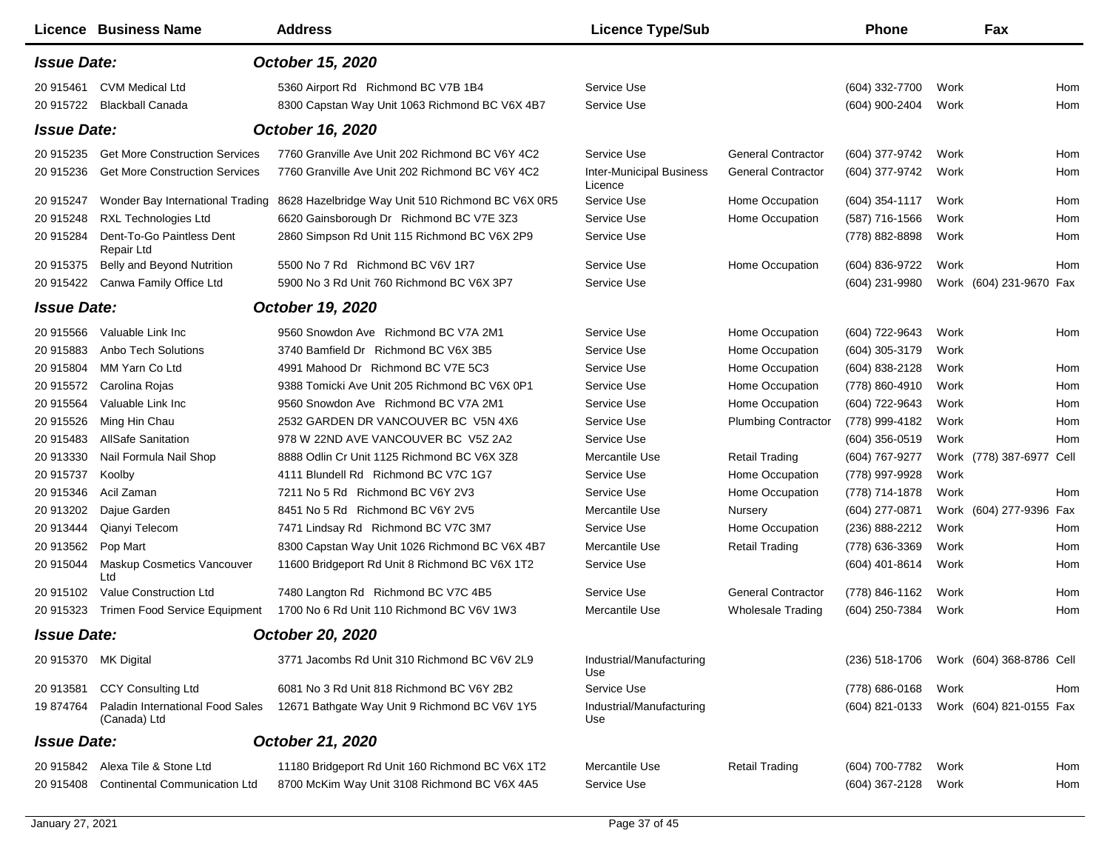|                      | Licence Business Name                            | <b>Address</b>                                    | <b>Licence Type/Sub</b>                    |                            | <b>Phone</b>     |      | Fax                      |     |
|----------------------|--------------------------------------------------|---------------------------------------------------|--------------------------------------------|----------------------------|------------------|------|--------------------------|-----|
| <b>Issue Date:</b>   |                                                  | October 15, 2020                                  |                                            |                            |                  |      |                          |     |
| 20 915461            | <b>CVM Medical Ltd</b>                           | 5360 Airport Rd Richmond BC V7B 1B4               | Service Use                                |                            | (604) 332-7700   | Work |                          | Hom |
| 20 915722            | <b>Blackball Canada</b>                          | 8300 Capstan Way Unit 1063 Richmond BC V6X 4B7    | Service Use                                |                            | (604) 900-2404   | Work |                          | Hom |
| <b>Issue Date:</b>   |                                                  | October 16, 2020                                  |                                            |                            |                  |      |                          |     |
| 20 915235            | <b>Get More Construction Services</b>            | 7760 Granville Ave Unit 202 Richmond BC V6Y 4C2   | Service Use                                | <b>General Contractor</b>  | (604) 377-9742   | Work |                          | Hom |
| 20 915236            | <b>Get More Construction Services</b>            | 7760 Granville Ave Unit 202 Richmond BC V6Y 4C2   | <b>Inter-Municipal Business</b><br>Licence | <b>General Contractor</b>  | (604) 377-9742   | Work |                          | Hom |
| 20 915247            | Wonder Bay International Trading                 | 8628 Hazelbridge Way Unit 510 Richmond BC V6X 0R5 | Service Use                                | Home Occupation            | (604) 354-1117   | Work |                          | Hom |
| 20 915248            | RXL Technologies Ltd                             | 6620 Gainsborough Dr Richmond BC V7E 3Z3          | Service Use                                | Home Occupation            | (587) 716-1566   | Work |                          | Hom |
| 20 915284            | Dent-To-Go Paintless Dent<br>Repair Ltd          | 2860 Simpson Rd Unit 115 Richmond BC V6X 2P9      | Service Use                                |                            | (778) 882-8898   | Work |                          | Hom |
| 20 915375            | Belly and Beyond Nutrition                       | 5500 No 7 Rd Richmond BC V6V 1R7                  | Service Use                                | Home Occupation            | (604) 836-9722   | Work |                          | Hom |
| 20 915422            | Canwa Family Office Ltd                          | 5900 No 3 Rd Unit 760 Richmond BC V6X 3P7         | Service Use                                |                            | (604) 231-9980   |      | Work (604) 231-9670 Fax  |     |
| <b>Issue Date:</b>   |                                                  | October 19, 2020                                  |                                            |                            |                  |      |                          |     |
| 20 915566            | Valuable Link Inc                                | 9560 Snowdon Ave Richmond BC V7A 2M1              | Service Use                                | Home Occupation            | (604) 722-9643   | Work |                          | Hom |
| 20 915883            | Anbo Tech Solutions                              | 3740 Bamfield Dr Richmond BC V6X 3B5              | Service Use                                | Home Occupation            | (604) 305-3179   | Work |                          |     |
| 20 915804            | MM Yarn Co Ltd                                   | 4991 Mahood Dr Richmond BC V7E 5C3                | Service Use                                | Home Occupation            | (604) 838-2128   | Work |                          | Hom |
| 20 915572            | Carolina Rojas                                   | 9388 Tomicki Ave Unit 205 Richmond BC V6X 0P1     | Service Use                                | Home Occupation            | (778) 860-4910   | Work |                          | Hom |
| 20 915564            | Valuable Link Inc                                | 9560 Snowdon Ave Richmond BC V7A 2M1              | Service Use                                | Home Occupation            | (604) 722-9643   | Work |                          | Hom |
| 20 915526            | Ming Hin Chau                                    | 2532 GARDEN DR VANCOUVER BC V5N 4X6               | Service Use                                | <b>Plumbing Contractor</b> | (778) 999-4182   | Work |                          | Hom |
| 20 915483            | <b>AllSafe Sanitation</b>                        | 978 W 22ND AVE VANCOUVER BC V5Z 2A2               | Service Use                                |                            | $(604)$ 356-0519 | Work |                          | Hom |
| 20 913330            | Nail Formula Nail Shop                           | 8888 Odlin Cr Unit 1125 Richmond BC V6X 3Z8       | Mercantile Use                             | <b>Retail Trading</b>      | (604) 767-9277   |      | Work (778) 387-6977 Cell |     |
| 20 915737            | Koolby                                           | 4111 Blundell Rd Richmond BC V7C 1G7              | Service Use                                | Home Occupation            | (778) 997-9928   | Work |                          |     |
| 20 915346            | Acil Zaman                                       | 7211 No 5 Rd Richmond BC V6Y 2V3                  | Service Use                                | Home Occupation            | (778) 714-1878   | Work |                          | Hom |
| 20 913202            | Dajue Garden                                     | 8451 No 5 Rd Richmond BC V6Y 2V5                  | Mercantile Use                             | Nursery                    | (604) 277-0871   |      | Work (604) 277-9396 Fax  |     |
| 20 913444            | Qianyi Telecom                                   | 7471 Lindsay Rd Richmond BC V7C 3M7               | Service Use                                | Home Occupation            | (236) 888-2212   | Work |                          | Hom |
| 20 913562            | Pop Mart                                         | 8300 Capstan Way Unit 1026 Richmond BC V6X 4B7    | Mercantile Use                             | <b>Retail Trading</b>      | (778) 636-3369   | Work |                          | Hom |
| 20 915044            | <b>Maskup Cosmetics Vancouver</b><br>Ltd         | 11600 Bridgeport Rd Unit 8 Richmond BC V6X 1T2    | Service Use                                |                            | (604) 401-8614   | Work |                          | Hom |
| 20 915102            | Value Construction Ltd                           | 7480 Langton Rd Richmond BC V7C 4B5               | Service Use                                | <b>General Contractor</b>  | (778) 846-1162   | Work |                          | Hom |
| 20 915323            | <b>Trimen Food Service Equipment</b>             | 1700 No 6 Rd Unit 110 Richmond BC V6V 1W3         | Mercantile Use                             | <b>Wholesale Trading</b>   | (604) 250-7384   | Work |                          | Hom |
| <b>Issue Date:</b>   |                                                  | October 20, 2020                                  |                                            |                            |                  |      |                          |     |
| 20 915370 MK Digital |                                                  | 3771 Jacombs Rd Unit 310 Richmond BC V6V 2L9      | Industrial/Manufacturing<br>Use            |                            | (236) 518-1706   |      | Work (604) 368-8786 Cell |     |
| 20 913581            | <b>CCY Consulting Ltd</b>                        | 6081 No 3 Rd Unit 818 Richmond BC V6Y 2B2         | Service Use                                |                            | (778) 686-0168   | Work |                          | Hom |
| 19 874764            | Paladin International Food Sales<br>(Canada) Ltd | 12671 Bathgate Way Unit 9 Richmond BC V6V 1Y5     | Industrial/Manufacturing<br>Use            |                            | (604) 821-0133   |      | Work (604) 821-0155 Fax  |     |
| <b>Issue Date:</b>   |                                                  | October 21, 2020                                  |                                            |                            |                  |      |                          |     |
| 20 915842            | Alexa Tile & Stone Ltd                           | 11180 Bridgeport Rd Unit 160 Richmond BC V6X 1T2  | Mercantile Use                             | <b>Retail Trading</b>      | (604) 700-7782   | Work |                          | Hom |
| 20 915408            | <b>Continental Communication Ltd</b>             | 8700 McKim Way Unit 3108 Richmond BC V6X 4A5      | Service Use                                |                            | (604) 367-2128   | Work |                          | Hom |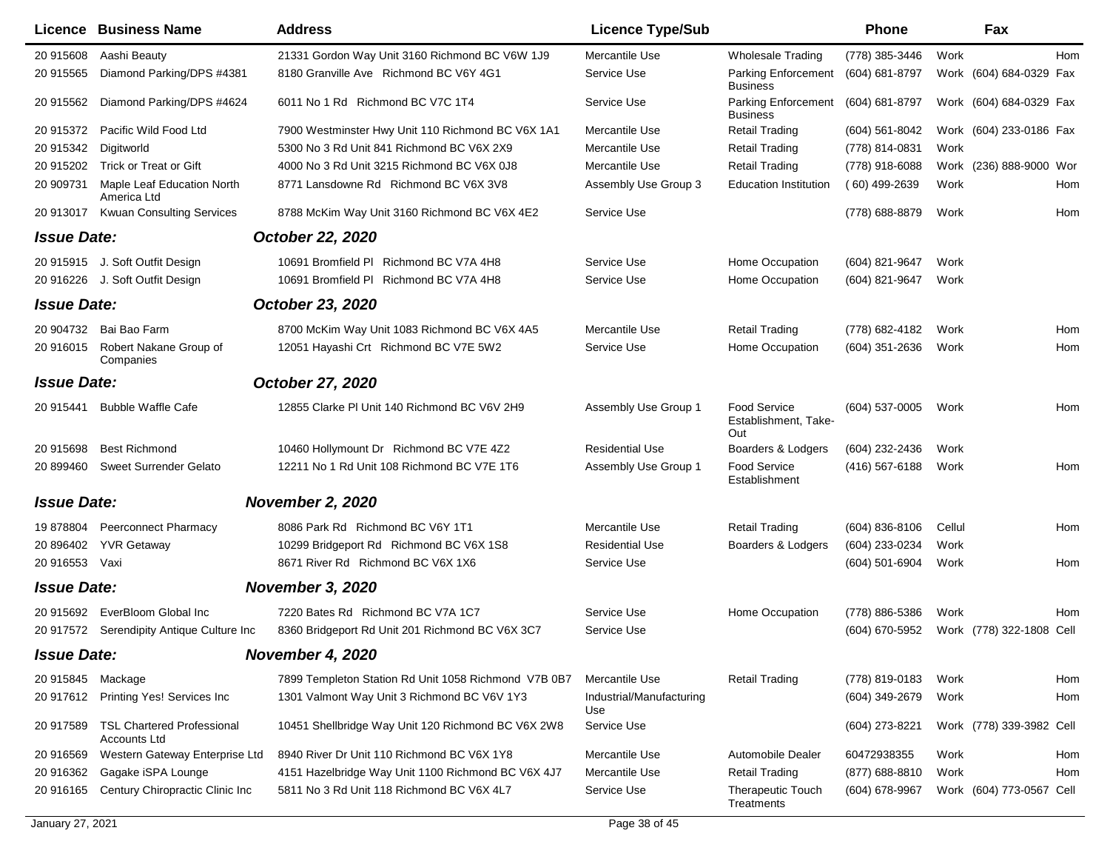|                           | Licence Business Name                                    | <b>Address</b>                                       | <b>Licence Type/Sub</b>         |                                                    | <b>Phone</b>     | Fax                      |     |
|---------------------------|----------------------------------------------------------|------------------------------------------------------|---------------------------------|----------------------------------------------------|------------------|--------------------------|-----|
| 20 915608                 | Aashi Beauty                                             | 21331 Gordon Way Unit 3160 Richmond BC V6W 1J9       | Mercantile Use                  | <b>Wholesale Trading</b>                           | (778) 385-3446   | Work                     | Hom |
| 20 915565                 | Diamond Parking/DPS #4381                                | 8180 Granville Ave Richmond BC V6Y 4G1               | Service Use                     | Parking Enforcement<br><b>Business</b>             | (604) 681-8797   | Work (604) 684-0329 Fax  |     |
| 20 915562                 | Diamond Parking/DPS #4624                                | 6011 No 1 Rd Richmond BC V7C 1T4                     | Service Use                     | Parking Enforcement<br><b>Business</b>             | (604) 681-8797   | Work (604) 684-0329 Fax  |     |
| 20 915372                 | Pacific Wild Food Ltd                                    | 7900 Westminster Hwy Unit 110 Richmond BC V6X 1A1    | Mercantile Use                  | <b>Retail Trading</b>                              | $(604)$ 561-8042 | Work (604) 233-0186 Fax  |     |
| 20 915342                 | Digitworld                                               | 5300 No 3 Rd Unit 841 Richmond BC V6X 2X9            | Mercantile Use                  | Retail Trading                                     | (778) 814-0831   | Work                     |     |
| 20 915202                 | <b>Trick or Treat or Gift</b>                            | 4000 No 3 Rd Unit 3215 Richmond BC V6X 0J8           | Mercantile Use                  | <b>Retail Trading</b>                              | (778) 918-6088   | Work (236) 888-9000 Wor  |     |
| 20 909731                 | Maple Leaf Education North<br>America Ltd                | 8771 Lansdowne Rd Richmond BC V6X 3V8                | Assembly Use Group 3            | <b>Education Institution</b>                       | (60) 499-2639    | Work                     | Hom |
| 20 913017                 | <b>Kwuan Consulting Services</b>                         | 8788 McKim Way Unit 3160 Richmond BC V6X 4E2         | Service Use                     |                                                    | (778) 688-8879   | Work                     | Hom |
| <b>Issue Date:</b>        |                                                          | <b>October 22, 2020</b>                              |                                 |                                                    |                  |                          |     |
|                           | 20 915915 J. Soft Outfit Design                          | 10691 Bromfield PI Richmond BC V7A 4H8               | Service Use                     | Home Occupation                                    | (604) 821-9647   | Work                     |     |
|                           | 20 916226 J. Soft Outfit Design                          | 10691 Bromfield PI Richmond BC V7A 4H8               | Service Use                     | Home Occupation                                    | (604) 821-9647   | Work                     |     |
| <b>Issue Date:</b>        |                                                          | October 23, 2020                                     |                                 |                                                    |                  |                          |     |
| 20 904732                 | Bai Bao Farm                                             | 8700 McKim Way Unit 1083 Richmond BC V6X 4A5         | Mercantile Use                  | <b>Retail Trading</b>                              | (778) 682-4182   | Work                     | Hom |
| 20 916015                 | Robert Nakane Group of<br>Companies                      | 12051 Hayashi Crt Richmond BC V7E 5W2                | Service Use                     | Home Occupation                                    | $(604)$ 351-2636 | Work                     | Hom |
| <b>Issue Date:</b>        |                                                          | October 27, 2020                                     |                                 |                                                    |                  |                          |     |
| 20 915441                 | <b>Bubble Waffle Cafe</b>                                | 12855 Clarke PI Unit 140 Richmond BC V6V 2H9         | Assembly Use Group 1            | <b>Food Service</b><br>Establishment, Take-<br>Out | (604) 537-0005   | Work                     | Hom |
| 20 915698                 | <b>Best Richmond</b>                                     | 10460 Hollymount Dr Richmond BC V7E 4Z2              | <b>Residential Use</b>          | Boarders & Lodgers                                 | (604) 232-2436   | Work                     |     |
| 20 899460                 | <b>Sweet Surrender Gelato</b>                            | 12211 No 1 Rd Unit 108 Richmond BC V7E 1T6           | Assembly Use Group 1            | <b>Food Service</b><br>Establishment               | (416) 567-6188   | Work                     | Hom |
| <b>Issue Date:</b>        |                                                          | <b>November 2, 2020</b>                              |                                 |                                                    |                  |                          |     |
| 19 878804                 | <b>Peerconnect Pharmacy</b>                              | 8086 Park Rd Richmond BC V6Y 1T1                     | Mercantile Use                  | <b>Retail Trading</b>                              | $(604)$ 836-8106 | Cellul                   | Hom |
| 20 896402                 | <b>YVR Getaway</b>                                       | 10299 Bridgeport Rd Richmond BC V6X 1S8              | <b>Residential Use</b>          | Boarders & Lodgers                                 | (604) 233-0234   | Work                     |     |
| 20 916553                 | Vaxi                                                     | 8671 River Rd Richmond BC V6X 1X6                    | Service Use                     |                                                    | (604) 501-6904   | Work                     | Hom |
| <b>Issue Date:</b>        |                                                          | <b>November 3, 2020</b>                              |                                 |                                                    |                  |                          |     |
| 20 915692                 | EverBloom Global Inc.                                    | 7220 Bates Rd Richmond BC V7A 1C7                    | Service Use                     | Home Occupation                                    | (778) 886-5386   | Work                     | Hom |
|                           | 20 917572 Serendipity Antique Culture Inc                | 8360 Bridgeport Rd Unit 201 Richmond BC V6X 3C7      | Service Use                     |                                                    | (604) 670-5952   | Work (778) 322-1808 Cell |     |
| <i><b>Issue Date:</b></i> |                                                          | November 4, 2020                                     |                                 |                                                    |                  |                          |     |
| 20 915845 Mackage         |                                                          | 7899 Templeton Station Rd Unit 1058 Richmond V7B 0B7 | Mercantile Use                  | <b>Retail Trading</b>                              | (778) 819-0183   | Work                     | Hom |
|                           | 20 917612 Printing Yes! Services Inc                     | 1301 Valmont Way Unit 3 Richmond BC V6V 1Y3          | Industrial/Manufacturing<br>Use |                                                    | (604) 349-2679   | Work                     | Hom |
| 20 917589                 | <b>TSL Chartered Professional</b><br><b>Accounts Ltd</b> | 10451 Shellbridge Way Unit 120 Richmond BC V6X 2W8   | Service Use                     |                                                    | (604) 273-8221   | Work (778) 339-3982 Cell |     |
| 20 916569                 | Western Gateway Enterprise Ltd                           | 8940 River Dr Unit 110 Richmond BC V6X 1Y8           | Mercantile Use                  | Automobile Dealer                                  | 60472938355      | Work                     | Hom |
| 20 916362                 | Gagake iSPA Lounge                                       | 4151 Hazelbridge Way Unit 1100 Richmond BC V6X 4J7   | Mercantile Use                  | <b>Retail Trading</b>                              | (877) 688-8810   | Work                     | Hom |
| 20 916165                 | Century Chiropractic Clinic Inc                          | 5811 No 3 Rd Unit 118 Richmond BC V6X 4L7            | Service Use                     | Therapeutic Touch<br>Treatments                    | (604) 678-9967   | Work (604) 773-0567 Cell |     |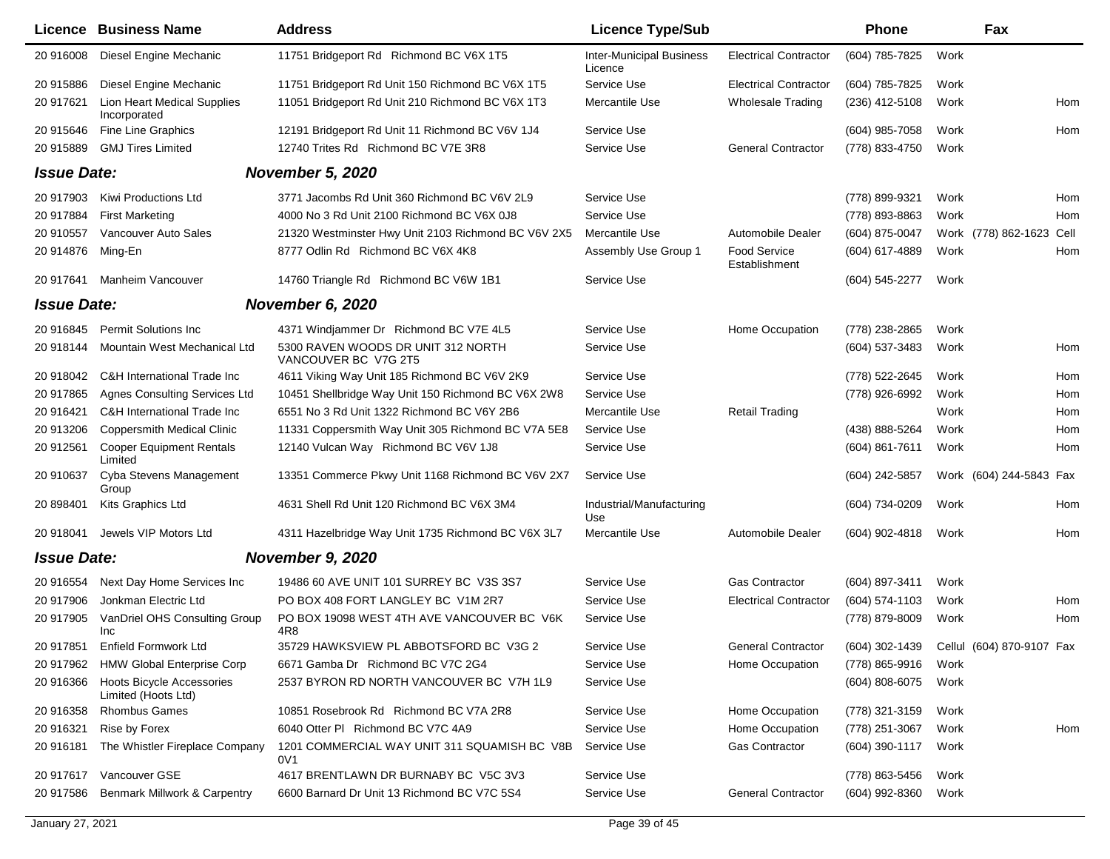|                    | Licence Business Name                                   | <b>Address</b>                                             | <b>Licence Type/Sub</b>                    |                               | <b>Phone</b>     | Fax                                        |      |
|--------------------|---------------------------------------------------------|------------------------------------------------------------|--------------------------------------------|-------------------------------|------------------|--------------------------------------------|------|
| 20 916008          | Diesel Engine Mechanic                                  | 11751 Bridgeport Rd Richmond BC V6X 1T5                    | <b>Inter-Municipal Business</b><br>Licence | <b>Electrical Contractor</b>  | (604) 785-7825   | Work                                       |      |
| 20 915886          | Diesel Engine Mechanic                                  | 11751 Bridgeport Rd Unit 150 Richmond BC V6X 1T5           | Service Use                                | <b>Electrical Contractor</b>  | (604) 785-7825   | Work                                       |      |
| 20 917621          | <b>Lion Heart Medical Supplies</b><br>Incorporated      | 11051 Bridgeport Rd Unit 210 Richmond BC V6X 1T3           | Mercantile Use                             | <b>Wholesale Trading</b>      | (236) 412-5108   | Work                                       | Hom  |
| 20 915646          | <b>Fine Line Graphics</b>                               | 12191 Bridgeport Rd Unit 11 Richmond BC V6V 1J4            | Service Use                                |                               | $(604)$ 985-7058 | Work                                       | Hom  |
| 20 915889          | <b>GMJ Tires Limited</b>                                | 12740 Trites Rd Richmond BC V7E 3R8                        | Service Use                                | <b>General Contractor</b>     | (778) 833-4750   | Work                                       |      |
| <b>Issue Date:</b> |                                                         | <b>November 5, 2020</b>                                    |                                            |                               |                  |                                            |      |
| 20 917903          | Kiwi Productions Ltd                                    | 3771 Jacombs Rd Unit 360 Richmond BC V6V 2L9               | Service Use                                |                               | (778) 899-9321   | Work                                       | Hom  |
| 20 917884          | <b>First Marketing</b>                                  | 4000 No 3 Rd Unit 2100 Richmond BC V6X 0J8                 | Service Use                                |                               | (778) 893-8863   | Work                                       | Hom  |
| 20 910557          | Vancouver Auto Sales                                    | 21320 Westminster Hwy Unit 2103 Richmond BC V6V 2X5        | Mercantile Use                             | Automobile Dealer             | (604) 875-0047   | Work (778) 862-1623                        | Cell |
| 20 914876          | Ming-En                                                 | 8777 Odlin Rd Richmond BC V6X 4K8                          | Assembly Use Group 1                       | Food Service<br>Establishment | (604) 617-4889   | Work                                       | Hom  |
| 20 917641          | Manheim Vancouver                                       | 14760 Triangle Rd Richmond BC V6W 1B1                      | Service Use                                |                               | (604) 545-2277   | Work                                       |      |
| <b>Issue Date:</b> |                                                         | November 6, 2020                                           |                                            |                               |                  |                                            |      |
| 20 916845          | <b>Permit Solutions Inc.</b>                            | 4371 Windjammer Dr Richmond BC V7E 4L5                     | Service Use                                | Home Occupation               | (778) 238-2865   | Work                                       |      |
| 20 918144          | Mountain West Mechanical Ltd                            | 5300 RAVEN WOODS DR UNIT 312 NORTH<br>VANCOUVER BC V7G 2T5 | Service Use                                |                               | (604) 537-3483   | Work                                       | Hom  |
| 20 918042          | C&H International Trade Inc                             | 4611 Viking Way Unit 185 Richmond BC V6V 2K9               | Service Use                                |                               | (778) 522-2645   | Work                                       | Hom  |
| 20 917865          | <b>Agnes Consulting Services Ltd</b>                    | 10451 Shellbridge Way Unit 150 Richmond BC V6X 2W8         | Service Use                                |                               | (778) 926-6992   | Work                                       | Hom  |
| 20 916421          | C&H International Trade Inc                             | 6551 No 3 Rd Unit 1322 Richmond BC V6Y 2B6                 | Mercantile Use                             | <b>Retail Trading</b>         |                  | Work                                       | Hom  |
| 20 913206          | <b>Coppersmith Medical Clinic</b>                       | 11331 Coppersmith Way Unit 305 Richmond BC V7A 5E8         | Service Use                                |                               | (438) 888-5264   | Work                                       | Hom  |
| 20 912561          | <b>Cooper Equipment Rentals</b><br>Limited              | 12140 Vulcan Way Richmond BC V6V 1J8                       | Service Use                                |                               | $(604)$ 861-7611 | Work                                       | Hom  |
| 20 910637          | Cyba Stevens Management<br>Group                        | 13351 Commerce Pkwy Unit 1168 Richmond BC V6V 2X7          | Service Use                                |                               | (604) 242-5857   | Work (604) 244-5843 Fax                    |      |
| 20 898401          | Kits Graphics Ltd                                       | 4631 Shell Rd Unit 120 Richmond BC V6X 3M4                 | Industrial/Manufacturing<br>Use            |                               | (604) 734-0209   | Work                                       | Hom  |
| 20 918041          | Jewels VIP Motors Ltd                                   | 4311 Hazelbridge Way Unit 1735 Richmond BC V6X 3L7         | Mercantile Use                             | Automobile Dealer             | (604) 902-4818   | Work                                       | Hom  |
| <b>Issue Date:</b> |                                                         | November 9, 2020                                           |                                            |                               |                  |                                            |      |
| 20 916554          | Next Day Home Services Inc                              | 19486 60 AVE UNIT 101 SURREY BC V3S 3S7                    | Service Use                                | <b>Gas Contractor</b>         | (604) 897-3411   | Work                                       |      |
| 20 917906          | Jonkman Electric Ltd                                    | PO BOX 408 FORT LANGLEY BC V1M 2R7                         | Service Use                                | <b>Electrical Contractor</b>  | (604) 574-1103   | Work                                       | Hom  |
| 20 917905          | VanDriel OHS Consulting Group<br>Inc                    | PO BOX 19098 WEST 4TH AVE VANCOUVER BC V6K<br>4R8          | Service Use                                |                               | (778) 879-8009   | Work                                       | Hom  |
| 20 917851          | Enfield Formwork Ltd                                    | 35729 HAWKSVIEW PL ABBOTSFORD BC V3G 2                     | Service Use                                | <b>General Contractor</b>     |                  | (604) 302-1439  Cellul (604) 870-9107  Fax |      |
|                    | 20 917962 HMW Global Enterprise Corp                    | 6671 Gamba Dr Richmond BC V7C 2G4                          | Service Use                                | Home Occupation               | (778) 865-9916   | Work                                       |      |
| 20 916366          | <b>Hoots Bicycle Accessories</b><br>Limited (Hoots Ltd) | 2537 BYRON RD NORTH VANCOUVER BC V7H 1L9                   | Service Use                                |                               | (604) 808-6075   | Work                                       |      |
| 20 916358          | <b>Rhombus Games</b>                                    | 10851 Rosebrook Rd Richmond BC V7A 2R8                     | Service Use                                | Home Occupation               | (778) 321-3159   | Work                                       |      |
| 20 916321          | Rise by Forex                                           | 6040 Otter PI Richmond BC V7C 4A9                          | Service Use                                | Home Occupation               | (778) 251-3067   | Work                                       | Hom  |
| 20 916181          | The Whistler Fireplace Company                          | 1201 COMMERCIAL WAY UNIT 311 SQUAMISH BC V8B<br>0V1        | Service Use                                | Gas Contractor                | (604) 390-1117   | Work                                       |      |
| 20 917617          | Vancouver GSE                                           | 4617 BRENTLAWN DR BURNABY BC V5C 3V3                       | Service Use                                |                               | (778) 863-5456   | Work                                       |      |
| 20 917586          | Benmark Millwork & Carpentry                            | 6600 Barnard Dr Unit 13 Richmond BC V7C 5S4                | Service Use                                | <b>General Contractor</b>     | (604) 992-8360   | Work                                       |      |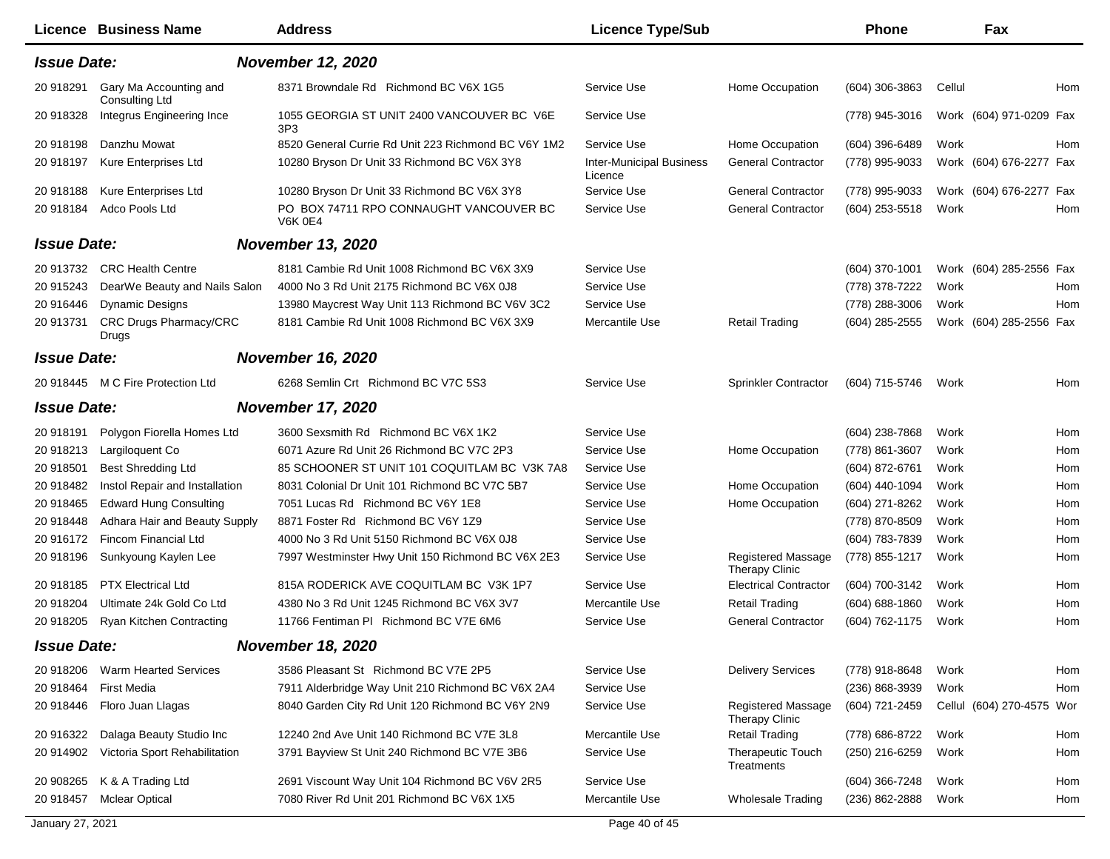| <b>Licence Business Name</b>                                 | <b>Address</b>                                            | <b>Licence Type/Sub</b>                    |                                             | <b>Phone</b>       | Fax                       |     |
|--------------------------------------------------------------|-----------------------------------------------------------|--------------------------------------------|---------------------------------------------|--------------------|---------------------------|-----|
| <b>Issue Date:</b>                                           | <b>November 12, 2020</b>                                  |                                            |                                             |                    |                           |     |
| Gary Ma Accounting and<br>20 918291<br><b>Consulting Ltd</b> | 8371 Browndale Rd Richmond BC V6X 1G5                     | Service Use                                | Home Occupation                             | (604) 306-3863     | Cellul                    | Hom |
| 20 918328<br>Integrus Engineering Ince                       | 1055 GEORGIA ST UNIT 2400 VANCOUVER BC V6E<br>3P3         | Service Use                                |                                             | (778) 945-3016     | Work (604) 971-0209 Fax   |     |
| Danzhu Mowat<br>20 918198                                    | 8520 General Currie Rd Unit 223 Richmond BC V6Y 1M2       | Service Use                                | Home Occupation                             | (604) 396-6489     | Work                      | Hom |
| 20 918197<br>Kure Enterprises Ltd                            | 10280 Bryson Dr Unit 33 Richmond BC V6X 3Y8               | <b>Inter-Municipal Business</b><br>Licence | <b>General Contractor</b>                   | (778) 995-9033     | Work (604) 676-2277 Fax   |     |
| <b>Kure Enterprises Ltd</b><br>20 918188                     | 10280 Bryson Dr Unit 33 Richmond BC V6X 3Y8               | Service Use                                | <b>General Contractor</b>                   | (778) 995-9033     | Work (604) 676-2277 Fax   |     |
| 20 918184<br>Adco Pools Ltd                                  | PO BOX 74711 RPO CONNAUGHT VANCOUVER BC<br><b>V6K 0E4</b> | Service Use                                | <b>General Contractor</b>                   | (604) 253-5518     | Work                      | Hom |
| <b>Issue Date:</b>                                           | <b>November 13, 2020</b>                                  |                                            |                                             |                    |                           |     |
| 20 913732<br><b>CRC Health Centre</b>                        | 8181 Cambie Rd Unit 1008 Richmond BC V6X 3X9              | Service Use                                |                                             | (604) 370-1001     | Work (604) 285-2556 Fax   |     |
| DearWe Beauty and Nails Salon<br>20 915243                   | 4000 No 3 Rd Unit 2175 Richmond BC V6X 0J8                | Service Use                                |                                             | (778) 378-7222     | Work                      | Hom |
| 20 916446<br><b>Dynamic Designs</b>                          | 13980 Maycrest Way Unit 113 Richmond BC V6V 3C2           | Service Use                                |                                             | (778) 288-3006     | Work                      | Hom |
| 20 913731<br>CRC Drugs Pharmacy/CRC<br>Drugs                 | 8181 Cambie Rd Unit 1008 Richmond BC V6X 3X9              | Mercantile Use                             | <b>Retail Trading</b>                       | (604) 285-2555     | Work (604) 285-2556 Fax   |     |
| <b>Issue Date:</b>                                           | <b>November 16, 2020</b>                                  |                                            |                                             |                    |                           |     |
| 20 918445 M C Fire Protection Ltd                            | 6268 Semlin Crt Richmond BC V7C 5S3                       | Service Use                                | Sprinkler Contractor                        | (604) 715-5746     | Work                      | Hom |
| <b>Issue Date:</b>                                           | <b>November 17, 2020</b>                                  |                                            |                                             |                    |                           |     |
| Polygon Fiorella Homes Ltd<br>20 918191                      | 3600 Sexsmith Rd Richmond BC V6X 1K2                      | Service Use                                |                                             | $(604)$ 238-7868   | Work                      | Hom |
| 20 918213<br>Largiloquent Co                                 | 6071 Azure Rd Unit 26 Richmond BC V7C 2P3                 | Service Use                                | Home Occupation                             | (778) 861-3607     | Work                      | Hom |
| 20 918501<br><b>Best Shredding Ltd</b>                       | 85 SCHOONER ST UNIT 101 COQUITLAM BC V3K 7A8              | Service Use                                |                                             | (604) 872-6761     | Work                      | Hom |
| Instol Repair and Installation<br>20 918482                  | 8031 Colonial Dr Unit 101 Richmond BC V7C 5B7             | Service Use                                | Home Occupation                             | (604) 440-1094     | Work                      | Hom |
| 20 918465<br><b>Edward Hung Consulting</b>                   | 7051 Lucas Rd Richmond BC V6Y 1E8                         | Service Use                                | Home Occupation                             | (604) 271-8262     | Work                      | Hom |
| Adhara Hair and Beauty Supply<br>20 918448                   | 8871 Foster Rd Richmond BC V6Y 1Z9                        | Service Use                                |                                             | (778) 870-8509     | Work                      | Hom |
| Fincom Financial Ltd<br>20 916172                            | 4000 No 3 Rd Unit 5150 Richmond BC V6X 0J8                | Service Use                                |                                             | (604) 783-7839     | Work                      | Hom |
| 20 918196<br>Sunkyoung Kaylen Lee                            | 7997 Westminster Hwy Unit 150 Richmond BC V6X 2E3         | Service Use                                | Registered Massage<br>Therapy Clinic        | (778) 855-1217     | Work                      | Hom |
| <b>PTX Electrical Ltd</b><br>20 918185                       | 815A RODERICK AVE COQUITLAM BC V3K 1P7                    | Service Use                                | <b>Electrical Contractor</b>                | (604) 700-3142     | Work                      | Hom |
| 20 918204<br>Ultimate 24k Gold Co Ltd                        | 4380 No 3 Rd Unit 1245 Richmond BC V6X 3V7                | Mercantile Use                             | <b>Retail Trading</b>                       | $(604) 688 - 1860$ | Work                      | Hom |
| 20 918205<br><b>Ryan Kitchen Contracting</b>                 | 11766 Fentiman PI Richmond BC V7E 6M6                     | Service Use                                | <b>General Contractor</b>                   | (604) 762-1175     | Work                      | Hom |
| <b>Issue Date:</b>                                           | <b>November 18, 2020</b>                                  |                                            |                                             |                    |                           |     |
| <b>Warm Hearted Services</b><br>20 918206                    | 3586 Pleasant St Richmond BC V7E 2P5                      | Service Use                                | <b>Delivery Services</b>                    | (778) 918-8648     | Work                      | Hom |
| 20 918464<br><b>First Media</b>                              | 7911 Alderbridge Way Unit 210 Richmond BC V6X 2A4         | Service Use                                |                                             | (236) 868-3939     | Work                      | Hom |
| 20 918446<br>Floro Juan Llagas                               | 8040 Garden City Rd Unit 120 Richmond BC V6Y 2N9          | Service Use                                | <b>Registered Massage</b><br>Therapy Clinic | (604) 721-2459     | Cellul (604) 270-4575 Wor |     |
| Dalaga Beauty Studio Inc<br>20 916322                        | 12240 2nd Ave Unit 140 Richmond BC V7E 3L8                | Mercantile Use                             | <b>Retail Trading</b>                       | (778) 686-8722     | Work                      | Hom |
| Victoria Sport Rehabilitation<br>20 914902                   | 3791 Bayview St Unit 240 Richmond BC V7E 3B6              | Service Use                                | <b>Therapeutic Touch</b><br>Treatments      | (250) 216-6259     | Work                      | Hom |
| K & A Trading Ltd<br>20 908265                               | 2691 Viscount Way Unit 104 Richmond BC V6V 2R5            | Service Use                                |                                             | $(604)$ 366-7248   | Work                      | Hom |
| 20 918457<br><b>Mclear Optical</b>                           | 7080 River Rd Unit 201 Richmond BC V6X 1X5                | Mercantile Use                             | Wholesale Trading                           | $(236)$ 862-2888   | Work                      | Hom |
| January 27, 2021                                             |                                                           | Page 40 of 45                              |                                             |                    |                           |     |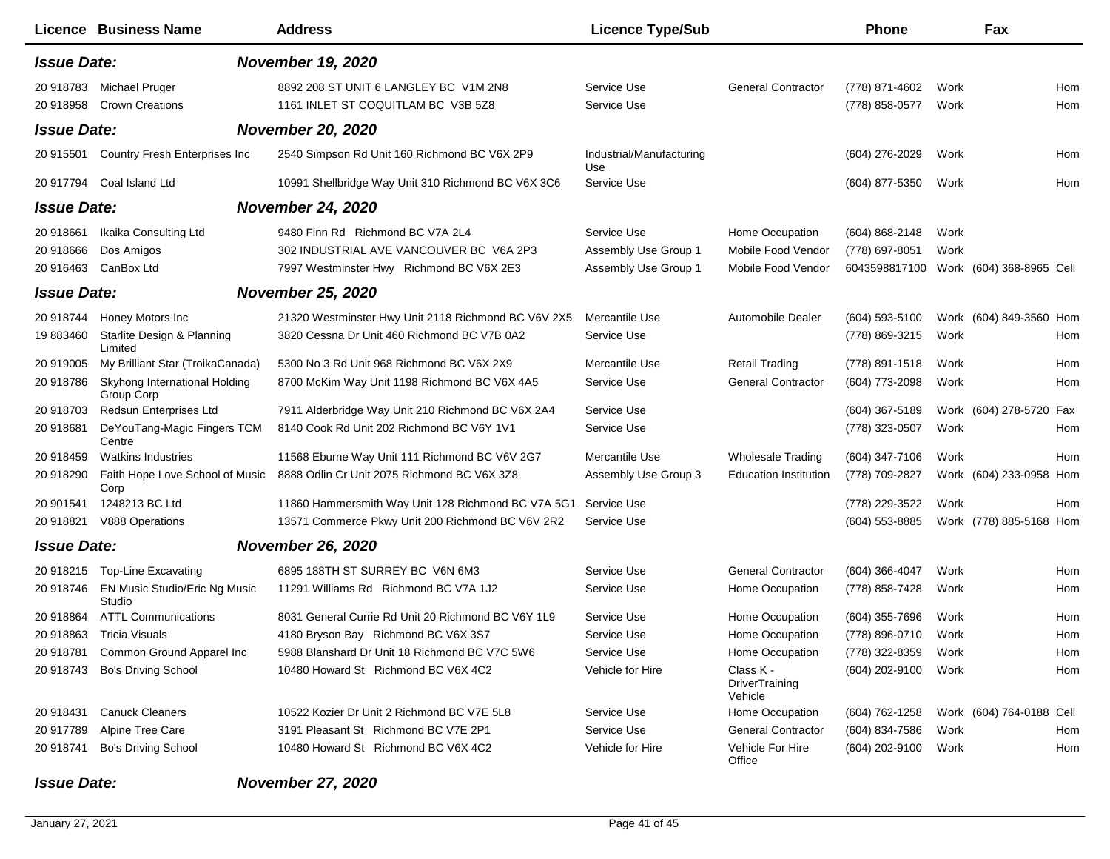|                    | <b>Licence Business Name</b>                | <b>Address</b>                                      | <b>Licence Type/Sub</b>         |                                        | <b>Phone</b>       |      | Fax                      |     |
|--------------------|---------------------------------------------|-----------------------------------------------------|---------------------------------|----------------------------------------|--------------------|------|--------------------------|-----|
| <b>Issue Date:</b> |                                             | <b>November 19, 2020</b>                            |                                 |                                        |                    |      |                          |     |
| 20 918783          | Michael Pruger                              | 8892 208 ST UNIT 6 LANGLEY BC V1M 2N8               | Service Use                     | <b>General Contractor</b>              | (778) 871-4602     | Work |                          | Hom |
| 20 918958          | <b>Crown Creations</b>                      | 1161 INLET ST COQUITLAM BC V3B 5Z8                  | Service Use                     |                                        | (778) 858-0577     | Work |                          | Hom |
| <b>Issue Date:</b> |                                             | <b>November 20, 2020</b>                            |                                 |                                        |                    |      |                          |     |
| 20 915501          | Country Fresh Enterprises Inc               | 2540 Simpson Rd Unit 160 Richmond BC V6X 2P9        | Industrial/Manufacturing<br>Use |                                        | (604) 276-2029     | Work |                          | Hom |
| 20 917794          | Coal Island Ltd                             | 10991 Shellbridge Way Unit 310 Richmond BC V6X 3C6  | Service Use                     |                                        | (604) 877-5350     | Work |                          | Hom |
| <b>Issue Date:</b> |                                             | <b>November 24, 2020</b>                            |                                 |                                        |                    |      |                          |     |
| 20 918661          | Ikaika Consulting Ltd                       | 9480 Finn Rd Richmond BC V7A 2L4                    | Service Use                     | Home Occupation                        | $(604) 868 - 2148$ | Work |                          |     |
| 20 918666          | Dos Amigos                                  | 302 INDUSTRIAL AVE VANCOUVER BC V6A 2P3             | Assembly Use Group 1            | Mobile Food Vendor                     | (778) 697-8051     | Work |                          |     |
| 20 916463          | CanBox Ltd                                  | 7997 Westminster Hwy Richmond BC V6X 2E3            | Assembly Use Group 1            | Mobile Food Vendor                     | 6043598817100      |      | Work (604) 368-8965 Cell |     |
| <b>Issue Date:</b> |                                             | <b>November 25, 2020</b>                            |                                 |                                        |                    |      |                          |     |
|                    |                                             |                                                     |                                 |                                        |                    |      |                          |     |
| 20 918744          | Honey Motors Inc                            | 21320 Westminster Hwy Unit 2118 Richmond BC V6V 2X5 | Mercantile Use                  | Automobile Dealer                      | (604) 593-5100     |      | Work (604) 849-3560 Hom  |     |
| 19 883460          | Starlite Design & Planning<br>Limited       | 3820 Cessna Dr Unit 460 Richmond BC V7B 0A2         | Service Use                     |                                        | (778) 869-3215     | Work |                          | Hom |
| 20 919005          | My Brilliant Star (TroikaCanada)            | 5300 No 3 Rd Unit 968 Richmond BC V6X 2X9           | Mercantile Use                  | <b>Retail Trading</b>                  | (778) 891-1518     | Work |                          | Hom |
| 20 918786          | Skyhong International Holding<br>Group Corp | 8700 McKim Way Unit 1198 Richmond BC V6X 4A5        | Service Use                     | <b>General Contractor</b>              | (604) 773-2098     | Work |                          | Hom |
| 20 918703          | Redsun Enterprises Ltd                      | 7911 Alderbridge Way Unit 210 Richmond BC V6X 2A4   | Service Use                     |                                        | $(604)$ 367-5189   |      | Work (604) 278-5720 Fax  |     |
| 20 918681          | DeYouTang-Magic Fingers TCM<br>Centre       | 8140 Cook Rd Unit 202 Richmond BC V6Y 1V1           | Service Use                     |                                        | (778) 323-0507     | Work |                          | Hom |
| 20 918459          | <b>Watkins Industries</b>                   | 11568 Eburne Way Unit 111 Richmond BC V6V 2G7       | Mercantile Use                  | <b>Wholesale Trading</b>               | (604) 347-7106     | Work |                          | Hom |
| 20 918290          | Faith Hope Love School of Music<br>Corp     | 8888 Odlin Cr Unit 2075 Richmond BC V6X 3Z8         | Assembly Use Group 3            | <b>Education Institution</b>           | (778) 709-2827     |      | Work (604) 233-0958 Hom  |     |
| 20 901541          | 1248213 BC Ltd                              | 11860 Hammersmith Way Unit 128 Richmond BC V7A 5G1  | Service Use                     |                                        | (778) 229-3522     | Work |                          | Hom |
| 20 918821          | V888 Operations                             | 13571 Commerce Pkwy Unit 200 Richmond BC V6V 2R2    | Service Use                     |                                        | (604) 553-8885     |      | Work (778) 885-5168 Hom  |     |
| <b>Issue Date:</b> |                                             | <b>November 26, 2020</b>                            |                                 |                                        |                    |      |                          |     |
| 20 918215          | <b>Top-Line Excavating</b>                  | 6895 188TH ST SURREY BC V6N 6M3                     | Service Use                     | <b>General Contractor</b>              | $(604)$ 366-4047   | Work |                          | Hom |
| 20 918746          | EN Music Studio/Eric Ng Music<br>Studio     | 11291 Williams Rd Richmond BC V7A 1J2               | Service Use                     | Home Occupation                        | (778) 858-7428     | Work |                          | Hom |
| 20 918864          | <b>ATTL Communications</b>                  | 8031 General Currie Rd Unit 20 Richmond BC V6Y 1L9  | Service Use                     | Home Occupation                        | (604) 355-7696     | Work |                          | Hom |
| 20 918863          | <b>Tricia Visuals</b>                       | 4180 Bryson Bay Richmond BC V6X 3S7                 | Service Use                     | Home Occupation                        | (778) 896-0710     | Work |                          | Hom |
| 20 918781          | Common Ground Apparel Inc                   | 5988 Blanshard Dr Unit 18 Richmond BC V7C 5W6       | Service Use                     | Home Occupation                        | (778) 322-8359     | Work |                          | Hom |
| 20 918743          | <b>Bo's Driving School</b>                  | 10480 Howard St Richmond BC V6X 4C2                 | Vehicle for Hire                | Class K -<br>DriverTraining<br>Vehicle | (604) 202-9100     | Work |                          | Hom |
| 20 918431          | <b>Canuck Cleaners</b>                      | 10522 Kozier Dr Unit 2 Richmond BC V7E 5L8          | Service Use                     | Home Occupation                        | (604) 762-1258     |      | Work (604) 764-0188 Cell |     |
| 20 917789          | Alpine Tree Care                            | 3191 Pleasant St Richmond BC V7E 2P1                | Service Use                     | <b>General Contractor</b>              | (604) 834-7586     | Work |                          | Hom |
| 20 918741          | Bo's Driving School                         | 10480 Howard St Richmond BC V6X 4C2                 | Vehicle for Hire                | Vehicle For Hire<br>Office             | (604) 202-9100     | Work |                          | Hom |

## *Issue Date: November 27, 2020*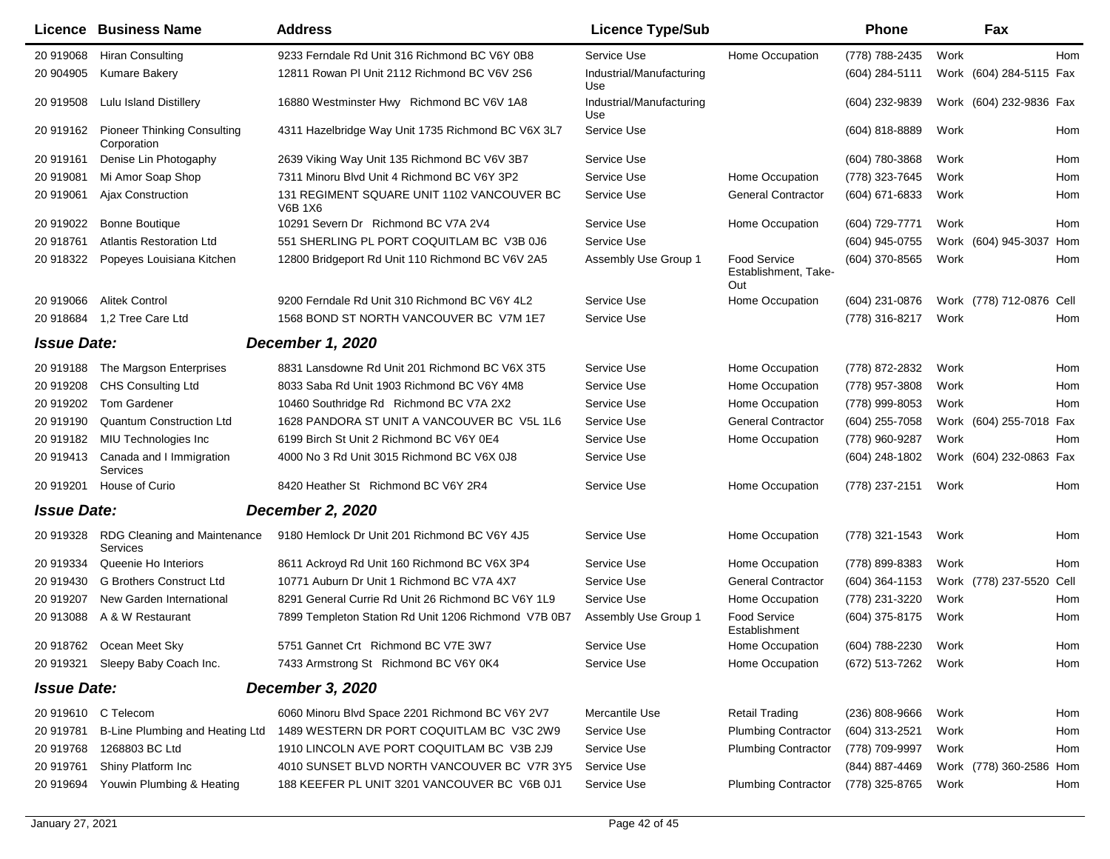|                    | Licence Business Name                             | <b>Address</b>                                               | <b>Licence Type/Sub</b>         |                                                    | <b>Phone</b>     |      | Fax                      |     |
|--------------------|---------------------------------------------------|--------------------------------------------------------------|---------------------------------|----------------------------------------------------|------------------|------|--------------------------|-----|
| 20 919068          | <b>Hiran Consulting</b>                           | 9233 Ferndale Rd Unit 316 Richmond BC V6Y 0B8                | Service Use                     | Home Occupation                                    | (778) 788-2435   | Work |                          | Hom |
| 20 904905          | Kumare Bakery                                     | 12811 Rowan PI Unit 2112 Richmond BC V6V 2S6                 | Industrial/Manufacturing<br>Use |                                                    | $(604)$ 284-5111 |      | Work (604) 284-5115 Fax  |     |
| 20 919508          | Lulu Island Distillery                            | 16880 Westminster Hwy Richmond BC V6V 1A8                    | Industrial/Manufacturing<br>Use |                                                    | (604) 232-9839   |      | Work (604) 232-9836 Fax  |     |
| 20 919162          | <b>Pioneer Thinking Consulting</b><br>Corporation | 4311 Hazelbridge Way Unit 1735 Richmond BC V6X 3L7           | Service Use                     |                                                    | (604) 818-8889   | Work |                          | Hom |
| 20 919161          | Denise Lin Photogaphy                             | 2639 Viking Way Unit 135 Richmond BC V6V 3B7                 | Service Use                     |                                                    | (604) 780-3868   | Work |                          | Hom |
| 20 919081          | Mi Amor Soap Shop                                 | 7311 Minoru Blvd Unit 4 Richmond BC V6Y 3P2                  | Service Use                     | Home Occupation                                    | (778) 323-7645   | Work |                          | Hom |
| 20 919061          | Ajax Construction                                 | 131 REGIMENT SQUARE UNIT 1102 VANCOUVER BC<br><b>V6B 1X6</b> | Service Use                     | <b>General Contractor</b>                          | (604) 671-6833   | Work |                          | Hom |
| 20 919022          | <b>Bonne Boutique</b>                             | 10291 Severn Dr Richmond BC V7A 2V4                          | Service Use                     | Home Occupation                                    | (604) 729-7771   | Work |                          | Hom |
| 20 918761          | <b>Atlantis Restoration Ltd</b>                   | 551 SHERLING PL PORT COQUITLAM BC V3B 0J6                    | Service Use                     |                                                    | (604) 945-0755   |      | Work (604) 945-3037 Hom  |     |
| 20 918322          | Popeyes Louisiana Kitchen                         | 12800 Bridgeport Rd Unit 110 Richmond BC V6V 2A5             | Assembly Use Group 1            | <b>Food Service</b><br>Establishment, Take-<br>Out | (604) 370-8565   | Work |                          | Hom |
| 20 919066          | <b>Alitek Control</b>                             | 9200 Ferndale Rd Unit 310 Richmond BC V6Y 4L2                | Service Use                     | Home Occupation                                    | (604) 231-0876   |      | Work (778) 712-0876 Cell |     |
|                    | 20 918684 1,2 Tree Care Ltd                       | 1568 BOND ST NORTH VANCOUVER BC V7M 1E7                      | Service Use                     |                                                    | (778) 316-8217   | Work |                          | Hom |
| <b>Issue Date:</b> |                                                   | <b>December 1, 2020</b>                                      |                                 |                                                    |                  |      |                          |     |
| 20 919188          | The Margson Enterprises                           | 8831 Lansdowne Rd Unit 201 Richmond BC V6X 3T5               | Service Use                     | Home Occupation                                    | (778) 872-2832   | Work |                          | Hom |
| 20 919208          | <b>CHS Consulting Ltd</b>                         | 8033 Saba Rd Unit 1903 Richmond BC V6Y 4M8                   | Service Use                     | Home Occupation                                    | (778) 957-3808   | Work |                          | Hom |
| 20 919202          | <b>Tom Gardener</b>                               | 10460 Southridge Rd Richmond BC V7A 2X2                      | Service Use                     | Home Occupation                                    | (778) 999-8053   | Work |                          | Hom |
| 20 919190          | Quantum Construction Ltd                          | 1628 PANDORA ST UNIT A VANCOUVER BC V5L 1L6                  | Service Use                     | <b>General Contractor</b>                          | (604) 255-7058   |      | Work (604) 255-7018 Fax  |     |
| 20 919182          | MIU Technologies Inc                              | 6199 Birch St Unit 2 Richmond BC V6Y 0E4                     | Service Use                     | Home Occupation                                    | (778) 960-9287   | Work |                          | Hom |
| 20 919413          | Canada and I Immigration<br>Services              | 4000 No 3 Rd Unit 3015 Richmond BC V6X 0J8                   | Service Use                     |                                                    | (604) 248-1802   |      | Work (604) 232-0863 Fax  |     |
| 20 919201          | House of Curio                                    | 8420 Heather St Richmond BC V6Y 2R4                          | Service Use                     | Home Occupation                                    | (778) 237-2151   | Work |                          | Hom |
| <b>Issue Date:</b> |                                                   | <b>December 2, 2020</b>                                      |                                 |                                                    |                  |      |                          |     |
| 20 919328          | RDG Cleaning and Maintenance<br>Services          | 9180 Hemlock Dr Unit 201 Richmond BC V6Y 4J5                 | Service Use                     | Home Occupation                                    | (778) 321-1543   | Work |                          | Hom |
| 20 919334          | Queenie Ho Interiors                              | 8611 Ackroyd Rd Unit 160 Richmond BC V6X 3P4                 | Service Use                     | Home Occupation                                    | (778) 899-8383   | Work |                          | Hom |
| 20 919430          | <b>G Brothers Construct Ltd</b>                   | 10771 Auburn Dr Unit 1 Richmond BC V7A 4X7                   | Service Use                     | <b>General Contractor</b>                          | $(604)$ 364-1153 |      | Work (778) 237-5520 Cell |     |
| 20 919207          | New Garden International                          | 8291 General Currie Rd Unit 26 Richmond BC V6Y 1L9           | Service Use                     | Home Occupation                                    | (778) 231-3220   | Work |                          | Hom |
| 20 913088          | A & W Restaurant                                  | 7899 Templeton Station Rd Unit 1206 Richmond V7B 0B7         | Assembly Use Group 1            | <b>Food Service</b><br>Establishment               | (604) 375-8175   | Work |                          | Hom |
| 20 918762          | Ocean Meet Sky                                    | 5751 Gannet Crt Richmond BC V7E 3W7                          | Service Use                     | Home Occupation                                    | (604) 788-2230   | Work |                          | Hom |
|                    | 20 919321 Sleepy Baby Coach Inc.                  | 7433 Armstrong St Richmond BC V6Y 0K4                        | Service Use                     | Home Occupation                                    | (672) 513-7262   | Work |                          | Hom |
| <b>Issue Date:</b> |                                                   | <b>December 3, 2020</b>                                      |                                 |                                                    |                  |      |                          |     |
|                    | 20 919610 C Telecom                               | 6060 Minoru Blvd Space 2201 Richmond BC V6Y 2V7              | Mercantile Use                  | <b>Retail Trading</b>                              | (236) 808-9666   | Work |                          | Hom |
| 20 919781          | B-Line Plumbing and Heating Ltd                   | 1489 WESTERN DR PORT COQUITLAM BC V3C 2W9                    | Service Use                     | <b>Plumbing Contractor</b>                         | (604) 313-2521   | Work |                          | Hom |
| 20 919768          | 1268803 BC Ltd                                    | 1910 LINCOLN AVE PORT COQUITLAM BC V3B 2J9                   | Service Use                     | <b>Plumbing Contractor</b>                         | (778) 709-9997   | Work |                          | Hom |
| 20 919761          | Shiny Platform Inc                                | 4010 SUNSET BLVD NORTH VANCOUVER BC V7R 3Y5                  | Service Use                     |                                                    | (844) 887-4469   |      | Work (778) 360-2586 Hom  |     |
| 20 919694          | Youwin Plumbing & Heating                         | 188 KEEFER PL UNIT 3201 VANCOUVER BC V6B 0J1                 | Service Use                     | <b>Plumbing Contractor</b>                         | (778) 325-8765   | Work |                          | Hom |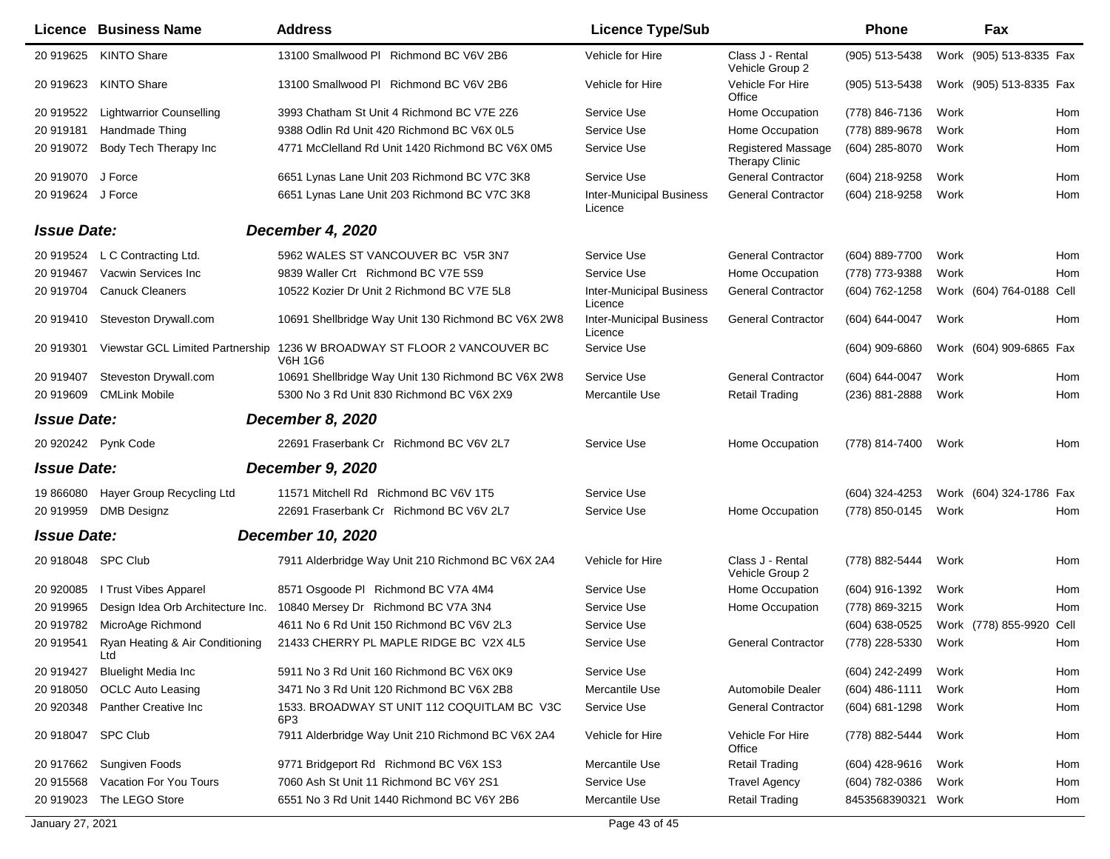|                    | <b>Licence Business Name</b>           | <b>Address</b>                                            | <b>Licence Type/Sub</b>                    |                                             | <b>Phone</b>       | Fax                      |      |
|--------------------|----------------------------------------|-----------------------------------------------------------|--------------------------------------------|---------------------------------------------|--------------------|--------------------------|------|
| 20 919625          | <b>KINTO Share</b>                     | 13100 Smallwood PI Richmond BC V6V 2B6                    | Vehicle for Hire                           | Class J - Rental<br>Vehicle Group 2         | (905) 513-5438     | Work (905) 513-8335 Fax  |      |
| 20 919623          | <b>KINTO Share</b>                     | 13100 Smallwood PI Richmond BC V6V 2B6                    | Vehicle for Hire                           | Vehicle For Hire<br>Office                  | (905) 513-5438     | Work (905) 513-8335 Fax  |      |
| 20 919522          | <b>Lightwarrior Counselling</b>        | 3993 Chatham St Unit 4 Richmond BC V7E 2Z6                | Service Use                                | Home Occupation                             | (778) 846-7136     | Work                     | Hom  |
| 20 919181          | Handmade Thing                         | 9388 Odlin Rd Unit 420 Richmond BC V6X 0L5                | Service Use                                | Home Occupation                             | (778) 889-9678     | Work                     | Hom  |
| 20 919072          | Body Tech Therapy Inc                  | 4771 McClelland Rd Unit 1420 Richmond BC V6X 0M5          | Service Use                                | Registered Massage<br><b>Therapy Clinic</b> | (604) 285-8070     | Work                     | Hom  |
| 20 919070          | J Force                                | 6651 Lynas Lane Unit 203 Richmond BC V7C 3K8              | Service Use                                | <b>General Contractor</b>                   | (604) 218-9258     | Work                     | Hom  |
| 20 919624 J Force  |                                        | 6651 Lynas Lane Unit 203 Richmond BC V7C 3K8              | <b>Inter-Municipal Business</b><br>Licence | <b>General Contractor</b>                   | (604) 218-9258     | Work                     | Hom  |
| <b>Issue Date:</b> |                                        | December 4, 2020                                          |                                            |                                             |                    |                          |      |
| 20 919524          | L C Contracting Ltd.                   | 5962 WALES ST VANCOUVER BC V5R 3N7                        | Service Use                                | <b>General Contractor</b>                   | (604) 889-7700     | Work                     | Hom  |
| 20 919467          | Vacwin Services Inc                    | 9839 Waller Crt Richmond BC V7E 5S9                       | Service Use                                | Home Occupation                             | (778) 773-9388     | Work                     | Hom  |
| 20 919704          | <b>Canuck Cleaners</b>                 | 10522 Kozier Dr Unit 2 Richmond BC V7E 5L8                | <b>Inter-Municipal Business</b><br>Licence | <b>General Contractor</b>                   | (604) 762-1258     | Work (604) 764-0188 Cell |      |
| 20 919410          | Steveston Drywall.com                  | 10691 Shellbridge Way Unit 130 Richmond BC V6X 2W8        | <b>Inter-Municipal Business</b><br>Licence | <b>General Contractor</b>                   | $(604) 644 - 0047$ | Work                     | Hom  |
| 20 919301          | Viewstar GCL Limited Partnership       | 1236 W BROADWAY ST FLOOR 2 VANCOUVER BC<br><b>V6H 1G6</b> | Service Use                                |                                             | $(604)$ 909-6860   | Work (604) 909-6865 Fax  |      |
| 20 919407          | Steveston Drywall.com                  | 10691 Shellbridge Way Unit 130 Richmond BC V6X 2W8        | Service Use                                | <b>General Contractor</b>                   | (604) 644-0047     | Work                     | Hom  |
| 20 919609          | <b>CMLink Mobile</b>                   | 5300 No 3 Rd Unit 830 Richmond BC V6X 2X9                 | Mercantile Use                             | <b>Retail Trading</b>                       | (236) 881-2888     | Work                     | Hom  |
| <b>Issue Date:</b> |                                        | <b>December 8, 2020</b>                                   |                                            |                                             |                    |                          |      |
|                    | 20 920242 Pynk Code                    | 22691 Fraserbank Cr Richmond BC V6V 2L7                   | Service Use                                | Home Occupation                             | (778) 814-7400     | Work                     | Hom  |
| <b>Issue Date:</b> |                                        | December 9, 2020                                          |                                            |                                             |                    |                          |      |
| 19 866080          | Hayer Group Recycling Ltd              | 11571 Mitchell Rd Richmond BC V6V 1T5                     | Service Use                                |                                             | (604) 324-4253     | Work (604) 324-1786 Fax  |      |
| 20 919959          | <b>DMB</b> Designz                     | 22691 Fraserbank Cr Richmond BC V6V 2L7                   | Service Use                                | Home Occupation                             | (778) 850-0145     | Work                     | Hom  |
| <b>Issue Date:</b> |                                        | December 10, 2020                                         |                                            |                                             |                    |                          |      |
|                    |                                        |                                                           |                                            |                                             |                    |                          |      |
| 20 918048          | <b>SPC Club</b>                        | 7911 Alderbridge Way Unit 210 Richmond BC V6X 2A4         | Vehicle for Hire                           | Class J - Rental<br>Vehicle Group 2         | (778) 882-5444     | Work                     | Hom  |
| 20 920085          | I Trust Vibes Apparel                  | 8571 Osgoode PI Richmond BC V7A 4M4                       | Service Use                                | Home Occupation                             | (604) 916-1392     | Work                     | Hom  |
| 20 919965          | Design Idea Orb Architecture Inc.      | 10840 Mersey Dr Richmond BC V7A 3N4                       | Service Use                                | Home Occupation                             | (778) 869-3215     | Work                     | Hom  |
| 20 919782          | MicroAge Richmond                      | 4611 No 6 Rd Unit 150 Richmond BC V6V 2L3                 | Service Use                                |                                             | (604) 638-0525     | Work (778) 855-9920      | Cell |
| 20 919541          | Ryan Heating & Air Conditioning<br>Ltd | 21433 CHERRY PL MAPLE RIDGE BC V2X 4L5                    | Service Use                                | <b>General Contractor</b>                   | (778) 228-5330     | Work                     | Hom  |
| 20 919427          | <b>Bluelight Media Inc</b>             | 5911 No 3 Rd Unit 160 Richmond BC V6X 0K9                 | Service Use                                |                                             | (604) 242-2499     | Work                     | Hom  |
| 20 918050          | <b>OCLC Auto Leasing</b>               | 3471 No 3 Rd Unit 120 Richmond BC V6X 2B8                 | Mercantile Use                             | Automobile Dealer                           | $(604)$ 486-1111   | Work                     | Hom  |
| 20 920348          | Panther Creative Inc                   | 1533. BROADWAY ST UNIT 112 COQUITLAM BC V3C<br>6P3        | Service Use                                | <b>General Contractor</b>                   | (604) 681-1298     | Work                     | Hom  |
| 20 918047          | <b>SPC Club</b>                        | 7911 Alderbridge Way Unit 210 Richmond BC V6X 2A4         | Vehicle for Hire                           | Vehicle For Hire<br>Office                  | (778) 882-5444     | Work                     | Hom  |
| 20 917662          | Sungiven Foods                         | 9771 Bridgeport Rd Richmond BC V6X 1S3                    | Mercantile Use                             | <b>Retail Trading</b>                       | (604) 428-9616     | Work                     | Hom  |
| 20 915568          | <b>Vacation For You Tours</b>          | 7060 Ash St Unit 11 Richmond BC V6Y 2S1                   | Service Use                                | <b>Travel Agency</b>                        | (604) 782-0386     | Work                     | Hom  |
| 20 919023          | The LEGO Store                         | 6551 No 3 Rd Unit 1440 Richmond BC V6Y 2B6                | Mercantile Use                             | <b>Retail Trading</b>                       | 8453568390321      | Work                     | Hom  |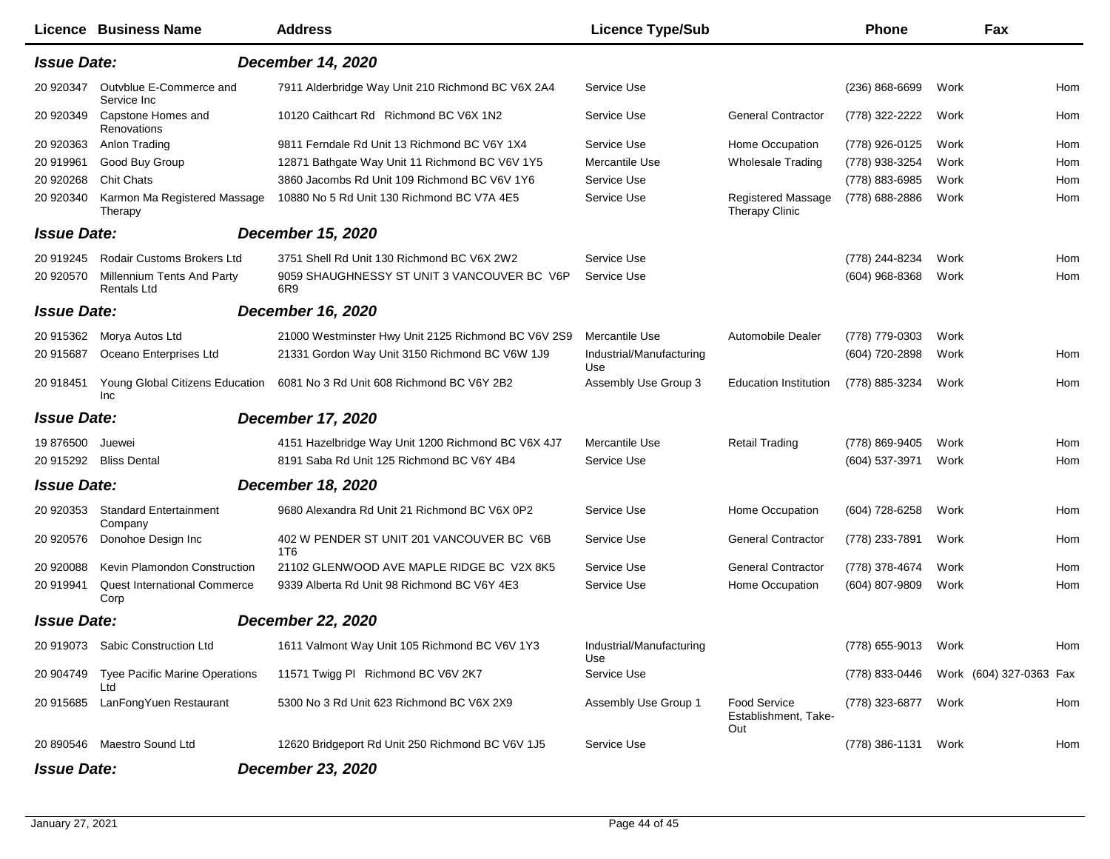|                    | Licence Business Name                                   | <b>Address</b>                                                            | <b>Licence Type/Sub</b>         |                                                    | <b>Phone</b>        | Fax                     |     |
|--------------------|---------------------------------------------------------|---------------------------------------------------------------------------|---------------------------------|----------------------------------------------------|---------------------|-------------------------|-----|
| <b>Issue Date:</b> |                                                         | <b>December 14, 2020</b>                                                  |                                 |                                                    |                     |                         |     |
| 20 920347          | Outvblue E-Commerce and<br>Service Inc                  | 7911 Alderbridge Way Unit 210 Richmond BC V6X 2A4                         | Service Use                     |                                                    | $(236) 868 - 6699$  | Work                    | Hom |
| 20 920349          | Capstone Homes and<br><b>Renovations</b>                | 10120 Caithcart Rd Richmond BC V6X 1N2                                    | Service Use                     | <b>General Contractor</b>                          | (778) 322-2222      | Work                    | Hom |
| 20 920363          | Anlon Trading                                           | 9811 Ferndale Rd Unit 13 Richmond BC V6Y 1X4                              | Service Use                     | Home Occupation                                    | (778) 926-0125      | Work                    | Hom |
| 20 919961          | Good Buy Group                                          | 12871 Bathgate Way Unit 11 Richmond BC V6V 1Y5                            | Mercantile Use                  | <b>Wholesale Trading</b>                           | (778) 938-3254      | Work                    | Hom |
| 20 920268          | Chit Chats                                              | 3860 Jacombs Rd Unit 109 Richmond BC V6V 1Y6                              | Service Use                     |                                                    | (778) 883-6985      | Work                    | Hom |
| 20 920340          | Karmon Ma Registered Massage<br>Therapy                 | 10880 No 5 Rd Unit 130 Richmond BC V7A 4E5                                | Service Use                     | <b>Registered Massage</b><br><b>Therapy Clinic</b> | (778) 688-2886      | Work                    | Hom |
| <b>Issue Date:</b> |                                                         | <b>December 15, 2020</b>                                                  |                                 |                                                    |                     |                         |     |
| 20 919245          | <b>Rodair Customs Brokers Ltd</b>                       | 3751 Shell Rd Unit 130 Richmond BC V6X 2W2                                | Service Use                     |                                                    | (778) 244-8234      | Work                    | Hom |
| 20 920570          | <b>Millennium Tents And Party</b><br><b>Rentals Ltd</b> | 9059 SHAUGHNESSY ST UNIT 3 VANCOUVER BC V6P<br>6R <sub>9</sub>            | Service Use                     |                                                    | $(604)$ 968-8368    | Work                    | Hom |
| <b>Issue Date:</b> |                                                         | <b>December 16, 2020</b>                                                  |                                 |                                                    |                     |                         |     |
| 20 915362          | Morya Autos Ltd                                         | 21000 Westminster Hwy Unit 2125 Richmond BC V6V 2S9                       | Mercantile Use                  | Automobile Dealer                                  | (778) 779-0303      | Work                    |     |
| 20 915687          | Oceano Enterprises Ltd                                  | 21331 Gordon Way Unit 3150 Richmond BC V6W 1J9                            | Industrial/Manufacturing<br>Use |                                                    | (604) 720-2898      | Work                    | Hom |
| 20 918451          | <b>Inc</b>                                              | Young Global Citizens Education 6081 No 3 Rd Unit 608 Richmond BC V6Y 2B2 | Assembly Use Group 3            | <b>Education Institution</b>                       | (778) 885-3234      | Work                    | Hom |
| <b>Issue Date:</b> |                                                         | <b>December 17, 2020</b>                                                  |                                 |                                                    |                     |                         |     |
| 19 876500          | Juewei                                                  | 4151 Hazelbridge Way Unit 1200 Richmond BC V6X 4J7                        | Mercantile Use                  | <b>Retail Trading</b>                              | (778) 869-9405      | Work                    | Hom |
| 20 915292          | <b>Bliss Dental</b>                                     | 8191 Saba Rd Unit 125 Richmond BC V6Y 4B4                                 | Service Use                     |                                                    | (604) 537-3971      | Work                    | Hom |
| <b>Issue Date:</b> |                                                         | <b>December 18, 2020</b>                                                  |                                 |                                                    |                     |                         |     |
| 20 920353          | <b>Standard Entertainment</b><br>Company                | 9680 Alexandra Rd Unit 21 Richmond BC V6X 0P2                             | Service Use                     | Home Occupation                                    | (604) 728-6258      | Work                    | Hom |
| 20 920576          | Donohoe Design Inc                                      | 402 W PENDER ST UNIT 201 VANCOUVER BC V6B<br>1T6                          | Service Use                     | <b>General Contractor</b>                          | (778) 233-7891      | Work                    | Hom |
| 20 920088          | Kevin Plamondon Construction                            | 21102 GLENWOOD AVE MAPLE RIDGE BC V2X 8K5                                 | Service Use                     | <b>General Contractor</b>                          | (778) 378-4674      | Work                    | Hom |
| 20 919941          | <b>Quest International Commerce</b><br>Corp             | 9339 Alberta Rd Unit 98 Richmond BC V6Y 4E3                               | Service Use                     | Home Occupation                                    | (604) 807-9809      | Work                    | Hom |
| <b>Issue Date:</b> |                                                         | <b>December 22, 2020</b>                                                  |                                 |                                                    |                     |                         |     |
|                    | 20 919073 Sabic Construction Ltd                        | 1611 Valmont Way Unit 105 Richmond BC V6V 1Y3                             | Industrial/Manufacturing<br>Use |                                                    | (778) 655-9013 Work |                         | Hom |
| 20 904749          | <b>Tyee Pacific Marine Operations</b><br>Ltd            | 11571 Twigg PI Richmond BC V6V 2K7                                        | Service Use                     |                                                    | (778) 833-0446      | Work (604) 327-0363 Fax |     |
| 20 915685          | LanFongYuen Restaurant                                  | 5300 No 3 Rd Unit 623 Richmond BC V6X 2X9                                 | Assembly Use Group 1            | <b>Food Service</b><br>Establishment, Take-<br>Out | (778) 323-6877      | Work                    | Hom |
|                    | 20 890546 Maestro Sound Ltd                             | 12620 Bridgeport Rd Unit 250 Richmond BC V6V 1J5                          | Service Use                     |                                                    | (778) 386-1131      | Work                    | Hom |
| <b>Issue Date:</b> |                                                         | <b>December 23, 2020</b>                                                  |                                 |                                                    |                     |                         |     |